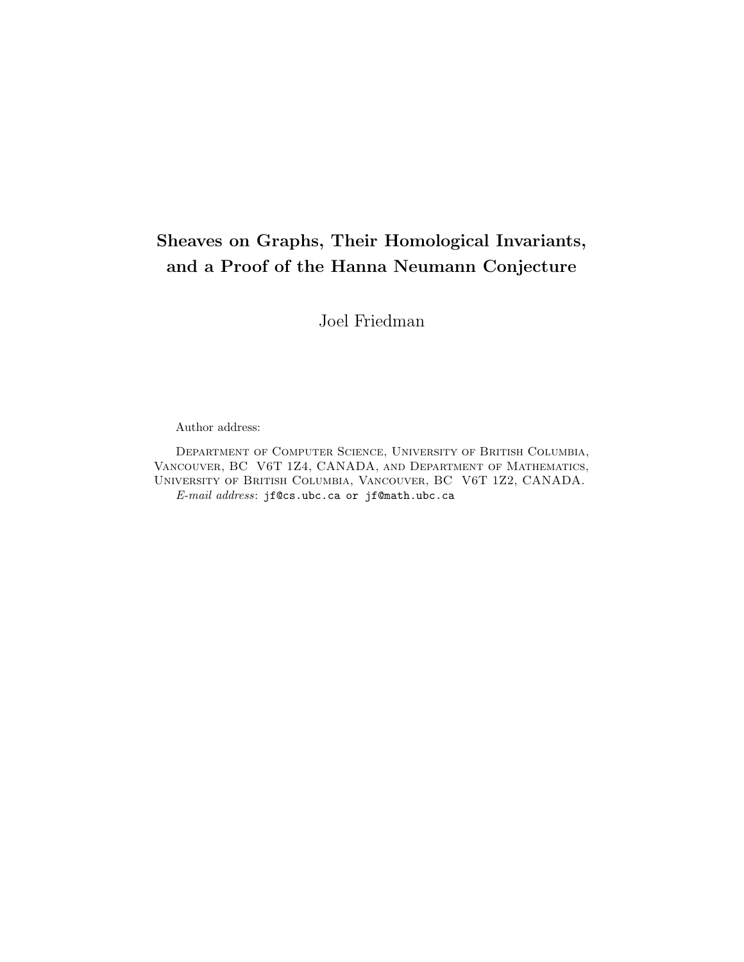# Sheaves on Graphs, Their Homological Invariants, and a Proof of the Hanna Neumann Conjecture

Joel Friedman

Author address:

Department of Computer Science, University of British Columbia, Vancouver, BC V6T 1Z4, CANADA, and Department of Mathematics, University of British Columbia, Vancouver, BC V6T 1Z2, CANADA. E-mail address: jf@cs.ubc.ca or jf@math.ubc.ca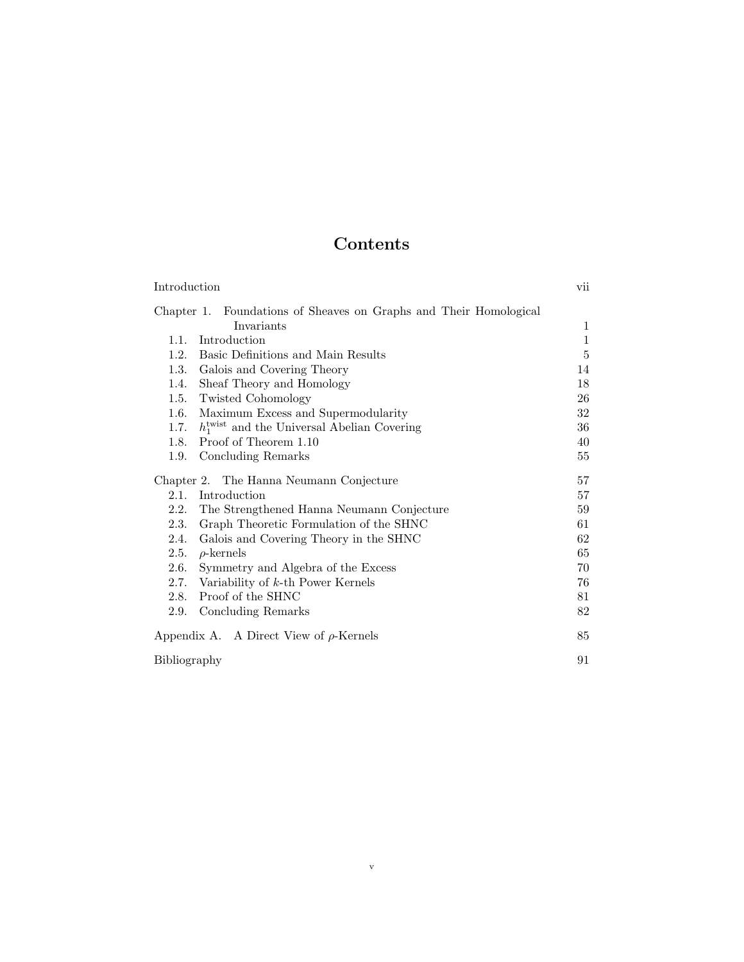## Contents

| Introduction                                 |                                                                   | vii            |
|----------------------------------------------|-------------------------------------------------------------------|----------------|
|                                              | Chapter 1. Foundations of Sheaves on Graphs and Their Homological |                |
|                                              | Invariants                                                        | $\mathbf 1$    |
| 1.1.                                         | Introduction                                                      | $\mathbf{1}$   |
| 1.2.                                         | Basic Definitions and Main Results                                | $\overline{5}$ |
| 1.3.                                         | Galois and Covering Theory                                        | 14             |
| 1.4.                                         | Sheaf Theory and Homology                                         | 18             |
| 1.5.                                         | Twisted Cohomology                                                | 26             |
| 1.6.                                         | Maximum Excess and Supermodularity                                | 32             |
| 1.7.                                         | $h_1^{\text{twist}}$ and the Universal Abelian Covering           | 36             |
| 1.8.                                         | Proof of Theorem 1.10                                             | 40             |
| 1.9.                                         | Concluding Remarks                                                | 55             |
| Chapter 2. The Hanna Neumann Conjecture      |                                                                   | 57             |
| 2.1.                                         | Introduction                                                      | 57             |
| 2.2.                                         | The Strengthened Hanna Neumann Conjecture                         | 59             |
| 2.3.                                         | Graph Theoretic Formulation of the SHNC                           | 61             |
| 2.4.                                         | Galois and Covering Theory in the SHNC                            | 62             |
| 2.5.                                         | $\rho$ -kernels                                                   | 65             |
| 2.6.                                         | Symmetry and Algebra of the Excess                                | 70             |
| 2.7.                                         | Variability of $k$ -th Power Kernels                              | 76             |
| 2.8.                                         | Proof of the SHNC                                                 | 81             |
| 2.9.                                         | Concluding Remarks                                                | 82             |
| Appendix A. A Direct View of $\rho$ -Kernels |                                                                   | 85             |
| Bibliography                                 |                                                                   | 91             |

v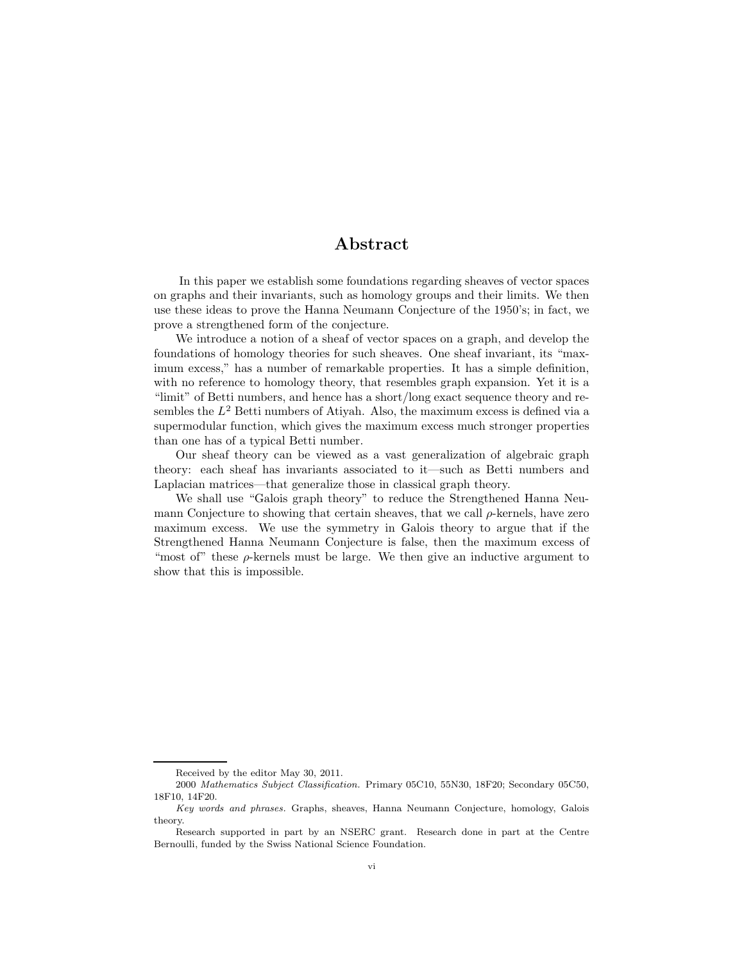### Abstract

In this paper we establish some foundations regarding sheaves of vector spaces on graphs and their invariants, such as homology groups and their limits. We then use these ideas to prove the Hanna Neumann Conjecture of the 1950's; in fact, we prove a strengthened form of the conjecture.

We introduce a notion of a sheaf of vector spaces on a graph, and develop the foundations of homology theories for such sheaves. One sheaf invariant, its "maximum excess," has a number of remarkable properties. It has a simple definition, with no reference to homology theory, that resembles graph expansion. Yet it is a "limit" of Betti numbers, and hence has a short/long exact sequence theory and resembles the  $L^2$  Betti numbers of Atiyah. Also, the maximum excess is defined via a supermodular function, which gives the maximum excess much stronger properties than one has of a typical Betti number.

Our sheaf theory can be viewed as a vast generalization of algebraic graph theory: each sheaf has invariants associated to it—such as Betti numbers and Laplacian matrices—that generalize those in classical graph theory.

We shall use "Galois graph theory" to reduce the Strengthened Hanna Neumann Conjecture to showing that certain sheaves, that we call  $\rho$ -kernels, have zero maximum excess. We use the symmetry in Galois theory to argue that if the Strengthened Hanna Neumann Conjecture is false, then the maximum excess of "most of" these  $\rho$ -kernels must be large. We then give an inductive argument to show that this is impossible.

Received by the editor May 30, 2011.

<sup>2000</sup> Mathematics Subject Classification. Primary 05C10, 55N30, 18F20; Secondary 05C50, 18F10, 14F20.

Key words and phrases. Graphs, sheaves, Hanna Neumann Conjecture, homology, Galois theory.

Research supported in part by an NSERC grant. Research done in part at the Centre Bernoulli, funded by the Swiss National Science Foundation.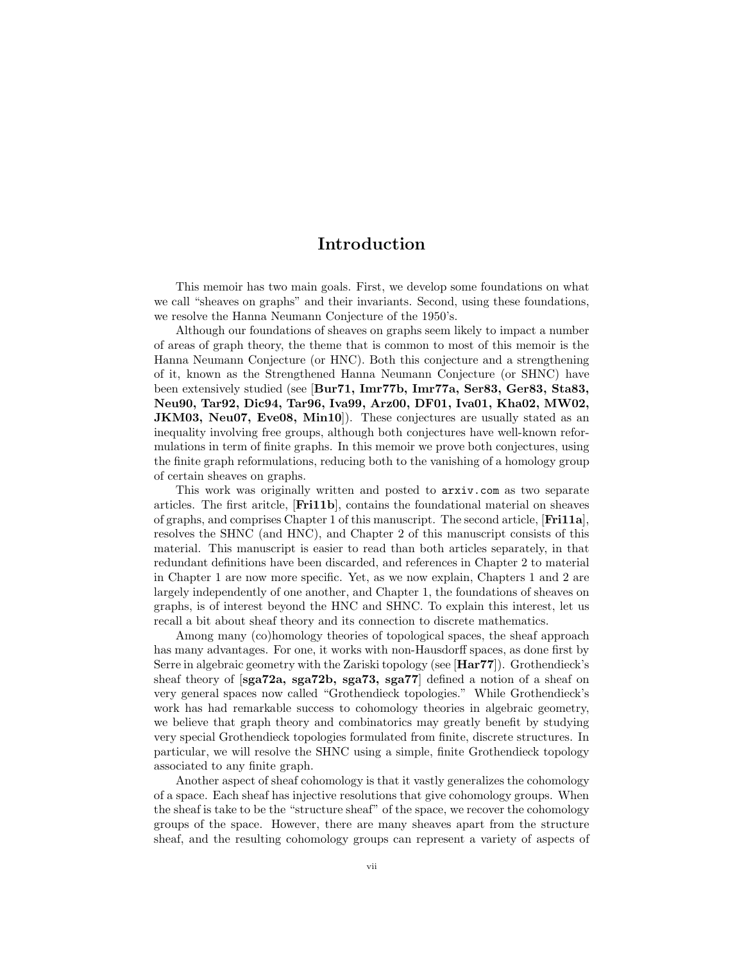### Introduction

This memoir has two main goals. First, we develop some foundations on what we call "sheaves on graphs" and their invariants. Second, using these foundations, we resolve the Hanna Neumann Conjecture of the 1950's.

Although our foundations of sheaves on graphs seem likely to impact a number of areas of graph theory, the theme that is common to most of this memoir is the Hanna Neumann Conjecture (or HNC). Both this conjecture and a strengthening of it, known as the Strengthened Hanna Neumann Conjecture (or SHNC) have been extensively studied (see [Bur71, Imr77b, Imr77a, Ser83, Ger83, Sta83, Neu90, Tar92, Dic94, Tar96, Iva99, Arz00, DF01, Iva01, Kha02, MW02, JKM03, Neu07, Eve08, Min10. These conjectures are usually stated as an inequality involving free groups, although both conjectures have well-known reformulations in term of finite graphs. In this memoir we prove both conjectures, using the finite graph reformulations, reducing both to the vanishing of a homology group of certain sheaves on graphs.

This work was originally written and posted to arxiv.com as two separate articles. The first aritcle, [Fri11b], contains the foundational material on sheaves of graphs, and comprises Chapter 1 of this manuscript. The second article, [Fri11a], resolves the SHNC (and HNC), and Chapter 2 of this manuscript consists of this material. This manuscript is easier to read than both articles separately, in that redundant definitions have been discarded, and references in Chapter 2 to material in Chapter 1 are now more specific. Yet, as we now explain, Chapters 1 and 2 are largely independently of one another, and Chapter 1, the foundations of sheaves on graphs, is of interest beyond the HNC and SHNC. To explain this interest, let us recall a bit about sheaf theory and its connection to discrete mathematics.

Among many (co)homology theories of topological spaces, the sheaf approach has many advantages. For one, it works with non-Hausdorff spaces, as done first by Serre in algebraic geometry with the Zariski topology (see [Har77]). Grothendieck's sheaf theory of [sga72a, sga72b, sga73, sga77] defined a notion of a sheaf on very general spaces now called "Grothendieck topologies." While Grothendieck's work has had remarkable success to cohomology theories in algebraic geometry, we believe that graph theory and combinatorics may greatly benefit by studying very special Grothendieck topologies formulated from finite, discrete structures. In particular, we will resolve the SHNC using a simple, finite Grothendieck topology associated to any finite graph.

Another aspect of sheaf cohomology is that it vastly generalizes the cohomology of a space. Each sheaf has injective resolutions that give cohomology groups. When the sheaf is take to be the "structure sheaf" of the space, we recover the cohomology groups of the space. However, there are many sheaves apart from the structure sheaf, and the resulting cohomology groups can represent a variety of aspects of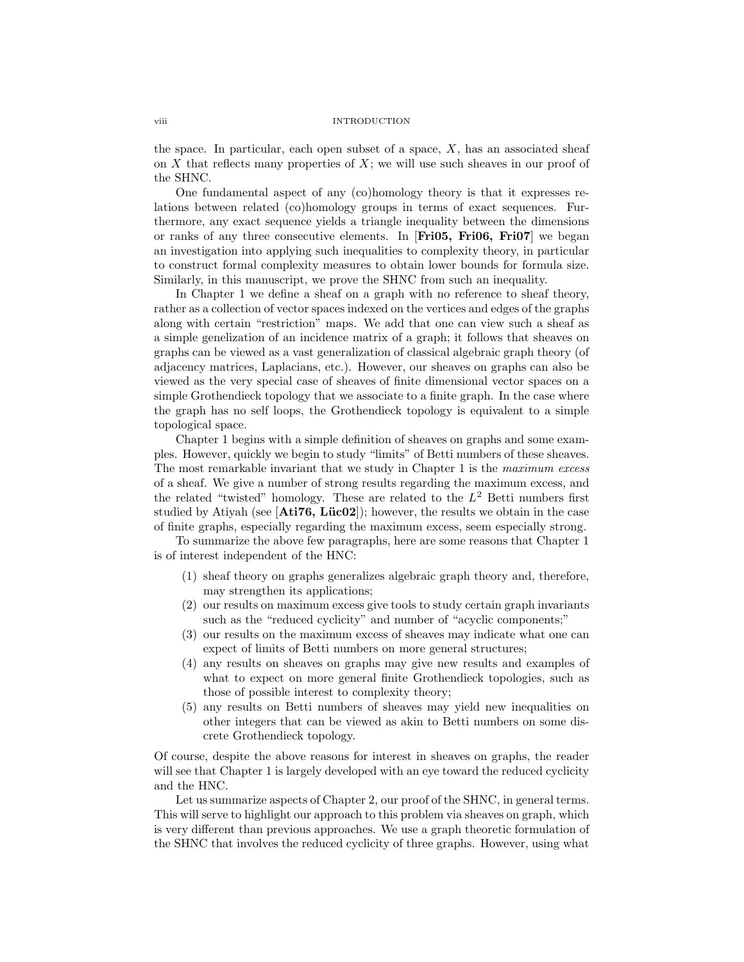### viii INTRODUCTION

the space. In particular, each open subset of a space,  $X$ , has an associated sheaf on  $X$  that reflects many properties of  $X$ ; we will use such sheaves in our proof of the SHNC.

One fundamental aspect of any (co)homology theory is that it expresses relations between related (co)homology groups in terms of exact sequences. Furthermore, any exact sequence yields a triangle inequality between the dimensions or ranks of any three consecutive elements. In [Fri05, Fri06, Fri07] we began an investigation into applying such inequalities to complexity theory, in particular to construct formal complexity measures to obtain lower bounds for formula size. Similarly, in this manuscript, we prove the SHNC from such an inequality.

In Chapter 1 we define a sheaf on a graph with no reference to sheaf theory, rather as a collection of vector spaces indexed on the vertices and edges of the graphs along with certain "restriction" maps. We add that one can view such a sheaf as a simple genelization of an incidence matrix of a graph; it follows that sheaves on graphs can be viewed as a vast generalization of classical algebraic graph theory (of adjacency matrices, Laplacians, etc.). However, our sheaves on graphs can also be viewed as the very special case of sheaves of finite dimensional vector spaces on a simple Grothendieck topology that we associate to a finite graph. In the case where the graph has no self loops, the Grothendieck topology is equivalent to a simple topological space.

Chapter 1 begins with a simple definition of sheaves on graphs and some examples. However, quickly we begin to study "limits" of Betti numbers of these sheaves. The most remarkable invariant that we study in Chapter 1 is the maximum excess of a sheaf. We give a number of strong results regarding the maximum excess, and the related "twisted" homology. These are related to the  $L^2$  Betti numbers first studied by Atiyah (see  $[Ati76, L\ddot{\mu}c02]$ ); however, the results we obtain in the case of finite graphs, especially regarding the maximum excess, seem especially strong.

To summarize the above few paragraphs, here are some reasons that Chapter 1 is of interest independent of the HNC:

- (1) sheaf theory on graphs generalizes algebraic graph theory and, therefore, may strengthen its applications;
- (2) our results on maximum excess give tools to study certain graph invariants such as the "reduced cyclicity" and number of "acyclic components;"
- (3) our results on the maximum excess of sheaves may indicate what one can expect of limits of Betti numbers on more general structures;
- (4) any results on sheaves on graphs may give new results and examples of what to expect on more general finite Grothendieck topologies, such as those of possible interest to complexity theory;
- (5) any results on Betti numbers of sheaves may yield new inequalities on other integers that can be viewed as akin to Betti numbers on some discrete Grothendieck topology.

Of course, despite the above reasons for interest in sheaves on graphs, the reader will see that Chapter 1 is largely developed with an eye toward the reduced cyclicity and the HNC.

Let us summarize aspects of Chapter 2, our proof of the SHNC, in general terms. This will serve to highlight our approach to this problem via sheaves on graph, which is very different than previous approaches. We use a graph theoretic formulation of the SHNC that involves the reduced cyclicity of three graphs. However, using what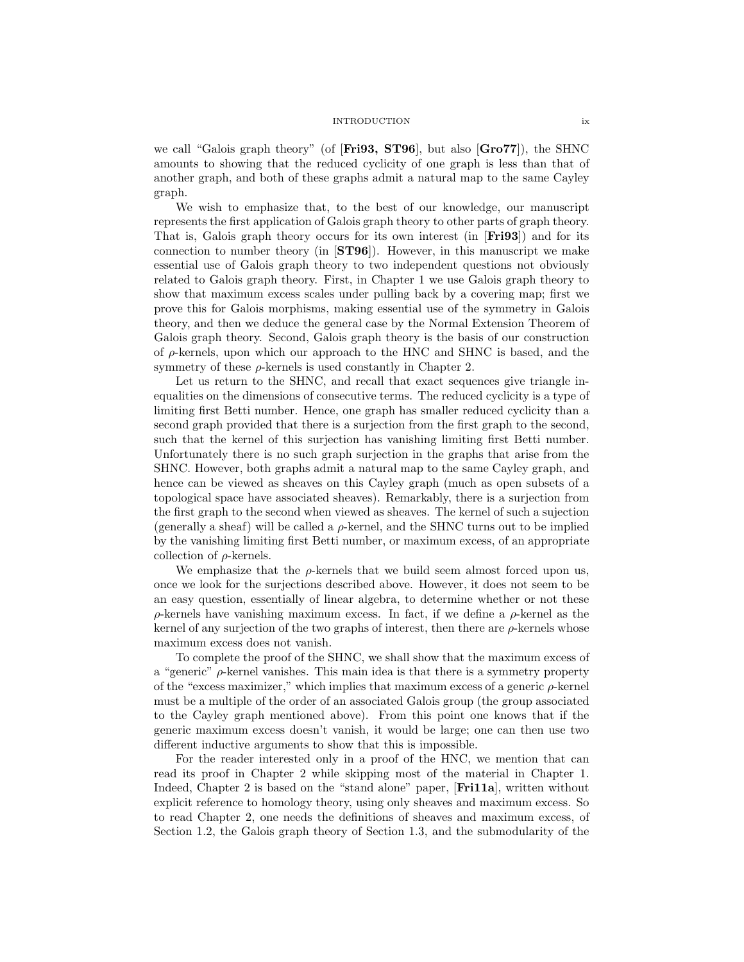#### INTRODUCTION ix

we call "Galois graph theory" (of [Fri93, ST96], but also [Gro77]), the SHNC amounts to showing that the reduced cyclicity of one graph is less than that of another graph, and both of these graphs admit a natural map to the same Cayley graph.

We wish to emphasize that, to the best of our knowledge, our manuscript represents the first application of Galois graph theory to other parts of graph theory. That is, Galois graph theory occurs for its own interest (in [Fri93]) and for its connection to number theory (in [ST96]). However, in this manuscript we make essential use of Galois graph theory to two independent questions not obviously related to Galois graph theory. First, in Chapter 1 we use Galois graph theory to show that maximum excess scales under pulling back by a covering map; first we prove this for Galois morphisms, making essential use of the symmetry in Galois theory, and then we deduce the general case by the Normal Extension Theorem of Galois graph theory. Second, Galois graph theory is the basis of our construction of  $\rho$ -kernels, upon which our approach to the HNC and SHNC is based, and the symmetry of these  $\rho$ -kernels is used constantly in Chapter 2.

Let us return to the SHNC, and recall that exact sequences give triangle inequalities on the dimensions of consecutive terms. The reduced cyclicity is a type of limiting first Betti number. Hence, one graph has smaller reduced cyclicity than a second graph provided that there is a surjection from the first graph to the second, such that the kernel of this surjection has vanishing limiting first Betti number. Unfortunately there is no such graph surjection in the graphs that arise from the SHNC. However, both graphs admit a natural map to the same Cayley graph, and hence can be viewed as sheaves on this Cayley graph (much as open subsets of a topological space have associated sheaves). Remarkably, there is a surjection from the first graph to the second when viewed as sheaves. The kernel of such a sujection (generally a sheaf) will be called a  $\rho$ -kernel, and the SHNC turns out to be implied by the vanishing limiting first Betti number, or maximum excess, of an appropriate collection of  $\rho$ -kernels.

We emphasize that the  $\rho$ -kernels that we build seem almost forced upon us, once we look for the surjections described above. However, it does not seem to be an easy question, essentially of linear algebra, to determine whether or not these ρ-kernels have vanishing maximum excess. In fact, if we define a ρ-kernel as the kernel of any surjection of the two graphs of interest, then there are  $\rho$ -kernels whose maximum excess does not vanish.

To complete the proof of the SHNC, we shall show that the maximum excess of a "generic"  $\rho$ -kernel vanishes. This main idea is that there is a symmetry property of the "excess maximizer," which implies that maximum excess of a generic  $\rho$ -kernel must be a multiple of the order of an associated Galois group (the group associated to the Cayley graph mentioned above). From this point one knows that if the generic maximum excess doesn't vanish, it would be large; one can then use two different inductive arguments to show that this is impossible.

For the reader interested only in a proof of the HNC, we mention that can read its proof in Chapter 2 while skipping most of the material in Chapter 1. Indeed, Chapter 2 is based on the "stand alone" paper, [Fri11a], written without explicit reference to homology theory, using only sheaves and maximum excess. So to read Chapter 2, one needs the definitions of sheaves and maximum excess, of Section 1.2, the Galois graph theory of Section 1.3, and the submodularity of the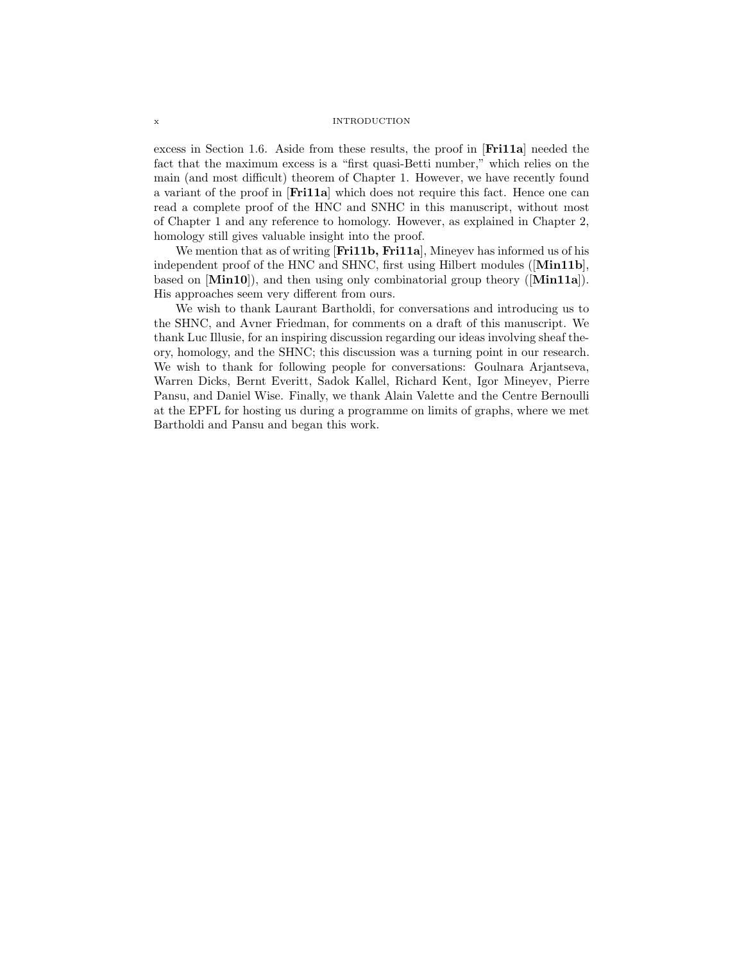### x INTRODUCTION

excess in Section 1.6. Aside from these results, the proof in [Fri11a] needed the fact that the maximum excess is a "first quasi-Betti number," which relies on the main (and most difficult) theorem of Chapter 1. However, we have recently found a variant of the proof in [Fri11a] which does not require this fact. Hence one can read a complete proof of the HNC and SNHC in this manuscript, without most of Chapter 1 and any reference to homology. However, as explained in Chapter 2, homology still gives valuable insight into the proof.

We mention that as of writing **[Fri11b, Fri11a**], Mineyev has informed us of his independent proof of the HNC and SHNC, first using Hilbert modules ([Min11b], based on [Min10]), and then using only combinatorial group theory ([Min11a]). His approaches seem very different from ours.

We wish to thank Laurant Bartholdi, for conversations and introducing us to the SHNC, and Avner Friedman, for comments on a draft of this manuscript. We thank Luc Illusie, for an inspiring discussion regarding our ideas involving sheaf theory, homology, and the SHNC; this discussion was a turning point in our research. We wish to thank for following people for conversations: Goulnara Arjantseva, Warren Dicks, Bernt Everitt, Sadok Kallel, Richard Kent, Igor Mineyev, Pierre Pansu, and Daniel Wise. Finally, we thank Alain Valette and the Centre Bernoulli at the EPFL for hosting us during a programme on limits of graphs, where we met Bartholdi and Pansu and began this work.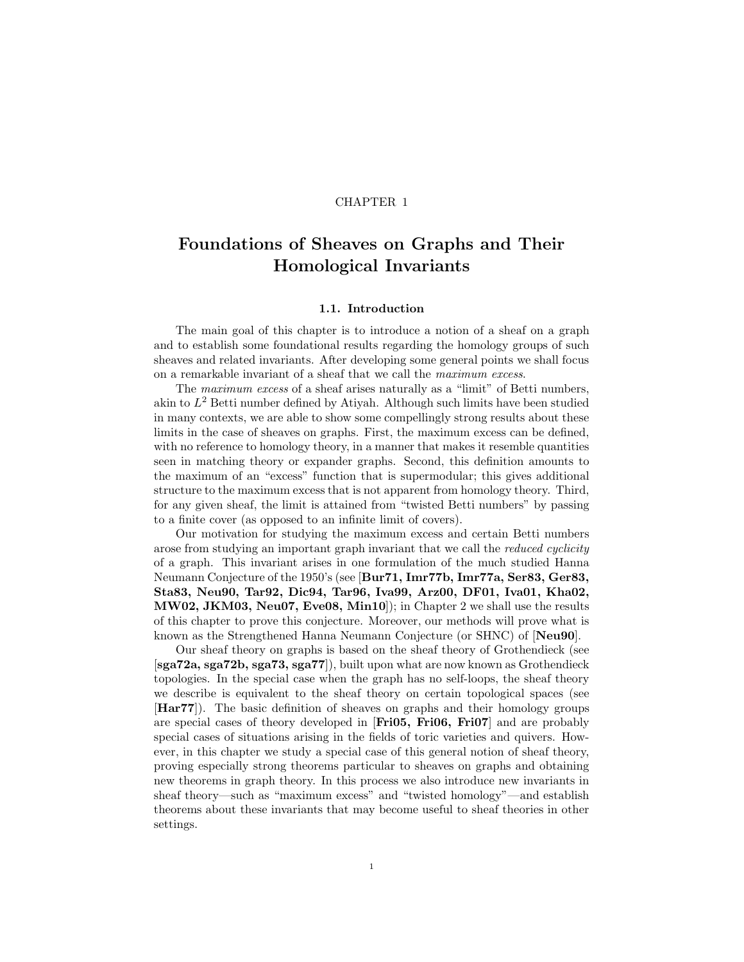### CHAPTER 1

## Foundations of Sheaves on Graphs and Their Homological Invariants

### 1.1. Introduction

The main goal of this chapter is to introduce a notion of a sheaf on a graph and to establish some foundational results regarding the homology groups of such sheaves and related invariants. After developing some general points we shall focus on a remarkable invariant of a sheaf that we call the maximum excess.

The maximum excess of a sheaf arises naturally as a "limit" of Betti numbers, akin to  $L^2$  Betti number defined by Atiyah. Although such limits have been studied in many contexts, we are able to show some compellingly strong results about these limits in the case of sheaves on graphs. First, the maximum excess can be defined, with no reference to homology theory, in a manner that makes it resemble quantities seen in matching theory or expander graphs. Second, this definition amounts to the maximum of an "excess" function that is supermodular; this gives additional structure to the maximum excess that is not apparent from homology theory. Third, for any given sheaf, the limit is attained from "twisted Betti numbers" by passing to a finite cover (as opposed to an infinite limit of covers).

Our motivation for studying the maximum excess and certain Betti numbers arose from studying an important graph invariant that we call the *reduced cyclicity* of a graph. This invariant arises in one formulation of the much studied Hanna Neumann Conjecture of the 1950's (see [Bur71, Imr77b, Imr77a, Ser83, Ger83, Sta83, Neu90, Tar92, Dic94, Tar96, Iva99, Arz00, DF01, Iva01, Kha02, MW02, JKM03, Neu07, Eve08, Min10]); in Chapter 2 we shall use the results of this chapter to prove this conjecture. Moreover, our methods will prove what is known as the Strengthened Hanna Neumann Conjecture (or SHNC) of [Neu90].

Our sheaf theory on graphs is based on the sheaf theory of Grothendieck (see [sga72a, sga72b, sga73, sga77]), built upon what are now known as Grothendieck topologies. In the special case when the graph has no self-loops, the sheaf theory we describe is equivalent to the sheaf theory on certain topological spaces (see [Har77]). The basic definition of sheaves on graphs and their homology groups are special cases of theory developed in [Fri05, Fri06, Fri07] and are probably special cases of situations arising in the fields of toric varieties and quivers. However, in this chapter we study a special case of this general notion of sheaf theory, proving especially strong theorems particular to sheaves on graphs and obtaining new theorems in graph theory. In this process we also introduce new invariants in sheaf theory—such as "maximum excess" and "twisted homology"—and establish theorems about these invariants that may become useful to sheaf theories in other settings.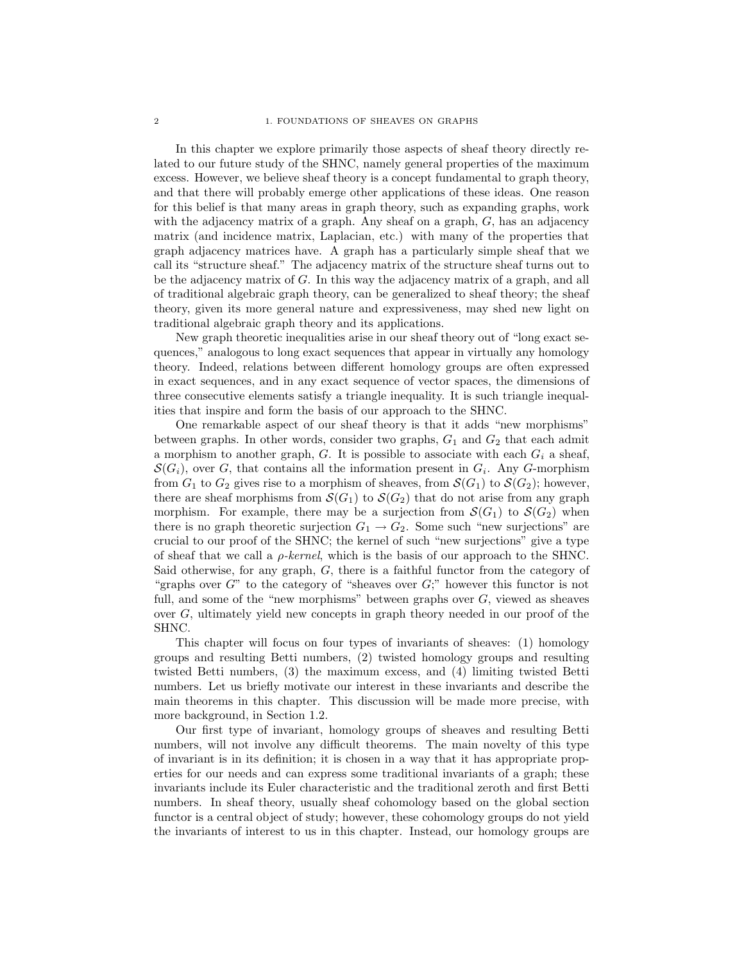In this chapter we explore primarily those aspects of sheaf theory directly related to our future study of the SHNC, namely general properties of the maximum excess. However, we believe sheaf theory is a concept fundamental to graph theory, and that there will probably emerge other applications of these ideas. One reason for this belief is that many areas in graph theory, such as expanding graphs, work with the adjacency matrix of a graph. Any sheaf on a graph,  $G$ , has an adjacency matrix (and incidence matrix, Laplacian, etc.) with many of the properties that graph adjacency matrices have. A graph has a particularly simple sheaf that we call its "structure sheaf." The adjacency matrix of the structure sheaf turns out to be the adjacency matrix of G. In this way the adjacency matrix of a graph, and all of traditional algebraic graph theory, can be generalized to sheaf theory; the sheaf theory, given its more general nature and expressiveness, may shed new light on traditional algebraic graph theory and its applications.

New graph theoretic inequalities arise in our sheaf theory out of "long exact sequences," analogous to long exact sequences that appear in virtually any homology theory. Indeed, relations between different homology groups are often expressed in exact sequences, and in any exact sequence of vector spaces, the dimensions of three consecutive elements satisfy a triangle inequality. It is such triangle inequalities that inspire and form the basis of our approach to the SHNC.

One remarkable aspect of our sheaf theory is that it adds "new morphisms" between graphs. In other words, consider two graphs,  $G_1$  and  $G_2$  that each admit a morphism to another graph,  $G$ . It is possible to associate with each  $G_i$  a sheaf,  $\mathcal{S}(G_i)$ , over G, that contains all the information present in  $G_i$ . Any G-morphism from  $G_1$  to  $G_2$  gives rise to a morphism of sheaves, from  $\mathcal{S}(G_1)$  to  $\mathcal{S}(G_2)$ ; however, there are sheaf morphisms from  $\mathcal{S}(G_1)$  to  $\mathcal{S}(G_2)$  that do not arise from any graph morphism. For example, there may be a surjection from  $\mathcal{S}(G_1)$  to  $\mathcal{S}(G_2)$  when there is no graph theoretic surjection  $G_1 \rightarrow G_2$ . Some such "new surjections" are crucial to our proof of the SHNC; the kernel of such "new surjections" give a type of sheaf that we call a  $\rho$ -kernel, which is the basis of our approach to the SHNC. Said otherwise, for any graph, G, there is a faithful functor from the category of "graphs over  $G$ " to the category of "sheaves over  $G$ ;" however this functor is not full, and some of the "new morphisms" between graphs over  $G$ , viewed as sheaves over G, ultimately yield new concepts in graph theory needed in our proof of the SHNC.

This chapter will focus on four types of invariants of sheaves: (1) homology groups and resulting Betti numbers, (2) twisted homology groups and resulting twisted Betti numbers, (3) the maximum excess, and (4) limiting twisted Betti numbers. Let us briefly motivate our interest in these invariants and describe the main theorems in this chapter. This discussion will be made more precise, with more background, in Section 1.2.

Our first type of invariant, homology groups of sheaves and resulting Betti numbers, will not involve any difficult theorems. The main novelty of this type of invariant is in its definition; it is chosen in a way that it has appropriate properties for our needs and can express some traditional invariants of a graph; these invariants include its Euler characteristic and the traditional zeroth and first Betti numbers. In sheaf theory, usually sheaf cohomology based on the global section functor is a central object of study; however, these cohomology groups do not yield the invariants of interest to us in this chapter. Instead, our homology groups are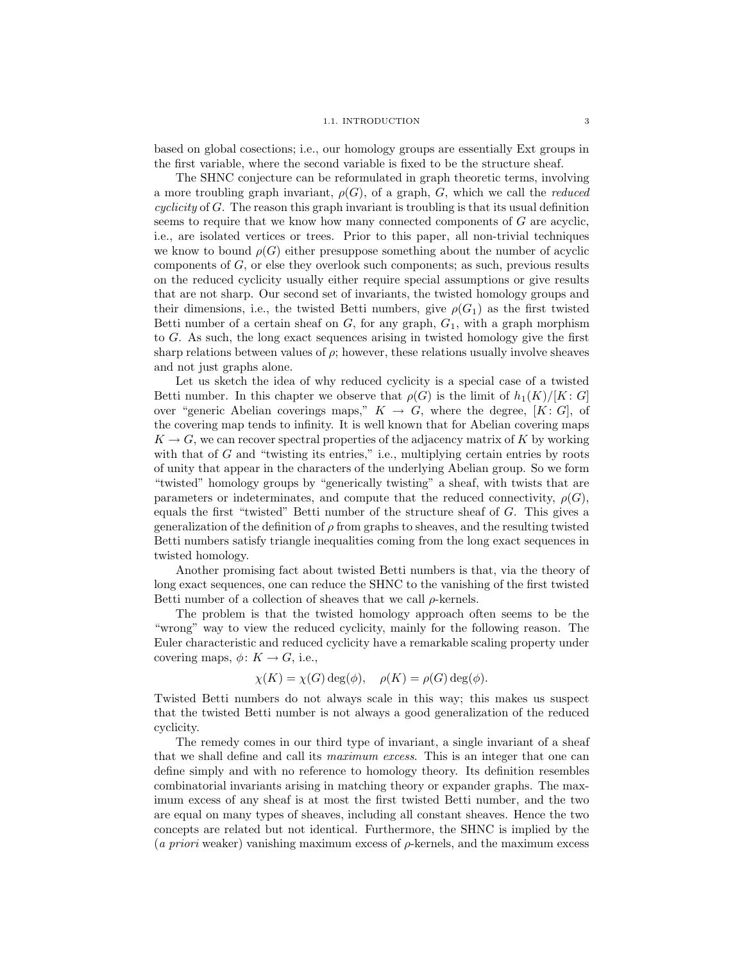#### 1.1. INTRODUCTION 3

based on global cosections; i.e., our homology groups are essentially Ext groups in the first variable, where the second variable is fixed to be the structure sheaf.

The SHNC conjecture can be reformulated in graph theoretic terms, involving a more troubling graph invariant,  $\rho(G)$ , of a graph, G, which we call the *reduced*  $cyclicity$  of G. The reason this graph invariant is troubling is that its usual definition seems to require that we know how many connected components of G are acyclic, i.e., are isolated vertices or trees. Prior to this paper, all non-trivial techniques we know to bound  $\rho(G)$  either presuppose something about the number of acyclic components of  $G$ , or else they overlook such components; as such, previous results on the reduced cyclicity usually either require special assumptions or give results that are not sharp. Our second set of invariants, the twisted homology groups and their dimensions, i.e., the twisted Betti numbers, give  $\rho(G_1)$  as the first twisted Betti number of a certain sheaf on  $G$ , for any graph,  $G_1$ , with a graph morphism to G. As such, the long exact sequences arising in twisted homology give the first sharp relations between values of  $\rho$ ; however, these relations usually involve sheaves and not just graphs alone.

Let us sketch the idea of why reduced cyclicity is a special case of a twisted Betti number. In this chapter we observe that  $\rho(G)$  is the limit of  $h_1(K)/[K:G]$ over "generic Abelian coverings maps,"  $K \to G$ , where the degree, [K: G], of the covering map tends to infinity. It is well known that for Abelian covering maps  $K \to G$ , we can recover spectral properties of the adjacency matrix of K by working with that of  $G$  and "twisting its entries," i.e., multiplying certain entries by roots of unity that appear in the characters of the underlying Abelian group. So we form "twisted" homology groups by "generically twisting" a sheaf, with twists that are parameters or indeterminates, and compute that the reduced connectivity,  $\rho(G)$ , equals the first "twisted" Betti number of the structure sheaf of G. This gives a generalization of the definition of  $\rho$  from graphs to sheaves, and the resulting twisted Betti numbers satisfy triangle inequalities coming from the long exact sequences in twisted homology.

Another promising fact about twisted Betti numbers is that, via the theory of long exact sequences, one can reduce the SHNC to the vanishing of the first twisted Betti number of a collection of sheaves that we call  $\rho$ -kernels.

The problem is that the twisted homology approach often seems to be the "wrong" way to view the reduced cyclicity, mainly for the following reason. The Euler characteristic and reduced cyclicity have a remarkable scaling property under covering maps,  $\phi: K \to G$ , i.e.,

$$
\chi(K) = \chi(G) \deg(\phi), \quad \rho(K) = \rho(G) \deg(\phi).
$$

Twisted Betti numbers do not always scale in this way; this makes us suspect that the twisted Betti number is not always a good generalization of the reduced cyclicity.

The remedy comes in our third type of invariant, a single invariant of a sheaf that we shall define and call its maximum excess. This is an integer that one can define simply and with no reference to homology theory. Its definition resembles combinatorial invariants arising in matching theory or expander graphs. The maximum excess of any sheaf is at most the first twisted Betti number, and the two are equal on many types of sheaves, including all constant sheaves. Hence the two concepts are related but not identical. Furthermore, the SHNC is implied by the (a priori weaker) vanishing maximum excess of  $\rho$ -kernels, and the maximum excess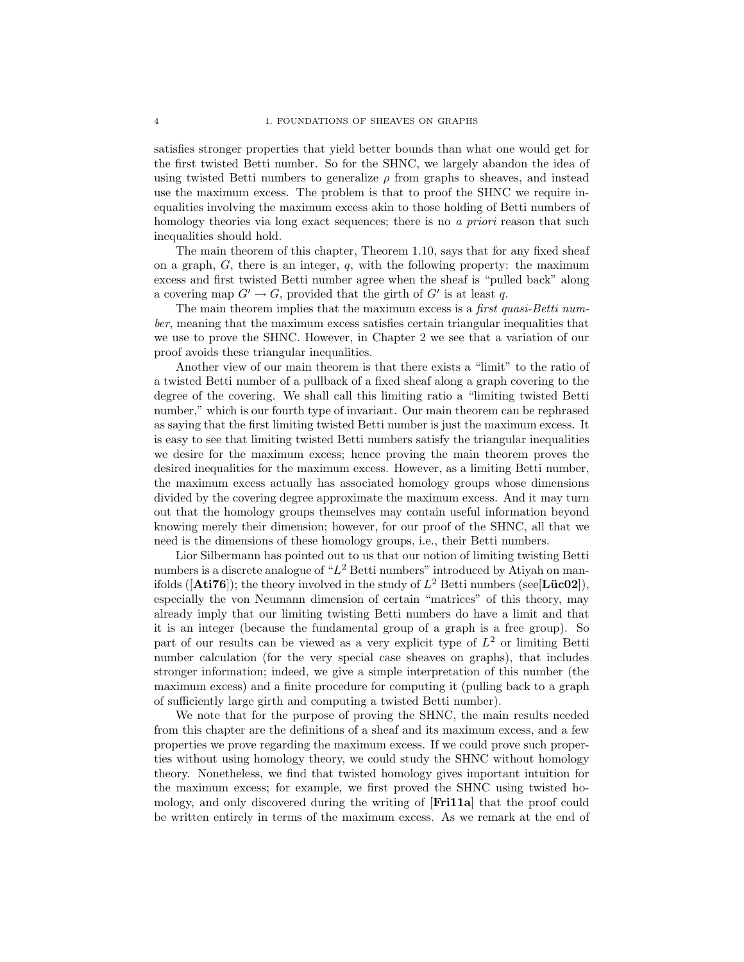satisfies stronger properties that yield better bounds than what one would get for the first twisted Betti number. So for the SHNC, we largely abandon the idea of using twisted Betti numbers to generalize  $\rho$  from graphs to sheaves, and instead use the maximum excess. The problem is that to proof the SHNC we require inequalities involving the maximum excess akin to those holding of Betti numbers of homology theories via long exact sequences; there is no a priori reason that such inequalities should hold.

The main theorem of this chapter, Theorem 1.10, says that for any fixed sheaf on a graph,  $G$ , there is an integer,  $q$ , with the following property: the maximum excess and first twisted Betti number agree when the sheaf is "pulled back" along a covering map  $G' \to G$ , provided that the girth of  $G'$  is at least q.

The main theorem implies that the maximum excess is a *first quasi-Betti num*ber, meaning that the maximum excess satisfies certain triangular inequalities that we use to prove the SHNC. However, in Chapter 2 we see that a variation of our proof avoids these triangular inequalities.

Another view of our main theorem is that there exists a "limit" to the ratio of a twisted Betti number of a pullback of a fixed sheaf along a graph covering to the degree of the covering. We shall call this limiting ratio a "limiting twisted Betti number," which is our fourth type of invariant. Our main theorem can be rephrased as saying that the first limiting twisted Betti number is just the maximum excess. It is easy to see that limiting twisted Betti numbers satisfy the triangular inequalities we desire for the maximum excess; hence proving the main theorem proves the desired inequalities for the maximum excess. However, as a limiting Betti number, the maximum excess actually has associated homology groups whose dimensions divided by the covering degree approximate the maximum excess. And it may turn out that the homology groups themselves may contain useful information beyond knowing merely their dimension; however, for our proof of the SHNC, all that we need is the dimensions of these homology groups, i.e., their Betti numbers.

Lior Silbermann has pointed out to us that our notion of limiting twisting Betti numbers is a discrete analogue of "L<sup>2</sup> Betti numbers" introduced by Atiyah on manifolds ([ $\textbf{Ati76}$ ]); the theory involved in the study of  $L^2$  Betti numbers (see[ $\textbf{Lüc02}$ ]), especially the von Neumann dimension of certain "matrices" of this theory, may already imply that our limiting twisting Betti numbers do have a limit and that it is an integer (because the fundamental group of a graph is a free group). So part of our results can be viewed as a very explicit type of  $L^2$  or limiting Betti number calculation (for the very special case sheaves on graphs), that includes stronger information; indeed, we give a simple interpretation of this number (the maximum excess) and a finite procedure for computing it (pulling back to a graph of sufficiently large girth and computing a twisted Betti number).

We note that for the purpose of proving the SHNC, the main results needed from this chapter are the definitions of a sheaf and its maximum excess, and a few properties we prove regarding the maximum excess. If we could prove such properties without using homology theory, we could study the SHNC without homology theory. Nonetheless, we find that twisted homology gives important intuition for the maximum excess; for example, we first proved the SHNC using twisted homology, and only discovered during the writing of [Fri11a] that the proof could be written entirely in terms of the maximum excess. As we remark at the end of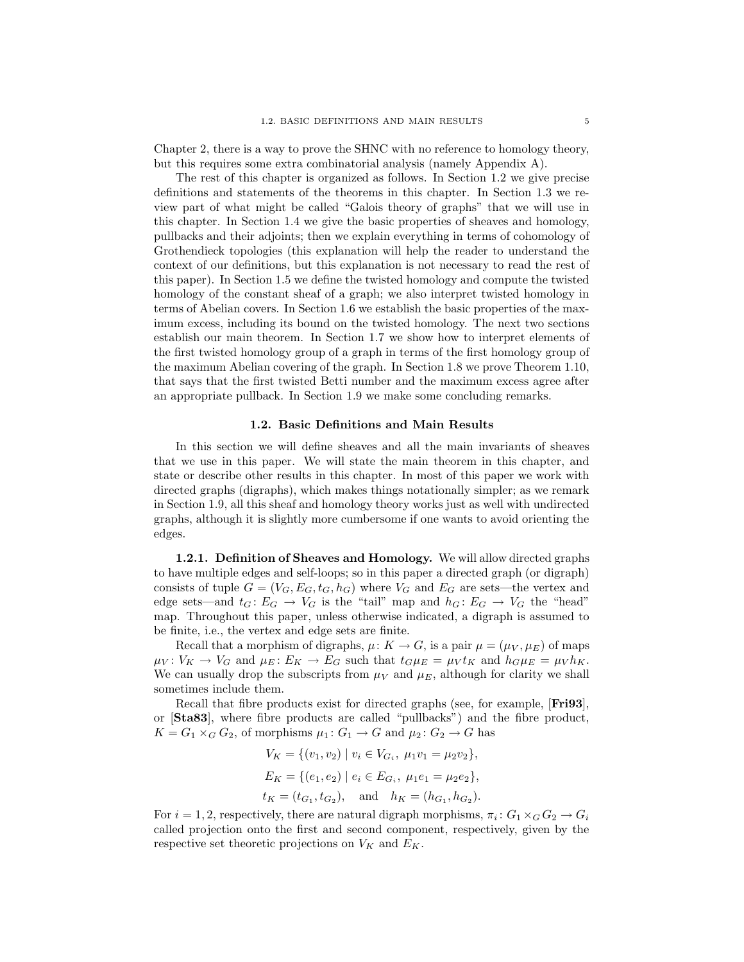Chapter 2, there is a way to prove the SHNC with no reference to homology theory, but this requires some extra combinatorial analysis (namely Appendix A).

The rest of this chapter is organized as follows. In Section 1.2 we give precise definitions and statements of the theorems in this chapter. In Section 1.3 we review part of what might be called "Galois theory of graphs" that we will use in this chapter. In Section 1.4 we give the basic properties of sheaves and homology, pullbacks and their adjoints; then we explain everything in terms of cohomology of Grothendieck topologies (this explanation will help the reader to understand the context of our definitions, but this explanation is not necessary to read the rest of this paper). In Section 1.5 we define the twisted homology and compute the twisted homology of the constant sheaf of a graph; we also interpret twisted homology in terms of Abelian covers. In Section 1.6 we establish the basic properties of the maximum excess, including its bound on the twisted homology. The next two sections establish our main theorem. In Section 1.7 we show how to interpret elements of the first twisted homology group of a graph in terms of the first homology group of the maximum Abelian covering of the graph. In Section 1.8 we prove Theorem 1.10, that says that the first twisted Betti number and the maximum excess agree after an appropriate pullback. In Section 1.9 we make some concluding remarks.

### 1.2. Basic Definitions and Main Results

In this section we will define sheaves and all the main invariants of sheaves that we use in this paper. We will state the main theorem in this chapter, and state or describe other results in this chapter. In most of this paper we work with directed graphs (digraphs), which makes things notationally simpler; as we remark in Section 1.9, all this sheaf and homology theory works just as well with undirected graphs, although it is slightly more cumbersome if one wants to avoid orienting the edges.

1.2.1. Definition of Sheaves and Homology. We will allow directed graphs to have multiple edges and self-loops; so in this paper a directed graph (or digraph) consists of tuple  $G = (V_G, E_G, t_G, h_G)$  where  $V_G$  and  $E_G$  are sets—the vertex and edge sets—and  $t_G: E_G \to V_G$  is the "tail" map and  $h_G: E_G \to V_G$  the "head" map. Throughout this paper, unless otherwise indicated, a digraph is assumed to be finite, i.e., the vertex and edge sets are finite.

Recall that a morphism of digraphs,  $\mu: K \to G$ , is a pair  $\mu = (\mu_V, \mu_E)$  of maps  $\mu_V: V_K \to V_G$  and  $\mu_E: E_K \to E_G$  such that  $t_G \mu_E = \mu_V t_K$  and  $h_G \mu_E = \mu_V h_K$ . We can usually drop the subscripts from  $\mu_V$  and  $\mu_E$ , although for clarity we shall sometimes include them.

Recall that fibre products exist for directed graphs (see, for example, [Fri93], or [Sta83], where fibre products are called "pullbacks") and the fibre product,  $K = G_1 \times_G G_2$ , of morphisms  $\mu_1: G_1 \to G$  and  $\mu_2: G_2 \to G$  has

$$
V_K = \{(v_1, v_2) \mid v_i \in V_{G_i}, \mu_1 v_1 = \mu_2 v_2\},
$$
  
\n
$$
E_K = \{(e_1, e_2) \mid e_i \in E_{G_i}, \mu_1 e_1 = \mu_2 e_2\},
$$
  
\n
$$
t_K = (t_{G_1}, t_{G_2}), \text{ and } h_K = (h_{G_1}, h_{G_2}).
$$

For  $i = 1, 2$ , respectively, there are natural digraph morphisms,  $\pi_i \colon G_1 \times_G G_2 \to G_i$ called projection onto the first and second component, respectively, given by the respective set theoretic projections on  $V_K$  and  $E_K$ .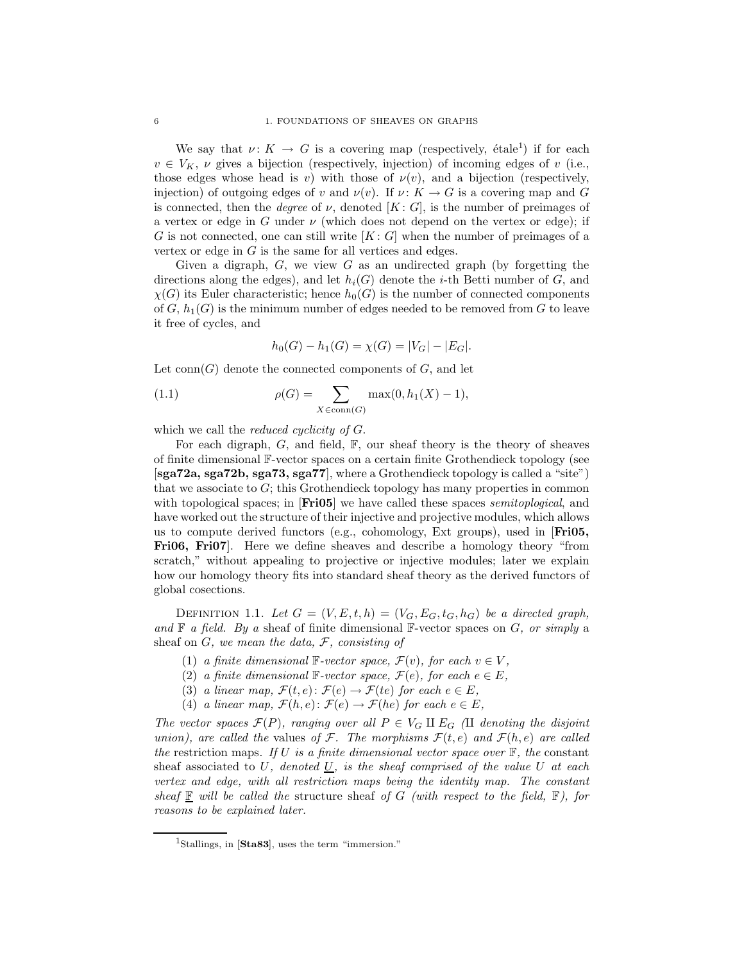We say that  $\nu: K \to G$  is a covering map (respectively, étale<sup>1</sup>) if for each  $v \in V_K$ ,  $\nu$  gives a bijection (respectively, injection) of incoming edges of v (i.e., those edges whose head is v) with those of  $\nu(v)$ , and a bijection (respectively, injection) of outgoing edges of v and  $\nu(v)$ . If  $\nu: K \to G$  is a covering map and G is connected, then the *degree* of  $\nu$ , denoted [K: G], is the number of preimages of a vertex or edge in G under  $\nu$  (which does not depend on the vertex or edge); if G is not connected, one can still write  $[K: G]$  when the number of preimages of a vertex or edge in  $G$  is the same for all vertices and edges.

Given a digraph,  $G$ , we view  $G$  as an undirected graph (by forgetting the directions along the edges), and let  $h_i(G)$  denote the *i*-th Betti number of G, and  $\chi(G)$  its Euler characteristic; hence  $h_0(G)$  is the number of connected components of  $G, h_1(G)$  is the minimum number of edges needed to be removed from G to leave it free of cycles, and

$$
h_0(G) - h_1(G) = \chi(G) = |V_G| - |E_G|.
$$

Let  $conn(G)$  denote the connected components of G, and let

(1.1) 
$$
\rho(G) = \sum_{X \in \text{conn}(G)} \max(0, h_1(X) - 1),
$$

which we call the *reduced cyclicity of G*.

For each digraph,  $G$ , and field,  $\mathbb{F}$ , our sheaf theory is the theory of sheaves of finite dimensional F-vector spaces on a certain finite Grothendieck topology (see [sga72a, sga72b, sga73, sga77], where a Grothendieck topology is called a "site") that we associate to  $G$ ; this Grothendieck topology has many properties in common with topological spaces; in **Fri05** we have called these spaces *semitoplogical*, and have worked out the structure of their injective and projective modules, which allows us to compute derived functors (e.g., cohomology, Ext groups), used in  $[**Fri05**$ , Fri06, Fri07]. Here we define sheaves and describe a homology theory "from scratch," without appealing to projective or injective modules; later we explain how our homology theory fits into standard sheaf theory as the derived functors of global cosections.

DEFINITION 1.1. Let  $G = (V, E, t, h) = (V_G, E_G, t_G, h_G)$  be a directed graph, and  $\mathbb F$  a field. By a sheaf of finite dimensional  $\mathbb F$ -vector spaces on G, or simply a sheaf on  $G$ , we mean the data,  $F$ , consisting of

- (1) a finite dimensional  $\mathbb{F}\text{-vector space}, \mathcal{F}(v)$ , for each  $v \in V$ ,
- (2) a finite dimensional F-vector space,  $\mathcal{F}(e)$ , for each  $e \in E$ ,
- (3) a linear map,  $\mathcal{F}(t, e)$ :  $\mathcal{F}(e) \to \mathcal{F}(te)$  for each  $e \in E$ ,
- (4) a linear map,  $\mathcal{F}(h, e)$ :  $\mathcal{F}(e) \to \mathcal{F}(he)$  for each  $e \in E$ ,

The vector spaces  $\mathcal{F}(P)$ , ranging over all  $P \in V_G \amalg E_G$  (II denoting the disjoint union), are called the values of F. The morphisms  $\mathcal{F}(t, e)$  and  $\mathcal{F}(h, e)$  are called the restriction maps. If U is a finite dimensional vector space over  $\mathbb{F}$ , the constant sheaf associated to U, denoted  $\underline{U}$ , is the sheaf comprised of the value U at each vertex and edge, with all restriction maps being the identity map. The constant sheaf  $E$  will be called the structure sheaf of G (with respect to the field,  $F$ ), for reasons to be explained later.

<sup>&</sup>lt;sup>1</sup>Stallings, in [Sta83], uses the term "immersion."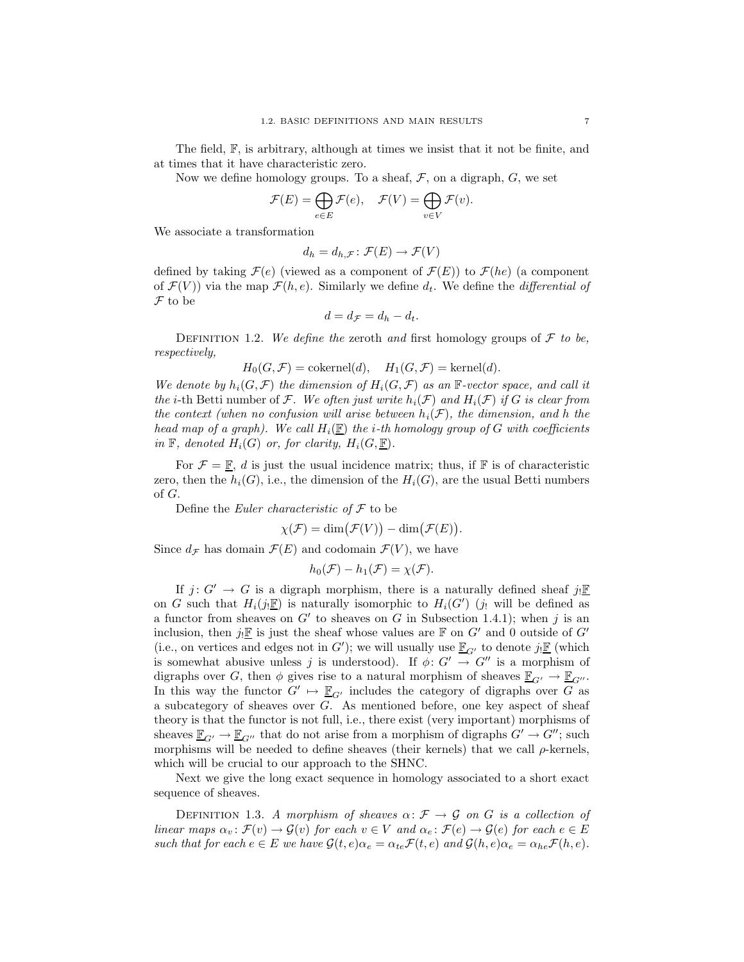The field, F, is arbitrary, although at times we insist that it not be finite, and at times that it have characteristic zero.

Now we define homology groups. To a sheaf,  $\mathcal F$ , on a digraph,  $G$ , we set

$$
\mathcal{F}(E) = \bigoplus_{e \in E} \mathcal{F}(e), \quad \mathcal{F}(V) = \bigoplus_{v \in V} \mathcal{F}(v).
$$

We associate a transformation

$$
d_h = d_{h,\mathcal{F}} \colon \mathcal{F}(E) \to \mathcal{F}(V)
$$

defined by taking  $\mathcal{F}(e)$  (viewed as a component of  $\mathcal{F}(E)$ ) to  $\mathcal{F}(he)$  (a component of  $\mathcal{F}(V)$ ) via the map  $\mathcal{F}(h, e)$ . Similarly we define  $d_t$ . We define the *differential of*  $\mathcal F$  to be

$$
d=d_{\mathcal{F}}=d_h-d_t.
$$

DEFINITION 1.2. We define the zeroth and first homology groups of  $\mathcal F$  to be, respectively,

$$
H_0(G, \mathcal{F}) = \text{cokernel}(d), \quad H_1(G, \mathcal{F}) = \text{kernel}(d).
$$

We denote by  $h_i(G, \mathcal{F})$  the dimension of  $H_i(G, \mathcal{F})$  as an F-vector space, and call it the *i*-th Betti number of F. We often just write  $h_i(\mathcal{F})$  and  $H_i(\mathcal{F})$  if G is clear from the context (when no confusion will arise between  $h_i(\mathcal{F})$ , the dimension, and h the head map of a graph). We call  $H_i(\mathbb{F})$  the *i*-th homology group of G with coefficients in  $\mathbb{F}$ , denoted  $H_i(G)$  or, for clarity,  $H_i(G, \underline{\mathbb{F}})$ .

For  $\mathcal{F} = \mathbb{F}$ , d is just the usual incidence matrix; thus, if F is of characteristic zero, then the  $h_i(G)$ , i.e., the dimension of the  $H_i(G)$ , are the usual Betti numbers of G.

Define the *Euler characteristic* of  $F$  to be

$$
\chi(\mathcal{F}) = \dim(\mathcal{F}(V)) - \dim(\mathcal{F}(E)).
$$

Since  $d_{\mathcal{F}}$  has domain  $\mathcal{F}(E)$  and codomain  $\mathcal{F}(V)$ , we have

$$
h_0(\mathcal{F}) - h_1(\mathcal{F}) = \chi(\mathcal{F}).
$$

If  $j: G' \to G$  is a digraph morphism, there is a naturally defined sheaf  $j: \mathbb{F}$ on G such that  $H_i(j_! \underline{\mathbb{F}})$  is naturally isomorphic to  $H_i(G')$  (j<sub>!</sub> will be defined as a functor from sheaves on  $G'$  to sheaves on G in Subsection 1.4.1); when j is an inclusion, then  $j_{!}\mathbb{F}$  is just the sheaf whose values are F on G' and 0 outside of G' (i.e., on vertices and edges not in  $G'$ ); we will usually use  $\underline{\mathbb{F}}_{G'}$  to denote  $j_! \underline{\mathbb{F}}$  (which is somewhat abusive unless j is understood). If  $\phi: G' \to G''$  is a morphism of digraphs over G, then  $\phi$  gives rise to a natural morphism of sheaves  $\underline{\mathbb{F}}_{G'} \to \underline{\mathbb{F}}_{G''}.$ In this way the functor  $G' \mapsto \underline{\mathbb{F}}_{G'}$  includes the category of digraphs over  $G$  as a subcategory of sheaves over G. As mentioned before, one key aspect of sheaf theory is that the functor is not full, i.e., there exist (very important) morphisms of sheaves  $\underline{\mathbb{F}}_{G'} \to \underline{\mathbb{F}}_{G''}$  that do not arise from a morphism of digraphs  $G' \to G''$ ; such morphisms will be needed to define sheaves (their kernels) that we call  $\rho$ -kernels, which will be crucial to our approach to the SHNC.

Next we give the long exact sequence in homology associated to a short exact sequence of sheaves.

DEFINITION 1.3. A morphism of sheaves  $\alpha \colon \mathcal{F} \to \mathcal{G}$  on G is a collection of linear maps  $\alpha_v : \mathcal{F}(v) \to \mathcal{G}(v)$  for each  $v \in V$  and  $\alpha_e : \mathcal{F}(e) \to \mathcal{G}(e)$  for each  $e \in E$ such that for each  $e \in E$  we have  $\mathcal{G}(t, e) \alpha_e = \alpha_{te} \mathcal{F}(t, e)$  and  $\mathcal{G}(h, e) \alpha_e = \alpha_{he} \mathcal{F}(h, e)$ .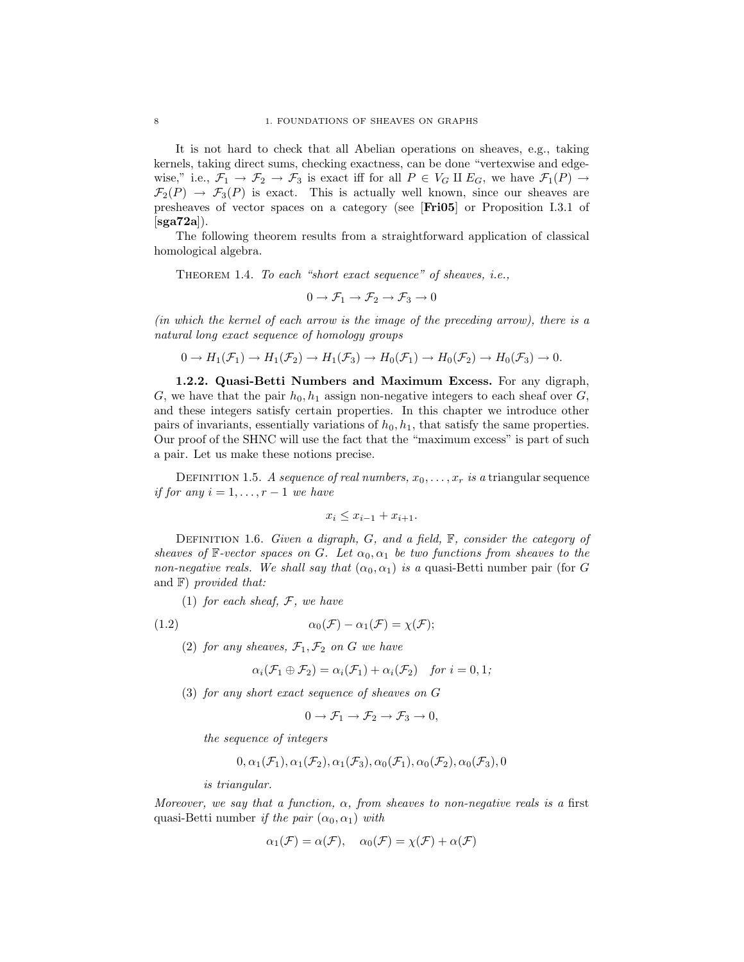It is not hard to check that all Abelian operations on sheaves, e.g., taking kernels, taking direct sums, checking exactness, can be done "vertexwise and edgewise," i.e.,  $\mathcal{F}_1 \to \mathcal{F}_2 \to \mathcal{F}_3$  is exact iff for all  $P \in V_G \amalg E_G$ , we have  $\mathcal{F}_1(P) \to$  $\mathcal{F}_2(P) \to \mathcal{F}_3(P)$  is exact. This is actually well known, since our sheaves are presheaves of vector spaces on a category (see [Fri05] or Proposition I.3.1 of  $[sga72a]$ ).

The following theorem results from a straightforward application of classical homological algebra.

THEOREM 1.4. To each "short exact sequence" of sheaves, i.e.,

 $0 \to \mathcal{F}_1 \to \mathcal{F}_2 \to \mathcal{F}_3 \to 0$ 

(in which the kernel of each arrow is the image of the preceding arrow), there is a natural long exact sequence of homology groups

$$
0 \to H_1(\mathcal{F}_1) \to H_1(\mathcal{F}_2) \to H_1(\mathcal{F}_3) \to H_0(\mathcal{F}_1) \to H_0(\mathcal{F}_2) \to H_0(\mathcal{F}_3) \to 0.
$$

1.2.2. Quasi-Betti Numbers and Maximum Excess. For any digraph, G, we have that the pair  $h_0, h_1$  assign non-negative integers to each sheaf over G, and these integers satisfy certain properties. In this chapter we introduce other pairs of invariants, essentially variations of  $h_0, h_1$ , that satisfy the same properties. Our proof of the SHNC will use the fact that the "maximum excess" is part of such a pair. Let us make these notions precise.

DEFINITION 1.5. A sequence of real numbers,  $x_0, \ldots, x_r$  is a triangular sequence if for any  $i = 1, \ldots, r - 1$  we have

$$
x_i \leq x_{i-1} + x_{i+1}.
$$

DEFINITION 1.6. Given a digraph,  $G$ , and a field,  $\mathbb{F}$ , consider the category of sheaves of  $\mathbb{F}\text{-vector spaces on }G$ . Let  $\alpha_0, \alpha_1$  be two functions from sheaves to the non-negative reals. We shall say that  $(\alpha_0, \alpha_1)$  is a quasi-Betti number pair (for G and  $\mathbb{F}$ ) provided that:

(1) for each sheaf,  $F$ , we have

(1.2) 
$$
\alpha_0(\mathcal{F}) - \alpha_1(\mathcal{F}) = \chi(\mathcal{F});
$$

(2) for any sheaves,  $\mathcal{F}_1, \mathcal{F}_2$  on G we have

$$
\alpha_i(\mathcal{F}_1 \oplus \mathcal{F}_2) = \alpha_i(\mathcal{F}_1) + \alpha_i(\mathcal{F}_2) \quad \text{for } i = 0, 1;
$$

(3) for any short exact sequence of sheaves on G

$$
0 \to \mathcal{F}_1 \to \mathcal{F}_2 \to \mathcal{F}_3 \to 0,
$$

the sequence of integers

$$
0, \alpha_1(\mathcal{F}_1), \alpha_1(\mathcal{F}_2), \alpha_1(\mathcal{F}_3), \alpha_0(\mathcal{F}_1), \alpha_0(\mathcal{F}_2), \alpha_0(\mathcal{F}_3), 0
$$

is triangular.

Moreover, we say that a function,  $\alpha$ , from sheaves to non-negative reals is a first quasi-Betti number if the pair  $(\alpha_0, \alpha_1)$  with

$$
\alpha_1(\mathcal{F}) = \alpha(\mathcal{F}), \quad \alpha_0(\mathcal{F}) = \chi(\mathcal{F}) + \alpha(\mathcal{F})
$$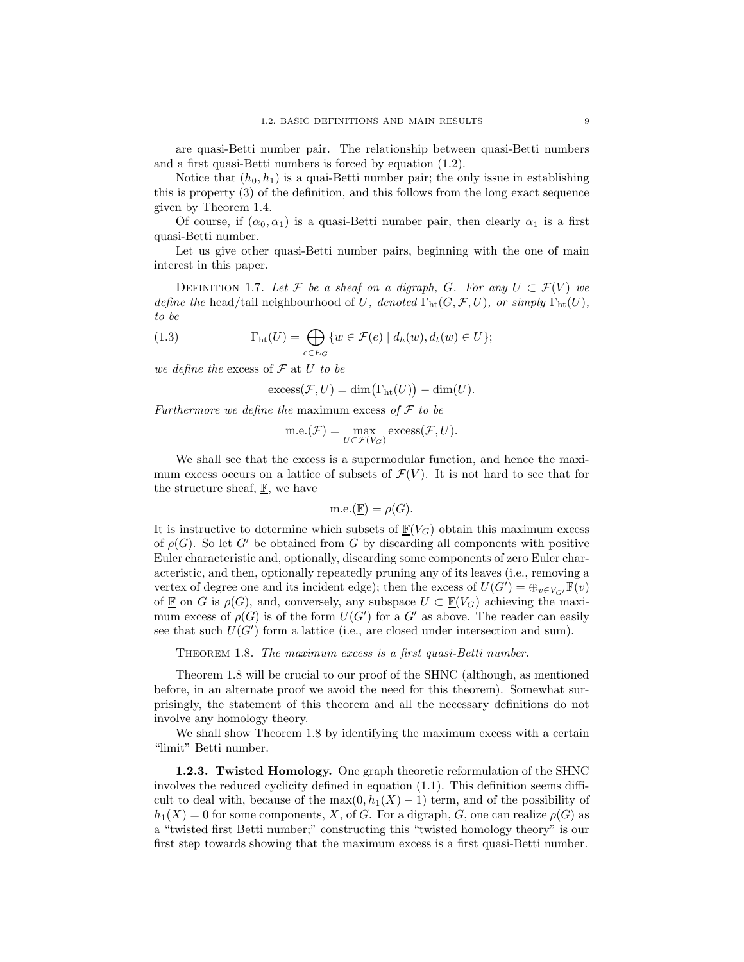are quasi-Betti number pair. The relationship between quasi-Betti numbers and a first quasi-Betti numbers is forced by equation (1.2).

Notice that  $(h_0, h_1)$  is a quai-Betti number pair; the only issue in establishing this is property (3) of the definition, and this follows from the long exact sequence given by Theorem 1.4.

Of course, if  $(\alpha_0, \alpha_1)$  is a quasi-Betti number pair, then clearly  $\alpha_1$  is a first quasi-Betti number.

Let us give other quasi-Betti number pairs, beginning with the one of main interest in this paper.

DEFINITION 1.7. Let F be a sheaf on a digraph, G. For any  $U \subset \mathcal{F}(V)$  we define the head/tail neighbourhood of U, denoted  $\Gamma_{\text{ht}}(G, \mathcal{F}, U)$ , or simply  $\Gamma_{\text{ht}}(U)$ , to be

(1.3) 
$$
\Gamma_{\rm ht}(U) = \bigoplus_{e \in E_G} \{w \in \mathcal{F}(e) \mid d_h(w), d_t(w) \in U\};
$$

we define the excess of  $\mathcal F$  at  $U$  to be

$$
\operatorname{excess}(\mathcal{F}, U) = \dim(\Gamma_{\text{ht}}(U)) - \dim(U).
$$

Furthermore we define the maximum excess of  $\mathcal F$  to be

$$
\mathrm{m.e.}(\mathcal{F}) = \max_{U \subset \mathcal{F}(V_G)} \mathrm{excess}(\mathcal{F}, U).
$$

We shall see that the excess is a supermodular function, and hence the maximum excess occurs on a lattice of subsets of  $\mathcal{F}(V)$ . It is not hard to see that for the structure sheaf,  $\mathbb{F}$ , we have

$$
\text{m.e.}(\underline{\mathbb{F}}) = \rho(G).
$$

It is instructive to determine which subsets of  $\mathbb{F}(V_G)$  obtain this maximum excess of  $\rho(G)$ . So let G' be obtained from G by discarding all components with positive Euler characteristic and, optionally, discarding some components of zero Euler characteristic, and then, optionally repeatedly pruning any of its leaves (i.e., removing a vertex of degree one and its incident edge); then the excess of  $U(G') = \bigoplus_{v \in V_{G'}} \mathbb{F}(v)$ of  $\mathbb{F}$  on G is  $\rho(G)$ , and, conversely, any subspace  $U \subset \mathbb{F}(V_G)$  achieving the maximum excess of  $\rho(G)$  is of the form  $U(G')$  for a  $G'$  as above. The reader can easily see that such  $U(G')$  form a lattice (i.e., are closed under intersection and sum).

THEOREM 1.8. The maximum excess is a first quasi-Betti number.

Theorem 1.8 will be crucial to our proof of the SHNC (although, as mentioned before, in an alternate proof we avoid the need for this theorem). Somewhat surprisingly, the statement of this theorem and all the necessary definitions do not involve any homology theory.

We shall show Theorem 1.8 by identifying the maximum excess with a certain "limit" Betti number.

**1.2.3. Twisted Homology.** One graph theoretic reformulation of the SHNC involves the reduced cyclicity defined in equation (1.1). This definition seems difficult to deal with, because of the max $(0, h_1(X) - 1)$  term, and of the possibility of  $h_1(X) = 0$  for some components, X, of G. For a digraph, G, one can realize  $\rho(G)$  as a "twisted first Betti number;" constructing this "twisted homology theory" is our first step towards showing that the maximum excess is a first quasi-Betti number.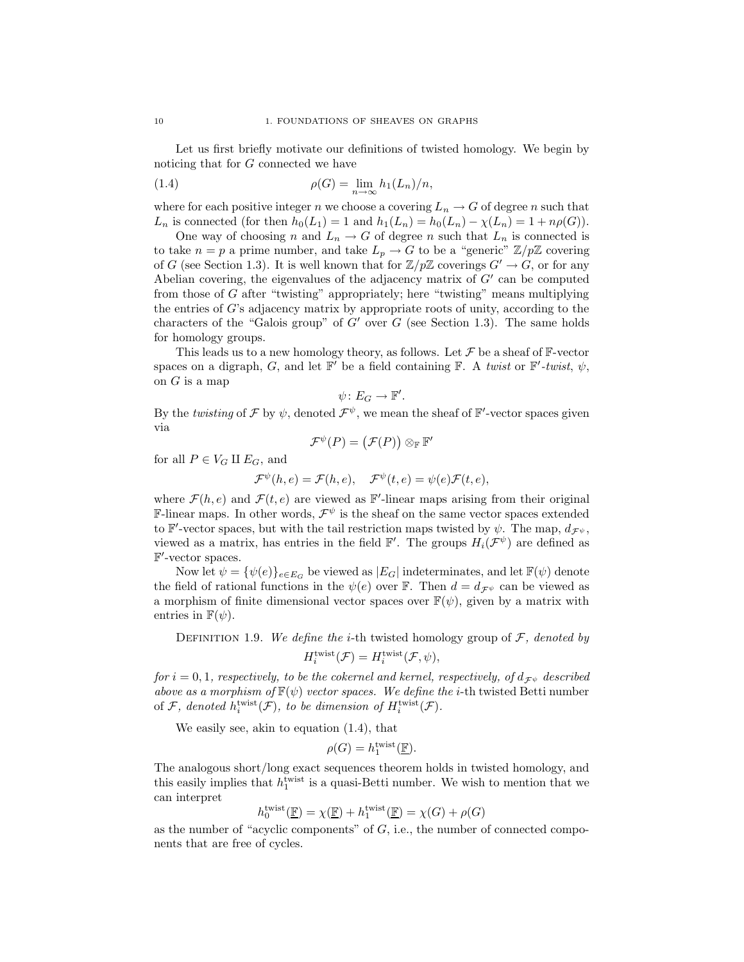Let us first briefly motivate our definitions of twisted homology. We begin by noticing that for G connected we have

(1.4) 
$$
\rho(G) = \lim_{n \to \infty} h_1(L_n)/n,
$$

where for each positive integer n we choose a covering  $L_n \to G$  of degree n such that  $L_n$  is connected (for then  $h_0(L_1) = 1$  and  $h_1(L_n) = h_0(L_n) - \chi(L_n) = 1 + n\rho(G)$ ).

One way of choosing n and  $L_n \to G$  of degree n such that  $L_n$  is connected is to take  $n = p$  a prime number, and take  $L_p \to G$  to be a "generic"  $\mathbb{Z}/p\mathbb{Z}$  covering of G (see Section 1.3). It is well known that for  $\mathbb{Z}/p\mathbb{Z}$  coverings  $G' \to G$ , or for any Abelian covering, the eigenvalues of the adjacency matrix of  $G'$  can be computed from those of G after "twisting" appropriately; here "twisting" means multiplying the entries of G's adjacency matrix by appropriate roots of unity, according to the characters of the "Galois group" of  $G'$  over G (see Section 1.3). The same holds for homology groups.

This leads us to a new homology theory, as follows. Let  $\mathcal F$  be a sheaf of  $\mathbb F$ -vector spaces on a digraph, G, and let  $\mathbb{F}'$  be a field containing  $\mathbb{F}$ . A twist or  $\mathbb{F}'$ -twist,  $\psi$ , on  $G$  is a map

$$
\psi\colon E_G\to \mathbb{F}'.
$$

By the twisting of F by  $\psi$ , denoted  $\mathcal{F}^{\psi}$ , we mean the sheaf of  $\mathbb{F}'$ -vector spaces given via

$$
\mathcal{F}^\psi(P)=\big(\mathcal{F}(P)\big)\otimes_{\mathbb{F}} \mathbb{F}'
$$

ند

for all  $P \in V_G \amalg E_G$ , and

$$
\mathcal{F}^{\psi}(h,e) = \mathcal{F}(h,e), \quad \mathcal{F}^{\psi}(t,e) = \psi(e)\mathcal{F}(t,e),
$$

where  $\mathcal{F}(h,e)$  and  $\mathcal{F}(t,e)$  are viewed as  $\mathbb{F}'$ -linear maps arising from their original F-linear maps. In other words,  $\mathcal{F}^{\psi}$  is the sheaf on the same vector spaces extended to  $\mathbb{F}'$ -vector spaces, but with the tail restriction maps twisted by  $\psi$ . The map,  $d_{\mathcal{F}^{\psi}}$ , viewed as a matrix, has entries in the field  $\mathbb{F}'$ . The groups  $H_i(\mathcal{F}^{\psi})$  are defined as  $\mathbb{F}'$ -vector spaces.

Now let  $\psi = {\psi(e)}_{e \in E_G}$  be viewed as  $|E_G|$  indeterminates, and let  $\mathbb{F}(\psi)$  denote the field of rational functions in the  $\psi(e)$  over F. Then  $d = d_{\mathcal{F}^{\psi}}$  can be viewed as a morphism of finite dimensional vector spaces over  $\mathbb{F}(\psi)$ , given by a matrix with entries in  $\mathbb{F}(\psi)$ .

DEFINITION 1.9. We define the *i*-th twisted homology group of  $F$ , denoted by

$$
H_i^{\text{twist}}(\mathcal{F}) = H_i^{\text{twist}}(\mathcal{F}, \psi),
$$

for  $i = 0, 1$ , respectively, to be the cokernel and kernel, respectively, of  $d_{\mathcal{F}^{\psi}}$  described above as a morphism of  $\mathbb{F}(\psi)$  vector spaces. We define the *i*-th twisted Betti number of F, denoted  $h_i^{\text{twist}}(\mathcal{F})$ , to be dimension of  $H_i^{\text{twist}}(\mathcal{F})$ .

We easily see, akin to equation (1.4), that

$$
\rho(G) = h_1^{\rm twist}(\underline{\mathbb{F}}).
$$

The analogous short/long exact sequences theorem holds in twisted homology, and this easily implies that  $h_1^{\text{twist}}$  is a quasi-Betti number. We wish to mention that we can interpret

$$
h_0^{\text{twist}}(\underline{\mathbb{F}}) = \chi(\underline{\mathbb{F}}) + h_1^{\text{twist}}(\underline{\mathbb{F}}) = \chi(G) + \rho(G)
$$

as the number of "acyclic components" of  $G$ , i.e., the number of connected components that are free of cycles.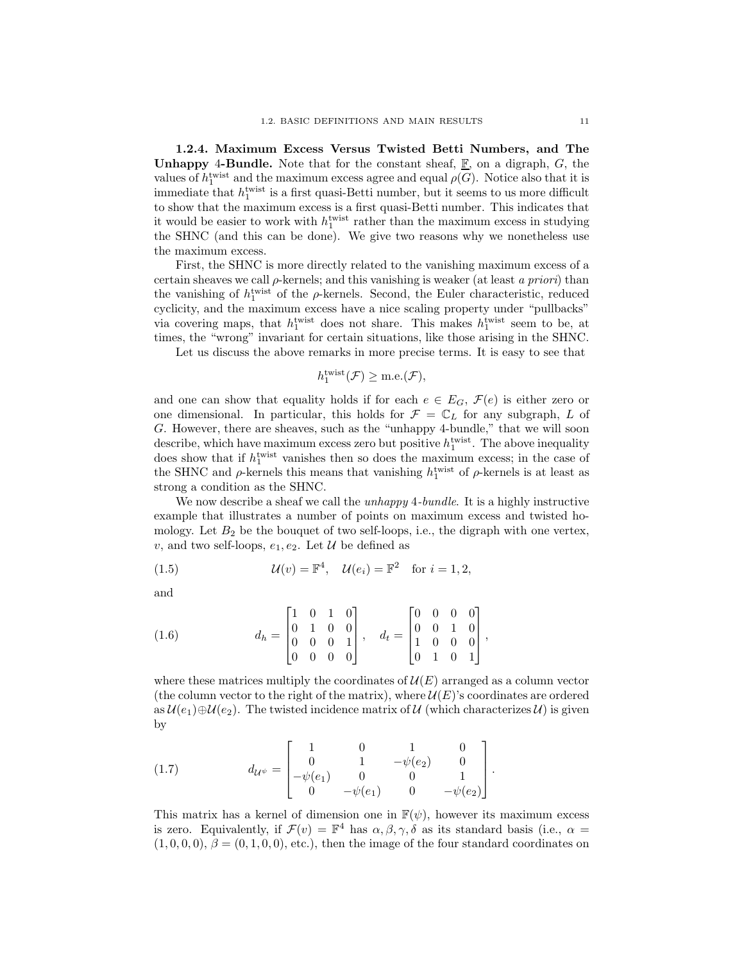1.2.4. Maximum Excess Versus Twisted Betti Numbers, and The **Unhappy 4-Bundle.** Note that for the constant sheaf,  $E$ , on a digraph,  $G$ , the values of  $h_1^{\text{twist}}$  and the maximum excess agree and equal  $\rho(G)$ . Notice also that it is immediate that  $h_1^{\text{twist}}$  is a first quasi-Betti number, but it seems to us more difficult to show that the maximum excess is a first quasi-Betti number. This indicates that it would be easier to work with  $h_1^{\text{twist}}$  rather than the maximum excess in studying the SHNC (and this can be done). We give two reasons why we nonetheless use the maximum excess.

First, the SHNC is more directly related to the vanishing maximum excess of a certain sheaves we call  $\rho$ -kernels; and this vanishing is weaker (at least a priori) than the vanishing of  $h_1^{\text{twist}}$  of the  $\rho$ -kernels. Second, the Euler characteristic, reduced cyclicity, and the maximum excess have a nice scaling property under "pullbacks" via covering maps, that  $h_1^{\text{twist}}$  does not share. This makes  $h_1^{\text{twist}}$  seem to be, at times, the "wrong" invariant for certain situations, like those arising in the SHNC.

Let us discuss the above remarks in more precise terms. It is easy to see that

$$
h_1^{\text{twist}}(\mathcal{F}) \geq \text{m.e.}(\mathcal{F}),
$$

and one can show that equality holds if for each  $e \in E_G$ ,  $\mathcal{F}(e)$  is either zero or one dimensional. In particular, this holds for  $\mathcal{F} = \mathbb{C}_L$  for any subgraph, L of G. However, there are sheaves, such as the "unhappy 4-bundle," that we will soon describe, which have maximum excess zero but positive  $h_1^{\text{twist}}$ . The above inequality does show that if  $h_1^{\text{twist}}$  vanishes then so does the maximum excess; in the case of the SHNC and  $\rho$ -kernels this means that vanishing  $h_1^{\text{twist}}$  of  $\rho$ -kernels is at least as strong a condition as the SHNC.

We now describe a sheaf we call the *unhappy* 4-bundle. It is a highly instructive example that illustrates a number of points on maximum excess and twisted homology. Let  $B_2$  be the bouquet of two self-loops, i.e., the digraph with one vertex, v, and two self-loops,  $e_1, e_2$ . Let  $\mathcal U$  be defined as

(1.5) 
$$
\mathcal{U}(v) = \mathbb{F}^4, \quad \mathcal{U}(e_i) = \mathbb{F}^2 \quad \text{for } i = 1, 2,
$$

and

(1.6) 
$$
d_h = \begin{bmatrix} 1 & 0 & 1 & 0 \\ 0 & 1 & 0 & 0 \\ 0 & 0 & 0 & 1 \\ 0 & 0 & 0 & 0 \end{bmatrix}, \quad d_t = \begin{bmatrix} 0 & 0 & 0 & 0 \\ 0 & 0 & 1 & 0 \\ 1 & 0 & 0 & 0 \\ 0 & 1 & 0 & 1 \end{bmatrix},
$$

where these matrices multiply the coordinates of  $\mathcal{U}(E)$  arranged as a column vector (the column vector to the right of the matrix), where  $\mathcal{U}(E)$ 's coordinates are ordered as  $\mathcal{U}(e_1) \oplus \mathcal{U}(e_2)$ . The twisted incidence matrix of U (which characterizes U) is given by

(1.7) 
$$
d_{\mathcal{U}^{\psi}} = \begin{bmatrix} 1 & 0 & 1 & 0 \\ 0 & 1 & -\psi(e_2) & 0 \\ -\psi(e_1) & 0 & 0 & 1 \\ 0 & -\psi(e_1) & 0 & -\psi(e_2) \end{bmatrix}.
$$

This matrix has a kernel of dimension one in  $\mathbb{F}(\psi)$ , however its maximum excess is zero. Equivalently, if  $\mathcal{F}(v) = \mathbb{F}^4$  has  $\alpha, \beta, \gamma, \delta$  as its standard basis (i.e.,  $\alpha =$  $(1, 0, 0, 0), \beta = (0, 1, 0, 0),$  etc.), then the image of the four standard coordinates on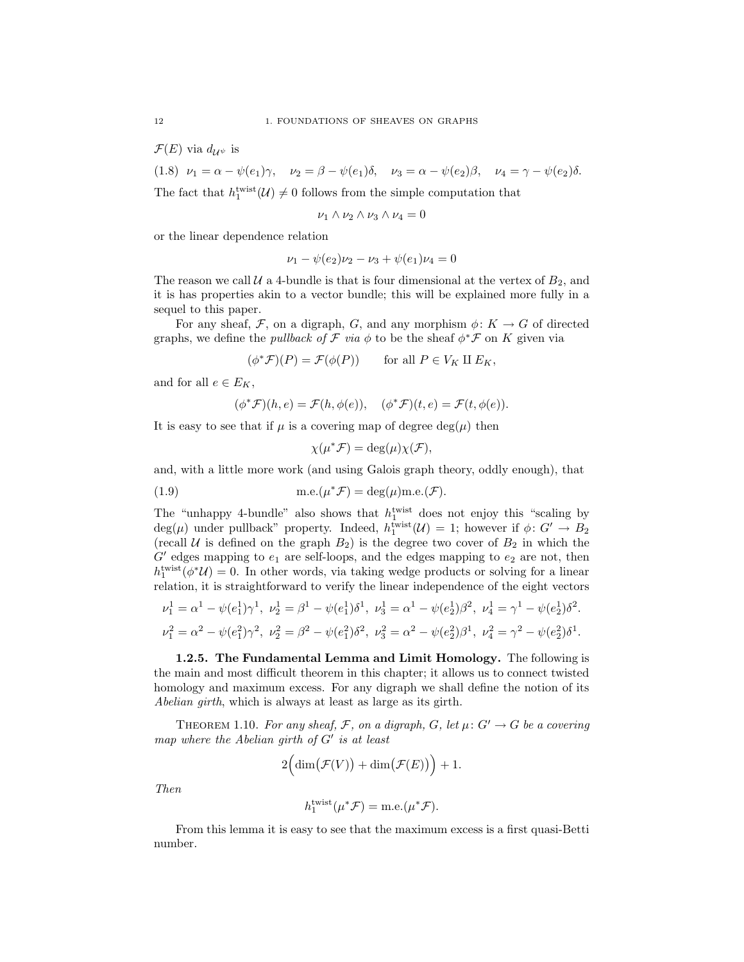$\mathcal{F}(E)$  via  $d_{\mathcal{U}^{\psi}}$  is

(1.8)  $\nu_1 = \alpha - \psi(e_1)\gamma$ ,  $\nu_2 = \beta - \psi(e_1)\delta$ ,  $\nu_3 = \alpha - \psi(e_2)\beta$ ,  $\nu_4 = \gamma - \psi(e_2)\delta$ .

The fact that  $h_1^{\text{twist}}(\mathcal{U}) \neq 0$  follows from the simple computation that

$$
\nu_1 \wedge \nu_2 \wedge \nu_3 \wedge \nu_4 = 0
$$

or the linear dependence relation

$$
\nu_1 - \psi(e_2)\nu_2 - \nu_3 + \psi(e_1)\nu_4 = 0
$$

The reason we call  $U$  a 4-bundle is that is four dimensional at the vertex of  $B_2$ , and it is has properties akin to a vector bundle; this will be explained more fully in a sequel to this paper.

For any sheaf, F, on a digraph, G, and any morphism  $\phi: K \to G$  of directed graphs, we define the *pullback of*  $\mathcal F$  *via*  $\phi$  to be the sheaf  $\phi^* \mathcal F$  on  $K$  given via

$$
(\phi^* \mathcal{F})(P) = \mathcal{F}(\phi(P)) \quad \text{for all } P \in V_K \amalg E_K,
$$

and for all  $e \in E_K$ ,

$$
(\phi^* \mathcal{F})(h,e) = \mathcal{F}(h,\phi(e)), \quad (\phi^* \mathcal{F})(t,e) = \mathcal{F}(t,\phi(e)).
$$

It is easy to see that if  $\mu$  is a covering map of degree  $deg(\mu)$  then

$$
\chi(\mu^* \mathcal{F}) = \deg(\mu)\chi(\mathcal{F}),
$$

and, with a little more work (and using Galois graph theory, oddly enough), that

(1.9) 
$$
\text{m.e.}(\mu^* \mathcal{F}) = \text{deg}(\mu) \text{m.e.}(\mathcal{F}).
$$

The "unhappy 4-bundle" also shows that  $h_1^{\text{twist}}$  does not enjoy this "scaling by  $deg(\mu)$  under pullback" property. Indeed,  $h_1^{\text{twist}}(\mathcal{U}) = 1$ ; however if  $\phi: G' \to B_2$ (recall  $U$  is defined on the graph  $B_2$ ) is the degree two cover of  $B_2$  in which the  $G'$  edges mapping to  $e_1$  are self-loops, and the edges mapping to  $e_2$  are not, then  $h_1^{\text{twist}}(\phi^*\mathcal{U})=0$ . In other words, via taking wedge products or solving for a linear relation, it is straightforward to verify the linear independence of the eight vectors

$$
\nu_1^1 = \alpha^1 - \psi(e_1^1)\gamma^1, \quad \nu_2^1 = \beta^1 - \psi(e_1^1)\delta^1, \quad \nu_3^1 = \alpha^1 - \psi(e_2^1)\beta^2, \quad \nu_4^1 = \gamma^1 - \psi(e_2^1)\delta^2.
$$
  

$$
\nu_1^2 = \alpha^2 - \psi(e_1^2)\gamma^2, \quad \nu_2^2 = \beta^2 - \psi(e_1^2)\delta^2, \quad \nu_3^2 = \alpha^2 - \psi(e_2^2)\beta^1, \quad \nu_4^2 = \gamma^2 - \psi(e_2^2)\delta^1.
$$

1.2.5. The Fundamental Lemma and Limit Homology. The following is the main and most difficult theorem in this chapter; it allows us to connect twisted homology and maximum excess. For any digraph we shall define the notion of its Abelian girth, which is always at least as large as its girth.

THEOREM 1.10. For any sheaf, F, on a digraph, G, let  $\mu: G' \to G$  be a covering map where the Abelian girth of  $G'$  is at least

$$
2\Bigl(\dim\bigl(\mathcal{F}(V)\bigr)+\dim\bigl(\mathcal{F}(E)\bigr)\Bigr)+1.
$$

Then

$$
h_1^{\text{twist}}(\mu^* \mathcal{F}) = \text{m.e.}(\mu^* \mathcal{F}).
$$

From this lemma it is easy to see that the maximum excess is a first quasi-Betti number.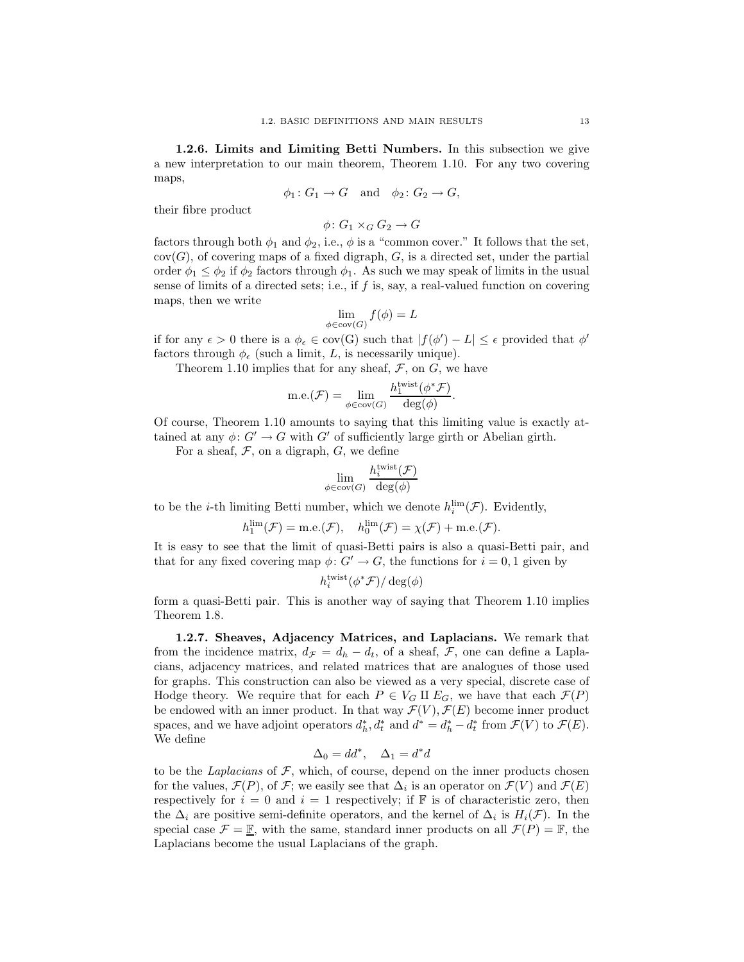1.2.6. Limits and Limiting Betti Numbers. In this subsection we give a new interpretation to our main theorem, Theorem 1.10. For any two covering maps,

$$
\phi_1: G_1 \to G
$$
 and  $\phi_2: G_2 \to G$ ,

their fibre product

 $\phi: G_1 \times_G G_2 \to G$ 

factors through both  $\phi_1$  and  $\phi_2$ , i.e.,  $\phi$  is a "common cover." It follows that the set,  $cov(G)$ , of covering maps of a fixed digraph,  $G$ , is a directed set, under the partial order  $\phi_1 \leq \phi_2$  if  $\phi_2$  factors through  $\phi_1$ . As such we may speak of limits in the usual sense of limits of a directed sets; i.e., if  $f$  is, say, a real-valued function on covering maps, then we write

$$
\lim_{\phi \in \text{cov}(G)} f(\phi) = L
$$

if for any  $\epsilon > 0$  there is a  $\phi_{\epsilon} \in cov(G)$  such that  $|f(\phi') - L| \leq \epsilon$  provided that  $\phi'$ factors through  $\phi_{\epsilon}$  (such a limit, L, is necessarily unique).

Theorem 1.10 implies that for any sheaf,  $\mathcal{F}$ , on  $G$ , we have

$$
\mathrm{m.e.}(\mathcal{F})=\lim_{\phi\in \mathrm{cov}(G)}\frac{h_1^{\mathrm{twist}}(\phi^*\mathcal{F})}{\deg(\phi)}.
$$

Of course, Theorem 1.10 amounts to saying that this limiting value is exactly attained at any  $\phi: G' \to G$  with G' of sufficiently large girth or Abelian girth.

For a sheaf,  $\mathcal F$ , on a digraph,  $G$ , we define

$$
\lim_{\phi \in \text{cov}(G)} \frac{h_i^{\text{twist}}(\mathcal{F})}{\deg(\phi)}
$$

to be the *i*-th limiting Betti number, which we denote  $h_i^{\text{lim}}(\mathcal{F})$ . Evidently,

$$
h_1^{\text{lim}}(\mathcal{F}) = \text{m.e.}(\mathcal{F}), \quad h_0^{\text{lim}}(\mathcal{F}) = \chi(\mathcal{F}) + \text{m.e.}(\mathcal{F}).
$$

It is easy to see that the limit of quasi-Betti pairs is also a quasi-Betti pair, and that for any fixed covering map  $\phi: G' \to G$ , the functions for  $i = 0, 1$  given by

$$
h_i^{\rm twist}(\phi^* \mathcal{F})/\deg(\phi)
$$

form a quasi-Betti pair. This is another way of saying that Theorem 1.10 implies Theorem 1.8.

1.2.7. Sheaves, Adjacency Matrices, and Laplacians. We remark that from the incidence matrix,  $d_{\mathcal{F}} = d_h - d_t$ , of a sheaf,  $\mathcal{F}$ , one can define a Laplacians, adjacency matrices, and related matrices that are analogues of those used for graphs. This construction can also be viewed as a very special, discrete case of Hodge theory. We require that for each  $P \in V_G \amalg E_G$ , we have that each  $\mathcal{F}(P)$ be endowed with an inner product. In that way  $\mathcal{F}(V)$ ,  $\mathcal{F}(E)$  become inner product spaces, and we have adjoint operators  $d_h^*, d_t^*$  and  $d^* = d_h^* - d_t^*$  from  $\mathcal{F}(V)$  to  $\mathcal{F}(E)$ . We define

$$
\Delta_0 = dd^*, \quad \Delta_1 = d^*d
$$

to be the *Laplacians* of  $F$ , which, of course, depend on the inner products chosen for the values,  $\mathcal{F}(P)$ , of  $\mathcal{F}$ ; we easily see that  $\Delta_i$  is an operator on  $\mathcal{F}(V)$  and  $\mathcal{F}(E)$ respectively for  $i = 0$  and  $i = 1$  respectively; if  $\mathbb F$  is of characteristic zero, then the  $\Delta_i$  are positive semi-definite operators, and the kernel of  $\Delta_i$  is  $H_i(\mathcal{F})$ . In the special case  $\mathcal{F} = \mathbb{F}$ , with the same, standard inner products on all  $\mathcal{F}(P) = \mathbb{F}$ , the Laplacians become the usual Laplacians of the graph.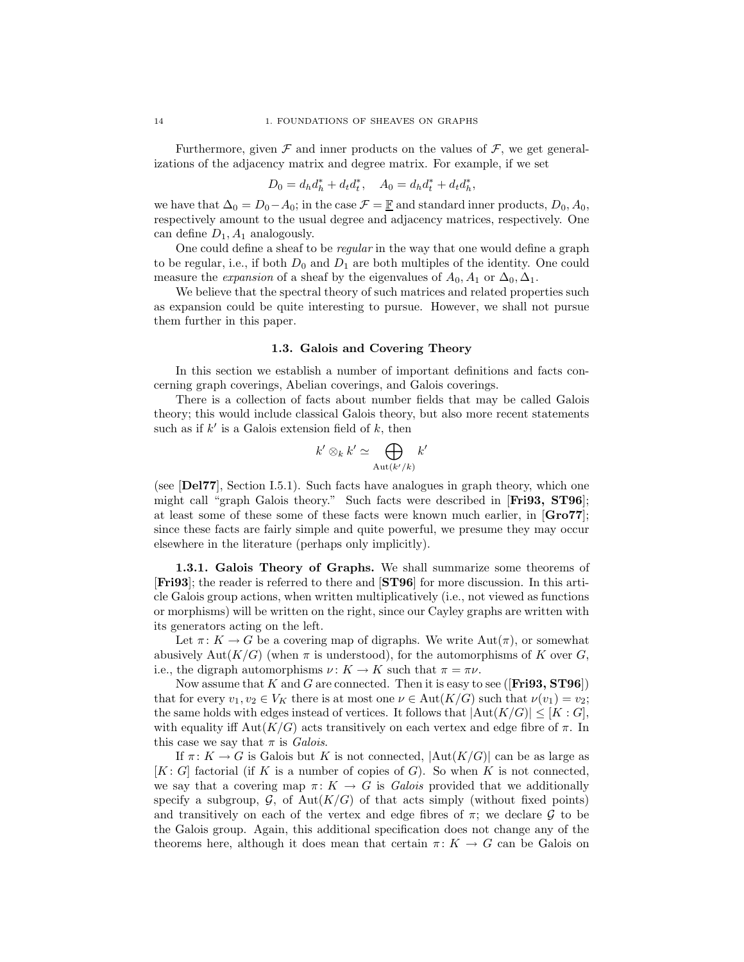Furthermore, given  $\mathcal F$  and inner products on the values of  $\mathcal F$ , we get generalizations of the adjacency matrix and degree matrix. For example, if we set

$$
D_0 = d_h d_h^* + d_t d_t^*, \quad A_0 = d_h d_t^* + d_t d_h^*,
$$

we have that  $\Delta_0 = D_0 - A_0$ ; in the case  $\mathcal{F} = \mathbb{F}$  and standard inner products,  $D_0$ ,  $A_0$ , respectively amount to the usual degree and adjacency matrices, respectively. One can define  $D_1$ ,  $A_1$  analogously.

One could define a sheaf to be regular in the way that one would define a graph to be regular, i.e., if both  $D_0$  and  $D_1$  are both multiples of the identity. One could measure the *expansion* of a sheaf by the eigenvalues of  $A_0$ ,  $A_1$  or  $\Delta_0$ ,  $\Delta_1$ .

We believe that the spectral theory of such matrices and related properties such as expansion could be quite interesting to pursue. However, we shall not pursue them further in this paper.

### 1.3. Galois and Covering Theory

In this section we establish a number of important definitions and facts concerning graph coverings, Abelian coverings, and Galois coverings.

There is a collection of facts about number fields that may be called Galois theory; this would include classical Galois theory, but also more recent statements such as if  $k'$  is a Galois extension field of  $k$ , then

$$
k' \otimes_k k' \simeq \bigoplus_{\mathrm{Aut}(k'/k)} k'
$$

(see [Del77], Section I.5.1). Such facts have analogues in graph theory, which one might call "graph Galois theory." Such facts were described in [Fri93, ST96]; at least some of these some of these facts were known much earlier, in [Gro77]; since these facts are fairly simple and quite powerful, we presume they may occur elsewhere in the literature (perhaps only implicitly).

1.3.1. Galois Theory of Graphs. We shall summarize some theorems of [Fri93]; the reader is referred to there and [ST96] for more discussion. In this article Galois group actions, when written multiplicatively (i.e., not viewed as functions or morphisms) will be written on the right, since our Cayley graphs are written with its generators acting on the left.

Let  $\pi: K \to G$  be a covering map of digraphs. We write  $\text{Aut}(\pi)$ , or somewhat abusively  $Aut(K/G)$  (when  $\pi$  is understood), for the automorphisms of K over G, i.e., the digraph automorphisms  $\nu: K \to K$  such that  $\pi = \pi \nu$ .

Now assume that K and G are connected. Then it is easy to see ([Fri93, ST96]) that for every  $v_1, v_2 \in V_K$  there is at most one  $\nu \in \text{Aut}(K/G)$  such that  $\nu(v_1) = v_2$ ; the same holds with edges instead of vertices. It follows that  $|\text{Aut}(K/G)| \leq [K:G],$ with equality iff  $\text{Aut}(K/G)$  acts transitively on each vertex and edge fibre of  $\pi$ . In this case we say that  $\pi$  is Galois.

If  $\pi: K \to G$  is Galois but K is not connected,  $|\text{Aut}(K/G)|$  can be as large as  $[K: G]$  factorial (if K is a number of copies of G). So when K is not connected, we say that a covering map  $\pi: K \to G$  is Galois provided that we additionally specify a subgroup,  $G$ , of Aut $(K/G)$  of that acts simply (without fixed points) and transitively on each of the vertex and edge fibres of  $\pi$ ; we declare  $\mathcal G$  to be the Galois group. Again, this additional specification does not change any of the theorems here, although it does mean that certain  $\pi: K \to G$  can be Galois on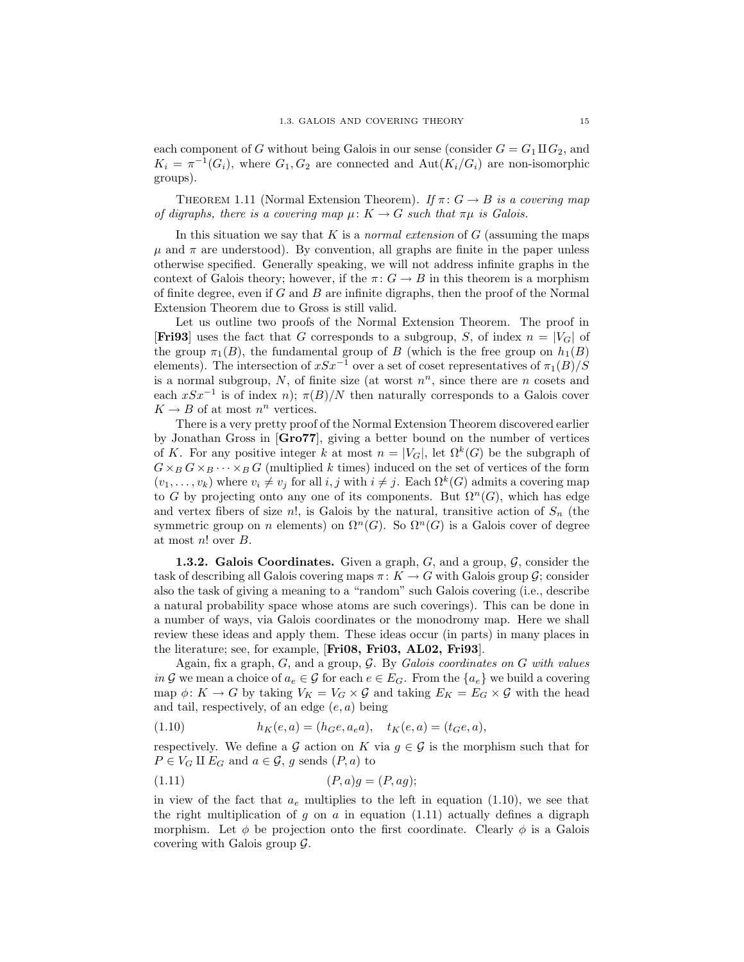each component of G without being Galois in our sense (consider  $G = G_1 \amalg G_2$ , and  $K_i = \pi^{-1}(G_i)$ , where  $G_1, G_2$  are connected and  $Aut(K_i/G_i)$  are non-isomorphic groups).

THEOREM 1.11 (Normal Extension Theorem). If  $\pi: G \to B$  is a covering map of digraphs, there is a covering map  $\mu: K \to G$  such that  $\pi\mu$  is Galois.

In this situation we say that  $K$  is a normal extension of  $G$  (assuming the maps  $\mu$  and  $\pi$  are understood). By convention, all graphs are finite in the paper unless otherwise specified. Generally speaking, we will not address infinite graphs in the context of Galois theory; however, if the  $\pi: G \to B$  in this theorem is a morphism of finite degree, even if  $G$  and  $B$  are infinite digraphs, then the proof of the Normal Extension Theorem due to Gross is still valid.

Let us outline two proofs of the Normal Extension Theorem. The proof in **[Fri93]** uses the fact that G corresponds to a subgroup, S, of index  $n = |V_G|$  of the group  $\pi_1(B)$ , the fundamental group of B (which is the free group on  $h_1(B)$ ) elements). The intersection of  $xSx^{-1}$  over a set of coset representatives of  $\pi_1(B)/S$ is a normal subgroup,  $N$ , of finite size (at worst  $n^n$ , since there are  $n$  cosets and each  $xSx^{-1}$  is of index n);  $\pi(B)/N$  then naturally corresponds to a Galois cover  $K \to B$  of at most  $n^n$  vertices.

There is a very pretty proof of the Normal Extension Theorem discovered earlier by Jonathan Gross in [Gro77], giving a better bound on the number of vertices of K. For any positive integer k at most  $n = |V_G|$ , let  $\Omega^k(G)$  be the subgraph of  $G \times_B G \times_B \cdots \times_B G$  (multiplied k times) induced on the set of vertices of the form  $(v_1, \ldots, v_k)$  where  $v_i \neq v_j$  for all  $i, j$  with  $i \neq j$ . Each  $\Omega^k(G)$  admits a covering map to G by projecting onto any one of its components. But  $\Omega^n(G)$ , which has edge and vertex fibers of size n!, is Galois by the natural, transitive action of  $S_n$  (the symmetric group on n elements) on  $\Omega^{n}(G)$ . So  $\Omega^{n}(G)$  is a Galois cover of degree at most  $n!$  over  $B$ .

**1.3.2. Galois Coordinates.** Given a graph,  $G$ , and a group,  $\mathcal{G}$ , consider the task of describing all Galois covering maps  $\pi: K \to G$  with Galois group  $\mathcal{G}$ ; consider also the task of giving a meaning to a "random" such Galois covering (i.e., describe a natural probability space whose atoms are such coverings). This can be done in a number of ways, via Galois coordinates or the monodromy map. Here we shall review these ideas and apply them. These ideas occur (in parts) in many places in the literature; see, for example, [Fri08, Fri03, AL02, Fri93].

Again, fix a graph,  $G$ , and a group,  $G$ . By Galois coordinates on  $G$  with values in G we mean a choice of  $a_e \in \mathcal{G}$  for each  $e \in E_G$ . From the  $\{a_e\}$  we build a covering map  $\phi: K \to G$  by taking  $V_K = V_G \times \mathcal{G}$  and taking  $E_K = E_G \times \mathcal{G}$  with the head and tail, respectively, of an edge  $(e, a)$  being

(1.10) 
$$
h_K(e, a) = (h_G e, a_e a), \quad t_K(e, a) = (t_G e, a),
$$

respectively. We define a G action on K via  $g \in \mathcal{G}$  is the morphism such that for  $P \in V_G \amalg E_G$  and  $a \in \mathcal{G}$ , g sends  $(P, a)$  to

$$
(1.11)\qquad \qquad (P,a)g = (P,ag);
$$

in view of the fact that  $a_e$  multiplies to the left in equation (1.10), we see that the right multiplication of  $g$  on  $a$  in equation (1.11) actually defines a digraph morphism. Let  $\phi$  be projection onto the first coordinate. Clearly  $\phi$  is a Galois covering with Galois group  $\mathcal{G}$ .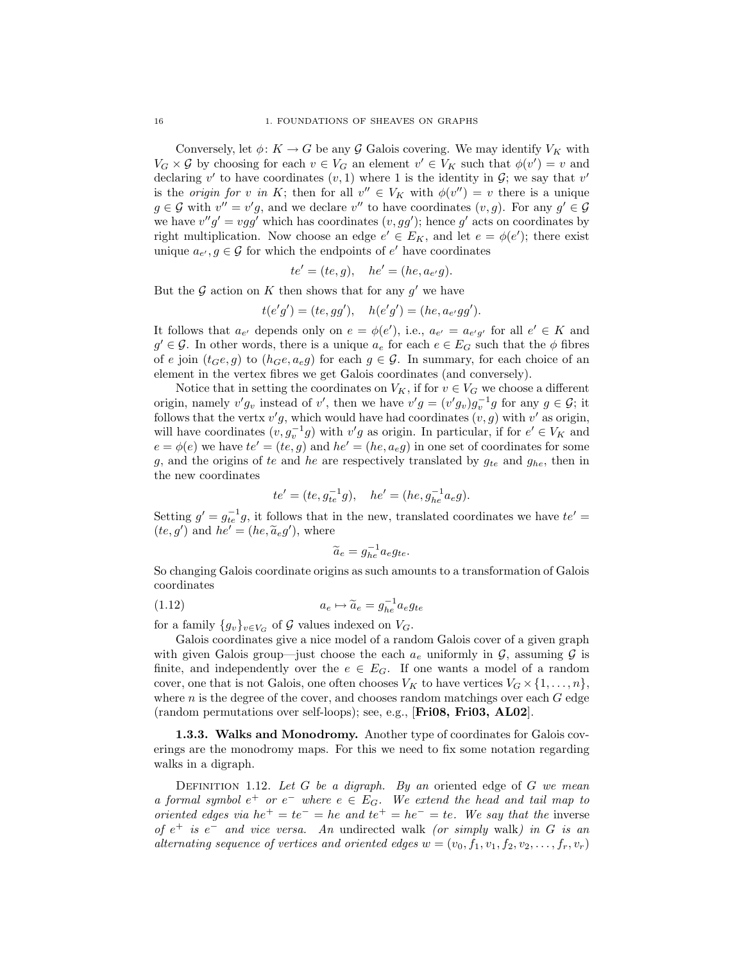Conversely, let  $\phi: K \to G$  be any G Galois covering. We may identify  $V_K$  with  $V_G \times \mathcal{G}$  by choosing for each  $v \in V_G$  an element  $v' \in V_K$  such that  $\phi(v') = v$  and declaring  $v'$  to have coordinates  $(v, 1)$  where 1 is the identity in  $\mathcal{G}$ ; we say that  $v'$ is the *origin for* v in K; then for all  $v'' \in V_K$  with  $\phi(v'') = v$  there is a unique  $g \in \mathcal{G}$  with  $v'' = v'g$ , and we declare  $v''$  to have coordinates  $(v, g)$ . For any  $g' \in \mathcal{G}$ we have  $v''g' = vgg'$  which has coordinates  $(v, gg')$ ; hence g' acts on coordinates by right multiplication. Now choose an edge  $e' \in E_K$ , and let  $e = \phi(e')$ ; there exist unique  $a_{e'}, g \in \mathcal{G}$  for which the endpoints of  $e'$  have coordinates

$$
te' = (te, g), \quad he' = (he, a_{e'}g).
$$

But the  $G$  action on K then shows that for any  $g'$  we have

$$
t(e'g') = (te, gg'), \quad h(e'g') = (he, a_{e'}gg').
$$

It follows that  $a_{e'}$  depends only on  $e = \phi(e')$ , i.e.,  $a_{e'} = a_{e'g'}$  for all  $e' \in K$  and  $g' \in \mathcal{G}$ . In other words, there is a unique  $a_e$  for each  $e \in E_G$  such that the  $\phi$  fibres of e join  $(t_Ge, g)$  to  $(h_Ge, a_eg)$  for each  $g \in \mathcal{G}$ . In summary, for each choice of an element in the vertex fibres we get Galois coordinates (and conversely).

Notice that in setting the coordinates on  $V_K$ , if for  $v \in V_G$  we choose a different origin, namely  $v'g_v$  instead of v', then we have  $v'g = (v'g_v)g_v^{-1}g$  for any  $g \in \mathcal{G}$ ; it follows that the vertx  $v'g$ , which would have had coordinates  $(v, g)$  with  $v'$  as origin, will have coordinates  $(v, g_v^{-1}g)$  with  $v'g$  as origin. In particular, if for  $e' \in V_K$  and  $e = \phi(e)$  we have  $te' = (te, g)$  and  $he' = (he, a_e g)$  in one set of coordinates for some g, and the origins of te and he are respectively translated by  $g_{te}$  and  $g_{he}$ , then in the new coordinates

$$
te' = (te, g_{te}^{-1}g), \quad he' = (he, g_{he}^{-1}a_e g).
$$

Setting  $g' = g_{te}^{-1}g$ , it follows that in the new, translated coordinates we have  $te' =$  $(te, g')$  and  $he' = (he, \tilde{a}_e g')$ , where

$$
\widetilde{a}_e = g_{he}^{-1} a_e g_{te}.
$$

So changing Galois coordinate origins as such amounts to a transformation of Galois coordinates

(1.12) 
$$
a_e \mapsto \widetilde{a}_e = g_{he}^{-1} a_e g_{te}
$$

for a family  $\{g_v\}_{v\in V_G}$  of G values indexed on  $V_G$ .

Galois coordinates give a nice model of a random Galois cover of a given graph with given Galois group—just choose the each  $a_e$  uniformly in  $\mathcal{G}$ , assuming  $\mathcal{G}$  is finite, and independently over the  $e \in E_G$ . If one wants a model of a random cover, one that is not Galois, one often chooses  $V_K$  to have vertices  $V_G \times \{1, \ldots, n\}$ , where  $n$  is the degree of the cover, and chooses random matchings over each  $G$  edge (random permutations over self-loops); see, e.g., [Fri08, Fri03, AL02].

1.3.3. Walks and Monodromy. Another type of coordinates for Galois coverings are the monodromy maps. For this we need to fix some notation regarding walks in a digraph.

DEFINITION 1.12. Let  $G$  be a digraph. By an oriented edge of  $G$  we mean a formal symbol  $e^+$  or  $e^-$  where  $e \in E_G$ . We extend the head and tail map to oriented edges via he<sup>+</sup> = te<sup>-</sup> = he and te<sup>+</sup> = he<sup>-</sup> = te. We say that the inverse of  $e^+$  is  $e^-$  and vice versa. An undirected walk (or simply walk) in G is an alternating sequence of vertices and oriented edges  $w = (v_0, f_1, v_1, f_2, v_2, \ldots, f_r, v_r)$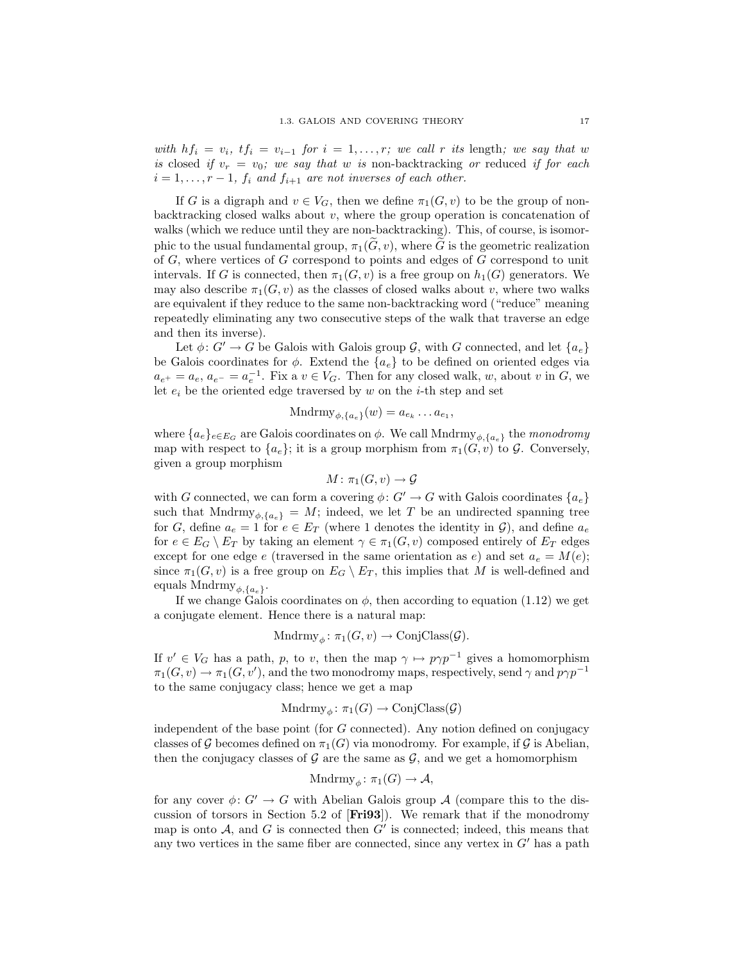with  $hf_i = v_i$ ,  $tf_i = v_{i-1}$  for  $i = 1, \ldots, r$ ; we call r its length; we say that w is closed if  $v_r = v_0$ ; we say that w is non-backtracking or reduced if for each  $i = 1, \ldots, r - 1$ ,  $f_i$  and  $f_{i+1}$  are not inverses of each other.

If G is a digraph and  $v \in V_G$ , then we define  $\pi_1(G, v)$  to be the group of nonbacktracking closed walks about  $v$ , where the group operation is concatenation of walks (which we reduce until they are non-backtracking). This, of course, is isomorphic to the usual fundamental group,  $\pi_1(G, v)$ , where G is the geometric realization of G, where vertices of G correspond to points and edges of G correspond to unit intervals. If G is connected, then  $\pi_1(G, v)$  is a free group on  $h_1(G)$  generators. We may also describe  $\pi_1(G, v)$  as the classes of closed walks about v, where two walks are equivalent if they reduce to the same non-backtracking word ("reduce" meaning repeatedly eliminating any two consecutive steps of the walk that traverse an edge and then its inverse).

Let  $\phi: G' \to G$  be Galois with Galois group  $\mathcal{G}$ , with G connected, and let  $\{a_e\}$ be Galois coordinates for  $\phi$ . Extend the  $\{a_e\}$  to be defined on oriented edges via  $a_{e^+} = a_e, a_{e^-} = a_e^{-1}$ . Fix a  $v \in V_G$ . Then for any closed walk, w, about v in G, we let  $e_i$  be the oriented edge traversed by w on the *i*-th step and set

$$
Mndrmy_{\phi,\{a_e\}}(w) = a_{e_k} \dots a_{e_1},
$$

where  $\{a_e\}_{e \in E_G}$  are Galois coordinates on  $\phi$ . We call Mndrmy  $_{\phi, \{a_e\}}$  the monodromy map with respect to  ${a_e}$ ; it is a group morphism from  $\pi_1(G, v)$  to G. Conversely, given a group morphism

$$
M\colon \pi_1(G,v)\to \mathcal{G}
$$

with G connected, we can form a covering  $\phi: G' \to G$  with Galois coordinates  ${a_e}$ such that Mndrmy<sub> $\phi$ , {a<sub>e</sub>}</sub> = M; indeed, we let T be an undirected spanning tree for G, define  $a_e = 1$  for  $e \in E_T$  (where 1 denotes the identity in  $\mathcal{G}$ ), and define  $a_e$ for  $e \in E_G \setminus E_T$  by taking an element  $\gamma \in \pi_1(G, v)$  composed entirely of  $E_T$  edges except for one edge e (traversed in the same orientation as e) and set  $a_e = M(e);$ since  $\pi_1(G, v)$  is a free group on  $E_G \setminus E_T$ , this implies that M is well-defined and equals  $Mndrmy_{\phi,\{a_e\}}$ .

If we change Galois coordinates on  $\phi$ , then according to equation (1.12) we get a conjugate element. Hence there is a natural map:

$$
Mndrmy_{\phi} \colon \pi_1(G, v) \to \text{ConjClass}(\mathcal{G}).
$$

If  $v' \in V_G$  has a path, p, to v, then the map  $\gamma \mapsto p \gamma p^{-1}$  gives a homomorphism  $\pi_1(G, v) \to \pi_1(G, v')$ , and the two monodromy maps, respectively, send  $\gamma$  and  $p\gamma p^{-1}$ to the same conjugacy class; hence we get a map

$$
Mndrmy_{\phi} \colon \pi_1(G) \to \text{ConjClass}(\mathcal{G})
$$

independent of the base point (for  $G$  connected). Any notion defined on conjugacy classes of G becomes defined on  $\pi_1(G)$  via monodromy. For example, if G is Abelian, then the conjugacy classes of  $\mathcal G$  are the same as  $\mathcal G$ , and we get a homomorphism

$$
Mndrmy_{\phi} \colon \pi_1(G) \to \mathcal{A},
$$

for any cover  $\phi: G' \to G$  with Abelian Galois group A (compare this to the discussion of torsors in Section 5.2 of [Fri93]). We remark that if the monodromy map is onto  $A$ , and  $G$  is connected then  $G'$  is connected; indeed, this means that any two vertices in the same fiber are connected, since any vertex in  $G'$  has a path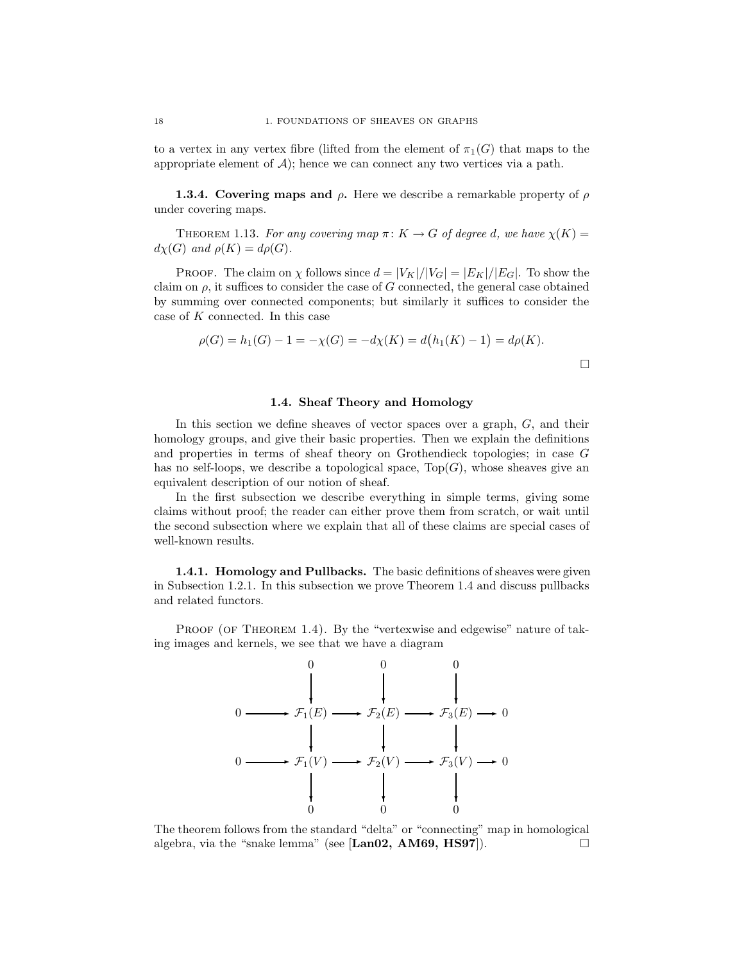to a vertex in any vertex fibre (lifted from the element of  $\pi_1(G)$  that maps to the appropriate element of  $\mathcal{A}$ ); hence we can connect any two vertices via a path.

**1.3.4. Covering maps and**  $\rho$ **.** Here we describe a remarkable property of  $\rho$ under covering maps.

THEOREM 1.13. For any covering map  $\pi: K \to G$  of degree d, we have  $\chi(K) =$  $d\chi(G)$  and  $\rho(K) = d\rho(G)$ .

PROOF. The claim on  $\chi$  follows since  $d = |V_K|/|V_G| = |E_K|/|E_G|$ . To show the claim on  $\rho$ , it suffices to consider the case of G connected, the general case obtained by summing over connected components; but similarly it suffices to consider the case of K connected. In this case

$$
\rho(G) = h_1(G) - 1 = -\chi(G) = -d\chi(K) = d(h_1(K) - 1) = d\rho(K).
$$

### 1.4. Sheaf Theory and Homology

In this section we define sheaves of vector spaces over a graph, G, and their homology groups, and give their basic properties. Then we explain the definitions and properties in terms of sheaf theory on Grothendieck topologies; in case G has no self-loops, we describe a topological space,  $Top(G)$ , whose sheaves give an equivalent description of our notion of sheaf.

In the first subsection we describe everything in simple terms, giving some claims without proof; the reader can either prove them from scratch, or wait until the second subsection where we explain that all of these claims are special cases of well-known results.

1.4.1. Homology and Pullbacks. The basic definitions of sheaves were given in Subsection 1.2.1. In this subsection we prove Theorem 1.4 and discuss pullbacks and related functors.

PROOF (OF THEOREM 1.4). By the "vertexwise and edgewise" nature of taking images and kernels, we see that we have a diagram



The theorem follows from the standard "delta" or "connecting" map in homological algebra, via the "snake lemma" (see [Lan02, AM69, HS97]).  $\Box$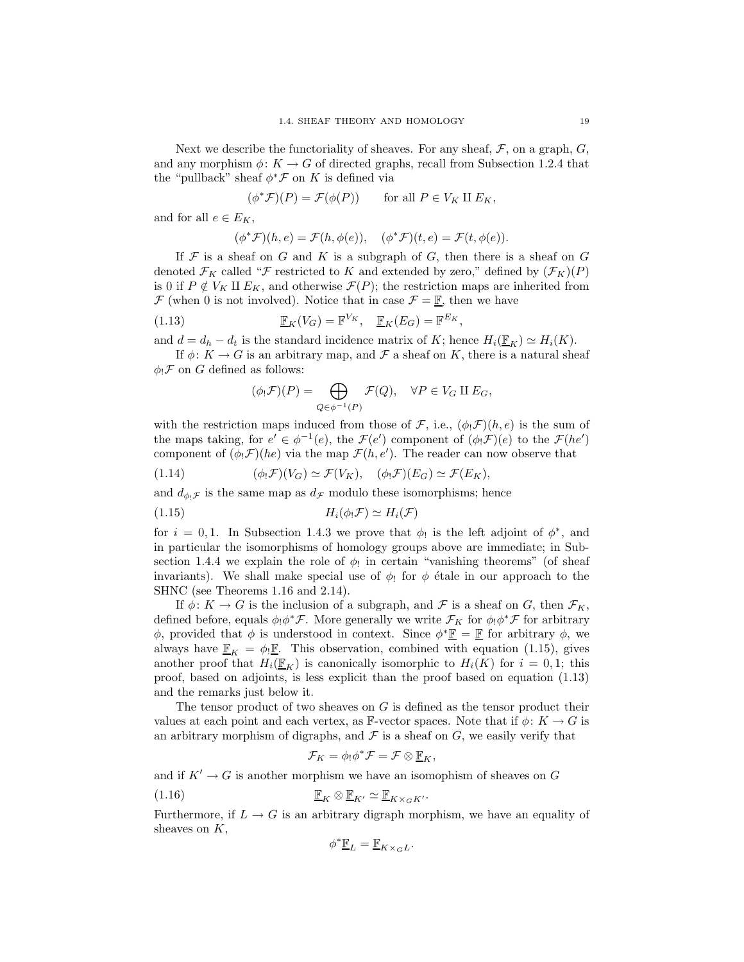Next we describe the functoriality of sheaves. For any sheaf,  $\mathcal{F}$ , on a graph,  $G$ , and any morphism  $\phi: K \to G$  of directed graphs, recall from Subsection 1.2.4 that the "pullback" sheaf  $\phi^* \mathcal{F}$  on K is defined via

$$
(\phi^* \mathcal{F})(P) = \mathcal{F}(\phi(P)) \quad \text{for all } P \in V_K \amalg E_K,
$$

and for all  $e \in E_K$ ,

$$
(\phi^* \mathcal{F})(h, e) = \mathcal{F}(h, \phi(e)), \quad (\phi^* \mathcal{F})(t, e) = \mathcal{F}(t, \phi(e)).
$$

If  $\mathcal F$  is a sheaf on G and K is a subgraph of G, then there is a sheaf on G denoted  $\mathcal{F}_K$  called " $\mathcal F$  restricted to K and extended by zero," defined by  $(\mathcal{F}_K)(P)$ is 0 if  $P \notin V_K \amalg E_K$ , and otherwise  $\mathcal{F}(P)$ ; the restriction maps are inherited from  $\mathcal F$  (when 0 is not involved). Notice that in case  $\mathcal F = \mathbb F$ , then we have

(1.13) 
$$
\mathbb{E}_K(V_G) = \mathbb{F}^{V_K}, \quad \mathbb{E}_K(E_G) = \mathbb{F}^{E_K},
$$

and  $d = d_h - d_t$  is the standard incidence matrix of K; hence  $H_i(\mathbb{F}_K) \simeq H_i(K)$ .

If  $\phi: K \to G$  is an arbitrary map, and  $\mathcal F$  a sheaf on K, there is a natural sheaf  $\phi_!$  F on G defined as follows:

$$
(\phi_! \mathcal{F})(P) = \bigoplus_{Q \in \phi^{-1}(P)} \mathcal{F}(Q), \quad \forall P \in V_G \amalg E_G,
$$

with the restriction maps induced from those of F, i.e.,  $(\phi_! \mathcal{F})(h, e)$  is the sum of the maps taking, for  $e' \in \phi^{-1}(e)$ , the  $\mathcal{F}(e')$  component of  $(\phi_! \mathcal{F})(e)$  to the  $\mathcal{F}(he')$ component of  $(\phi_!\mathcal{F})(he)$  via the map  $\mathcal{F}(h,e')$ . The reader can now observe that

(1.14) 
$$
(\phi_! \mathcal{F})(V_G) \simeq \mathcal{F}(V_K), \quad (\phi_! \mathcal{F})(E_G) \simeq \mathcal{F}(E_K),
$$

and  $d_{\phi_! \mathcal{F}}$  is the same map as  $d_{\mathcal{F}}$  modulo these isomorphisms; hence

$$
(1.15) \t\t\t H_i(\phi_i \mathcal{F}) \simeq H_i(\mathcal{F})
$$

for  $i = 0, 1$ . In Subsection 1.4.3 we prove that  $\phi_!$  is the left adjoint of  $\phi^*$ , and in particular the isomorphisms of homology groups above are immediate; in Subsection 1.4.4 we explain the role of  $\phi_!$  in certain "vanishing theorems" (of sheaf invariants). We shall make special use of  $\phi_1$  for  $\phi$  étale in our approach to the SHNC (see Theorems 1.16 and 2.14).

If  $\phi: K \to G$  is the inclusion of a subgraph, and F is a sheaf on G, then  $\mathcal{F}_K$ , defined before, equals  $\phi_! \phi^* \mathcal{F}$ . More generally we write  $\mathcal{F}_K$  for  $\phi_! \phi^* \mathcal{F}$  for arbitrary  $\phi$ , provided that  $\phi$  is understood in context. Since  $\phi^* \underline{\mathbb{F}} = \underline{\mathbb{F}}$  for arbitrary  $\phi$ , we always have  $\underline{\mathbb{F}}_K = \phi_! \underline{\mathbb{F}}$ . This observation, combined with equation (1.15), gives another proof that  $H_i(\mathbb{E}_K)$  is canonically isomorphic to  $H_i(K)$  for  $i = 0, 1$ ; this proof, based on adjoints, is less explicit than the proof based on equation (1.13) and the remarks just below it.

The tensor product of two sheaves on  $G$  is defined as the tensor product their values at each point and each vertex, as F-vector spaces. Note that if  $\phi: K \to G$  is an arbitrary morphism of digraphs, and  $\mathcal F$  is a sheaf on  $G$ , we easily verify that

$$
\mathcal{F}_K = \phi_! \phi^* \mathcal{F} = \mathcal{F} \otimes \underline{\mathbb{F}}_K,
$$

and if  $K' \to G$  is another morphism we have an isomophism of sheaves on G

$$
(1.16) \t\t\t \mathbb{E}_K \otimes \mathbb{E}_{K'} \simeq \mathbb{E}_{K \times_G K'}.
$$

Furthermore, if  $L \to G$  is an arbitrary digraph morphism, we have an equality of sheaves on  $K$ ,

$$
\phi^* \underline{\mathbb{F}}_L = \underline{\mathbb{F}}_{K \times_G L}.
$$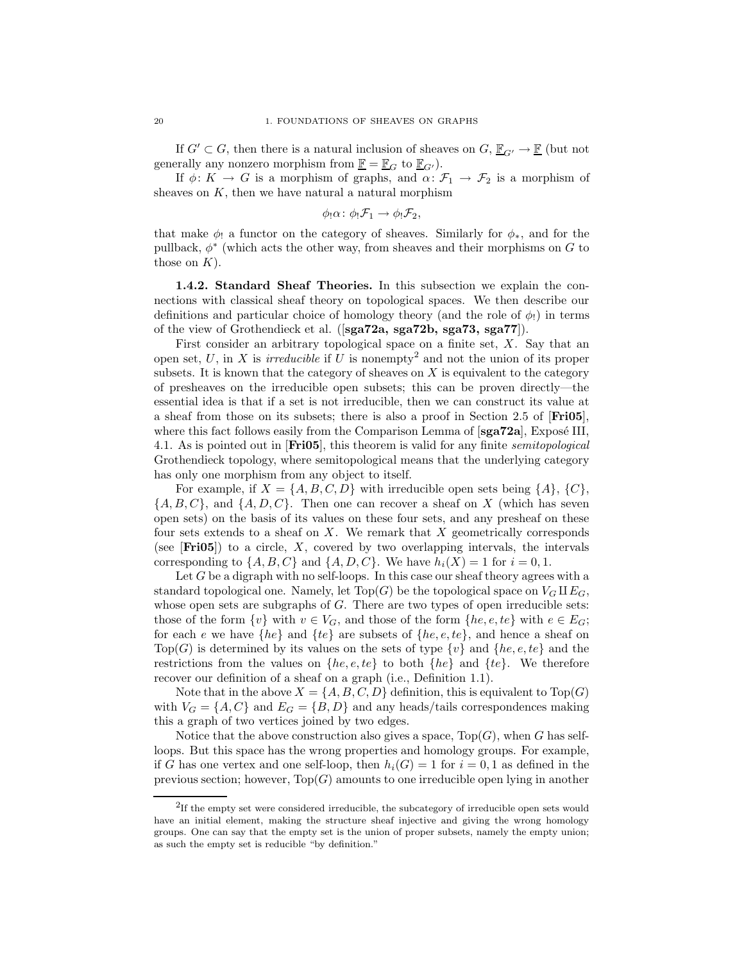If  $G' \subset G$ , then there is a natural inclusion of sheaves on  $G, \underline{\mathbb{F}}_{G'} \to \underline{\mathbb{F}}$  (but not generally any nonzero morphism from  $\underline{\mathbb{F}} = \underline{\mathbb{F}}_G$  to  $\underline{\mathbb{F}}_{G'}$ .

If  $\phi: K \to G$  is a morphism of graphs, and  $\alpha: \mathcal{F}_1 \to \mathcal{F}_2$  is a morphism of sheaves on  $K$ , then we have natural a natural morphism

$$
\phi_!\alpha\colon \phi_!\mathcal{F}_1\to \phi_!\mathcal{F}_2,
$$

that make  $\phi_!$  a functor on the category of sheaves. Similarly for  $\phi_*$ , and for the pullback,  $\phi^*$  (which acts the other way, from sheaves and their morphisms on  $G$  to those on  $K$ ).

1.4.2. Standard Sheaf Theories. In this subsection we explain the connections with classical sheaf theory on topological spaces. We then describe our definitions and particular choice of homology theory (and the role of  $\phi_1$ ) in terms of the view of Grothendieck et al. ([sga72a, sga72b, sga73, sga77]).

First consider an arbitrary topological space on a finite set, X. Say that an open set, U, in X is *irreducible* if U is nonempty<sup>2</sup> and not the union of its proper subsets. It is known that the category of sheaves on  $X$  is equivalent to the category of presheaves on the irreducible open subsets; this can be proven directly—the essential idea is that if a set is not irreducible, then we can construct its value at a sheaf from those on its subsets; there is also a proof in Section 2.5 of [Fri05], where this fact follows easily from the Comparison Lemma of  $[\text{sga72a}]$ , Exposé III, 4.1. As is pointed out in [Fri05], this theorem is valid for any finite semitopological Grothendieck topology, where semitopological means that the underlying category has only one morphism from any object to itself.

For example, if  $X = \{A, B, C, D\}$  with irreducible open sets being  $\{A\}$ ,  $\{C\}$ ,  $\{A, B, C\}$ , and  $\{A, D, C\}$ . Then one can recover a sheaf on X (which has seven open sets) on the basis of its values on these four sets, and any presheaf on these four sets extends to a sheaf on  $X$ . We remark that  $X$  geometrically corresponds (see  $[**Fri05**])$  to a circle, X, covered by two overlapping intervals, the intervals corresponding to  $\{A, B, C\}$  and  $\{A, D, C\}$ . We have  $h_i(X) = 1$  for  $i = 0, 1$ .

Let  $G$  be a digraph with no self-loops. In this case our sheaf theory agrees with a standard topological one. Namely, let  $Top(G)$  be the topological space on  $V_G \amalg E_G$ , whose open sets are subgraphs of G. There are two types of open irreducible sets: those of the form  $\{v\}$  with  $v \in V_G$ , and those of the form  $\{he, e, te\}$  with  $e \in E_G$ ; for each e we have  $\{he\}$  and  $\{te\}$  are subsets of  $\{he, e, te\}$ , and hence a sheaf on  $Top(G)$  is determined by its values on the sets of type  $\{v\}$  and  $\{he, e, te\}$  and the restrictions from the values on  $\{he, e, te\}$  to both  $\{he\}$  and  $\{te\}$ . We therefore recover our definition of a sheaf on a graph (i.e., Definition 1.1).

Note that in the above  $X = \{A, B, C, D\}$  definition, this is equivalent to  $Top(G)$ with  $V_G = \{A, C\}$  and  $E_G = \{B, D\}$  and any heads/tails correspondences making this a graph of two vertices joined by two edges.

Notice that the above construction also gives a space,  $Top(G)$ , when G has selfloops. But this space has the wrong properties and homology groups. For example, if G has one vertex and one self-loop, then  $h_i(G) = 1$  for  $i = 0, 1$  as defined in the previous section; however,  $Top(G)$  amounts to one irreducible open lying in another

 $2$ If the empty set were considered irreducible, the subcategory of irreducible open sets would have an initial element, making the structure sheaf injective and giving the wrong homology groups. One can say that the empty set is the union of proper subsets, namely the empty union; as such the empty set is reducible "by definition."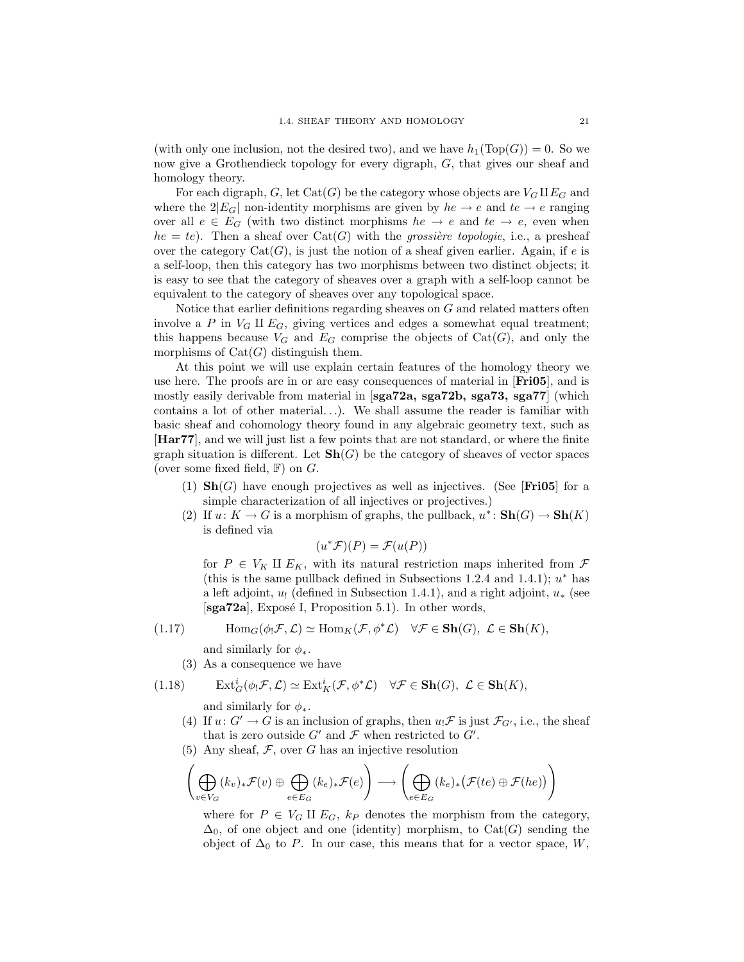(with only one inclusion, not the desired two), and we have  $h_1(\text{Top}(G)) = 0$ . So we now give a Grothendieck topology for every digraph, G, that gives our sheaf and homology theory.

For each digraph, G, let  $Cat(G)$  be the category whose objects are  $V_G \amalg E_G$  and where the  $2|E_G|$  non-identity morphisms are given by  $he \rightarrow e$  and  $te \rightarrow e$  ranging over all  $e \in E_G$  (with two distinct morphisms  $he \to e$  and  $te \to e$ , even when  $he = te$ ). Then a sheaf over  $Cat(G)$  with the *grossière topologie*, i.e., a presheaf over the category  $Cat(G)$ , is just the notion of a sheaf given earlier. Again, if e is a self-loop, then this category has two morphisms between two distinct objects; it is easy to see that the category of sheaves over a graph with a self-loop cannot be equivalent to the category of sheaves over any topological space.

Notice that earlier definitions regarding sheaves on G and related matters often involve a P in  $V_G \amalg E_G$ , giving vertices and edges a somewhat equal treatment; this happens because  $V_G$  and  $E_G$  comprise the objects of  $Cat(G)$ , and only the morphisms of  $Cat(G)$  distinguish them.

At this point we will use explain certain features of the homology theory we use here. The proofs are in or are easy consequences of material in [Fri05], and is mostly easily derivable from material in [sga72a, sga72b, sga73, sga77] (which contains a lot of other material. . .). We shall assume the reader is familiar with basic sheaf and cohomology theory found in any algebraic geometry text, such as [Har77], and we will just list a few points that are not standard, or where the finite graph situation is different. Let  $\text{Sh}(G)$  be the category of sheaves of vector spaces (over some fixed field,  $F$ ) on  $G$ .

- (1)  $\text{Sh}(G)$  have enough projectives as well as injectives. (See [Fri05] for a simple characterization of all injectives or projectives.)
- (2) If  $u: K \to G$  is a morphism of graphs, the pullback,  $u^*: Sh(G) \to Sh(K)$ is defined via

$$
(u^* \mathcal{F})(P) = \mathcal{F}(u(P))
$$

for  $P \in V_K \amalg E_K$ , with its natural restriction maps inherited from  $\mathcal F$ (this is the same pullback defined in Subsections 1.2.4 and 1.4.1);  $u^*$  has a left adjoint,  $u_1$  (defined in Subsection 1.4.1), and a right adjoint,  $u_*$  (see [sga72a], Exposé I, Proposition 5.1). In other words,

(1.17) 
$$
\text{Hom}_G(\phi_! \mathcal{F}, \mathcal{L}) \simeq \text{Hom}_K(\mathcal{F}, \phi^* \mathcal{L}) \quad \forall \mathcal{F} \in \text{Sh}(G), \ \mathcal{L} \in \text{Sh}(K),
$$

and similarly for  $\phi_*$ .

(3) As a consequence we have

(1.18) 
$$
\operatorname{Ext}^i_G(\phi_! \mathcal{F}, \mathcal{L}) \simeq \operatorname{Ext}^i_K(\mathcal{F}, \phi^* \mathcal{L}) \quad \forall \mathcal{F} \in \mathbf{Sh}(G), \ \mathcal{L} \in \mathbf{Sh}(K),
$$

and similarly for  $\phi_*$ .

- (4) If  $u: G' \to G$  is an inclusion of graphs, then  $u_1 \mathcal{F}$  is just  $\mathcal{F}_{G'}$ , i.e., the sheaf that is zero outside  $G'$  and  $\mathcal F$  when restricted to  $G'$ .
- (5) Any sheaf,  $\mathcal F$ , over G has an injective resolution

$$
\left(\bigoplus_{v\in V_G} (k_v)_*\mathcal{F}(v) \oplus \bigoplus_{e\in E_G} (k_e)_*\mathcal{F}(e)\right) \longrightarrow \left(\bigoplus_{e\in E_G} (k_e)_*\big(\mathcal{F}(te) \oplus \mathcal{F}(he)\big)\right)
$$

where for  $P \in V_G \amalg E_G$ ,  $k_P$  denotes the morphism from the category,  $\Delta_0$ , of one object and one (identity) morphism, to Cat(G) sending the object of  $\Delta_0$  to P. In our case, this means that for a vector space, W,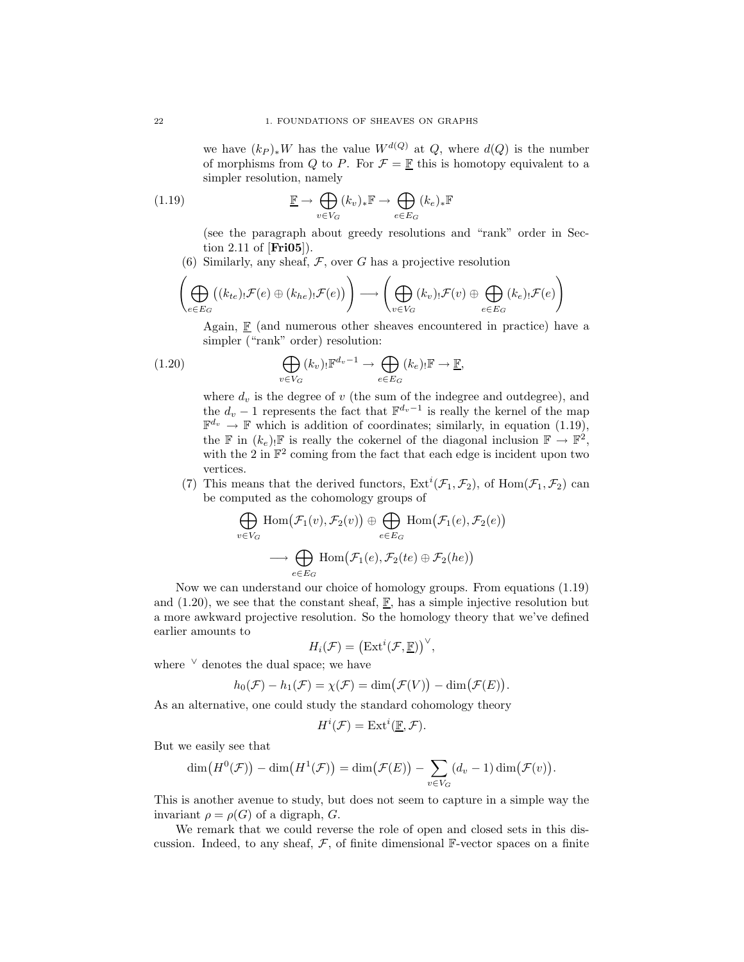we have  $(k_P)_*W$  has the value  $W^{d(Q)}$  at Q, where  $d(Q)$  is the number of morphisms from Q to P. For  $\mathcal{F} = \mathbb{F}$  this is homotopy equivalent to a simpler resolution, namely

(1.19) 
$$
\underline{\mathbb{F}} \to \bigoplus_{v \in V_G} (k_v)_* \mathbb{F} \to \bigoplus_{e \in E_G} (k_e)_* \mathbb{F}
$$

(see the paragraph about greedy resolutions and "rank" order in Section 2.11 of [Fri05]).

(6) Similarly, any sheaf,  $F$ , over  $G$  has a projective resolution

$$
\left(\bigoplus_{e \in E_G} \left((k_{te})_! \mathcal{F}(e) \oplus (k_{he})_! \mathcal{F}(e)\right)\right) \longrightarrow \left(\bigoplus_{v \in V_G} (k_v)_! \mathcal{F}(v) \oplus \bigoplus_{e \in E_G} (k_e)_! \mathcal{F}(e)\right)
$$

Again,  $\underline{\mathbb{F}}$  (and numerous other sheaves encountered in practice) have a simpler ("rank" order) resolution:

(1.20) 
$$
\bigoplus_{v \in V_G} (k_v)_! \mathbb{F}^{d_v - 1} \to \bigoplus_{e \in E_G} (k_e)_! \mathbb{F} \to \mathbb{F},
$$

where  $d_v$  is the degree of v (the sum of the indegree and outdegree), and the  $d_v - 1$  represents the fact that  $\mathbb{F}^{d_v-1}$  is really the kernel of the map  $\mathbb{F}^{d_v} \to \mathbb{F}$  which is addition of coordinates; similarly, in equation (1.19), the  $\mathbb F$  in  $(k_e)$ !  $\mathbb F$  is really the cokernel of the diagonal inclusion  $\mathbb F \to \mathbb F^2$ , with the 2 in  $\mathbb{F}^2$  coming from the fact that each edge is incident upon two vertices.

(7) This means that the derived functors,  $\text{Ext}^i(\mathcal{F}_1, \mathcal{F}_2)$ , of  $\text{Hom}(\mathcal{F}_1, \mathcal{F}_2)$  can be computed as the cohomology groups of

$$
\bigoplus_{v \in V_G} \text{Hom}(\mathcal{F}_1(v), \mathcal{F}_2(v)) \oplus \bigoplus_{e \in E_G} \text{Hom}(\mathcal{F}_1(e), \mathcal{F}_2(e))
$$

$$
\longrightarrow \bigoplus_{e \in E_G} \text{Hom}(\mathcal{F}_1(e), \mathcal{F}_2(te) \oplus \mathcal{F}_2(he))
$$

Now we can understand our choice of homology groups. From equations (1.19) and  $(1.20)$ , we see that the constant sheaf,  $\mathbb{F}$ , has a simple injective resolution but a more awkward projective resolution. So the homology theory that we've defined earlier amounts to

$$
H_i(\mathcal{F}) = (\text{Ext}^i(\mathcal{F}, \underline{\mathbb{F}}))^{\vee},
$$

where  $\vee$  denotes the dual space; we have

$$
h_0(\mathcal{F}) - h_1(\mathcal{F}) = \chi(\mathcal{F}) = \dim(\mathcal{F}(V)) - \dim(\mathcal{F}(E)).
$$

As an alternative, one could study the standard cohomology theory

$$
H^{i}(\mathcal{F}) = \mathrm{Ext}^{i}(\underline{\mathbb{F}}, \mathcal{F}).
$$

But we easily see that

$$
\dim\big(H^0(\mathcal{F})\big)-\dim\big(H^1(\mathcal{F})\big)=\dim\big(\mathcal{F}(E)\big)-\sum_{v\in V_G}(d_v-1)\dim\big(\mathcal{F}(v)\big).
$$

This is another avenue to study, but does not seem to capture in a simple way the invariant  $\rho = \rho(G)$  of a digraph, G.

We remark that we could reverse the role of open and closed sets in this discussion. Indeed, to any sheaf,  $\mathcal F$ , of finite dimensional  $\mathbb F$ -vector spaces on a finite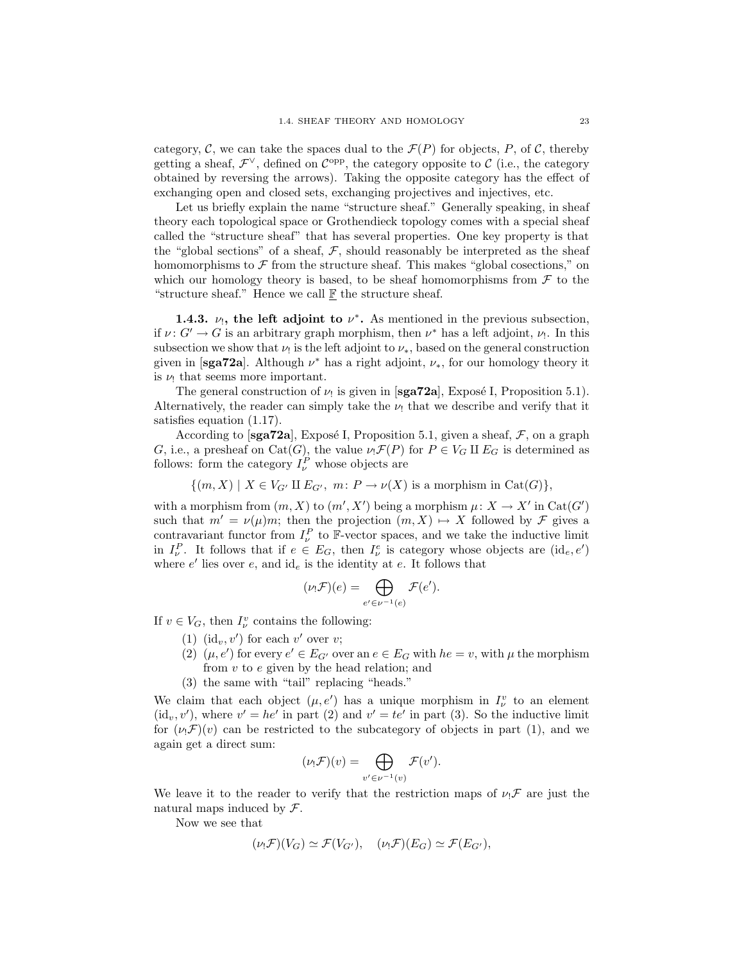category, C, we can take the spaces dual to the  $\mathcal{F}(P)$  for objects, P, of C, thereby getting a sheaf,  $\mathcal{F}^{\vee}$ , defined on  $\mathcal{C}^{\text{opp}}$ , the category opposite to  $\mathcal{C}$  (i.e., the category obtained by reversing the arrows). Taking the opposite category has the effect of exchanging open and closed sets, exchanging projectives and injectives, etc.

Let us briefly explain the name "structure sheaf." Generally speaking, in sheaf theory each topological space or Grothendieck topology comes with a special sheaf called the "structure sheaf" that has several properties. One key property is that the "global sections" of a sheaf,  $\mathcal F$ , should reasonably be interpreted as the sheaf homomorphisms to  $\mathcal F$  from the structure sheaf. This makes "global cosections," on which our homology theory is based, to be sheaf homomorphisms from  $\mathcal F$  to the "structure sheaf." Hence we call  $\underline{\mathbb{F}}$  the structure sheaf.

**1.4.3.**  $\nu_!,$  the left adjoint to  $\nu^*$ . As mentioned in the previous subsection, if  $\nu: G' \to G$  is an arbitrary graph morphism, then  $\nu^*$  has a left adjoint,  $\nu_!$ . In this subsection we show that  $\nu_!$  is the left adjoint to  $\nu_*,$  based on the general construction given in [sga72a]. Although  $\nu^*$  has a right adjoint,  $\nu_*,$  for our homology theory it is  $\nu_1$  that seems more important.

The general construction of  $\nu_!$  is given in [sga72a], Exposé I, Proposition 5.1). Alternatively, the reader can simply take the  $\nu_1$  that we describe and verify that it satisfies equation (1.17).

According to [sga72a], Exposé I, Proposition 5.1, given a sheaf,  $\mathcal{F}$ , on a graph G, i.e., a presheaf on Cat(G), the value  $\nu \mathcal{F}(P)$  for  $P \in V_G \amalg E_G$  is determined as follows: form the category  $I_{\nu}^{P}$  whose objects are

 $\{(m, X) \mid X \in V_{G'} \amalg E_{G'}, m \colon P \to \nu(X) \text{ is a morphism in } \mathrm{Cat}(G)\},\$ 

with a morphism from  $(m, X)$  to  $(m', X')$  being a morphism  $\mu: X \to X'$  in  $Cat(G')$ such that  $m' = \nu(\mu)m$ ; then the projection  $(m, X) \mapsto X$  followed by  $\mathcal F$  gives a contravariant functor from  $I_{\nu}^{P}$  to  $\mathbb{F}\text{-vector spaces}$ , and we take the inductive limit in  $I_{\nu}^P$ . It follows that if  $e \in E_G$ , then  $I_{\nu}^e$  is category whose objects are  $(\mathrm{id}_{e}, e')$ where  $e'$  lies over  $e$ , and  $id_e$  is the identity at  $e$ . It follows that

$$
(\nu_!\mathcal{F})(e)=\bigoplus_{e'\in\nu^{-1}(e)}\mathcal{F}(e').
$$

If  $v \in V_G$ , then  $I_{\nu}^v$  contains the following:

- (1)  $(id_v, v')$  for each v' over v;
- (2)  $(\mu, e')$  for every  $e' \in E_{G'}$  over an  $e \in E_G$  with  $he = v$ , with  $\mu$  the morphism from  $v$  to  $e$  given by the head relation; and
- (3) the same with "tail" replacing "heads."

We claim that each object  $(\mu, e')$  has a unique morphism in  $I^v_\nu$  to an element  $(id_v, v')$ , where  $v' = he'$  in part (2) and  $v' = te'$  in part (3). So the inductive limit for  $(\nu_1 \mathcal{F})(v)$  can be restricted to the subcategory of objects in part (1), and we again get a direct sum:

$$
(\nu_!\mathcal{F})(v) = \bigoplus_{v' \in \nu^{-1}(v)} \mathcal{F}(v').
$$

We leave it to the reader to verify that the restriction maps of  $\nu \mathcal{F}$  are just the natural maps induced by  $\mathcal{F}.$ 

Now we see that

$$
(\nu_!\mathcal{F})(V_G) \simeq \mathcal{F}(V_{G'}), \quad (\nu_!\mathcal{F})(E_G) \simeq \mathcal{F}(E_{G'}),
$$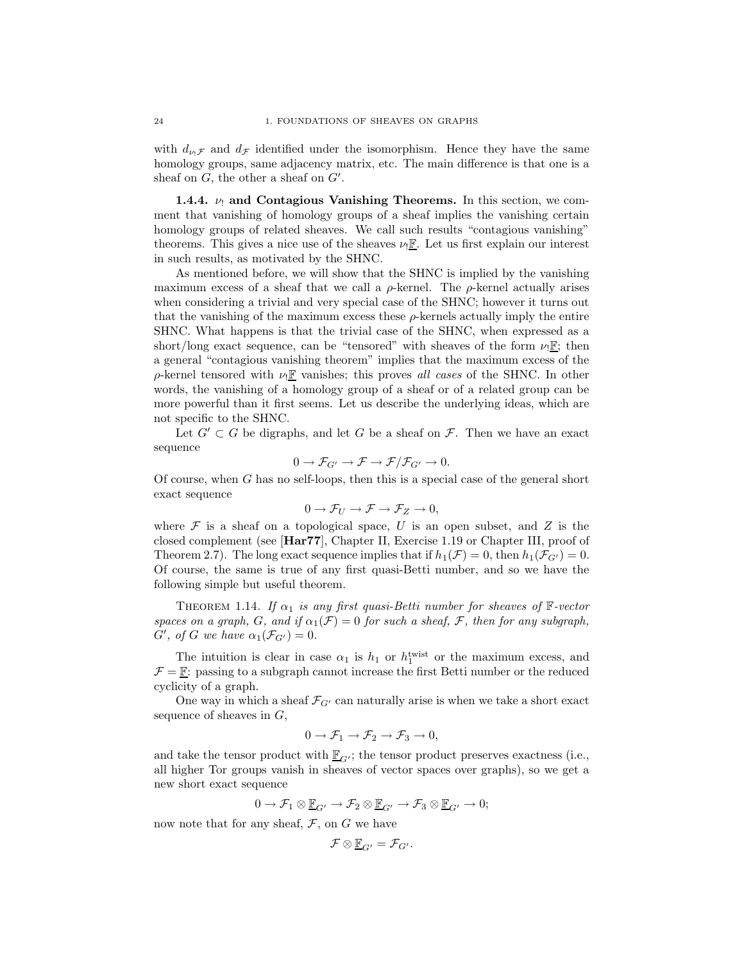with  $d_{\nu}$  and  $d_{\mathcal{F}}$  identified under the isomorphism. Hence they have the same homology groups, same adjacency matrix, etc. The main difference is that one is a sheaf on  $G$ , the other a sheaf on  $G'$ .

1.4.4.  $\nu_1$  and Contagious Vanishing Theorems. In this section, we comment that vanishing of homology groups of a sheaf implies the vanishing certain homology groups of related sheaves. We call such results "contagious vanishing" theorems. This gives a nice use of the sheaves  $\nu \mathbb{F}$ . Let us first explain our interest in such results, as motivated by the SHNC.

As mentioned before, we will show that the SHNC is implied by the vanishing maximum excess of a sheaf that we call a  $\rho$ -kernel. The  $\rho$ -kernel actually arises when considering a trivial and very special case of the SHNC; however it turns out that the vanishing of the maximum excess these  $\rho$ -kernels actually imply the entire SHNC. What happens is that the trivial case of the SHNC, when expressed as a short/long exact sequence, can be "tensored" with sheaves of the form  $\nu \mathbb{F}$ ; then a general "contagious vanishing theorem" implies that the maximum excess of the  $ρ$ -kernel tensored with  $ν$ <sup> $F$ </sup> vanishes; this proves all cases of the SHNC. In other words, the vanishing of a homology group of a sheaf or of a related group can be more powerful than it first seems. Let us describe the underlying ideas, which are not specific to the SHNC.

Let  $G' \subset G$  be digraphs, and let G be a sheaf on  $\mathcal{F}$ . Then we have an exact sequence

$$
0 \to \mathcal{F}_{G'} \to \mathcal{F} \to \mathcal{F}/\mathcal{F}_{G'} \to 0.
$$

Of course, when G has no self-loops, then this is a special case of the general short exact sequence

$$
0 \to \mathcal{F}_U \to \mathcal{F} \to \mathcal{F}_Z \to 0,
$$

where  $\mathcal F$  is a sheaf on a topological space, U is an open subset, and Z is the closed complement (see [Har77], Chapter II, Exercise 1.19 or Chapter III, proof of Theorem 2.7). The long exact sequence implies that if  $h_1(\mathcal{F}) = 0$ , then  $h_1(\mathcal{F}_{G}) = 0$ . Of course, the same is true of any first quasi-Betti number, and so we have the following simple but useful theorem.

THEOREM 1.14. If  $\alpha_1$  is any first quasi-Betti number for sheaves of  $\mathbb{F}\text{-vector}$ spaces on a graph, G, and if  $\alpha_1(\mathcal{F}) = 0$  for such a sheaf,  $\mathcal{F}$ , then for any subgraph,  $G'$ , of G we have  $\alpha_1(\mathcal{F}_{G'})=0$ .

The intuition is clear in case  $\alpha_1$  is  $h_1$  or  $h_1^{\text{twist}}$  or the maximum excess, and  $\mathcal{F} = \mathbb{F}$ : passing to a subgraph cannot increase the first Betti number or the reduced cyclicity of a graph.

One way in which a sheaf  $\mathcal{F}_{G'}$  can naturally arise is when we take a short exact sequence of sheaves in  $G$ ,

$$
0\to \mathcal{F}_1\to \mathcal{F}_2\to \mathcal{F}_3\to 0,
$$

and take the tensor product with  $\underline{\mathbb{F}}_{G}$ ; the tensor product preserves exactness (i.e., all higher Tor groups vanish in sheaves of vector spaces over graphs), so we get a new short exact sequence

$$
0 \to \mathcal{F}_1 \otimes \underline{\mathbb{F}}_{G'} \to \mathcal{F}_2 \otimes \underline{\mathbb{F}}_{G'} \to \mathcal{F}_3 \otimes \underline{\mathbb{F}}_{G'} \to 0;
$$

now note that for any sheaf,  $\mathcal F$ , on  $G$  we have

$$
\mathcal{F}\otimes \underline{\mathbb{F}}_{G'}=\mathcal{F}_{G'}.
$$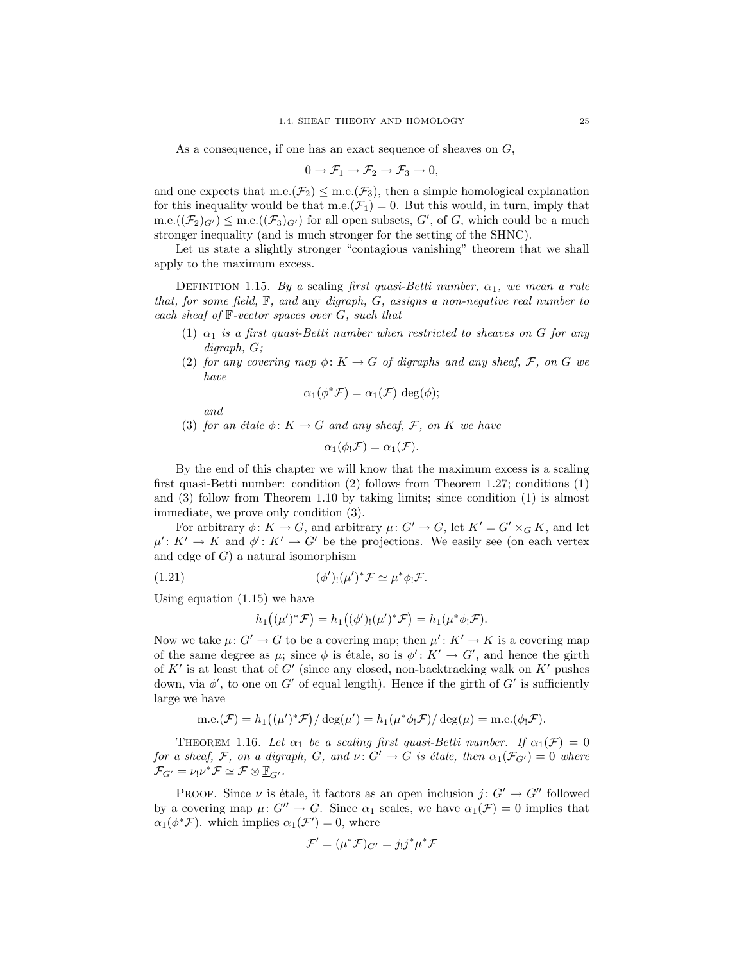As a consequence, if one has an exact sequence of sheaves on G,

$$
0 \to \mathcal{F}_1 \to \mathcal{F}_2 \to \mathcal{F}_3 \to 0,
$$

and one expects that m.e. $(\mathcal{F}_2) \leq$  m.e. $(\mathcal{F}_3)$ , then a simple homological explanation for this inequality would be that m.e. $(\mathcal{F}_1) = 0$ . But this would, in turn, imply that  $m.e.((\mathcal{F}_2)_{G'}) \leq m.e.((\mathcal{F}_3)_{G'})$  for all open subsets,  $G'$ , of  $G$ , which could be a much stronger inequality (and is much stronger for the setting of the SHNC).

Let us state a slightly stronger "contagious vanishing" theorem that we shall apply to the maximum excess.

DEFINITION 1.15. By a scaling first quasi-Betti number,  $\alpha_1$ , we mean a rule that, for some field,  $F$ , and any digraph,  $G$ , assigns a non-negative real number to each sheaf of  $\mathbb{F}\text{-vector spaces over }G$ , such that

- (1)  $\alpha_1$  is a first quasi-Betti number when restricted to sheaves on G for any digraph, G;
- (2) for any covering map  $\phi: K \to G$  of digraphs and any sheaf, F, on G we have

$$
\alpha_1(\phi^* \mathcal{F}) = \alpha_1(\mathcal{F}) \deg(\phi);
$$

and

(3) for an étale  $\phi: K \to G$  and any sheaf, F, on K we have

$$
\alpha_1(\phi_!\mathcal{F}) = \alpha_1(\mathcal{F}).
$$

By the end of this chapter we will know that the maximum excess is a scaling first quasi-Betti number: condition (2) follows from Theorem 1.27; conditions (1) and (3) follow from Theorem 1.10 by taking limits; since condition (1) is almost immediate, we prove only condition (3).

For arbitrary  $\phi: K \to G$ , and arbitrary  $\mu: G' \to G$ , let  $K' = G' \times_G K$ , and let  $\mu' : K' \to K$  and  $\phi' : K' \to G'$  be the projections. We easily see (on each vertex and edge of  $G$ ) a natural isomorphism

(1.21) 
$$
(\phi')_!(\mu')^* \mathcal{F} \simeq \mu^* \phi_! \mathcal{F}.
$$

Using equation (1.15) we have

$$
h_1((\mu')^*\mathcal{F}) = h_1((\phi')_!(\mu')^*\mathcal{F}) = h_1(\mu^*\phi_!\mathcal{F}).
$$

Now we take  $\mu: G' \to G$  to be a covering map; then  $\mu': K' \to K$  is a covering map of the same degree as  $\mu$ ; since  $\phi$  is étale, so is  $\phi' : K' \to G'$ , and hence the girth of  $K'$  is at least that of  $G'$  (since any closed, non-backtracking walk on  $K'$  pushes down, via  $\phi'$ , to one on G' of equal length). Hence if the girth of G' is sufficiently large we have

$$
m.e.(\mathcal{F}) = h_1((\mu')^*\mathcal{F})/deg(\mu') = h_1(\mu^*\phi_!\mathcal{F})/deg(\mu) = m.e.(\phi_!\mathcal{F}).
$$

THEOREM 1.16. Let  $\alpha_1$  be a scaling first quasi-Betti number. If  $\alpha_1(\mathcal{F}) = 0$ for a sheaf, F, on a digraph, G, and  $\nu: G' \to G$  is étale, then  $\alpha_1(\mathcal{F}_{G'}) = 0$  where  $\mathcal{F}_{G'} = \nu_!\nu^* \mathcal{F} \simeq \mathcal{F} \otimes \underline{\mathbb{F}}_{G'}.$ 

PROOF. Since  $\nu$  is étale, it factors as an open inclusion  $j: G' \to G''$  followed by a covering map  $\mu: G'' \to G$ . Since  $\alpha_1$  scales, we have  $\alpha_1(\mathcal{F}) = 0$  implies that  $\alpha_1(\phi^*\mathcal{F})$ . which implies  $\alpha_1(\mathcal{F}')=0$ , where

$$
\mathcal{F}' = (\mu^* \mathcal{F})_{G'} = j_! j^* \mu^* \mathcal{F}
$$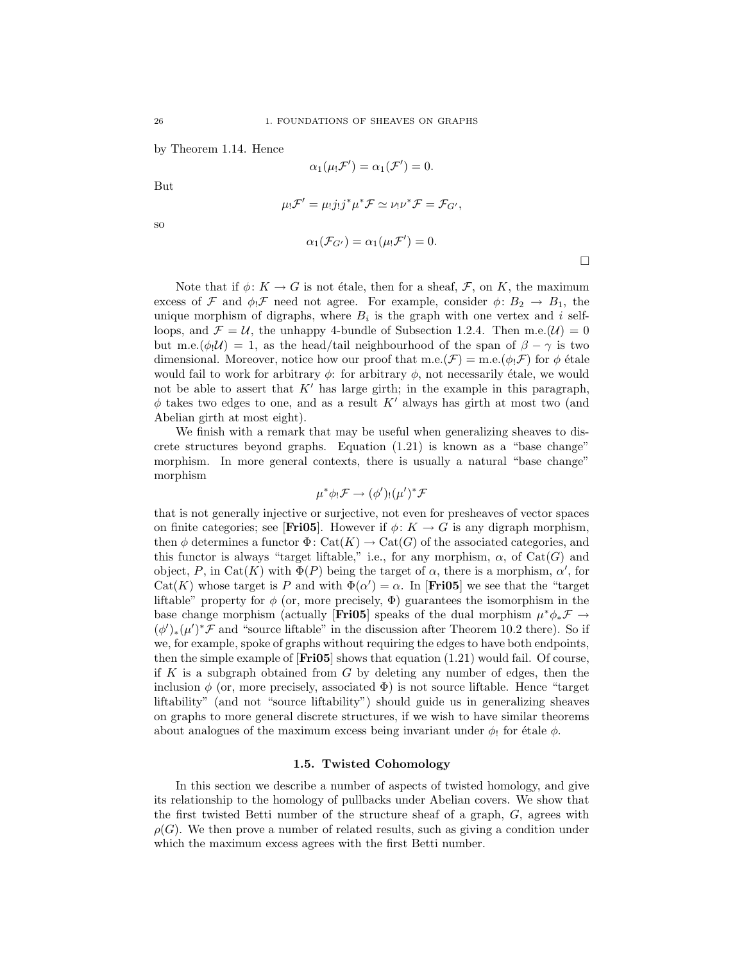by Theorem 1.14. Hence

$$
\alpha_1(\mu_!\mathcal{F}') = \alpha_1(\mathcal{F}') = 0.
$$

But

$$
\mu_!\mathcal{F}'=\mu_!j_!j^*\mu^*\mathcal{F}\simeq \nu_!\nu^*\mathcal{F}=\mathcal{F}_{G'},
$$

so

$$
\alpha_1(\mathcal{F}_{G'}) = \alpha_1(\mu_!\mathcal{F}') = 0.
$$

Note that if  $\phi: K \to G$  is not étale, then for a sheaf, F, on K, the maximum excess of F and  $\phi_!$ F need not agree. For example, consider  $\phi: B_2 \to B_1$ , the unique morphism of digraphs, where  $B_i$  is the graph with one vertex and i selfloops, and  $\mathcal{F} = \mathcal{U}$ , the unhappy 4-bundle of Subsection 1.2.4. Then m.e. $(\mathcal{U}) = 0$ but m.e. $(\phi_1 U) = 1$ , as the head/tail neighbourhood of the span of  $\beta - \gamma$  is two dimensional. Moreover, notice how our proof that m.e. $(\mathcal{F}) =$  m.e. $(\phi_1 \mathcal{F})$  for  $\phi$  étale would fail to work for arbitrary  $\phi$ : for arbitrary  $\phi$ , not necessarily étale, we would not be able to assert that  $K'$  has large girth; in the example in this paragraph,  $\phi$  takes two edges to one, and as a result K' always has girth at most two (and Abelian girth at most eight).

We finish with a remark that may be useful when generalizing sheaves to discrete structures beyond graphs. Equation (1.21) is known as a "base change" morphism. In more general contexts, there is usually a natural "base change" morphism

$$
\mu^* \phi_! \mathcal{F} \to (\phi')_! (\mu')^* \mathcal{F}
$$

that is not generally injective or surjective, not even for presheaves of vector spaces on finite categories; see [**Fri05**]. However if  $\phi: K \to G$  is any digraph morphism, then  $\phi$  determines a functor  $\Phi$ : Cat $(K) \to \mathrm{Cat}(G)$  of the associated categories, and this functor is always "target liftable," i.e., for any morphism,  $\alpha$ , of Cat(G) and object, P, in Cat(K) with  $\Phi(P)$  being the target of  $\alpha$ , there is a morphism,  $\alpha'$ , for Cat(K) whose target is P and with  $\Phi(\alpha') = \alpha$ . In [Fri05] we see that the "target" liftable" property for  $\phi$  (or, more precisely,  $\Phi$ ) guarantees the isomorphism in the base change morphism (actually [Fri05] speaks of the dual morphism  $\mu^*\phi_*\mathcal{F} \to$  $(\phi')_*(\mu')^*\mathcal{F}$  and "source liftable" in the discussion after Theorem 10.2 there). So if we, for example, spoke of graphs without requiring the edges to have both endpoints, then the simple example of  $[**Fri05**]$  shows that equation  $(1.21)$  would fail. Of course, if K is a subgraph obtained from  $G$  by deleting any number of edges, then the inclusion  $\phi$  (or, more precisely, associated  $\Phi$ ) is not source liftable. Hence "target liftability" (and not "source liftability") should guide us in generalizing sheaves on graphs to more general discrete structures, if we wish to have similar theorems about analogues of the maximum excess being invariant under  $\phi_1$  for étale  $\phi$ .

### 1.5. Twisted Cohomology

In this section we describe a number of aspects of twisted homology, and give its relationship to the homology of pullbacks under Abelian covers. We show that the first twisted Betti number of the structure sheaf of a graph, G, agrees with  $\rho(G)$ . We then prove a number of related results, such as giving a condition under which the maximum excess agrees with the first Betti number.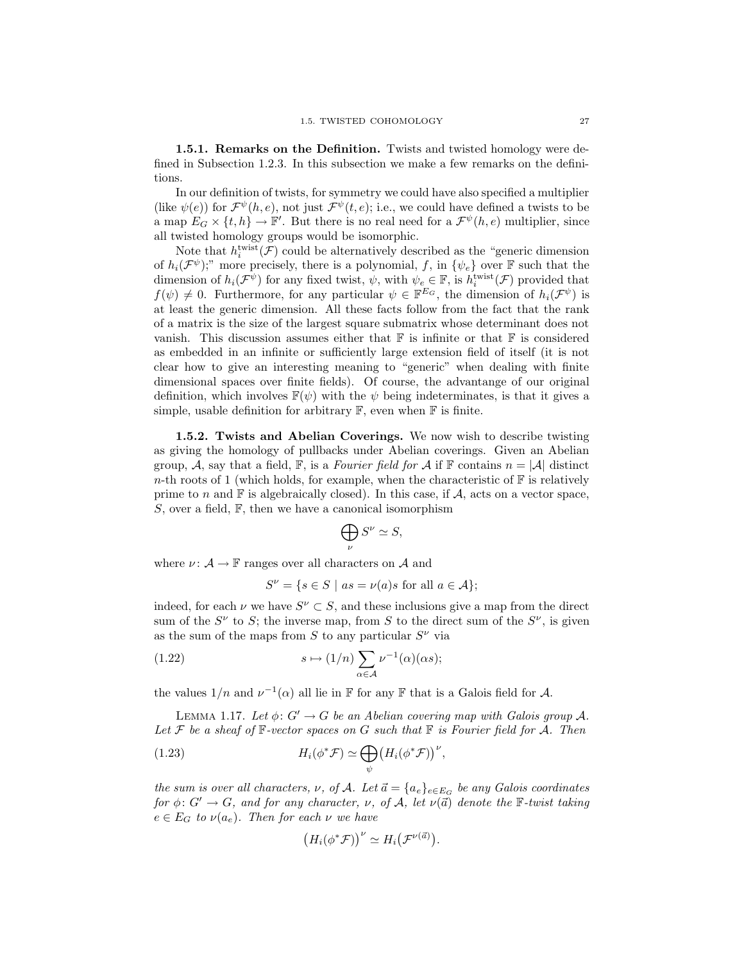**1.5.1. Remarks on the Definition.** Twists and twisted homology were defined in Subsection 1.2.3. In this subsection we make a few remarks on the definitions.

In our definition of twists, for symmetry we could have also specified a multiplier (like  $\psi(e)$ ) for  $\mathcal{F}^{\psi}(h,e)$ , not just  $\mathcal{F}^{\psi}(t,e)$ ; i.e., we could have defined a twists to be a map  $E_G \times \{t, h\} \to \mathbb{F}'$ . But there is no real need for a  $\mathcal{F}^{\psi}(h, e)$  multiplier, since all twisted homology groups would be isomorphic.

Note that  $h_i^{\text{twist}}(\mathcal{F})$  could be alternatively described as the "generic dimension of  $h_i(\mathcal{F}^{\psi})$ ;" more precisely, there is a polynomial, f, in  $\{\psi_e\}$  over  $\mathbb F$  such that the dimension of  $h_i(\mathcal{F}^{\psi})$  for any fixed twist,  $\psi$ , with  $\psi_e \in \mathbb{F}$ , is  $h_i^{\text{twist}}(\mathcal{F})$  provided that  $f(\psi) \neq 0$ . Furthermore, for any particular  $\psi \in \mathbb{F}^{E_G}$ , the dimension of  $h_i(\mathcal{F}^{\psi})$  is at least the generic dimension. All these facts follow from the fact that the rank of a matrix is the size of the largest square submatrix whose determinant does not vanish. This discussion assumes either that  $\mathbb F$  is infinite or that  $\mathbb F$  is considered as embedded in an infinite or sufficiently large extension field of itself (it is not clear how to give an interesting meaning to "generic" when dealing with finite dimensional spaces over finite fields). Of course, the advantange of our original definition, which involves  $\mathbb{F}(\psi)$  with the  $\psi$  being indeterminates, is that it gives a simple, usable definition for arbitrary  $\mathbb{F}$ , even when  $\mathbb{F}$  is finite.

1.5.2. Twists and Abelian Coverings. We now wish to describe twisting as giving the homology of pullbacks under Abelian coverings. Given an Abelian group, A, say that a field, F, is a Fourier field for A if F contains  $n = |\mathcal{A}|$  distinct n-th roots of 1 (which holds, for example, when the characteristic of  $\mathbb F$  is relatively prime to n and  $\mathbb F$  is algebraically closed). In this case, if  $\mathcal A$ , acts on a vector space, S, over a field,  $\mathbb{F}$ , then we have a canonical isomorphism

$$
\bigoplus_{\nu} S^{\nu} \simeq S,
$$

where  $\nu: \mathcal{A} \to \mathbb{F}$  ranges over all characters on  $\mathcal{A}$  and

$$
S^{\nu} = \{ s \in S \mid as = \nu(a)s \text{ for all } a \in \mathcal{A} \};
$$

indeed, for each  $\nu$  we have  $S^{\nu} \subset S$ , and these inclusions give a map from the direct sum of the  $S^{\nu}$  to S; the inverse map, from S to the direct sum of the  $S^{\nu}$ , is given as the sum of the maps from S to any particular  $S^{\nu}$  via

(1.22) 
$$
s \mapsto (1/n) \sum_{\alpha \in A} \nu^{-1}(\alpha)(\alpha s);
$$

the values  $1/n$  and  $\nu^{-1}(\alpha)$  all lie in F for any F that is a Galois field for A.

LEMMA 1.17. Let  $\phi: G' \to G$  be an Abelian covering map with Galois group A. Let  $\mathcal F$  be a sheaf of  $\mathbb F$ -vector spaces on G such that  $\mathbb F$  is Fourier field for A. Then

(1.23) 
$$
H_i(\phi^* \mathcal{F}) \simeq \bigoplus_{\psi} \left(H_i(\phi^* \mathcal{F})\right)^{\nu},
$$

the sum is over all characters,  $\nu$ , of A. Let  $\vec{a} = \{a_e\}_{e \in E_G}$  be any Galois coordinates for  $\phi: G' \to G$ , and for any character,  $\nu$ , of A, let  $\nu(\vec{a})$  denote the F-twist taking  $e \in E_G$  to  $\nu(a_e)$ . Then for each  $\nu$  we have

$$
\big(H_i(\phi^* \mathcal{F})\big)^{\nu} \simeq H_i\big(\mathcal{F}^{\nu(\vec{a})}\big).
$$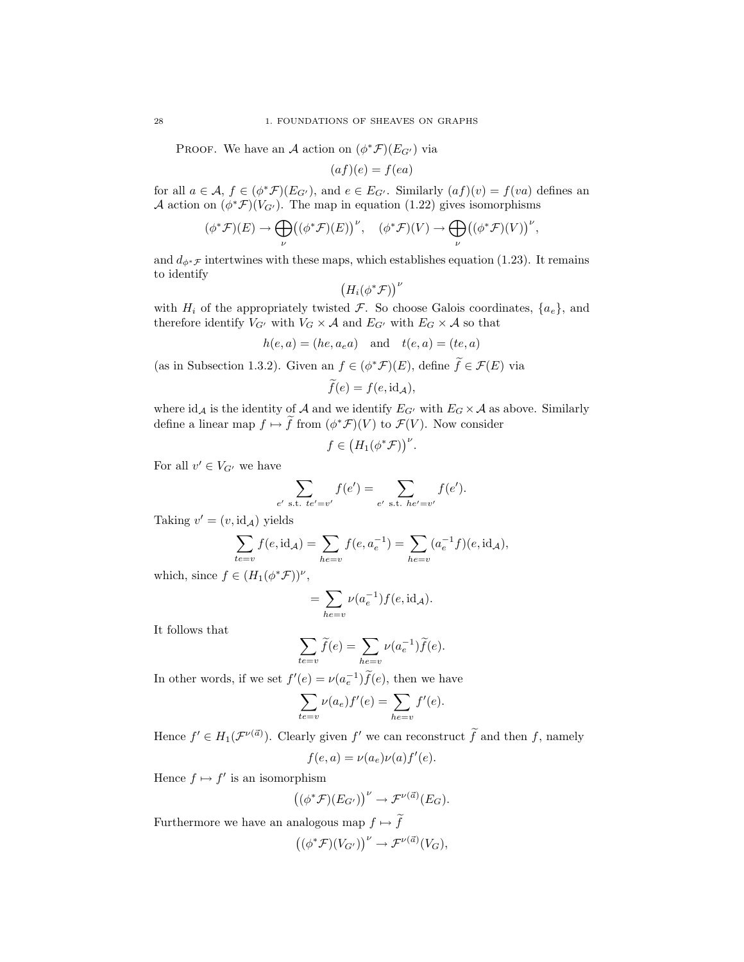PROOF. We have an A action on  $(\phi^* \mathcal{F})(E_{G})$  via

$$
(af)(e) = f(ea)
$$

for all  $a \in \mathcal{A}, f \in (\phi^*\mathcal{F})(E_{G'})$ , and  $e \in E_{G'}$ . Similarly  $(af)(v) = f(va)$  defines an A action on  $(\phi^* \mathcal{F})(V_{G})$ . The map in equation (1.22) gives isomorphisms

$$
(\phi^* \mathcal{F})(E) \to \bigoplus_{\nu} \bigl( (\phi^* \mathcal{F})(E) \bigr)^{\nu}, \quad (\phi^* \mathcal{F})(V) \to \bigoplus_{\nu} \bigl( (\phi^* \mathcal{F})(V) \bigr)^{\nu},
$$

and  $d_{\phi^*\mathcal{F}}$  intertwines with these maps, which establishes equation (1.23). It remains to identify

$$
\big(H_i(\phi^*\mathcal{F})\big)^\nu
$$

with  $H_i$  of the appropriately twisted  $\mathcal F$ . So choose Galois coordinates,  $\{a_e\}$ , and therefore identify  $V_{G'}$  with  $V_G \times A$  and  $E_{G'}$  with  $E_G \times A$  so that

$$
h(e, a) = (he, a_e a) \quad \text{and} \quad t(e, a) = (te, a)
$$

(as in Subsection 1.3.2). Given an  $f \in (\phi^* \mathcal{F})(E)$ , define  $\tilde{f} \in \mathcal{F}(E)$  via

$$
\widetilde{f}(e) = f(e, \mathrm{id}_{\mathcal{A}}),
$$

where  $\mathrm{id}_{\mathcal{A}}$  is the identity of  $\mathcal A$  and we identify  $E_{G'}$  with  $E_G \times \mathcal A$  as above. Similarly define a linear map  $f \mapsto \tilde{f}$  from  $(\phi^* \mathcal{F})(V)$  to  $\mathcal{F}(V)$ . Now consider

$$
f\in (H_1(\phi^*\mathcal{F}))^{\nu}.
$$

For all  $v' \in V_{G'}$  we have

$$
\sum_{s.t. \ te'=v'} f(e') = \sum_{e' \ s.t. \ he'=v'} f(e').
$$

Taking  $v' = (v, \text{id}_{\mathcal{A}})$  yields

e

$$
\sum_{te=v} f(e, id_{\mathcal{A}}) = \sum_{he=v} f(e, a_e^{-1}) = \sum_{he=v} (a_e^{-1} f)(e, id_{\mathcal{A}}),
$$

which, since  $f \in (H_1(\phi^* \mathcal{F}))^{\nu}$ ,

$$
= \sum_{he=v} \nu(a_e^{-1}) f(e, \mathrm{id}_{\mathcal{A}}).
$$

It follows that

$$
\sum_{te=v} \widetilde{f}(e) = \sum_{he=v} \nu(a_e^{-1}) \widetilde{f}(e).
$$

In other words, if we set  $f'(e) = \nu(a_e^{-1}) \tilde{f}(e)$ , then we have

$$
\sum_{te=v} \nu(a_e) f'(e) = \sum_{he=v} f'(e).
$$

Hence  $f' \in H_1(\mathcal{F}^{\nu(\vec{a})})$ . Clearly given  $f'$  we can reconstruct  $\hat{f}$  and then  $f$ , namely

$$
f(e, a) = \nu(a_e)\nu(a)f'(e).
$$

Hence  $f \mapsto f'$  is an isomorphism

$$
((\phi^* \mathcal{F})(E_{G'})^{\nu} \to \mathcal{F}^{\nu(\vec{a})}(E_G).
$$

Furthermore we have an analogous map  $f \mapsto \tilde{f}$ 

$$
((\phi^* \mathcal{F})(V_{G'}))^{\nu} \to \mathcal{F}^{\nu(\vec{a})}(V_G),
$$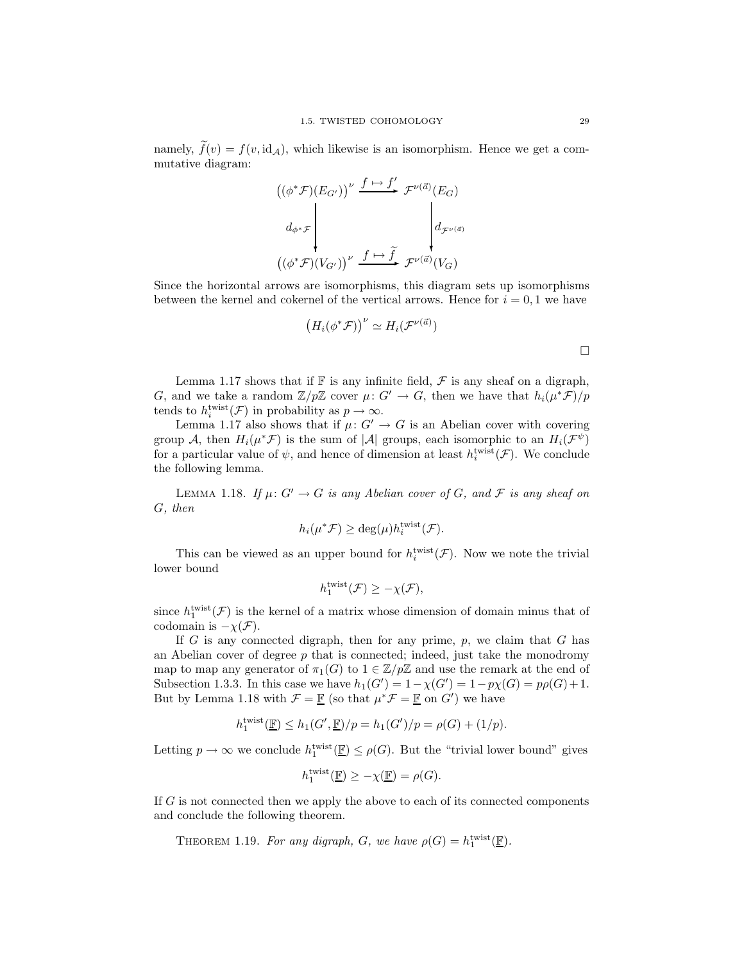namely,  $\tilde{f}(v) = f(v, id_{\mathcal{A}})$ , which likewise is an isomorphism. Hence we get a commutative diagram:

$$
((\phi^* \mathcal{F})(E_{G'}))^{\nu} \xrightarrow{f \mapsto f'} \mathcal{F}^{\nu(\vec{a})}(E_G)
$$

$$
d_{\phi^* \mathcal{F}} \Bigg|_{(\phi^* \mathcal{F})(V_{G'})^{\nu} \xrightarrow{f \mapsto \widetilde{f}} \mathcal{F}^{\nu(\vec{a})}(V_G)}
$$

Since the horizontal arrows are isomorphisms, this diagram sets up isomorphisms between the kernel and cokernel of the vertical arrows. Hence for  $i = 0, 1$  we have

$$
(H_i(\phi^* \mathcal{F}))^{\nu} \simeq H_i(\mathcal{F}^{\nu(\vec{a})})
$$

Lemma 1.17 shows that if  $\mathbb F$  is any infinite field,  $\mathcal F$  is any sheaf on a digraph, G, and we take a random  $\mathbb{Z}/p\mathbb{Z}$  cover  $\mu: G' \to G$ , then we have that  $h_i(\mu^*\mathcal{F})/p$ tends to  $h_i^{\text{twist}}(\mathcal{F})$  in probability as  $p \to \infty$ .

Lemma 1.17 also shows that if  $\mu: G' \to G$  is an Abelian cover with covering group A, then  $H_i(\mu^*\mathcal{F})$  is the sum of |A| groups, each isomorphic to an  $H_i(\mathcal{F}^{\psi})$ for a particular value of  $\psi$ , and hence of dimension at least  $h_i^{\text{twist}}(\mathcal{F})$ . We conclude the following lemma.

LEMMA 1.18. If  $\mu: G' \to G$  is any Abelian cover of G, and F is any sheaf on G, then

$$
h_i(\mu^* \mathcal{F}) \ge \deg(\mu) h_i^{\text{twist}}(\mathcal{F}).
$$

This can be viewed as an upper bound for  $h_i^{\text{twist}}(\mathcal{F})$ . Now we note the trivial lower bound

$$
h_1^{\text{twist}}(\mathcal{F}) \ge -\chi(\mathcal{F}),
$$

since  $h_1^{\text{twist}}(\mathcal{F})$  is the kernel of a matrix whose dimension of domain minus that of codomain is  $-\chi(\mathcal{F})$ .

If  $G$  is any connected digraph, then for any prime,  $p$ , we claim that  $G$  has an Abelian cover of degree  $p$  that is connected; indeed, just take the monodromy map to map any generator of  $\pi_1(G)$  to  $1 \in \mathbb{Z}/p\mathbb{Z}$  and use the remark at the end of Subsection 1.3.3. In this case we have  $h_1(G') = 1 - \chi(G') = 1 - p\chi(G) = p\rho(G) + 1$ . But by Lemma 1.18 with  $\mathcal{F} = \mathbb{F}$  (so that  $\mu^* \mathcal{F} = \mathbb{F}$  on  $G'$ ) we have

$$
h_1^{\text{twist}}(\underline{\mathbb{F}}) \le h_1(G', \underline{\mathbb{F}})/p = h_1(G')/p = \rho(G) + (1/p).
$$

Letting  $p \to \infty$  we conclude  $h_1^{\text{twist}}(\underline{\mathbb{F}}) \leq \rho(G)$ . But the "trivial lower bound" gives

$$
h_1^{\text{twist}}(\underline{\mathbb{F}}) \ge -\chi(\underline{\mathbb{F}}) = \rho(G).
$$

If G is not connected then we apply the above to each of its connected components and conclude the following theorem.

THEOREM 1.19. For any digraph, G, we have  $\rho(G) = h_1^{\text{twist}}(\mathbb{F})$ .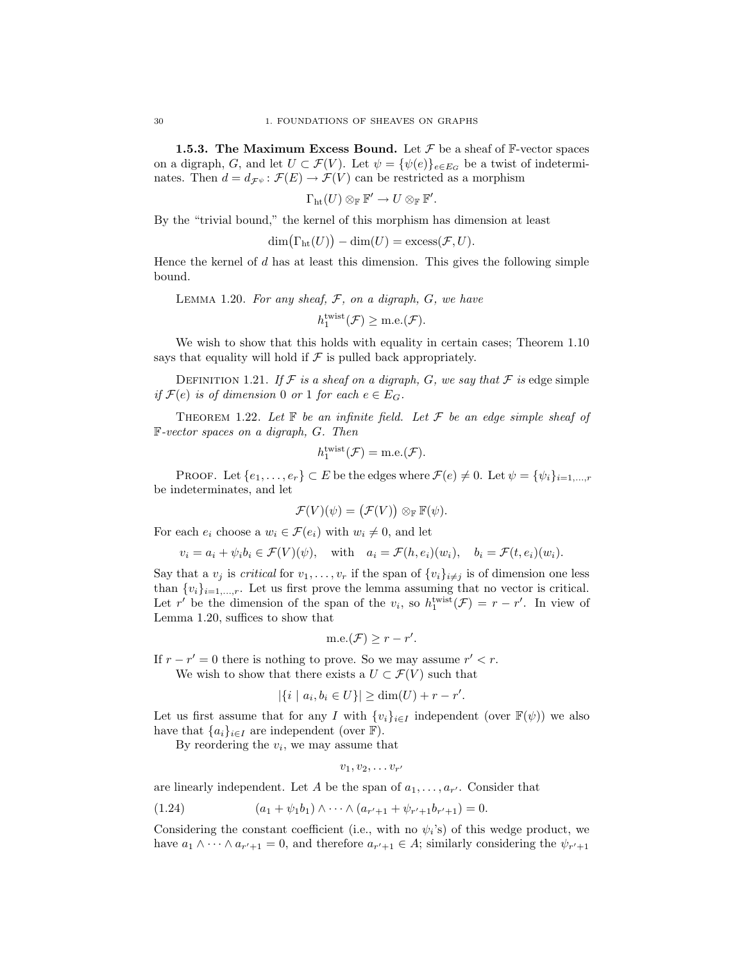**1.5.3. The Maximum Excess Bound.** Let  $\mathcal{F}$  be a sheaf of  $\mathbb{F}$ -vector spaces on a digraph, G, and let  $U \subset \mathcal{F}(V)$ . Let  $\psi = {\psi(e)}_{e \in E_G}$  be a twist of indeterminates. Then  $d = d_{\mathcal{F}^{\psi}} : \mathcal{F}(E) \to \mathcal{F}(V)$  can be restricted as a morphism

 $\Gamma_{\rm ht}(U)\otimes_{\mathbb F}\mathbb F'\to U\otimes_{\mathbb F}\mathbb F'.$ 

By the "trivial bound," the kernel of this morphism has dimension at least

$$
\dim(\Gamma_{\rm ht}(U)) - \dim(U) = \text{excess}(\mathcal{F}, U).
$$

Hence the kernel of  $d$  has at least this dimension. This gives the following simple bound.

LEMMA 1.20. For any sheaf,  $F$ , on a digraph,  $G$ , we have

$$
h_1^{\text{twist}}(\mathcal{F}) \geq \text{m.e.}(\mathcal{F}).
$$

We wish to show that this holds with equality in certain cases; Theorem 1.10 says that equality will hold if  $\mathcal F$  is pulled back appropriately.

DEFINITION 1.21. If  $\mathcal F$  is a sheaf on a digraph, G, we say that  $\mathcal F$  is edge simple if  $\mathcal{F}(e)$  is of dimension 0 or 1 for each  $e \in E_G$ .

THEOREM 1.22. Let  $\mathbb F$  be an infinite field. Let  $\mathcal F$  be an edge simple sheaf of F-vector spaces on a digraph, G. Then

$$
h_1^{\text{twist}}(\mathcal{F}) = \text{m.e.}(\mathcal{F}).
$$

PROOF. Let  $\{e_1, \ldots, e_r\} \subset E$  be the edges where  $\mathcal{F}(e) \neq 0$ . Let  $\psi = {\psi_i}_{i=1,\ldots,r}$ be indeterminates, and let

$$
\mathcal{F}(V)(\psi) = (\mathcal{F}(V)) \otimes_{\mathbb{F}} \mathbb{F}(\psi).
$$

For each  $e_i$  choose a  $w_i \in \mathcal{F}(e_i)$  with  $w_i \neq 0$ , and let

$$
v_i = a_i + \psi_i b_i \in \mathcal{F}(V)(\psi)
$$
, with  $a_i = \mathcal{F}(h, e_i)(w_i)$ ,  $b_i = \mathcal{F}(t, e_i)(w_i)$ .

Say that a  $v_j$  is *critical* for  $v_1, \ldots, v_r$  if the span of  $\{v_i\}_{i \neq j}$  is of dimension one less than  $\{v_i\}_{i=1,\dots,r}$ . Let us first prove the lemma assuming that no vector is critical. Let r' be the dimension of the span of the  $v_i$ , so  $h_1^{\text{twist}}(\mathcal{F}) = r - r'$ . In view of Lemma 1.20, suffices to show that

$$
\mathrm{m.e.}(\mathcal{F}) \ge r - r'.
$$

If  $r - r' = 0$  there is nothing to prove. So we may assume  $r' < r$ .

We wish to show that there exists a  $U \subset \mathcal{F}(V)$  such that

$$
|\{i \mid a_i, b_i \in U\}| \ge \dim(U) + r - r'.
$$

Let us first assume that for any I with  $\{v_i\}_{i\in I}$  independent (over  $\mathbb{F}(\psi)$ ) we also have that  $\{a_i\}_{i\in I}$  are independent (over  $\mathbb F$ ).

By reordering the  $v_i$ , we may assume that

$$
v_1,v_2,\ldots v_{r'}
$$

are linearly independent. Let A be the span of  $a_1, \ldots, a_{r'}$ . Consider that

$$
(1.24) \qquad (a_1 + \psi_1 b_1) \wedge \cdots \wedge (a_{r'+1} + \psi_{r'+1} b_{r'+1}) = 0.
$$

Considering the constant coefficient (i.e., with no  $\psi_i$ 's) of this wedge product, we have  $a_1 \wedge \cdots \wedge a_{r'+1} = 0$ , and therefore  $a_{r'+1} \in A$ ; similarly considering the  $\psi_{r'+1}$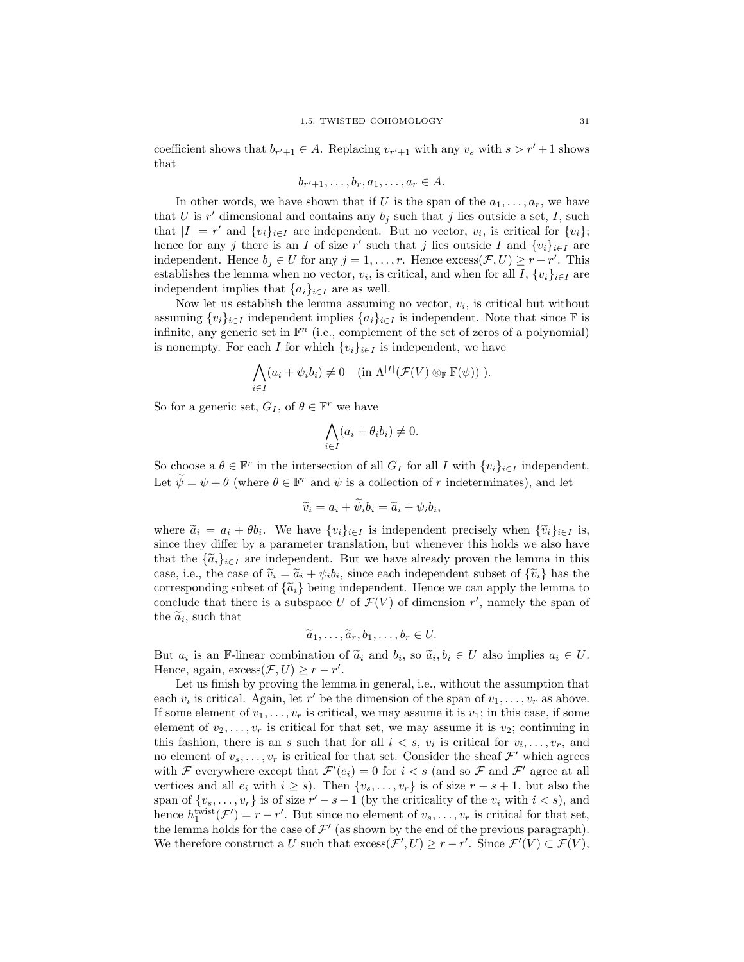coefficient shows that  $b_{r'+1} \in A$ . Replacing  $v_{r'+1}$  with any  $v_s$  with  $s > r' + 1$  shows that

$$
b_{r'+1},\ldots,b_r,a_1,\ldots,a_r\in A.
$$

In other words, we have shown that if U is the span of the  $a_1, \ldots, a_r$ , we have that U is  $r'$  dimensional and contains any  $b_j$  such that j lies outside a set, I, such that  $|I| = r'$  and  $\{v_i\}_{i \in I}$  are independent. But no vector,  $v_i$ , is critical for  $\{v_i\};$ hence for any j there is an I of size r' such that j lies outside I and  $\{v_i\}_{i\in I}$  are independent. Hence  $b_j \in U$  for any  $j = 1, \ldots, r$ . Hence  $excess(\mathcal{F}, U) \geq r - r'$ . This establishes the lemma when no vector,  $v_i$ , is critical, and when for all I,  $\{v_i\}_{i\in I}$  are independent implies that  $\{a_i\}_{i\in I}$  are as well.

Now let us establish the lemma assuming no vector,  $v_i$ , is critical but without assuming  $\{v_i\}_{i\in I}$  independent implies  $\{a_i\}_{i\in I}$  is independent. Note that since  $\mathbb F$  is infinite, any generic set in  $\mathbb{F}^n$  (i.e., complement of the set of zeros of a polynomial) is nonempty. For each I for which  $\{v_i\}_{i\in I}$  is independent, we have

$$
\bigwedge_{i\in I} (a_i + \psi_i b_i) \neq 0 \quad (\text{in } \Lambda^{|I|}(\mathcal{F}(V) \otimes_{\mathbb{F}} \mathbb{F}(\psi)))
$$

So for a generic set,  $G_I$ , of  $\theta \in \mathbb{F}^r$  we have

$$
\bigwedge_{i \in I} (a_i + \theta_i b_i) \neq 0.
$$

So choose a  $\theta \in \mathbb{F}^r$  in the intersection of all  $G_I$  for all I with  $\{v_i\}_{i \in I}$  independent. Let  $\widetilde{\psi} = \psi + \theta$  (where  $\theta \in \mathbb{F}^r$  and  $\psi$  is a collection of r indeterminates), and let

$$
\widetilde{v}_i = a_i + \widetilde{\psi}_i b_i = \widetilde{a}_i + \psi_i b_i,
$$

where  $\tilde{a}_i = a_i + \theta b_i$ . We have  $\{v_i\}_{i \in I}$  is independent precisely when  $\{\tilde{v}_i\}_{i \in I}$  is, since they differ by a parameter translation, but whenever this holds we also have that the  $\{\tilde{a}_i\}_{i\in I}$  are independent. But we have already proven the lemma in this case, i.e., the case of  $\tilde{v}_i = \tilde{a}_i + \psi_i b_i$ , since each independent subset of  $\{\tilde{v}_i\}$  has the corresponding subset of  $\{\widetilde{a}_i\}$  being independent. Hence we can apply the lemma to conclude that there is a subspace U of  $\mathcal{F}(V)$  of dimension r', namely the span of the  $\tilde{a}_i$ , such that

$$
\widetilde{a}_1,\ldots,\widetilde{a}_r,b_1,\ldots,b_r\in U.
$$

But  $a_i$  is an F-linear combination of  $\tilde{a}_i$  and  $b_i$ , so  $\tilde{a}_i, b_i \in U$  also implies  $a_i \in U$ . Hence, again,  $excess(\mathcal{F}, U) \geq r - r'$ .

Let us finish by proving the lemma in general, i.e., without the assumption that each  $v_i$  is critical. Again, let r' be the dimension of the span of  $v_1, \ldots, v_r$  as above. If some element of  $v_1, \ldots, v_r$  is critical, we may assume it is  $v_1$ ; in this case, if some element of  $v_2, \ldots, v_r$  is critical for that set, we may assume it is  $v_2$ ; continuing in this fashion, there is an s such that for all  $i < s$ ,  $v_i$  is critical for  $v_i, \ldots, v_r$ , and no element of  $v_s, \ldots, v_r$  is critical for that set. Consider the sheaf  $\mathcal{F}'$  which agrees with F everywhere except that  $\mathcal{F}'(e_i) = 0$  for  $i < s$  (and so F and F' agree at all vertices and all  $e_i$  with  $i \geq s$ ). Then  $\{v_s, \ldots, v_r\}$  is of size  $r - s + 1$ , but also the span of  $\{v_s, \ldots, v_r\}$  is of size  $r'-s+1$  (by the criticality of the  $v_i$  with  $i < s$ ), and hence  $h_1^{\text{twist}}(\mathcal{F}') = r - r'$ . But since no element of  $v_s, \ldots, v_r$  is critical for that set, the lemma holds for the case of  $\mathcal{F}'$  (as shown by the end of the previous paragraph). We therefore construct a U such that  $\epsilon$ xcess $(\mathcal{F}', U) \geq r - r'$ . Since  $\mathcal{F}'(V) \subset \mathcal{F}(V)$ ,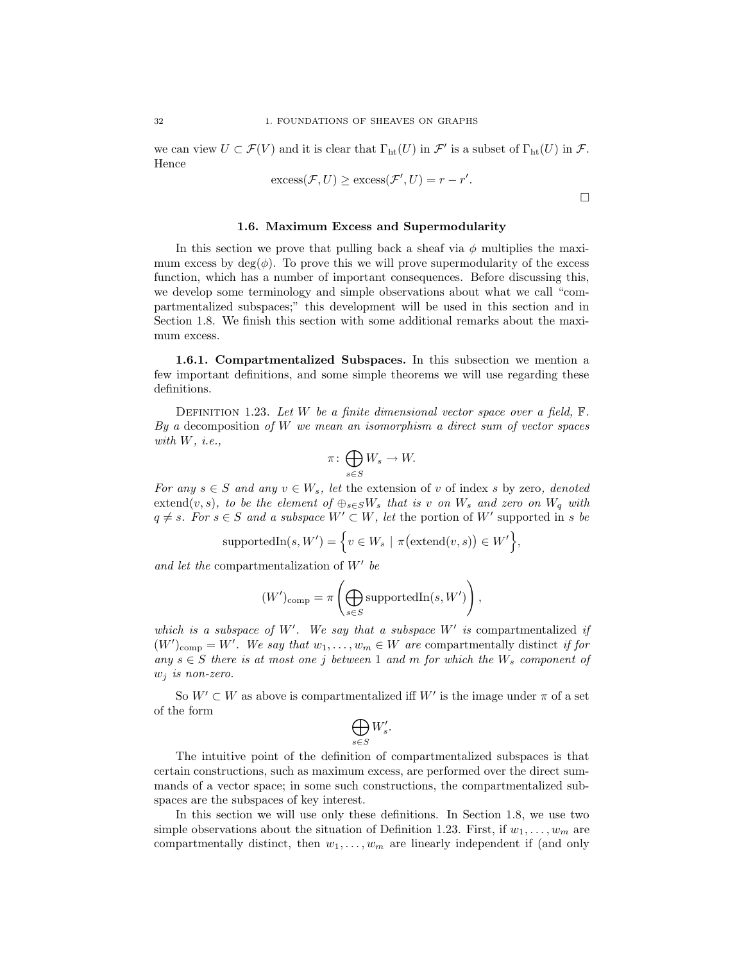we can view  $U \subset \mathcal{F}(V)$  and it is clear that  $\Gamma_{\text{ht}}(U)$  in  $\mathcal{F}'$  is a subset of  $\Gamma_{\text{ht}}(U)$  in  $\mathcal{F}$ . Hence

$$
\text{excess}(\mathcal{F}, U) \geq \text{excess}(\mathcal{F}', U) = r - r'.
$$

 $\Box$ 

## 1.6. Maximum Excess and Supermodularity

In this section we prove that pulling back a sheaf via  $\phi$  multiplies the maximum excess by  $deg(\phi)$ . To prove this we will prove supermodularity of the excess function, which has a number of important consequences. Before discussing this, we develop some terminology and simple observations about what we call "compartmentalized subspaces;" this development will be used in this section and in Section 1.8. We finish this section with some additional remarks about the maximum excess.

1.6.1. Compartmentalized Subspaces. In this subsection we mention a few important definitions, and some simple theorems we will use regarding these definitions.

DEFINITION 1.23. Let W be a finite dimensional vector space over a field,  $\mathbb{F}$ . By a decomposition of W we mean an isomorphism a direct sum of vector spaces with  $W$ , *i.e.*,

$$
\pi\colon \bigoplus_{s\in S} W_s \to W.
$$

For any  $s \in S$  and any  $v \in W_s$ , let the extension of v of index s by zero, denoted extend $(v, s)$ , to be the element of  $\bigoplus_{s \in S} W_s$  that is v on  $W_s$  and zero on  $W_q$  with  $q \neq s$ . For  $s \in S$  and a subspace  $W' \subset W$ , let the portion of W' supported in s be

$$
supportedIn(s, W') = \Big\{ v \in W_s \mid \pi\big(\text{extend}(v, s)\big) \in W' \Big\},\
$$

and let the compartmentalization of  $W'$  be

$$
(W')_{\text{comp}} = \pi \left( \bigoplus_{s \in S} \text{supportedIn}(s, W') \right),
$$

which is a subspace of W'. We say that a subspace  $W'$  is compartmentalized if  $(W')_{\text{comp}} = W'$ . We say that  $w_1, \ldots, w_m \in W$  are compartmentally distinct if for any  $s \in S$  there is at most one j between 1 and m for which the  $W_s$  component of  $w_i$  is non-zero.

So  $W' \subset W$  as above is compartmentalized iff W' is the image under  $\pi$  of a set of the form

$$
\bigoplus_{s\in S}W'_s
$$

.

The intuitive point of the definition of compartmentalized subspaces is that certain constructions, such as maximum excess, are performed over the direct summands of a vector space; in some such constructions, the compartmentalized subspaces are the subspaces of key interest.

In this section we will use only these definitions. In Section 1.8, we use two simple observations about the situation of Definition 1.23. First, if  $w_1, \ldots, w_m$  are compartmentally distinct, then  $w_1, \ldots, w_m$  are linearly independent if (and only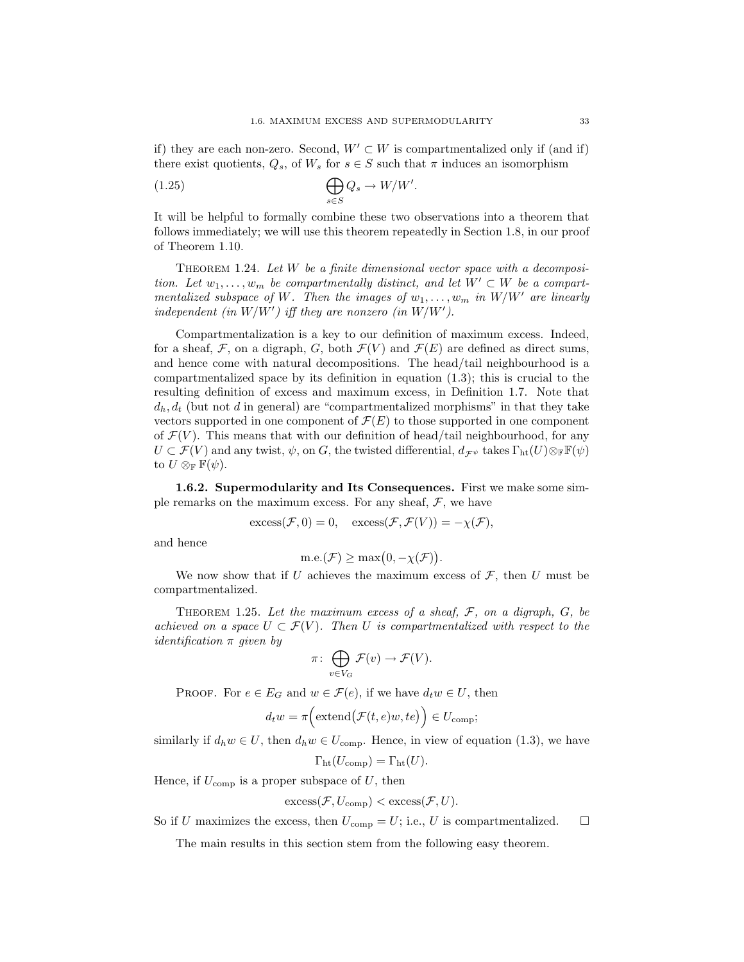if) they are each non-zero. Second,  $W' \subset W$  is compartmentalized only if (and if) there exist quotients,  $Q_s$ , of  $W_s$  for  $s \in S$  such that  $\pi$  induces an isomorphism

.

$$
(1.25)\qquad \qquad \bigoplus_{s\in S}Q_s\to W/W'
$$

It will be helpful to formally combine these two observations into a theorem that follows immediately; we will use this theorem repeatedly in Section 1.8, in our proof of Theorem 1.10.

THEOREM 1.24. Let W be a finite dimensional vector space with a decomposition. Let  $w_1, \ldots, w_m$  be compartmentally distinct, and let  $W' \subset W$  be a compartmentalized subspace of W. Then the images of  $w_1, \ldots, w_m$  in  $W/W'$  are linearly independent (in  $W/W'$ ) iff they are nonzero (in  $W/W'$ ).

Compartmentalization is a key to our definition of maximum excess. Indeed, for a sheaf, F, on a digraph, G, both  $\mathcal{F}(V)$  and  $\mathcal{F}(E)$  are defined as direct sums, and hence come with natural decompositions. The head/tail neighbourhood is a compartmentalized space by its definition in equation (1.3); this is crucial to the resulting definition of excess and maximum excess, in Definition 1.7. Note that  $d_h, d_t$  (but not d in general) are "compartmentalized morphisms" in that they take vectors supported in one component of  $\mathcal{F}(E)$  to those supported in one component of  $\mathcal{F}(V)$ . This means that with our definition of head/tail neighbourhood, for any  $U \subset \mathcal{F}(V)$  and any twist,  $\psi$ , on G, the twisted differential,  $d_{\mathcal{F}^{\psi}}$  takes  $\Gamma_{\text{ht}}(U) \otimes_{\mathbb{F}} \mathbb{F}(\psi)$ to  $U \otimes_{\mathbb{F}} \mathbb{F}(\psi)$ .

1.6.2. Supermodularity and Its Consequences. First we make some simple remarks on the maximum excess. For any sheaf,  $\mathcal{F}$ , we have

$$
excess(\mathcal{F}, 0) = 0, \quad excess(\mathcal{F}, \mathcal{F}(V)) = -\chi(\mathcal{F}),
$$

and hence

$$
\mathrm{m.e.}(\mathcal{F}) \ge \max(0, -\chi(\mathcal{F})).
$$

We now show that if U achieves the maximum excess of  $\mathcal{F}$ , then U must be compartmentalized.

THEOREM 1.25. Let the maximum excess of a sheaf,  $\mathcal F$ , on a digraph,  $G$ , be achieved on a space  $U \subset \mathcal{F}(V)$ . Then U is compartmentalized with respect to the *identification*  $\pi$  *given by* 

$$
\pi\colon \bigoplus_{v\in V_G} \mathcal{F}(v) \to \mathcal{F}(V).
$$

PROOF. For  $e \in E_G$  and  $w \in \mathcal{F}(e)$ , if we have  $d_t w \in U$ , then

$$
d_tw = \pi\Big(\text{extend}\big(\mathcal{F}(t,e)w,te\big)\Big) \in U_{\text{comp}};
$$

similarly if  $d_h w \in U$ , then  $d_h w \in U_{\text{comp}}$ . Hence, in view of equation (1.3), we have

$$
\Gamma_{\rm ht}(U_{\rm comp}) = \Gamma_{\rm ht}(U).
$$

Hence, if  $U_{\text{comp}}$  is a proper subspace of  $U$ , then

$$
\text{excess}(\mathcal{F}, U_{\text{comp}}) < \text{excess}(\mathcal{F}, U).
$$

So if U maximizes the excess, then  $U_{\text{comp}} = U$ ; i.e., U is compartmentalized.  $\square$ 

The main results in this section stem from the following easy theorem.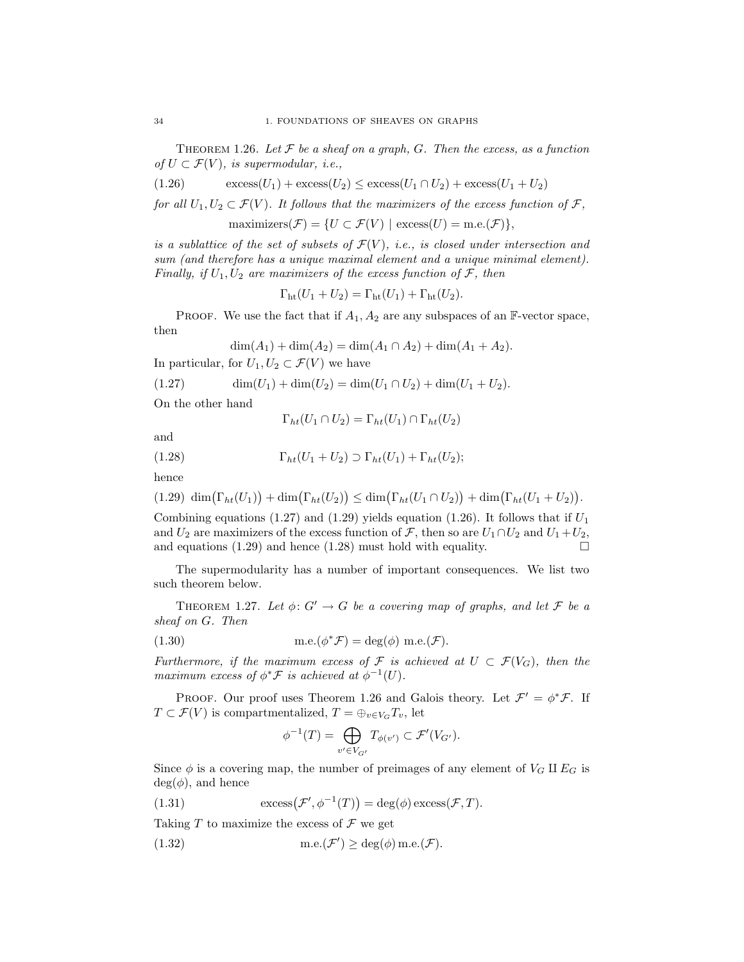THEOREM 1.26. Let  $\mathcal F$  be a sheaf on a graph,  $G$ . Then the excess, as a function of  $U \subset \mathcal{F}(V)$ , is supermodular, i.e.,

$$
(1.26) \qquad \qquad \text{excess}(U_1) + \text{excess}(U_2) \le \text{excess}(U_1 \cap U_2) + \text{excess}(U_1 + U_2)
$$

for all  $U_1, U_2 \subset \mathcal{F}(V)$ . It follows that the maximizers of the excess function of  $\mathcal{F}$ ,

maximizers $(\mathcal{F}) = \{U \subset \mathcal{F}(V) \mid \text{excess}(U) = \text{m.e.}(\mathcal{F})\},\$ 

is a sublattice of the set of subsets of  $\mathcal{F}(V)$ , i.e., is closed under intersection and sum (and therefore has a unique maximal element and a unique minimal element). Finally, if  $U_1, U_2$  are maximizers of the excess function of  $\mathcal{F}$ , then

$$
\Gamma_{\rm ht}(U_1+U_2)=\Gamma_{\rm ht}(U_1)+\Gamma_{\rm ht}(U_2).
$$

PROOF. We use the fact that if  $A_1, A_2$  are any subspaces of an F-vector space, then

$$
\dim(A_1) + \dim(A_2) = \dim(A_1 \cap A_2) + \dim(A_1 + A_2).
$$

In particular, for  $U_1, U_2 \subset \mathcal{F}(V)$  we have

(1.27) dim(U1) + dim(U2) = dim(U<sup>1</sup> ∩ U2) + dim(U<sup>1</sup> + U2).

On the other hand

$$
\Gamma_{ht}(U_1 \cap U_2) = \Gamma_{ht}(U_1) \cap \Gamma_{ht}(U_2)
$$

and

$$
(1.28) \t\Gamma_{ht}(U_1 + U_2) \supset \Gamma_{ht}(U_1) + \Gamma_{ht}(U_2);
$$

hence

$$
(1.29) \dim(\Gamma_{ht}(U_1)) + \dim(\Gamma_{ht}(U_2)) \leq \dim(\Gamma_{ht}(U_1 \cap U_2)) + \dim(\Gamma_{ht}(U_1 + U_2)).
$$

Combining equations (1.27) and (1.29) yields equation (1.26). It follows that if  $U_1$ and  $U_2$  are maximizers of the excess function of  $\mathcal{F}$ , then so are  $U_1 \cap U_2$  and  $U_1 + U_2$ , and equations (1.29) and hence (1.28) must hold with equality.  $\Box$ 

The supermodularity has a number of important consequences. We list two such theorem below.

THEOREM 1.27. Let  $\phi: G' \to G$  be a covering map of graphs, and let F be a sheaf on G. Then

(1.30) 
$$
\text{m.e.}(\phi^* \mathcal{F}) = \text{deg}(\phi) \text{ m.e.}(\mathcal{F}).
$$

Furthermore, if the maximum excess of  $\mathcal F$  is achieved at  $U \subset \mathcal F(V_G)$ , then the maximum excess of  $\phi^* \mathcal{F}$  is achieved at  $\phi^{-1}(U)$ .

PROOF. Our proof uses Theorem 1.26 and Galois theory. Let  $\mathcal{F}' = \phi^* \mathcal{F}$ . If  $T \subset \mathcal{F}(V)$  is compartmentalized,  $T = \bigoplus_{v \in V_G} T_v$ , let

$$
\phi^{-1}(T) = \bigoplus_{v' \in V_{G'}} T_{\phi(v')} \subset \mathcal{F}'(V_{G'}).
$$

Since  $\phi$  is a covering map, the number of preimages of any element of  $V_G \amalg E_G$  is  $deg(\phi)$ , and hence

(1.31) 
$$
\operatorname{excess}(\mathcal{F}', \phi^{-1}(T)) = \deg(\phi) \operatorname{excess}(\mathcal{F}, T).
$$

Taking T to maximize the excess of  $\mathcal F$  we get

(1.32) 
$$
\text{m.e.}(\mathcal{F}') \ge \deg(\phi) \text{ m.e.}(\mathcal{F}).
$$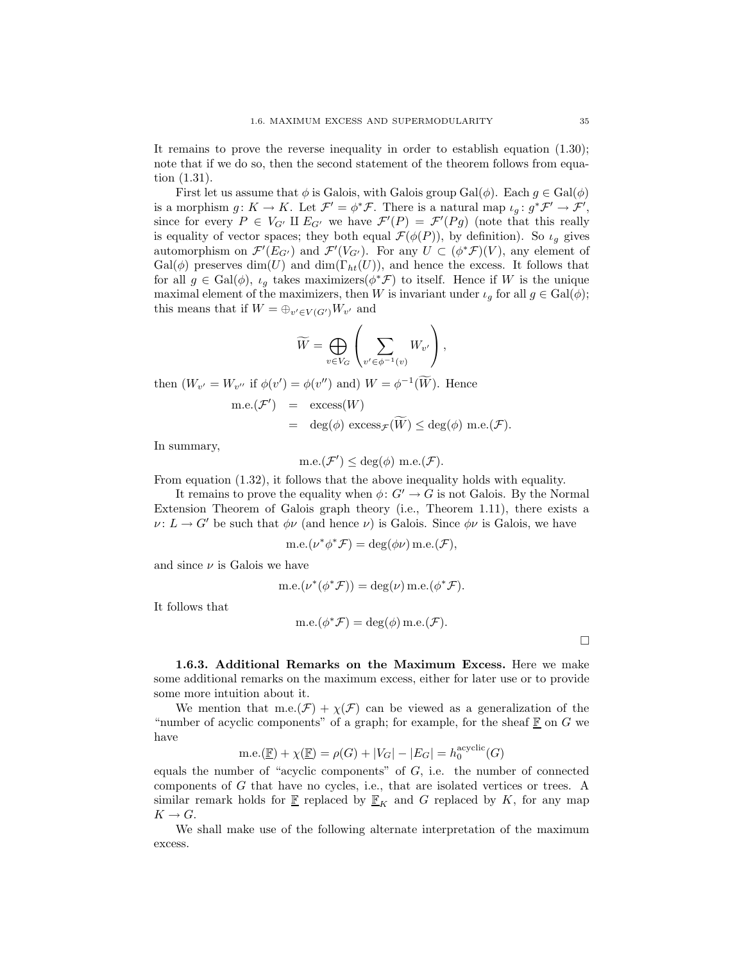It remains to prove the reverse inequality in order to establish equation (1.30); note that if we do so, then the second statement of the theorem follows from equation (1.31).

First let us assume that  $\phi$  is Galois, with Galois group Gal $(\phi)$ . Each  $g \in Gal(\phi)$ is a morphism  $g: K \to K$ . Let  $\mathcal{F}' = \phi^* \mathcal{F}$ . There is a natural map  $\iota_g : g^* \mathcal{F}' \to \mathcal{F}'$ , since for every  $P \in V_{G'}$  II  $E_{G'}$  we have  $\mathcal{F}'(P) = \mathcal{F}'(Pg)$  (note that this really is equality of vector spaces; they both equal  $\mathcal{F}(\phi(P))$ , by definition). So  $\iota_g$  gives automorphism on  $\mathcal{F}'(E_{G'})$  and  $\mathcal{F}'(V_{G'})$ . For any  $U \subset (\phi^*\mathcal{F})(V)$ , any element of  $Gal(\phi)$  preserves  $dim(U)$  and  $dim(\Gamma_{ht}(U))$ , and hence the excess. It follows that for all  $g \in \text{Gal}(\phi)$ ,  $\iota_g$  takes maximizers $(\phi^* \mathcal{F})$  to itself. Hence if W is the unique maximal element of the maximizers, then W is invariant under  $\iota_q$  for all  $g \in \text{Gal}(\phi)$ ; this means that if  $W = \bigoplus_{v' \in V(G')} W_{v'}$  and

$$
\widetilde{W} = \bigoplus_{v \in V_G} \left( \sum_{v' \in \phi^{-1}(v)} W_{v'} \right),
$$

then  $(W_{v'} = W_{v''}$  if  $\phi(v') = \phi(v'')$  and)  $W = \phi^{-1}(\tilde{W})$ . Hence

m.e.
$$
(\mathcal{F}')
$$
 = excess $(W)$   
= deg( $\phi$ ) excess $\mathcal{F}(\widetilde{W}) \le \deg(\phi)$  m.e. $(\mathcal{F})$ .

In summary,

$$
m.e.(\mathcal{F}') \leq deg(\phi) \ m.e.(\mathcal{F}).
$$

From equation (1.32), it follows that the above inequality holds with equality.

It remains to prove the equality when  $\phi: G' \to G$  is not Galois. By the Normal Extension Theorem of Galois graph theory (i.e., Theorem 1.11), there exists a  $\nu: L \to G'$  be such that  $\phi \nu$  (and hence  $\nu$ ) is Galois. Since  $\phi \nu$  is Galois, we have

$$
\text{m.e.}(\nu^*\phi^*\mathcal{F}) = \deg(\phi\nu)\,\text{m.e.}(\mathcal{F}),
$$

and since  $\nu$  is Galois we have

$$
\text{m.e.}(\nu^*(\phi^*\mathcal{F})) = \deg(\nu) \,\text{m.e.}(\phi^*\mathcal{F}).
$$

It follows that

$$
\text{m.e.}(\phi^* \mathcal{F}) = \deg(\phi) \text{ m.e.}(\mathcal{F}).
$$

 $\Box$ 

1.6.3. Additional Remarks on the Maximum Excess. Here we make some additional remarks on the maximum excess, either for later use or to provide some more intuition about it.

We mention that m.e. $(\mathcal{F}) + \chi(\mathcal{F})$  can be viewed as a generalization of the "number of acyclic components" of a graph; for example, for the sheaf  $\mathbb{F}$  on G we have

$$
\text{m.e.}(\underline{\mathbb{F}}) + \chi(\underline{\mathbb{F}}) = \rho(G) + |V_G| - |E_G| = h_0^{\text{acyclic}}(G)
$$

equals the number of "acyclic components" of  $G$ , i.e. the number of connected components of G that have no cycles, i.e., that are isolated vertices or trees. A similar remark holds for  $\underline{\mathbb{F}}$  replaced by  $\underline{\mathbb{F}}_K$  and G replaced by K, for any map  $K \to G$ .

We shall make use of the following alternate interpretation of the maximum excess.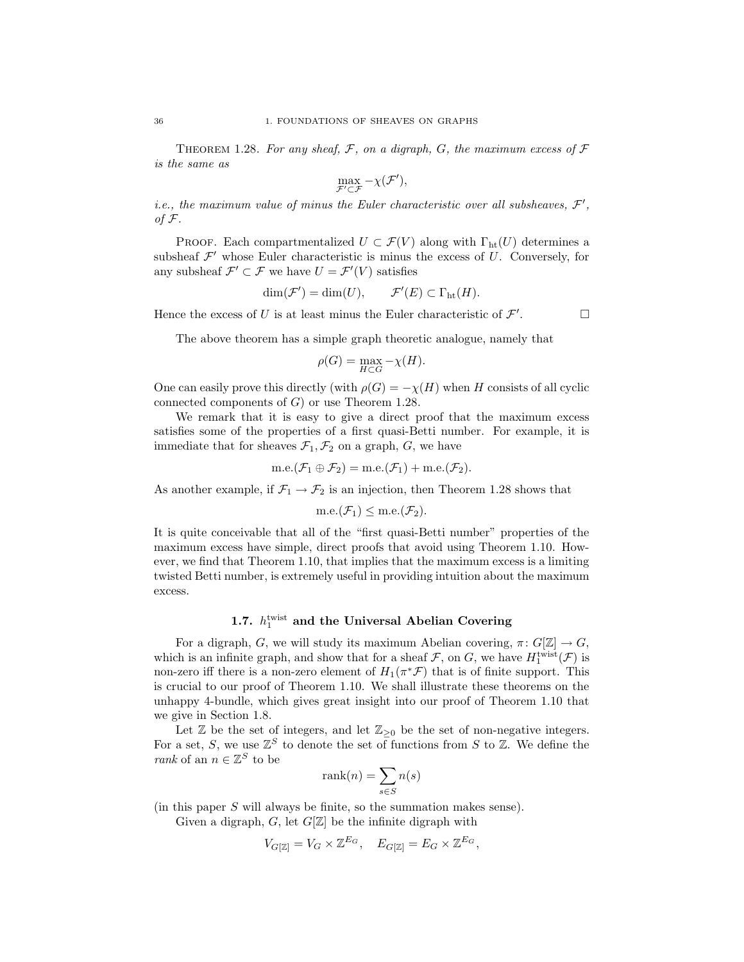THEOREM 1.28. For any sheaf,  $F$ , on a digraph, G, the maximum excess of  $F$ is the same as

$$
\max_{\mathcal{F}'\subset \mathcal{F}}-\chi(\mathcal{F}'),
$$

*i.e.*, the maximum value of minus the Euler characteristic over all subsheaves,  $\mathcal{F}',$ of  $\mathcal F$ .

PROOF. Each compartmentalized  $U \subset \mathcal{F}(V)$  along with  $\Gamma_{\text{ht}}(U)$  determines a subsheaf  $\mathcal{F}'$  whose Euler characteristic is minus the excess of  $U$ . Conversely, for any subsheaf  $\mathcal{F}' \subset \mathcal{F}$  we have  $U = \mathcal{F}'(V)$  satisfies

$$
\dim(\mathcal{F}') = \dim(U), \qquad \mathcal{F}'(E) \subset \Gamma_{\rm ht}(H).
$$

Hence the excess of U is at least minus the Euler characteristic of  $\mathcal{F}'$ 

 $\Box$ 

The above theorem has a simple graph theoretic analogue, namely that

$$
\rho(G) = \max_{H \subset G} -\chi(H).
$$

One can easily prove this directly (with  $\rho(G) = -\chi(H)$  when H consists of all cyclic connected components of  $G$ ) or use Theorem 1.28.

We remark that it is easy to give a direct proof that the maximum excess satisfies some of the properties of a first quasi-Betti number. For example, it is immediate that for sheaves  $\mathcal{F}_1, \mathcal{F}_2$  on a graph, G, we have

$$
\mathrm{m.e.}(\mathcal{F}_1 \oplus \mathcal{F}_2) = \mathrm{m.e.}(\mathcal{F}_1) + \mathrm{m.e.}(\mathcal{F}_2).
$$

As another example, if  $\mathcal{F}_1 \rightarrow \mathcal{F}_2$  is an injection, then Theorem 1.28 shows that

$$
\mathrm{m.e.}(\mathcal{F}_1) \leq \mathrm{m.e.}(\mathcal{F}_2).
$$

It is quite conceivable that all of the "first quasi-Betti number" properties of the maximum excess have simple, direct proofs that avoid using Theorem 1.10. However, we find that Theorem 1.10, that implies that the maximum excess is a limiting twisted Betti number, is extremely useful in providing intuition about the maximum excess.

# 1.7.  $h_1^{\text{twist}}$  and the Universal Abelian Covering

For a digraph, G, we will study its maximum Abelian covering,  $\pi: G[\mathbb{Z}] \to G$ , which is an infinite graph, and show that for a sheaf  $\mathcal{F}$ , on  $G$ , we have  $H_1^{\text{twist}}(\mathcal{F})$  is non-zero iff there is a non-zero element of  $H_1(\pi^*\mathcal{F})$  that is of finite support. This is crucial to our proof of Theorem 1.10. We shall illustrate these theorems on the unhappy 4-bundle, which gives great insight into our proof of Theorem 1.10 that we give in Section 1.8.

Let  $\mathbb Z$  be the set of integers, and let  $\mathbb Z_{\geq 0}$  be the set of non-negative integers. For a set, S, we use  $\mathbb{Z}^S$  to denote the set of functions from S to Z. We define the rank of an $n \in \mathbb{Z}^S$  to be

$$
rank(n) = \sum_{s \in S} n(s)
$$

(in this paper S will always be finite, so the summation makes sense).

Given a digraph,  $G$ , let  $G[\mathbb{Z}]$  be the infinite digraph with

$$
V_{G[\mathbb{Z}]} = V_G \times \mathbb{Z}^{E_G}, \quad E_{G[\mathbb{Z}]} = E_G \times \mathbb{Z}^{E_G},
$$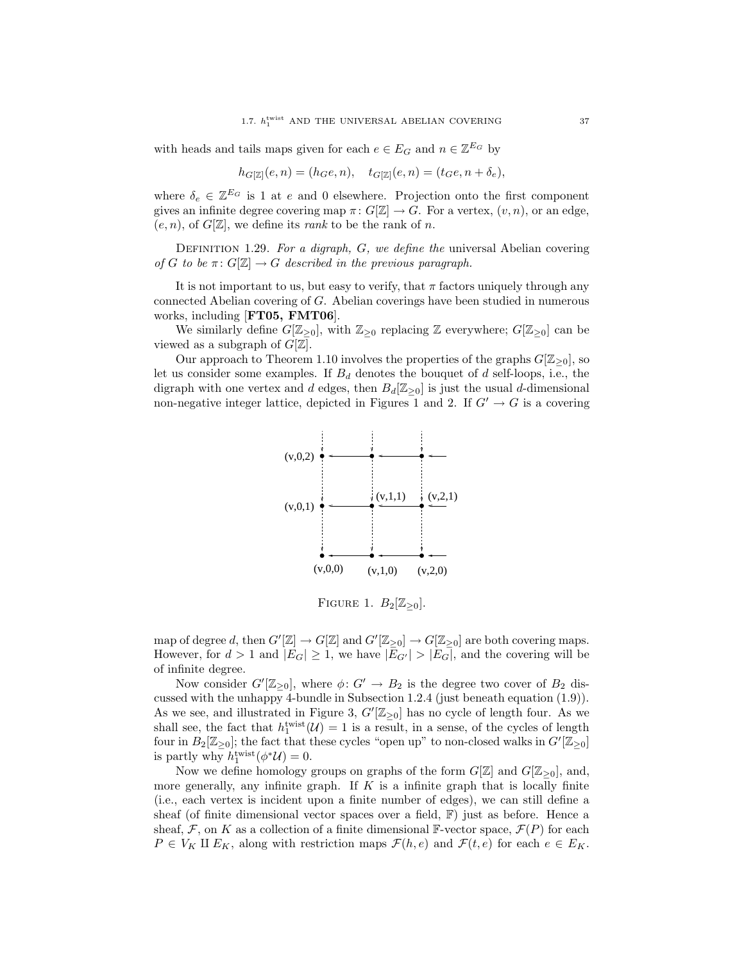with heads and tails maps given for each  $e \in E_G$  and  $n \in \mathbb{Z}^{E_G}$  by

$$
h_{G[\mathbb{Z}]}(e, n) = (h_G e, n), \quad t_{G[\mathbb{Z}]}(e, n) = (t_G e, n + \delta_e),
$$

where  $\delta_e \in \mathbb{Z}^{E_G}$  is 1 at e and 0 elsewhere. Projection onto the first component gives an infinite degree covering map  $\pi: G[\mathbb{Z}] \to G$ . For a vertex,  $(v, n)$ , or an edge,  $(e, n)$ , of  $G[\mathbb{Z}]$ , we define its *rank* to be the rank of *n*.

DEFINITION 1.29. For a digraph,  $G$ , we define the universal Abelian covering of G to be  $\pi: G[\mathbb{Z}] \to G$  described in the previous paragraph.

It is not important to us, but easy to verify, that  $\pi$  factors uniquely through any connected Abelian covering of G. Abelian coverings have been studied in numerous works, including [FT05, FMT06].

We similarly define  $G[\mathbb{Z}_{\geq 0}]$ , with  $\mathbb{Z}_{\geq 0}$  replacing  $\mathbb Z$  everywhere;  $G[\mathbb{Z}_{\geq 0}]$  can be viewed as a subgraph of  $G[\mathbb{Z}]$ .

Our approach to Theorem 1.10 involves the properties of the graphs  $G[\mathbb{Z}_{\geq 0}]$ , so let us consider some examples. If  $B_d$  denotes the bouquet of d self-loops, i.e., the digraph with one vertex and d edges, then  $B_d[\mathbb{Z}_{\geq 0}]$  is just the usual d-dimensional non-negative integer lattice, depicted in Figures 1 and 2. If  $G' \rightarrow G$  is a covering



FIGURE 1.  $B_2[\mathbb{Z}_{\geq 0}].$ 

map of degree d, then  $G'[\mathbb{Z}] \to G[\mathbb{Z}]$  and  $G'[\mathbb{Z}_{\geq 0}] \to G[\mathbb{Z}_{\geq 0}]$  are both covering maps. However, for  $d > 1$  and  $|E_G| \geq 1$ , we have  $|E_{G'}| > |E_G|$ , and the covering will be of infinite degree.

Now consider  $G'[\mathbb{Z}_{\geq 0}]$ , where  $\phi: G' \to B_2$  is the degree two cover of  $B_2$  discussed with the unhappy 4-bundle in Subsection 1.2.4 (just beneath equation (1.9)). As we see, and illustrated in Figure 3,  $G'[\mathbb{Z}_{\geq 0}]$  has no cycle of length four. As we shall see, the fact that  $h_1^{\text{twist}}(\mathcal{U}) = 1$  is a result, in a sense, of the cycles of length four in  $B_2[\mathbb{Z}_{\geq 0}]$ ; the fact that these cycles "open up" to non-closed walks in  $G'[\mathbb{Z}_{\geq 0}]$ is partly why  $h_1^{\text{twist}}(\phi^* \mathcal{U}) = 0.$ 

Now we define homology groups on graphs of the form  $G[\mathbb{Z}]$  and  $G[\mathbb{Z}_{\geq 0}]$ , and, more generally, any infinite graph. If  $K$  is a infinite graph that is locally finite (i.e., each vertex is incident upon a finite number of edges), we can still define a sheaf (of finite dimensional vector spaces over a field,  $F$ ) just as before. Hence a sheaf, F, on K as a collection of a finite dimensional F-vector space,  $\mathcal{F}(P)$  for each  $P \in V_K \amalg E_K$ , along with restriction maps  $\mathcal{F}(h, e)$  and  $\mathcal{F}(t, e)$  for each  $e \in E_K$ .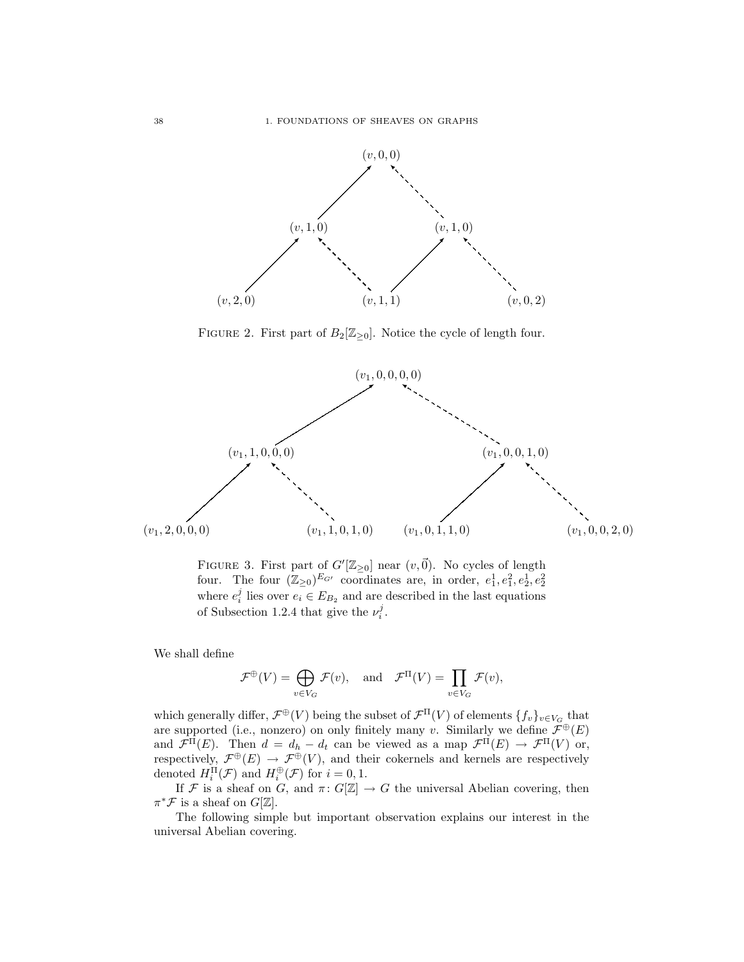

FIGURE 2. First part of  $B_2[\mathbb{Z}_{\geq 0}]$ . Notice the cycle of length four.



FIGURE 3. First part of  $G'[\mathbb{Z}_{\geq 0}]$  near  $(v, \vec{0})$ . No cycles of length four. The four  $(\mathbb{Z}_{\geq 0})^{E_{G'}}$  coordinates are, in order,  $e_1^1, e_1^2, e_2^1, e_2^2$ where  $e_i^j$  lies over  $e_i \in E_{B_2}$  and are described in the last equations of Subsection 1.2.4 that give the  $\nu_i^j$ .

We shall define

$$
\mathcal{F}^{\oplus}(V) = \bigoplus_{v \in V_G} \mathcal{F}(v), \text{ and } \mathcal{F}^{\Pi}(V) = \prod_{v \in V_G} \mathcal{F}(v),
$$

which generally differ,  $\mathcal{F}^{\oplus}(V)$  being the subset of  $\mathcal{F}^{\Pi}(V)$  of elements  $\{f_v\}_{v \in V_G}$  that are supported (i.e., nonzero) on only finitely many v. Similarly we define  $\mathcal{F}^{\oplus}(E)$ and  $\mathcal{F}^{\Pi}(E)$ . Then  $d = d_h - d_t$  can be viewed as a map  $\mathcal{F}^{\Pi}(E) \to \mathcal{F}^{\Pi}(V)$  or, respectively,  $\mathcal{F}^{\oplus}(E) \to \mathcal{F}^{\oplus}(V)$ , and their cokernels and kernels are respectively denoted  $H_i^{\Pi}(\mathcal{F})$  and  $H_i^{\oplus}(\mathcal{F})$  for  $i = 0, 1$ .

If  $\mathcal F$  is a sheaf on  $G$ , and  $\pi: G[\mathbb{Z}] \to G$  the universal Abelian covering, then  $\pi^* \mathcal{F}$  is a sheaf on  $G[\mathbb{Z}].$ 

The following simple but important observation explains our interest in the universal Abelian covering.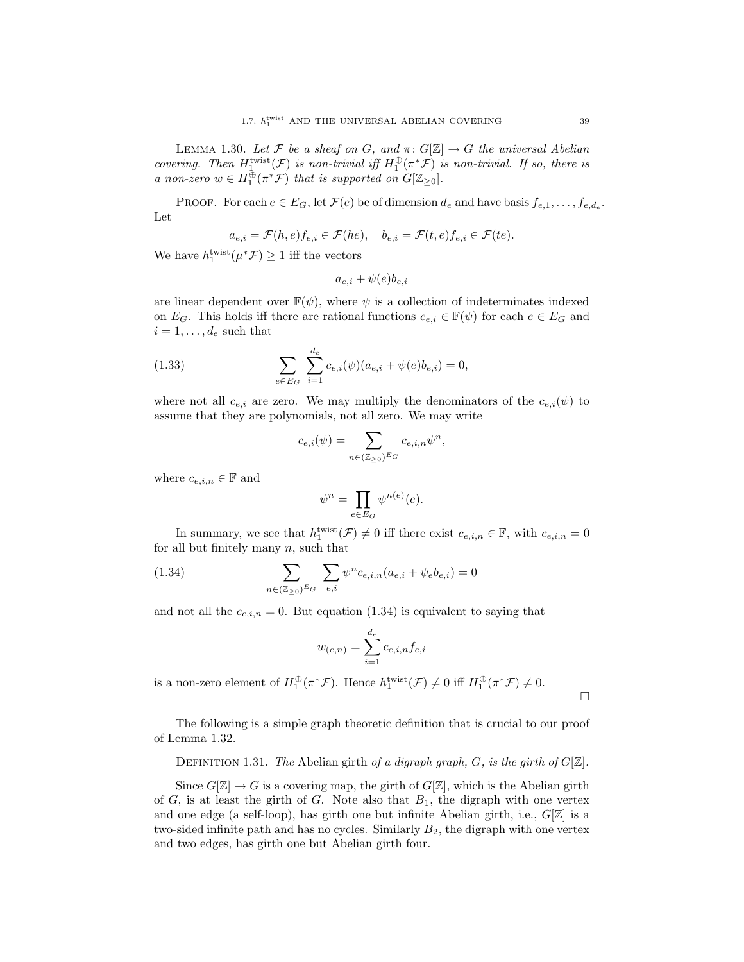LEMMA 1.30. Let F be a sheaf on G, and  $\pi: G[\mathbb{Z}] \to G$  the universal Abelian covering. Then  $H_1^{\text{twist}}(\mathcal{F})$  is non-trivial iff  $H_1^{\oplus}(\pi^*\mathcal{F})$  is non-trivial. If so, there is a non-zero  $w \in H_1^{\oplus}(\pi^*\mathcal{F})$  that is supported on  $G[\mathbb{Z}_{\geq 0}].$ 

PROOF. For each  $e \in E_G$ , let  $\mathcal{F}(e)$  be of dimension  $d_e$  and have basis  $f_{e,1}, \ldots, f_{e,d_e}$ . Let

$$
a_{e,i}=\mathcal{F}(h,e)f_{e,i}\in\mathcal{F}(he),\quad b_{e,i}=\mathcal{F}(t,e)f_{e,i}\in\mathcal{F}(te).
$$

We have  $h_1^{\text{twist}}(\mu^*\mathcal{F}) \geq 1$  iff the vectors

$$
a_{e,i} + \psi(e)b_{e,i}
$$

are linear dependent over  $\mathbb{F}(\psi)$ , where  $\psi$  is a collection of indeterminates indexed on  $E_G$ . This holds iff there are rational functions  $c_{e,i} \in \mathbb{F}(\psi)$  for each  $e \in E_G$  and  $i = 1, \ldots, d_e$  such that

(1.33) 
$$
\sum_{e \in E_G} \sum_{i=1}^{d_e} c_{e,i}(\psi)(a_{e,i} + \psi(e)b_{e,i}) = 0,
$$

where not all  $c_{e,i}$  are zero. We may multiply the denominators of the  $c_{e,i}(\psi)$  to assume that they are polynomials, not all zero. We may write

$$
c_{e,i}(\psi) = \sum_{n \in (\mathbb{Z}_{\geq 0})^{E_G}} c_{e,i,n} \psi^n,
$$

where  $c_{e,i,n} \in \mathbb{F}$  and

$$
\psi^n = \prod_{e \in E_G} \psi^{n(e)}(e).
$$

In summary, we see that  $h_1^{\text{twist}}(\mathcal{F}) \neq 0$  iff there exist  $c_{e,i,n} \in \mathbb{F}$ , with  $c_{e,i,n} = 0$ for all but finitely many  $n$ , such that

(1.34) 
$$
\sum_{n \in (\mathbb{Z}_{\geq 0})^{E_G}} \sum_{e,i} \psi^n c_{e,i,n} (a_{e,i} + \psi_e b_{e,i}) = 0
$$

and not all the  $c_{e,i,n} = 0$ . But equation (1.34) is equivalent to saying that

$$
w_{(e,n)} = \sum_{i=1}^{d_e} c_{e,i,n} f_{e,i}
$$

is a non-zero element of  $H_1^{\oplus}(\pi^*\mathcal{F})$ . Hence  $h_1^{\text{twist}}(\mathcal{F}) \neq 0$  iff  $H_1^{\oplus}(\pi^*\mathcal{F}) \neq 0$ .

 $\Box$ 

The following is a simple graph theoretic definition that is crucial to our proof of Lemma 1.32.

DEFINITION 1.31. The Abelian girth of a digraph graph,  $G$ , is the girth of  $G[\mathbb{Z}]$ .

Since  $G[\mathbb{Z}] \to G$  is a covering map, the girth of  $G[\mathbb{Z}]$ , which is the Abelian girth of  $G$ , is at least the girth of  $G$ . Note also that  $B_1$ , the digraph with one vertex and one edge (a self-loop), has girth one but infinite Abelian girth, i.e.,  $G[\mathbb{Z}]$  is a two-sided infinite path and has no cycles. Similarly  $B_2$ , the digraph with one vertex and two edges, has girth one but Abelian girth four.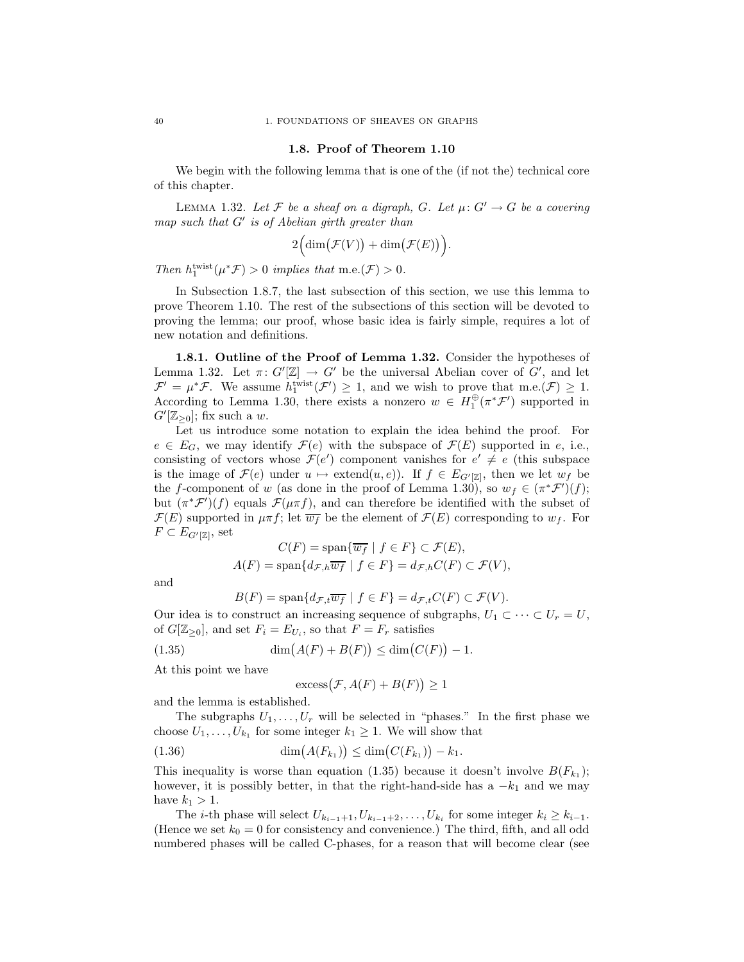### 1.8. Proof of Theorem 1.10

We begin with the following lemma that is one of the (if not the) technical core of this chapter.

LEMMA 1.32. Let F be a sheaf on a digraph, G. Let  $\mu: G' \to G$  be a covering map such that  $G'$  is of Abelian girth greater than

$$
2\Big(\dim\bigl(\mathcal{F}(V)\bigr)+\dim\bigl(\mathcal{F}(E)\bigr)\Big).
$$

Then  $h_1^{\text{twist}}(\mu^* \mathcal{F}) > 0$  implies that m.e. $(\mathcal{F}) > 0$ .

In Subsection 1.8.7, the last subsection of this section, we use this lemma to prove Theorem 1.10. The rest of the subsections of this section will be devoted to proving the lemma; our proof, whose basic idea is fairly simple, requires a lot of new notation and definitions.

1.8.1. Outline of the Proof of Lemma 1.32. Consider the hypotheses of Lemma 1.32. Let  $\pi: G'[\mathbb{Z}] \to G'$  be the universal Abelian cover of  $G'$ , and let  $\mathcal{F}' = \mu^* \mathcal{F}$ . We assume  $h_1^{\text{twist}}(\mathcal{F}') \geq 1$ , and we wish to prove that m.e. $(\mathcal{F}) \geq 1$ . According to Lemma 1.30, there exists a nonzero  $w \in H_1^{\oplus}(\pi^* \mathcal{F}')$  supported in  $G'[\mathbb{Z}_{\geq 0}]$ ; fix such a w.

Let us introduce some notation to explain the idea behind the proof. For  $e \in E_G$ , we may identify  $\mathcal{F}(e)$  with the subspace of  $\mathcal{F}(E)$  supported in e, i.e., consisting of vectors whose  $\mathcal{F}(e')$  component vanishes for  $e' \neq e$  (this subspace is the image of  $\mathcal{F}(e)$  under  $u \mapsto$  extend $(u, e)$ ). If  $f \in E_{G'[\mathbb{Z}]}$ , then we let  $w_f$  be the f-component of w (as done in the proof of Lemma 1.30), so  $w_f \in (\pi^* \mathcal{F}')(f)$ ; but  $(\pi^* \mathcal{F}')(f)$  equals  $\mathcal{F}(\mu \pi f)$ , and can therefore be identified with the subset of  $\mathcal{F}(E)$  supported in  $\mu\pi f$ ; let  $\overline{w_f}$  be the element of  $\mathcal{F}(E)$  corresponding to  $w_f$ . For  $F\subset E_{G'[\mathbb{Z}]}, \text{ set}$ 

$$
C(F) = \text{span}\{\overline{w_f} \mid f \in F\} \subset \mathcal{F}(E),
$$
  

$$
A(F) = \text{span}\{d_{\mathcal{F},h}\overline{w_f} \mid f \in F\} = d_{\mathcal{F},h}C(F) \subset \mathcal{F}(V),
$$

and

$$
B(F) = \text{span}\{d_{\mathcal{F},t}\overline{w_f} \mid f \in F\} = d_{\mathcal{F},t}C(F) \subset \mathcal{F}(V).
$$

Our idea is to construct an increasing sequence of subgraphs,  $U_1 \subset \cdots \subset U_r = U$ , of  $G[\mathbb{Z}_{\geq 0}]$ , and set  $F_i = E_{U_i}$ , so that  $F = F_r$  satisfies

(1.35) 
$$
\dim(A(F) + B(F)) \le \dim(C(F)) - 1.
$$

At this point we have

$$
\text{excess}(\mathcal{F}, A(F) + B(F)) \ge 1
$$

and the lemma is established.

The subgraphs  $U_1, \ldots, U_r$  will be selected in "phases." In the first phase we choose  $U_1, \ldots, U_{k_1}$  for some integer  $k_1 \geq 1$ . We will show that

(1.36) 
$$
\dim(A(F_{k_1})) \leq \dim(C(F_{k_1})) - k_1.
$$

This inequality is worse than equation (1.35) because it doesn't involve  $B(F_{k_1})$ ; however, it is possibly better, in that the right-hand-side has a  $-k_1$  and we may have  $k_1 > 1$ .

The *i*-th phase will select  $U_{k_{i-1}+1}, U_{k_{i-1}+2}, \ldots, U_{k_i}$  for some integer  $k_i \geq k_{i-1}$ . (Hence we set  $k_0 = 0$  for consistency and convenience.) The third, fifth, and all odd numbered phases will be called C-phases, for a reason that will become clear (see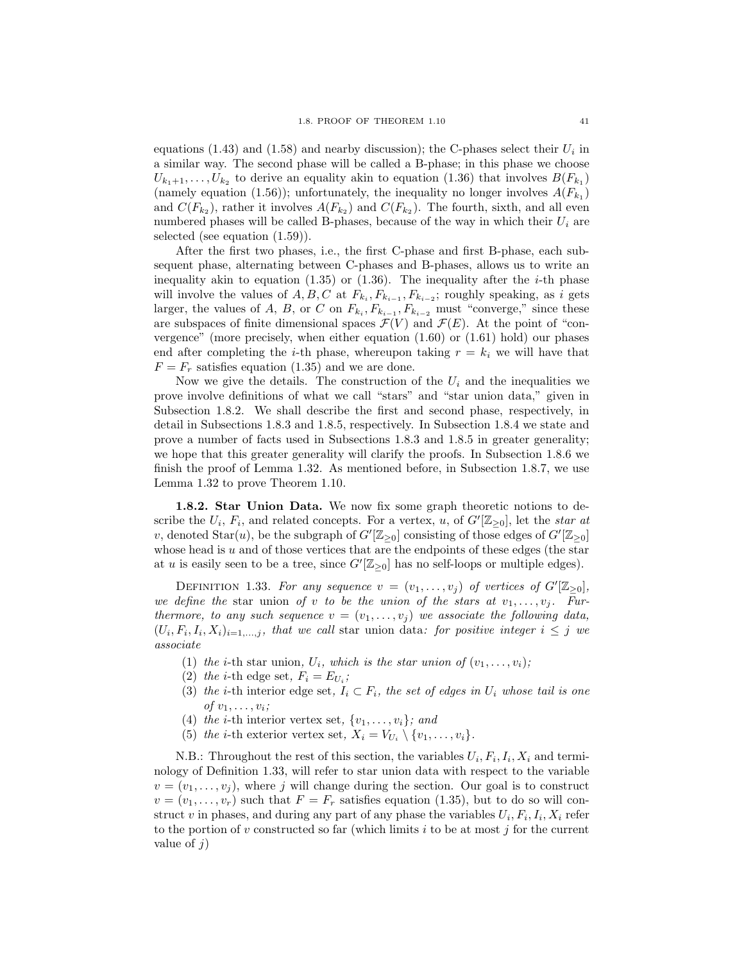equations (1.43) and (1.58) and nearby discussion); the C-phases select their  $U_i$  in a similar way. The second phase will be called a B-phase; in this phase we choose  $U_{k_1+1}, \ldots, U_{k_2}$  to derive an equality akin to equation (1.36) that involves  $B(F_{k_1})$ (namely equation (1.56)); unfortunately, the inequality no longer involves  $A(F_{k_1})$ and  $C(F_{k_2})$ , rather it involves  $A(F_{k_2})$  and  $C(F_{k_2})$ . The fourth, sixth, and all even numbered phases will be called B-phases, because of the way in which their  $U_i$  are selected (see equation (1.59)).

After the first two phases, i.e., the first C-phase and first B-phase, each subsequent phase, alternating between C-phases and B-phases, allows us to write an inequality akin to equation  $(1.35)$  or  $(1.36)$ . The inequality after the *i*-th phase will involve the values of  $A, B, C$  at  $F_{k_i}, F_{k_{i-1}}, F_{k_{i-2}}$ ; roughly speaking, as i gets larger, the values of A, B, or C on  $F_{k_i}, F_{k_{i-1}}, F_{k_{i-2}}$  must "converge," since these are subspaces of finite dimensional spaces  $\mathcal{F}(V)$  and  $\mathcal{F}(E)$ . At the point of "convergence" (more precisely, when either equation (1.60) or (1.61) hold) our phases end after completing the *i*-th phase, whereupon taking  $r = k_i$  we will have that  $F = F_r$  satisfies equation (1.35) and we are done.

Now we give the details. The construction of the  $U_i$  and the inequalities we prove involve definitions of what we call "stars" and "star union data," given in Subsection 1.8.2. We shall describe the first and second phase, respectively, in detail in Subsections 1.8.3 and 1.8.5, respectively. In Subsection 1.8.4 we state and prove a number of facts used in Subsections 1.8.3 and 1.8.5 in greater generality; we hope that this greater generality will clarify the proofs. In Subsection 1.8.6 we finish the proof of Lemma 1.32. As mentioned before, in Subsection 1.8.7, we use Lemma 1.32 to prove Theorem 1.10.

1.8.2. Star Union Data. We now fix some graph theoretic notions to describe the  $U_i$ ,  $F_i$ , and related concepts. For a vertex, u, of  $G'[\mathbb{Z}_{\geq 0}]$ , let the star at v, denoted Star(u), be the subgraph of  $G'[\mathbb{Z}_{\geq 0}]$  consisting of those edges of  $G'[\mathbb{Z}_{\geq 0}]$ whose head is  $u$  and of those vertices that are the endpoints of these edges (the star at u is easily seen to be a tree, since  $G'[\mathbb{Z}_{\geq 0}]$  has no self-loops or multiple edges).

DEFINITION 1.33. For any sequence  $v = (v_1, \ldots, v_j)$  of vertices of  $G'[\mathbb{Z}_{\geq 0}]$ , we define the star union of v to be the union of the stars at  $v_1, \ldots, v_j$ . Furthermore, to any such sequence  $v = (v_1, \ldots, v_j)$  we associate the following data,  $(U_i, F_i, I_i, X_i)_{i=1,\ldots,j}$ , that we call star union data: for positive integer  $i \leq j$  we associate

- (1) the *i*-th star union,  $U_i$ , which is the star union of  $(v_1, \ldots, v_i)$ ;
- (2) the *i*-th edge set,  $F_i = E_{U_i}$ ;
- (3) the i-th interior edge set,  $I_i \subset F_i$ , the set of edges in  $U_i$  whose tail is one of  $v_1, \ldots, v_i$ ;
- (4) the *i*-th interior vertex set,  $\{v_1, \ldots, v_i\}$ ; and
- (5) the *i*-th exterior vertex set,  $X_i = V_{U_i} \setminus \{v_1, \ldots, v_i\}.$

N.B.: Throughout the rest of this section, the variables  $U_i, F_i, I_i, X_i$  and terminology of Definition 1.33, will refer to star union data with respect to the variable  $v = (v_1, \ldots, v_j)$ , where j will change during the section. Our goal is to construct  $v = (v_1, \ldots, v_r)$  such that  $F = F_r$  satisfies equation (1.35), but to do so will construct v in phases, and during any part of any phase the variables  $U_i$ ,  $F_i$ ,  $I_i$ ,  $X_i$  refer to the portion of v constructed so far (which limits i to be at most j for the current value of  $j$ )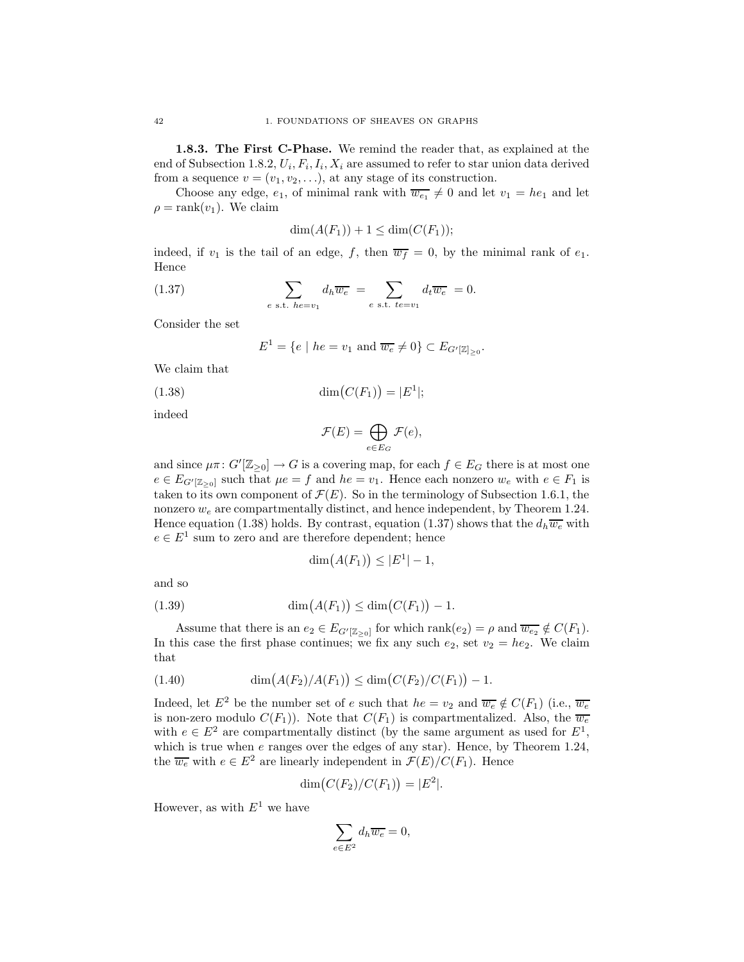1.8.3. The First C-Phase. We remind the reader that, as explained at the end of Subsection 1.8.2,  $U_i$ ,  $F_i$ ,  $I_i$ ,  $X_i$  are assumed to refer to star union data derived from a sequence  $v = (v_1, v_2, \ldots)$ , at any stage of its construction.

Choose any edge,  $e_1$ , of minimal rank with  $\overline{w_{e_1}} \neq 0$  and let  $v_1 = he_1$  and let  $\rho = \text{rank}(v_1)$ . We claim

$$
\dim(A(F_1))+1\leq \dim(C(F_1));
$$

indeed, if  $v_1$  is the tail of an edge, f, then  $\overline{w_f} = 0$ , by the minimal rank of  $e_1$ . Hence

(1.37) 
$$
\sum_{e \text{ s.t. } he=v_1} d_h \overline{w_e} = \sum_{e \text{ s.t. } te=v_1} d_t \overline{w_e} = 0.
$$

Consider the set

$$
E^1 = \{ e \mid he = v_1 \text{ and } \overline{w_e} \neq 0 \} \subset E_{G'[\mathbb{Z}]_{\geq 0}}.
$$

We claim that

(1.38) 
$$
\dim(C(F_1)) = |E^1|;
$$

indeed

$$
\mathcal{F}(E) = \bigoplus_{e \in E_G} \mathcal{F}(e),
$$

and since  $\mu \pi \colon G'[\mathbb{Z}_{\geq 0}] \to G$  is a covering map, for each  $f \in E_G$  there is at most one  $e \in E_{G'[\mathbb{Z}_{\geq 0}]}$  such that  $\mu e = f$  and  $he = v_1$ . Hence each nonzero  $w_e$  with  $e \in F_1$  is taken to its own component of  $\mathcal{F}(E)$ . So in the terminology of Subsection 1.6.1, the nonzero  $w_e$  are compartmentally distinct, and hence independent, by Theorem 1.24. Hence equation (1.38) holds. By contrast, equation (1.37) shows that the  $d_h\overline{w_e}$  with  $e \in E<sup>1</sup>$  sum to zero and are therefore dependent; hence

$$
\dim(A(F_1)) \leq |E^1| - 1,
$$

and so

(1.39) 
$$
\dim(A(F_1)) \leq \dim(C(F_1)) - 1.
$$

Assume that there is an  $e_2 \in E_{G'[\mathbb{Z}_{\geq 0}]}$  for which rank $(e_2) = \rho$  and  $\overline{w_{e_2}} \notin C(F_1)$ . In this case the first phase continues; we fix any such  $e_2$ , set  $v_2 = he_2$ . We claim that

(1.40) 
$$
\dim(A(F_2)/A(F_1)) \leq \dim(C(F_2)/C(F_1)) - 1.
$$

Indeed, let  $E^2$  be the number set of e such that  $he = v_2$  and  $\overline{w_e} \notin C(F_1)$  (i.e.,  $\overline{w_e}$ is non-zero modulo  $C(F_1)$ ). Note that  $C(F_1)$  is compartmentalized. Also, the  $\overline{w_e}$ with  $e \in E^2$  are compartmentally distinct (by the same argument as used for  $E^1$ , which is true when  $e$  ranges over the edges of any star). Hence, by Theorem 1.24, the  $\overline{w_e}$  with  $e \in E^2$  are linearly independent in  $\mathcal{F}(E)/C(F_1)$ . Hence

$$
\dim\bigl(C(F_2)/C(F_1)\bigr)=|E^2|.
$$

However, as with  $E^1$  we have

$$
\sum_{e \in E^2} d_h \overline{w_e} = 0,
$$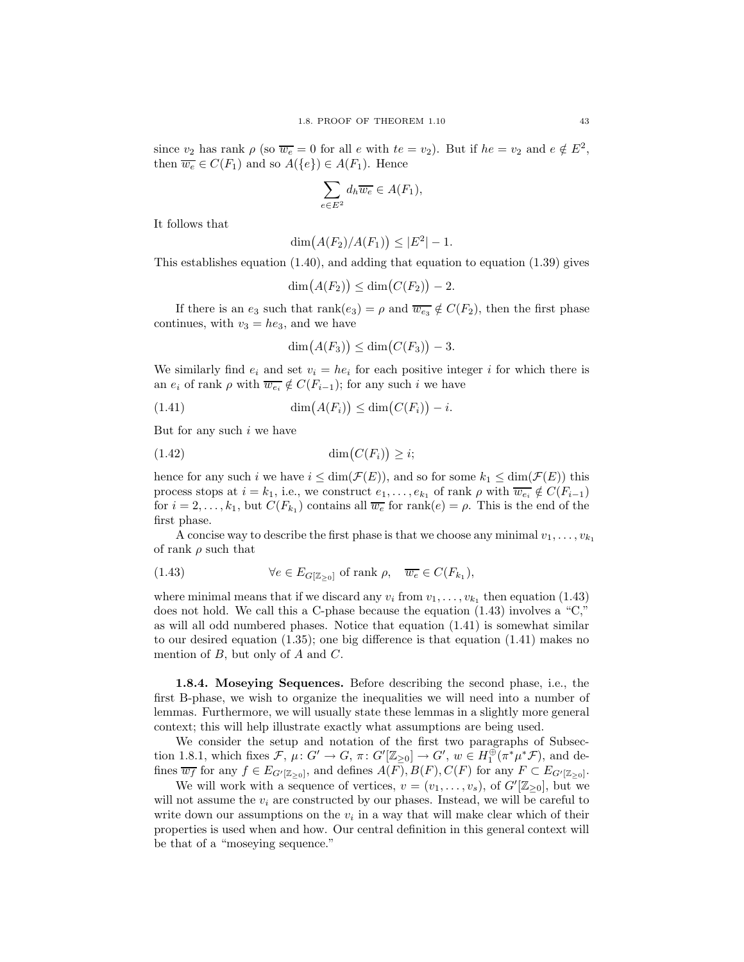since  $v_2$  has rank  $\rho$  (so  $\overline{w_e} = 0$  for all e with  $te = v_2$ ). But if  $he = v_2$  and  $e \notin E^2$ , then  $\overline{w_e} \in C(F_1)$  and so  $A({e}) \in A(F_1)$ . Hence

$$
\sum_{e \in E^2} d_h \overline{w_e} \in A(F_1),
$$

It follows that

$$
\dim(A(F_2)/A(F_1)) \le |E^2| - 1.
$$

This establishes equation  $(1.40)$ , and adding that equation to equation  $(1.39)$  gives

$$
\dim(A(F_2)) \le \dim(C(F_2)) - 2.
$$

If there is an  $e_3$  such that rank $(e_3) = \rho$  and  $\overline{w_{e_3}} \notin C(F_2)$ , then the first phase continues, with  $v_3 = he_3$ , and we have

$$
\dim(A(F_3)) \le \dim(C(F_3)) - 3.
$$

We similarly find  $e_i$  and set  $v_i = he_i$  for each positive integer i for which there is an  $e_i$  of rank  $\rho$  with  $\overline{w_{e_i}} \notin C(F_{i-1});$  for any such i we have

$$
(1.41) \qquad \qquad \dim(A(F_i)) \leq \dim(C(F_i)) - i.
$$

But for any such  $i$  we have

$$
(1.42)\qquad \qquad \dim\bigl(C(F_i)\bigr)\geq i;
$$

hence for any such i we have  $i \leq \dim(\mathcal{F}(E))$ , and so for some  $k_1 \leq \dim(\mathcal{F}(E))$  this process stops at  $i = k_1$ , i.e., we construct  $e_1, \ldots, e_{k_1}$  of rank  $\rho$  with  $\overline{w_{e_i}} \notin C(F_{i-1})$ for  $i = 2, \ldots, k_1$ , but  $C(F_{k_1})$  contains all  $\overline{w_e}$  for rank $(e) = \rho$ . This is the end of the first phase.

A concise way to describe the first phase is that we choose any minimal  $v_1, \ldots, v_{k_1}$ of rank  $\rho$  such that

(1.43) 
$$
\forall e \in E_{G[\mathbb{Z}_{>0}]} \text{ of rank } \rho, \quad \overline{w_e} \in C(F_{k_1}),
$$

where minimal means that if we discard any  $v_i$  from  $v_1, \ldots, v_{k_1}$  then equation (1.43) does not hold. We call this a C-phase because the equation (1.43) involves a "C," as will all odd numbered phases. Notice that equation (1.41) is somewhat similar to our desired equation (1.35); one big difference is that equation (1.41) makes no mention of  $B$ , but only of  $A$  and  $C$ .

1.8.4. Moseying Sequences. Before describing the second phase, i.e., the first B-phase, we wish to organize the inequalities we will need into a number of lemmas. Furthermore, we will usually state these lemmas in a slightly more general context; this will help illustrate exactly what assumptions are being used.

We consider the setup and notation of the first two paragraphs of Subsection 1.8.1, which fixes  $\mathcal{F}, \mu: G' \to G, \pi: G'[\mathbb{Z}_{\geq 0}] \to G', w \in H_1^{\oplus}(\pi^*\mu^*\mathcal{F}),$  and defines  $\overline{w_f}$  for any  $f \in E_{G'[\mathbb{Z}_{\geq 0}]}$ , and defines  $A(F), B(F), C(F)$  for any  $F \subset E_{G'[\mathbb{Z}_{\geq 0}]}$ .

We will work with a sequence of vertices,  $v = (v_1, \ldots, v_s)$ , of  $G'[\mathbb{Z}_{\geq 0}]$ , but we will not assume the  $v_i$  are constructed by our phases. Instead, we will be careful to write down our assumptions on the  $v_i$  in a way that will make clear which of their properties is used when and how. Our central definition in this general context will be that of a "moseying sequence."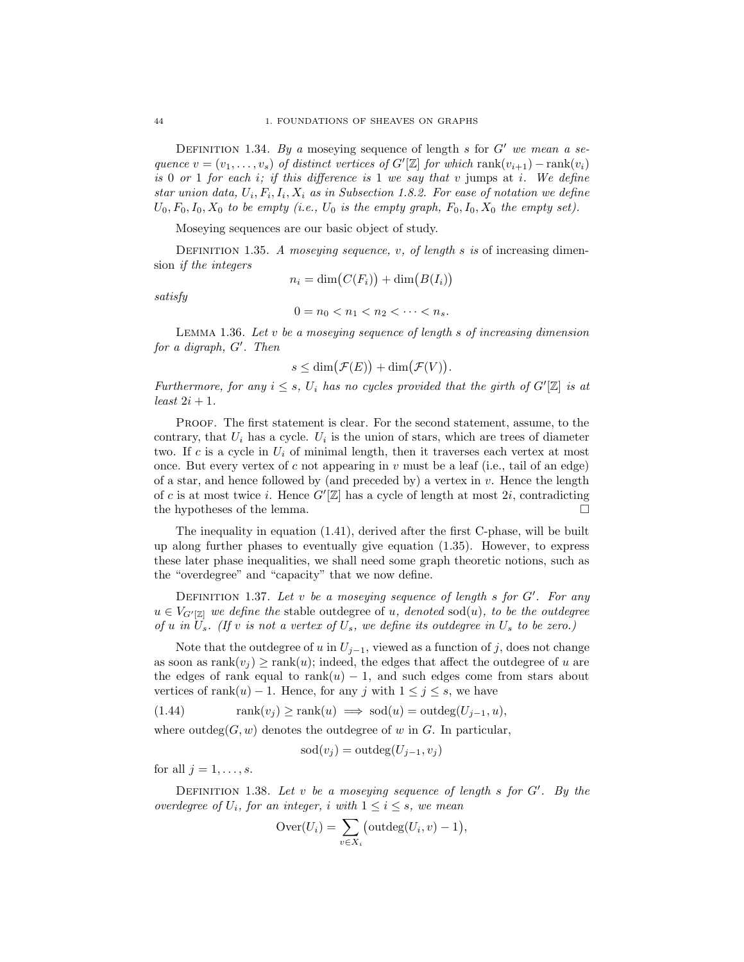DEFINITION 1.34. By a moseying sequence of length s for  $G'$  we mean a sequence  $v = (v_1, \ldots, v_s)$  of distinct vertices of  $G'[\mathbb{Z}]$  for which rank $(v_{i+1})$  – rank $(v_i)$ is 0 or 1 for each i; if this difference is 1 we say that v jumps at i. We define star union data,  $U_i$ ,  $F_i$ ,  $I_i$ ,  $X_i$  as in Subsection 1.8.2. For ease of notation we define  $U_0, F_0, I_0, X_0$  to be empty (i.e.,  $U_0$  is the empty graph,  $F_0, I_0, X_0$  the empty set).

Moseying sequences are our basic object of study.

DEFINITION 1.35. A moseying sequence, v, of length s is of increasing dimension if the integers

$$
n_i = \dim(C(F_i)) + \dim(B(I_i))
$$

satisfy

$$
0 = n_0 < n_1 < n_2 < \cdots < n_s.
$$

LEMMA 1.36. Let  $v$  be a moseying sequence of length  $s$  of increasing dimension  $for a digraph, G'. Then$ 

$$
s \le \dim(\mathcal{F}(E)) + \dim(\mathcal{F}(V)).
$$

Furthermore, for any  $i \leq s$ ,  $U_i$  has no cycles provided that the girth of  $G'[\mathbb{Z}]$  is at  $least 2i + 1.$ 

Proof. The first statement is clear. For the second statement, assume, to the contrary, that  $U_i$  has a cycle.  $U_i$  is the union of stars, which are trees of diameter two. If c is a cycle in  $U_i$  of minimal length, then it traverses each vertex at most once. But every vertex of c not appearing in  $v$  must be a leaf (i.e., tail of an edge) of a star, and hence followed by (and preceded by) a vertex in  $v$ . Hence the length of c is at most twice i. Hence  $G'[\mathbb{Z}]$  has a cycle of length at most 2i, contradicting the hypotheses of the lemma.

The inequality in equation (1.41), derived after the first C-phase, will be built up along further phases to eventually give equation (1.35). However, to express these later phase inequalities, we shall need some graph theoretic notions, such as the "overdegree" and "capacity" that we now define.

DEFINITION 1.37. Let  $v$  be a moseying sequence of length s for  $G'$ . For any  $u \in V_{G'[\mathbb{Z}]}$  we define the stable outdegree of u, denoted sod $(u)$ , to be the outdegree of u in  $U_s$ . (If v is not a vertex of  $U_s$ , we define its outdegree in  $U_s$  to be zero.)

Note that the outdegree of u in  $U_{j-1}$ , viewed as a function of j, does not change as soon as  $rank(v_i) \geq rank(u)$ ; indeed, the edges that affect the outdegree of u are the edges of rank equal to rank $(u) - 1$ , and such edges come from stars about vertices of rank $(u) - 1$ . Hence, for any j with  $1 \le j \le s$ , we have

(1.44) 
$$
rank(v_j) \ge rank(u) \implies sold(u) = outdeg(U_{j-1}, u),
$$

where outdeg $(G, w)$  denotes the outdegree of w in G. In particular,

$$
sod(v_j) = outdeg(U_{j-1}, v_j)
$$

for all  $j = 1, \ldots, s$ .

DEFINITION 1.38. Let  $v$  be a moseying sequence of length s for  $G'$ . By the overdegree of  $U_i$ , for an integer, i with  $1 \leq i \leq s$ , we mean

$$
Over(U_i) = \sum_{v \in X_i} (outdeg(U_i, v) - 1),
$$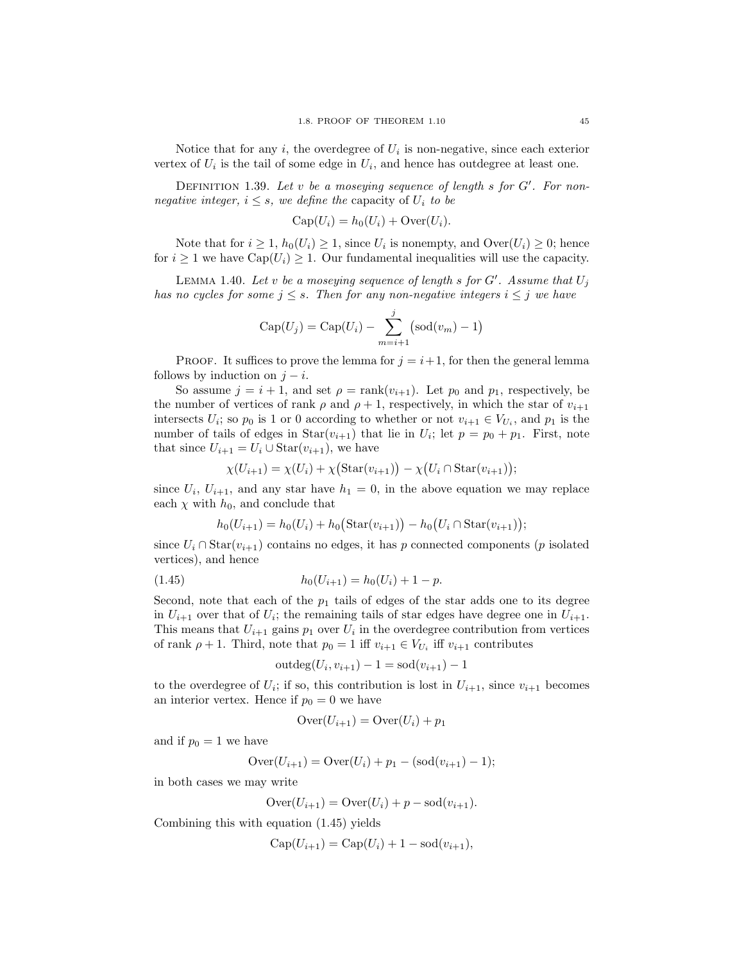Notice that for any  $i$ , the overdegree of  $U_i$  is non-negative, since each exterior vertex of  $U_i$  is the tail of some edge in  $U_i$ , and hence has outdegree at least one.

DEFINITION 1.39. Let  $v$  be a moseying sequence of length s for  $G'$ . For nonnegative integer,  $i \leq s$ , we define the capacity of  $U_i$  to be

$$
Cap(U_i) = h_0(U_i) + Over(U_i).
$$

Note that for  $i \geq 1$ ,  $h_0(U_i) \geq 1$ , since  $U_i$  is nonempty, and  $\text{Over}(U_i) \geq 0$ ; hence for  $i \geq 1$  we have  $Cap(U_i) \geq 1$ . Our fundamental inequalities will use the capacity.

LEMMA 1.40. Let v be a moseying sequence of length s for  $G'$ . Assume that  $U_j$ has no cycles for some  $j \leq s$ . Then for any non-negative integers  $i \leq j$  we have

Cap(
$$
U_j
$$
) = Cap( $U_i$ ) -  $\sum_{m=i+1}^{j}$  (sod( $v_m$ ) – 1)

PROOF. It suffices to prove the lemma for  $j = i+1$ , for then the general lemma follows by induction on  $j - i$ .

So assume  $j = i + 1$ , and set  $\rho = \text{rank}(v_{i+1})$ . Let  $p_0$  and  $p_1$ , respectively, be the number of vertices of rank  $\rho$  and  $\rho + 1$ , respectively, in which the star of  $v_{i+1}$ intersects  $U_i$ ; so  $p_0$  is 1 or 0 according to whether or not  $v_{i+1} \in V_{U_i}$ , and  $p_1$  is the number of tails of edges in  $\text{Star}(v_{i+1})$  that lie in  $U_i$ ; let  $p = p_0 + p_1$ . First, note that since  $U_{i+1} = U_i \cup \text{Star}(v_{i+1}),$  we have

$$
\chi(U_{i+1}) = \chi(U_i) + \chi\big(\text{Star}(v_{i+1})\big) - \chi\big(U_i \cap \text{Star}(v_{i+1})\big);
$$

since  $U_i$ ,  $U_{i+1}$ , and any star have  $h_1 = 0$ , in the above equation we may replace each  $\chi$  with  $h_0$ , and conclude that

$$
h_0(U_{i+1}) = h_0(U_i) + h_0(\text{Star}(v_{i+1})) - h_0(U_i \cap \text{Star}(v_{i+1}));
$$

since  $U_i \cap \text{Star}(v_{i+1})$  contains no edges, it has p connected components (p isolated vertices), and hence

(1.45) h0(Ui+1) = h0(Ui) + 1 − p.

Second, note that each of the  $p_1$  tails of edges of the star adds one to its degree in  $U_{i+1}$  over that of  $U_i$ ; the remaining tails of star edges have degree one in  $U_{i+1}$ . This means that  $U_{i+1}$  gains  $p_1$  over  $U_i$  in the overdegree contribution from vertices of rank  $\rho + 1$ . Third, note that  $p_0 = 1$  iff  $v_{i+1} \in V_{U_i}$  iff  $v_{i+1}$  contributes

outdeg
$$
(U_i, v_{i+1}) - 1 =
$$
 sod $(v_{i+1}) - 1$ 

to the overdegree of  $U_i$ ; if so, this contribution is lost in  $U_{i+1}$ , since  $v_{i+1}$  becomes an interior vertex. Hence if  $p_0 = 0$  we have

$$
Over(U_{i+1}) = Over(U_i) + p_1
$$

and if  $p_0 = 1$  we have

$$
Over(U_{i+1}) = Over(U_i) + p_1 - (sod(v_{i+1}) - 1);
$$

in both cases we may write

$$
Over(U_{i+1}) = Over(U_i) + p - sod(v_{i+1}).
$$

Combining this with equation (1.45) yields

 $Cap(U_{i+1}) = Cap(U_i) + 1 - sod(v_{i+1}),$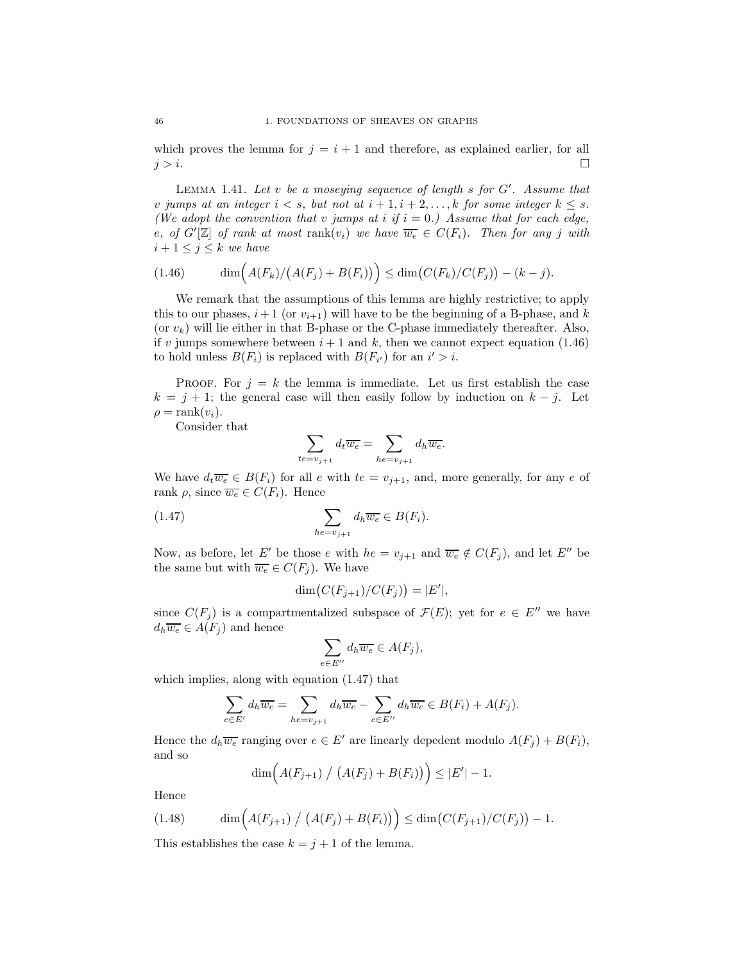which proves the lemma for  $j = i + 1$  and therefore, as explained earlier, for all  $j > i$ .

LEMMA 1.41. Let  $v$  be a moseying sequence of length  $s$  for  $G'$ . Assume that v jumps at an integer  $i < s$ , but not at  $i + 1, i + 2, ..., k$  for some integer  $k \leq s$ . (We adopt the convention that v jumps at i if  $i = 0$ .) Assume that for each edge, e, of  $G'[\mathbb{Z}]$  of rank at most rank $(v_i)$  we have  $\overline{w_e} \in C(F_i)$ . Then for any j with  $i+1 \leq j \leq k$  we have

(1.46) 
$$
\dim(A(F_k)/(A(F_j) + B(F_i)) \leq \dim(C(F_k)/C(F_j)) - (k - j).
$$

We remark that the assumptions of this lemma are highly restrictive; to apply this to our phases,  $i+1$  (or  $v_{i+1}$ ) will have to be the beginning of a B-phase, and k (or  $v_k$ ) will lie either in that B-phase or the C-phase immediately thereafter. Also, if v jumps somewhere between  $i+1$  and k, then we cannot expect equation (1.46) to hold unless  $B(F_i)$  is replaced with  $B(F_{i'})$  for an  $i' > i$ .

PROOF. For  $j = k$  the lemma is immediate. Let us first establish the case  $k = j + 1$ ; the general case will then easily follow by induction on  $k - j$ . Let  $\rho = \text{rank}(v_i).$ 

Consider that

$$
\sum_{te=v_{j+1}}d_t\overline{w_e}=\sum_{he=v_{j+1}}d_h\overline{w_e}.
$$

We have  $d_t\overline{w_e} \in B(F_i)$  for all e with  $te = v_{i+1}$ , and, more generally, for any e of rank  $\rho$ , since  $\overline{w_e} \in C(F_i)$ . Hence

(1.47) 
$$
\sum_{he=v_{j+1}} d_h \overline{w_e} \in B(F_i).
$$

Now, as before, let E' be those e with  $he = v_{i+1}$  and  $\overline{w_e} \notin C(F_i)$ , and let E'' be the same but with  $\overline{w_e} \in C(F_i)$ . We have

$$
\dim\bigl(C(F_{j+1})/C(F_j)\bigr)=|E'|,
$$

since  $C(F_i)$  is a compartmentalized subspace of  $\mathcal{F}(E)$ ; yet for  $e \in E''$  we have  $d_h \overline{w_e} \in A(F_i)$  and hence

$$
\sum_{e \in E''} d_h \overline{w_e} \in A(F_j),
$$

which implies, along with equation (1.47) that

$$
\sum_{e \in E'} d_h \overline{w_e} = \sum_{he=v_{j+1}} d_h \overline{w_e} - \sum_{e \in E''} d_h \overline{w_e} \in B(F_i) + A(F_j).
$$

Hence the  $d_h \overline{w_e}$  ranging over  $e \in E'$  are linearly depedent modulo  $A(F_i) + B(F_i)$ , and so

$$
\dim(A(F_{j+1}) / (A(F_j) + B(F_i)) \Big) \le |E'| - 1.
$$

Hence

(1.48) 
$$
\dim(A(F_{j+1}) / (A(F_j) + B(F_i))) \leq \dim(C(F_{j+1})/C(F_j)) - 1.
$$

This establishes the case  $k = j + 1$  of the lemma.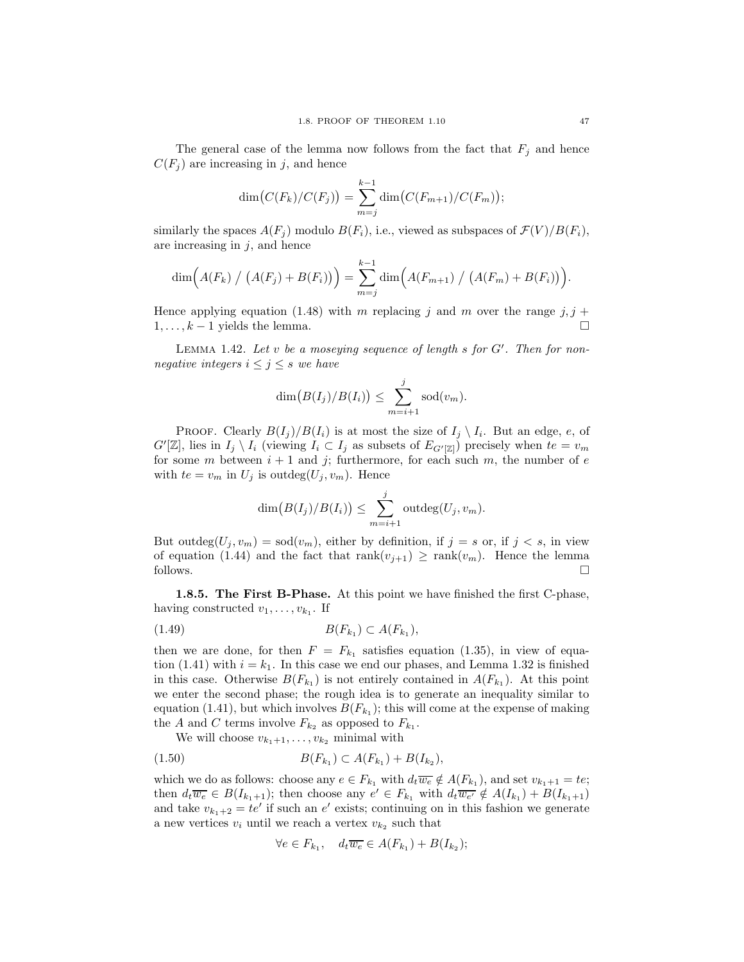The general case of the lemma now follows from the fact that  $F_i$  and hence  $C(F_i)$  are increasing in j, and hence

$$
\dim(C(F_k)/C(F_j)) = \sum_{m=j}^{k-1} \dim(C(F_{m+1})/C(F_m));
$$

similarly the spaces  $A(F_i)$  modulo  $B(F_i)$ , i.e., viewed as subspaces of  $\mathcal{F}(V)/B(F_i)$ , are increasing in  $j$ , and hence

$$
\dim(A(F_k) / (A(F_j) + B(F_i))) = \sum_{m=j}^{k-1} \dim(A(F_{m+1}) / (A(F_m) + B(F_i))).
$$

Hence applying equation (1.48) with m replacing j and m over the range  $j, j +$  $1, \ldots, k-1$  yields the lemma.

LEMMA 1.42. Let  $v$  be a moseying sequence of length  $s$  for  $G'$ . Then for nonnegative integers  $i \leq j \leq s$  we have

$$
\dim(B(I_j)/B(I_i)) \leq \sum_{m=i+1}^j \operatorname{sod}(v_m).
$$

**PROOF.** Clearly  $B(I_j)/B(I_i)$  is at most the size of  $I_j \setminus I_i$ . But an edge, e, of  $G'[\mathbb{Z}]$ , lies in  $I_j \setminus I_i$  (viewing  $I_i \subset I_j$  as subsets of  $E_{G'[\mathbb{Z}]})$  precisely when  $te = v_m$ for some m between  $i + 1$  and j; furthermore, for each such m, the number of e with  $te = v_m$  in  $U_j$  is outdeg $(U_j, v_m)$ . Hence

$$
\dim(B(I_j)/B(I_i)) \leq \sum_{m=i+1}^j \text{outdeg}(U_j, v_m).
$$

But outdeg $(U_j, v_m) = \text{cod}(v_m)$ , either by definition, if  $j = s$  or, if  $j < s$ , in view of equation (1.44) and the fact that rank $(v_{i+1}) \geq \text{rank}(v_m)$ . Hence the lemma follows.  $\Box$ 

1.8.5. The First B-Phase. At this point we have finished the first C-phase, having constructed  $v_1, \ldots, v_{k_1}$ . If

$$
(1.49) \t\t B(F_{k_1}) \subset A(F_{k_1}),
$$

then we are done, for then  $F = F_{k_1}$  satisfies equation (1.35), in view of equation (1.41) with  $i = k_1$ . In this case we end our phases, and Lemma 1.32 is finished in this case. Otherwise  $B(F_{k_1})$  is not entirely contained in  $A(F_{k_1})$ . At this point we enter the second phase; the rough idea is to generate an inequality similar to equation (1.41), but which involves  $B(F_{k_1})$ ; this will come at the expense of making the A and C terms involve  $F_{k_2}$  as opposed to  $F_{k_1}$ .

We will choose  $v_{k_1+1}, \ldots, v_{k_2}$  minimal with

$$
(1.50) \t\t B(F_{k_1}) \subset A(F_{k_1}) + B(I_{k_2}),
$$

which we do as follows: choose any  $e \in F_{k_1}$  with  $d_t \overline{w_e} \notin A(F_{k_1})$ , and set  $v_{k_1+1} = te$ ; then  $d_t \overline{w_e} \in B(I_{k_1+1})$ ; then choose any  $e' \in F_{k_1}$  with  $d_t \overline{w_{e'}} \notin A(I_{k_1}) + B(I_{k_1+1})$ and take  $v_{k_1+2} = te'$  if such an  $e'$  exists; continuing on in this fashion we generate a new vertices  $v_i$  until we reach a vertex  $v_{k_2}$  such that

$$
\forall e \in F_{k_1}, \quad d_t \overline{w_e} \in A(F_{k_1}) + B(I_{k_2});
$$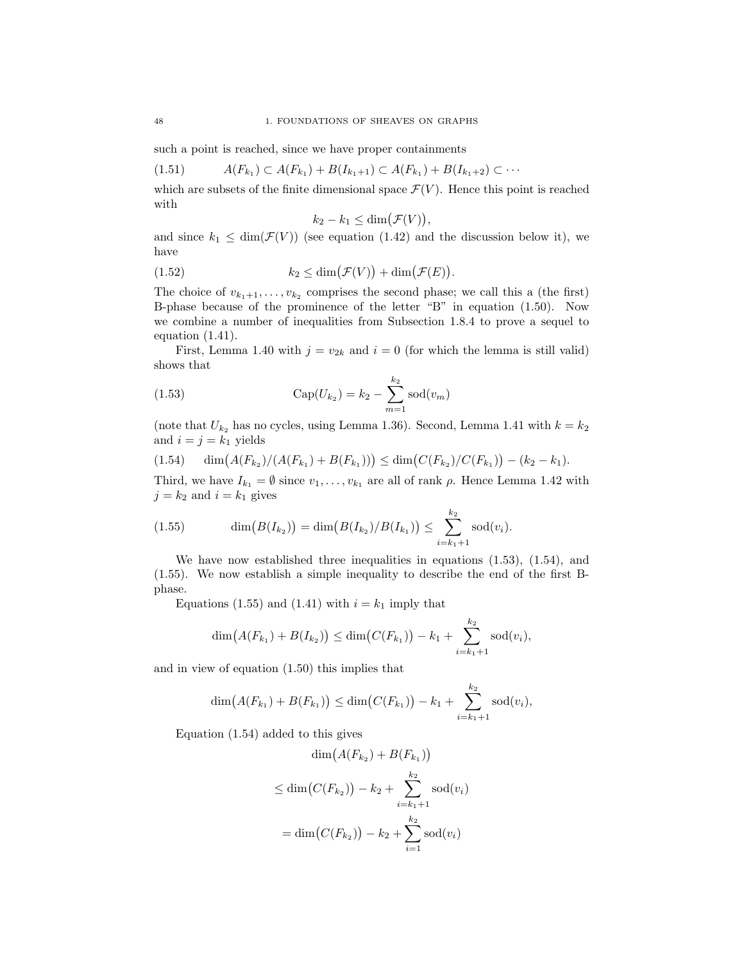such a point is reached, since we have proper containments

$$
(1.51) \t A(F_{k_1}) \subset A(F_{k_1}) + B(I_{k_1+1}) \subset A(F_{k_1}) + B(I_{k_1+2}) \subset \cdots
$$

which are subsets of the finite dimensional space  $\mathcal{F}(V)$ . Hence this point is reached with

$$
k_2 - k_1 \le \dim(\mathcal{F}(V)),
$$

and since  $k_1 \leq \dim(\mathcal{F}(V))$  (see equation (1.42) and the discussion below it), we have

(1.52) 
$$
k_2 \leq \dim(\mathcal{F}(V)) + \dim(\mathcal{F}(E)).
$$

The choice of  $v_{k_1+1}, \ldots, v_{k_2}$  comprises the second phase; we call this a (the first) B-phase because of the prominence of the letter "B" in equation (1.50). Now we combine a number of inequalities from Subsection 1.8.4 to prove a sequel to equation (1.41).

First, Lemma 1.40 with  $j = v_{2k}$  and  $i = 0$  (for which the lemma is still valid) shows that

(1.53) 
$$
Cap(U_{k_2}) = k_2 - \sum_{m=1}^{k_2} sod(v_m)
$$

(note that  $U_{k_2}$  has no cycles, using Lemma 1.36). Second, Lemma 1.41 with  $k = k_2$ and  $i = j = k_1$  yields

$$
(1.54) \qquad \dim(A(F_{k_2})/(A(F_{k_1})+B(F_{k_1}))) \leq \dim(C(F_{k_2})/C(F_{k_1})) - (k_2 - k_1).
$$

Third, we have  $I_{k_1} = \emptyset$  since  $v_1, \ldots, v_{k_1}$  are all of rank  $\rho$ . Hence Lemma 1.42 with  $j = k_2$  and  $i = k_1$  gives

(1.55) 
$$
\dim(B(I_{k_2})) = \dim(B(I_{k_2})/B(I_{k_1})) \leq \sum_{i=k_1+1}^{k_2} \operatorname{sod}(v_i).
$$

We have now established three inequalities in equations (1.53), (1.54), and (1.55). We now establish a simple inequality to describe the end of the first Bphase.

Equations (1.55) and (1.41) with  $i = k_1$  imply that

$$
\dim(A(F_{k_1})+B(I_{k_2})) \leq \dim(C(F_{k_1})) - k_1 + \sum_{i=k_1+1}^{k_2} \operatorname{sod}(v_i),
$$

and in view of equation (1.50) this implies that

$$
\dim(A(F_{k_1})+B(F_{k_1})) \leq \dim(C(F_{k_1})) - k_1 + \sum_{i=k_1+1}^{k_2} \operatorname{sod}(v_i),
$$

Equation (1.54) added to this gives

$$
\dim(A(F_{k_2}) + B(F_{k_1}))
$$
  
\n
$$
\leq \dim(C(F_{k_2})) - k_2 + \sum_{i=k_1+1}^{k_2} \operatorname{sod}(v_i)
$$
  
\n
$$
= \dim(C(F_{k_2})) - k_2 + \sum_{i=1}^{k_2} \operatorname{sod}(v_i)
$$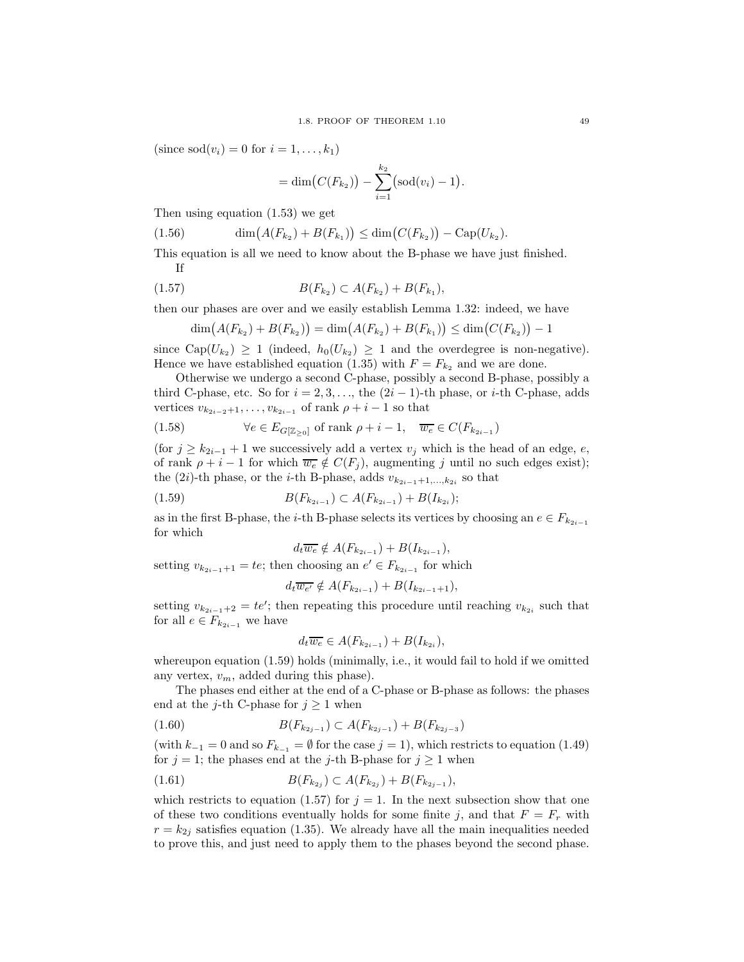(since  $\mathrm{sod}(v_i) = 0$  for  $i = 1, \ldots, k_1$ )

$$
= \dim(C(F_{k_2})) - \sum_{i=1}^{k_2} (\text{sod}(v_i) - 1).
$$

Then using equation (1.53) we get

(1.56) 
$$
\dim(A(F_{k_2}) + B(F_{k_1})) \leq \dim(C(F_{k_2})) - \text{Cap}(U_{k_2}).
$$

This equation is all we need to know about the B-phase we have just finished. If

$$
(1.57) \t\t B(F_{k_2}) \subset A(F_{k_2}) + B(F_{k_1}),
$$

then our phases are over and we easily establish Lemma 1.32: indeed, we have

$$
\dim(A(F_{k_2}) + B(F_{k_2})) = \dim(A(F_{k_2}) + B(F_{k_1})) \le \dim(C(F_{k_2})) - 1
$$

since  $Cap(U_{k_2}) \geq 1$  (indeed,  $h_0(U_{k_2}) \geq 1$  and the overdegree is non-negative). Hence we have established equation (1.35) with  $F = F_{k_2}$  and we are done.

Otherwise we undergo a second C-phase, possibly a second B-phase, possibly a third C-phase, etc. So for  $i = 2, 3, \ldots$ , the  $(2i - 1)$ -th phase, or *i*-th C-phase, adds vertices  $v_{k_{2i-2}+1}, \ldots, v_{k_{2i-1}}$  of rank  $\rho + i - 1$  so that

(1.58) 
$$
\forall e \in E_{G[\mathbb{Z}_{\geq 0}]} \text{ of rank } \rho + i - 1, \quad \overline{w_e} \in C(F_{k_{2i-1}})
$$

(for  $j \geq k_{2i-1}+1$  we successively add a vertex  $v_j$  which is the head of an edge, e, of rank  $\rho + i - 1$  for which  $\overline{w_e} \notin C(F_i)$ , augmenting j until no such edges exist); the (2*i*)-th phase, or the *i*-th B-phase, adds  $v_{k_{2i-1}+1,\ldots,k_{2i}}$  so that

$$
(1.59) \t\t B(F_{k_{2i-1}}) \subset A(F_{k_{2i-1}}) + B(I_{k_{2i}});
$$

as in the first B-phase, the *i*-th B-phase selects its vertices by choosing an  $e \in F_{k_{2i-1}}$ for which

$$
d_t \overline{w_e} \notin A(F_{k_{2i-1}}) + B(I_{k_{2i-1}}),
$$

setting  $v_{k_{2i-1}+1} = te$ ; then choosing an  $e' \in F_{k_{2i-1}}$  for which

$$
d_t \overline{w_{e'}} \notin A(F_{k_{2i-1}}) + B(I_{k_{2i-1}+1}),
$$

setting  $v_{k_{2i-1}+2} = te'$ ; then repeating this procedure until reaching  $v_{k_{2i}}$  such that for all  $e \in F_{k_{2i-1}}$  we have

$$
d_t\overline{w_e} \in A(F_{k_{2i-1}}) + B(I_{k_{2i}}),
$$

whereupon equation (1.59) holds (minimally, i.e., it would fail to hold if we omitted any vertex,  $v_m$ , added during this phase).

The phases end either at the end of a C-phase or B-phase as follows: the phases end at the j-th C-phase for  $j \geq 1$  when

$$
(1.60) \t\t B(F_{k_{2j-1}}) \subset A(F_{k_{2j-1}}) + B(F_{k_{2j-3}})
$$

(with  $k_{-1} = 0$  and so  $F_{k_{-1}} = \emptyset$  for the case  $j = 1$ ), which restricts to equation (1.49) for  $j = 1$ ; the phases end at the j-th B-phase for  $j \ge 1$  when

$$
(1.61) \t B(F_{k_{2j}}) \subset A(F_{k_{2j}}) + B(F_{k_{2j-1}}),
$$

which restricts to equation (1.57) for  $j = 1$ . In the next subsection show that one of these two conditions eventually holds for some finite j, and that  $F = F_r$  with  $r = k_{2i}$  satisfies equation (1.35). We already have all the main inequalities needed to prove this, and just need to apply them to the phases beyond the second phase.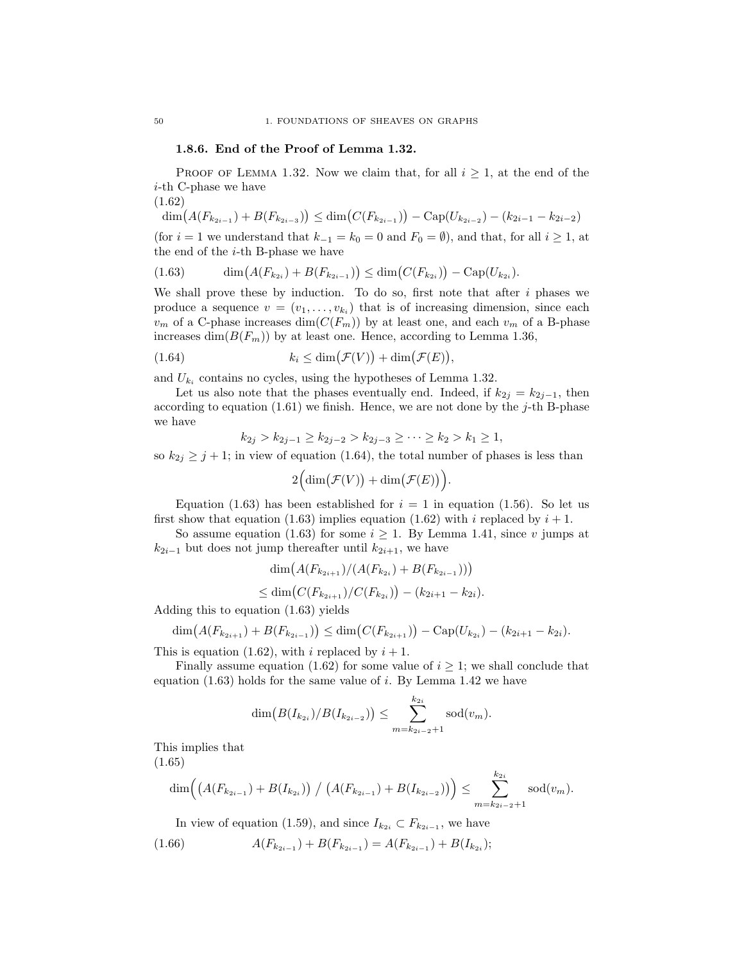## 1.8.6. End of the Proof of Lemma 1.32.

PROOF OF LEMMA 1.32. Now we claim that, for all  $i \geq 1$ , at the end of the i-th C-phase we have

(1.62)  $\dim(A(F_{k_{2i-1}}) + B(F_{k_{2i-3}})) \leq \dim(C(F_{k_{2i-1}})) - \text{Cap}(U_{k_{2i-2}}) - (k_{2i-1} - k_{2i-2})$ (for  $i = 1$  we understand that  $k_{-1} = k_0 = 0$  and  $F_0 = \emptyset$ ), and that, for all  $i \ge 1$ , at the end of the  $i$ -th B-phase we have

(1.63) 
$$
\dim(A(F_{k_{2i}}) + B(F_{k_{2i-1}})) \leq \dim(C(F_{k_{2i}})) - \text{Cap}(U_{k_{2i}}).
$$

We shall prove these by induction. To do so, first note that after  $i$  phases we produce a sequence  $v = (v_1, \ldots, v_{k_i})$  that is of increasing dimension, since each  $v_m$  of a C-phase increases dim( $C(F_m)$ ) by at least one, and each  $v_m$  of a B-phase increases dim $(B(F_m))$  by at least one. Hence, according to Lemma 1.36,

(1.64) 
$$
k_i \leq \dim(\mathcal{F}(V)) + \dim(\mathcal{F}(E)),
$$

and  $U_{k_i}$  contains no cycles, using the hypotheses of Lemma 1.32.

Let us also note that the phases eventually end. Indeed, if  $k_{2j} = k_{2j-1}$ , then according to equation  $(1.61)$  we finish. Hence, we are not done by the j-th B-phase we have

$$
k_{2j} > k_{2j-1} \ge k_{2j-2} > k_{2j-3} \ge \cdots \ge k_2 > k_1 \ge 1,
$$

so  $k_{2j} \geq j+1$ ; in view of equation (1.64), the total number of phases is less than

$$
2\Bigl(\dim\bigl(\mathcal{F}(V)\bigr)+\dim\bigl(\mathcal{F}(E)\bigr)\Bigr).
$$

Equation (1.63) has been established for  $i = 1$  in equation (1.56). So let us first show that equation (1.63) implies equation (1.62) with i replaced by  $i + 1$ .

So assume equation (1.63) for some  $i \geq 1$ . By Lemma 1.41, since v jumps at  $k_{2i-1}$  but does not jump thereafter until  $k_{2i+1}$ , we have

$$
\dim(A(F_{k_{2i+1}})/(A(F_{k_{2i}}) + B(F_{k_{2i-1}})))
$$
  
\n
$$
\leq \dim(C(F_{k_{2i+1}})/C(F_{k_{2i}})) - (k_{2i+1} - k_{2i}).
$$

Adding this to equation (1.63) yields

$$
\dim(A(F_{k_{2i+1}})+B(F_{k_{2i-1}}))\leq \dim(C(F_{k_{2i+1}}))-\text{Cap}(U_{k_{2i}})-(k_{2i+1}-k_{2i}).
$$

This is equation (1.62), with i replaced by  $i + 1$ .

Finally assume equation (1.62) for some value of  $i \geq 1$ ; we shall conclude that equation  $(1.63)$  holds for the same value of i. By Lemma 1.42 we have

$$
\dim(B(I_{k_{2i}})/B(I_{k_{2i-2}})) \leq \sum_{m=k_{2i-2}+1}^{k_{2i}} \mathrm{sod}(v_m).
$$

This implies that

(1.65)

$$
\dim\left(\left(A(F_{k_{2i-1}})+B(I_{k_{2i}})\right)/\left(A(F_{k_{2i-1}})+B(I_{k_{2i-2}})\right)\right)\leq \sum_{m=k_{2i-2}+1}^{k_{2i}}\operatorname{sod}(v_m).
$$

In view of equation (1.59), and since  $I_{k_{2i}} \subset F_{k_{2i-1}}$ , we have

$$
(1.66) \t\t A(F_{k_{2i-1}}) + B(F_{k_{2i-1}}) = A(F_{k_{2i-1}}) + B(I_{k_{2i}});
$$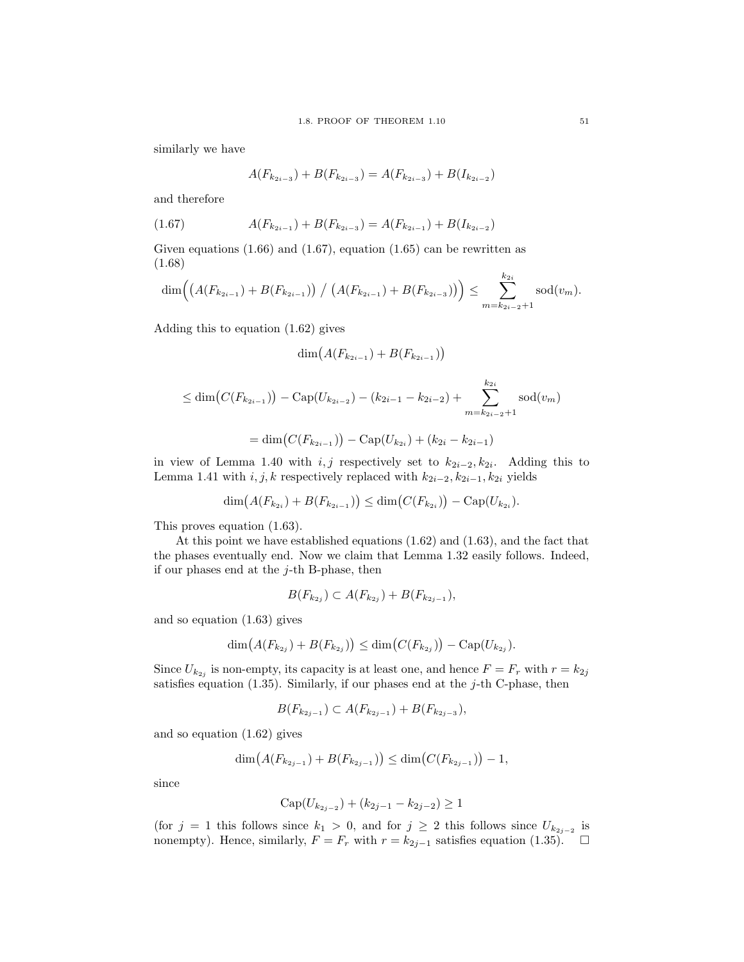similarly we have

$$
A(F_{k_{2i-3}}) + B(F_{k_{2i-3}}) = A(F_{k_{2i-3}}) + B(I_{k_{2i-2}})
$$

and therefore

$$
(1.67) \t A(F_{k_{2i-1}}) + B(F_{k_{2i-3}}) = A(F_{k_{2i-1}}) + B(I_{k_{2i-2}})
$$

Given equations  $(1.66)$  and  $(1.67)$ , equation  $(1.65)$  can be rewritten as (1.68)

$$
\dim\left(\left(A(F_{k_{2i-1}})+B(F_{k_{2i-1}})\right)/\left(A(F_{k_{2i-1}})+B(F_{k_{2i-3}})\right)\right)\leq \sum_{m=k_{2i-2}+1}^{k_{2i}}\mathrm{sod}(v_m).
$$

Adding this to equation (1.62) gives

$$
\dim(A(F_{k_{2i-1}})+B(F_{k_{2i-1}}))
$$

$$
\leq \dim(C(F_{k_{2i-1}})) - \mathrm{Cap}(U_{k_{2i-2}}) - (k_{2i-1} - k_{2i-2}) + \sum_{m=k_{2i-2}+1}^{k_{2i}} \mathrm{sol}(v_m)
$$

$$
= \dim(C(F_{k_{2i-1}})) - \mathrm{Cap}(U_{k_{2i}}) + (k_{2i} - k_{2i-1})
$$

in view of Lemma 1.40 with  $i, j$  respectively set to  $k_{2i-2}, k_{2i}$ . Adding this to Lemma 1.41 with  $i, j, k$  respectively replaced with  $k_{2i-2}, k_{2i-1}, k_{2i}$  yields

$$
\dim(A(F_{k_{2i}})+B(F_{k_{2i-1}}))\leq \dim(C(F_{k_{2i}}))-\text{Cap}(U_{k_{2i}}).
$$

This proves equation (1.63).

At this point we have established equations 
$$
(1.62)
$$
 and  $(1.63)$ , and the fact that the phases eventually end. Now we claim that Lemma 1.32 easily follows. Indeed, if our phases end at the *j*-th B-phase, then

$$
B(F_{k_{2j}}) \subset A(F_{k_{2j}}) + B(F_{k_{2j-1}}),
$$

and so equation (1.63) gives

$$
\dim(A(F_{k_{2j}})+B(F_{k_{2j}})) \leq \dim(C(F_{k_{2j}})) - \text{Cap}(U_{k_{2j}}).
$$

Since  $U_{k_{2j}}$  is non-empty, its capacity is at least one, and hence  $F = F_r$  with  $r = k_{2j}$ satisfies equation (1.35). Similarly, if our phases end at the  $j$ -th C-phase, then

$$
B(F_{k_{2j-1}}) \subset A(F_{k_{2j-1}}) + B(F_{k_{2j-3}}),
$$

and so equation (1.62) gives

$$
\dim(A(F_{k_{2j-1}})+B(F_{k_{2j-1}}))\leq \dim(C(F_{k_{2j-1}}))-1,
$$

since

$$
Cap(U_{k_{2j-2}})+(k_{2j-1}-k_{2j-2})\geq 1
$$

(for  $j = 1$  this follows since  $k_1 > 0$ , and for  $j \geq 2$  this follows since  $U_{k_{2j-2}}$  is nonempty). Hence, similarly,  $F = F_r$  with  $r = k_{2j-1}$  satisfies equation (1.35).  $□$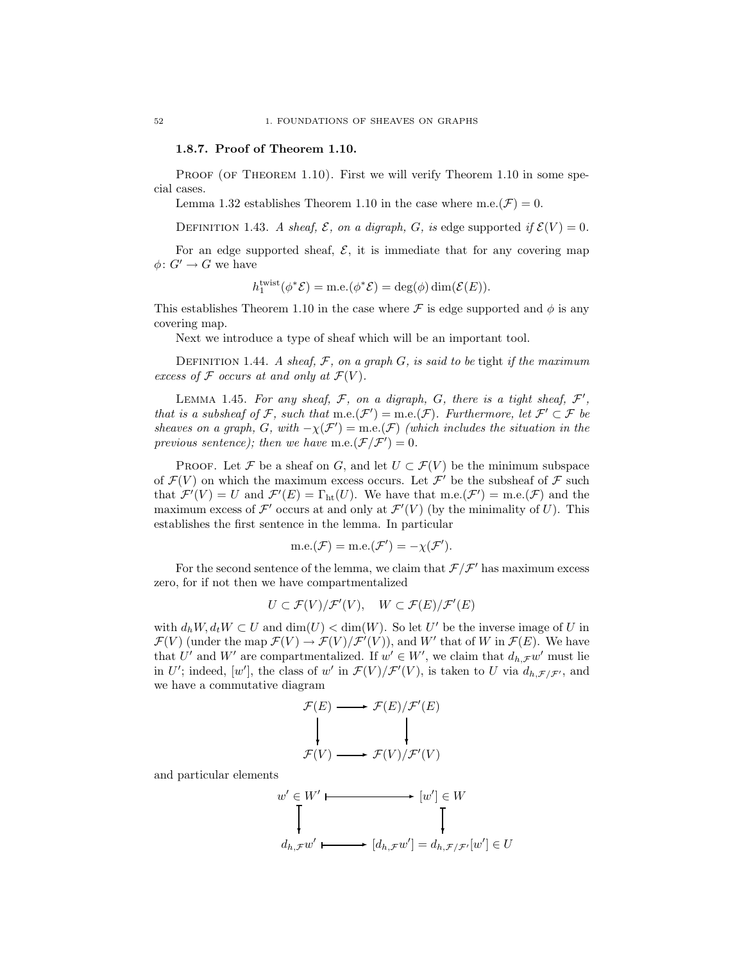### 1.8.7. Proof of Theorem 1.10.

PROOF (OF THEOREM 1.10). First we will verify Theorem 1.10 in some special cases.

Lemma 1.32 establishes Theorem 1.10 in the case where m.e. $(\mathcal{F}) = 0$ .

DEFINITION 1.43. A sheaf,  $\mathcal E$ , on a digraph, G, is edge supported if  $\mathcal E(V) = 0$ .

For an edge supported sheaf,  $\mathcal{E}$ , it is immediate that for any covering map  $\phi: G' \to G$  we have

$$
h_1^{\text{twist}}(\phi^*\mathcal{E}) = \text{m.e.}(\phi^*\mathcal{E}) = \deg(\phi)\dim(\mathcal{E}(E)).
$$

This establishes Theorem 1.10 in the case where  $\mathcal F$  is edge supported and  $\phi$  is any covering map.

Next we introduce a type of sheaf which will be an important tool.

DEFINITION 1.44. A sheaf,  $F$ , on a graph  $G$ , is said to be tight if the maximum excess of  $\mathcal F$  occurs at and only at  $\mathcal F(V)$ .

LEMMA 1.45. For any sheaf,  $F$ , on a digraph, G, there is a tight sheaf,  $F'$ , that is a subsheaf of F, such that m.e. $(\mathcal{F}') =$  m.e. $(\mathcal{F})$ . Furthermore, let  $\mathcal{F}' \subset \mathcal{F}$  be sheaves on a graph, G, with  $-\chi(\mathcal{F}') = \text{m.e.}(\mathcal{F})$  (which includes the situation in the previous sentence); then we have m.e.  $(\mathcal{F}/\mathcal{F}')=0$ .

PROOF. Let F be a sheaf on G, and let  $U \subset \mathcal{F}(V)$  be the minimum subspace of  $\mathcal{F}(V)$  on which the maximum excess occurs. Let  $\mathcal{F}'$  be the subsheaf of  $\mathcal{F}$  such that  $\mathcal{F}'(V) = U$  and  $\mathcal{F}'(E) = \Gamma_{\text{ht}}(U)$ . We have that m.e. $(\mathcal{F}') = \text{m.e.}(\mathcal{F})$  and the maximum excess of  $\mathcal{F}'$  occurs at and only at  $\mathcal{F}'(V)$  (by the minimality of U). This establishes the first sentence in the lemma. In particular

$$
\text{m.e.}(\mathcal{F}) = \text{m.e.}(\mathcal{F}') = -\chi(\mathcal{F}').
$$

For the second sentence of the lemma, we claim that  $\mathcal{F}/\mathcal{F}'$  has maximum excess zero, for if not then we have compartmentalized

$$
U \subset \mathcal{F}(V)/\mathcal{F}'(V), \quad W \subset \mathcal{F}(E)/\mathcal{F}'(E)
$$

with  $d_h W, d_t W \subset U$  and  $\dim(U) < \dim(W)$ . So let U' be the inverse image of U in  $\mathcal{F}(V)$  (under the map  $\mathcal{F}(V) \to \mathcal{F}(V)/\mathcal{F}'(V)$ ), and W' that of W in  $\mathcal{F}(E)$ . We have that U' and W' are compartmentalized. If  $w' \in W'$ , we claim that  $d_{h,\mathcal{F}}w'$  must lie in U'; indeed, [w'], the class of w' in  $\mathcal{F}(V)/\mathcal{F}'(V)$ , is taken to U via  $d_{h,\mathcal{F}/\mathcal{F}'}$ , and we have a commutative diagram

$$
\mathcal{F}(E) \longrightarrow \mathcal{F}(E)/\mathcal{F}'(E)
$$
  
\n
$$
\downarrow \qquad \qquad \downarrow
$$
  
\n
$$
\mathcal{F}(V) \longrightarrow \mathcal{F}(V)/\mathcal{F}'(V)
$$

and particular elements

$$
w' \in W' \longrightarrow [w'] \in W
$$
  
\n
$$
\downarrow \qquad \qquad [\downarrow]
$$
  
\n
$$
d_{h,\mathcal{F}}w' \longmapsto [d_{h,\mathcal{F}}w'] = d_{h,\mathcal{F}/\mathcal{F}'}[w'] \in U
$$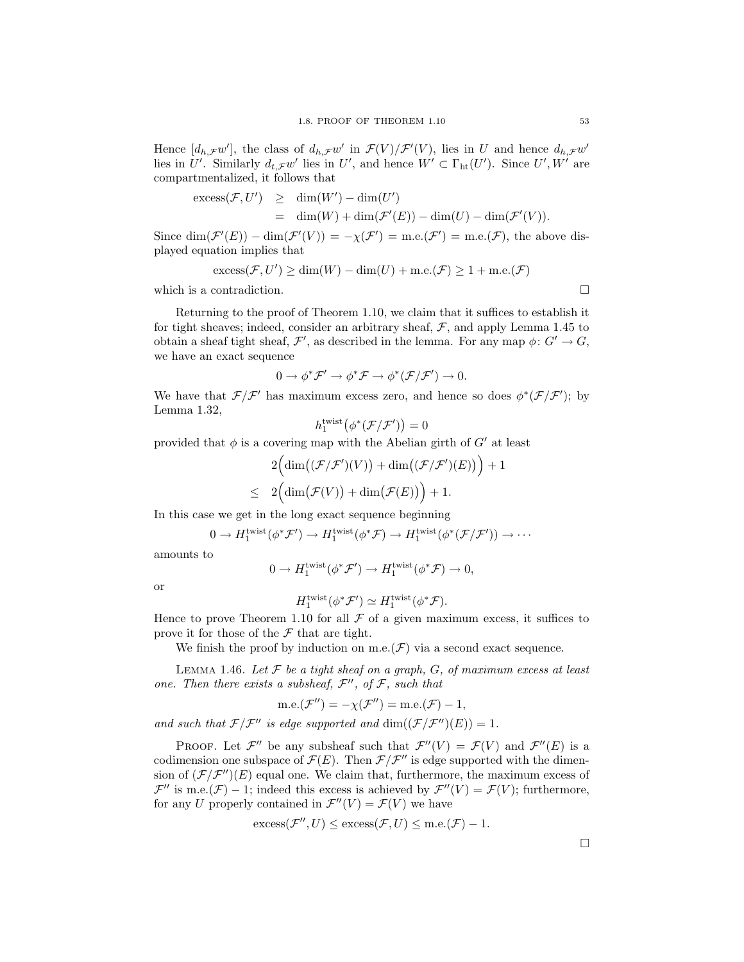Hence  $[d_{h,\mathcal{F}}w']$ , the class of  $d_{h,\mathcal{F}}w'$  in  $\mathcal{F}(V)/\mathcal{F}'(V)$ , lies in U and hence  $d_{h,\mathcal{F}}w'$ lies in U'. Similarly  $d_{t,\mathcal{F}}w'$  lies in U', and hence  $W' \subset \Gamma_{\text{ht}}(U')$ . Since U', W' are compartmentalized, it follows that

excess
$$
(\mathcal{F}, U') \geq \dim(W') - \dim(U')
$$
  
=  $\dim(W) + \dim(\mathcal{F}'(E)) - \dim(U) - \dim(\mathcal{F}'(V)).$ 

Since  $\dim(\mathcal{F}'(E)) - \dim(\mathcal{F}'(V)) = -\chi(\mathcal{F}') = \text{m.e.}(\mathcal{F}') = \text{m.e.}(\mathcal{F})$ , the above displayed equation implies that

$$
\text{excess}(\mathcal{F}, U') \ge \dim(W) - \dim(U) + \text{m.e.}(\mathcal{F}) \ge 1 + \text{m.e.}(\mathcal{F})
$$

which is a contradiction.  $\Box$ 

Returning to the proof of Theorem 1.10, we claim that it suffices to establish it for tight sheaves; indeed, consider an arbitrary sheaf,  $\mathcal F$ , and apply Lemma 1.45 to obtain a sheaf tight sheaf,  $\mathcal{F}'$ , as described in the lemma. For any map  $\phi: G' \to G$ , we have an exact sequence

$$
0 \to \phi^* \mathcal{F}' \to \phi^* \mathcal{F} \to \phi^* (\mathcal{F}/\mathcal{F}') \to 0.
$$

We have that  $\mathcal{F}/\mathcal{F}'$  has maximum excess zero, and hence so does  $\phi^*(\mathcal{F}/\mathcal{F}')$ ; by Lemma 1.32,

$$
h_1^{\text{twist}}\big(\phi^*(\mathcal{F}/\mathcal{F}')\big)=0
$$

provided that  $\phi$  is a covering map with the Abelian girth of G' at least

$$
2\Big(\dim\bigl((\mathcal{F}/\mathcal{F}')(V)\bigr) + \dim\bigl((\mathcal{F}/\mathcal{F}')(E)\bigr)\Bigr) + 1
$$
  

$$
\leq 2\Bigl(\dim(\mathcal{F}(V)) + \dim(\mathcal{F}(E))\Bigr) + 1.
$$

In this case we get in the long exact sequence beginning

$$
0 \to H_1^{\text{twist}}(\phi^* \mathcal{F}') \to H_1^{\text{twist}}(\phi^* \mathcal{F}) \to H_1^{\text{twist}}(\phi^* (\mathcal{F}/\mathcal{F}')) \to \cdots
$$

amounts to

$$
0 \to H_1^{\text{twist}}(\phi^* \mathcal{F}') \to H_1^{\text{twist}}(\phi^* \mathcal{F}) \to 0,
$$

or

$$
H_1^{\text{twist}}(\phi^* \mathcal{F}') \simeq H_1^{\text{twist}}(\phi^* \mathcal{F}).
$$

Hence to prove Theorem 1.10 for all  $\mathcal F$  of a given maximum excess, it suffices to prove it for those of the  $\mathcal F$  that are tight.

We finish the proof by induction on m.e.  $(F)$  via a second exact sequence.

LEMMA 1.46. Let  $\mathcal F$  be a tight sheaf on a graph,  $G$ , of maximum excess at least one. Then there exists a subsheaf,  $\mathcal{F}''$ , of  $\mathcal{F}$ , such that

$$
m.e.(\mathcal{F}'') = -\chi(\mathcal{F}'') = m.e.(\mathcal{F}) - 1,
$$

and such that  $\mathcal{F}/\mathcal{F}''$  is edge supported and  $\dim((\mathcal{F}/\mathcal{F}'')(E)) = 1$ .

PROOF. Let  $\mathcal{F}''$  be any subsheaf such that  $\mathcal{F}''(V) = \mathcal{F}(V)$  and  $\mathcal{F}''(E)$  is a codimension one subspace of  $\mathcal{F}(E)$ . Then  $\mathcal{F}/\mathcal{F}''$  is edge supported with the dimension of  $(\mathcal{F}/\mathcal{F}'')(E)$  equal one. We claim that, furthermore, the maximum excess of  $\mathcal{F}''$  is m.e. $(\mathcal{F}) - 1$ ; indeed this excess is achieved by  $\mathcal{F}''(V) = \mathcal{F}(V)$ ; furthermore, for any U properly contained in  $\mathcal{F}''(V) = \mathcal{F}(V)$  we have

$$
\text{excess}(\mathcal{F}'', U) \leq \text{excess}(\mathcal{F}, U) \leq \text{m.e.}(\mathcal{F}) - 1.
$$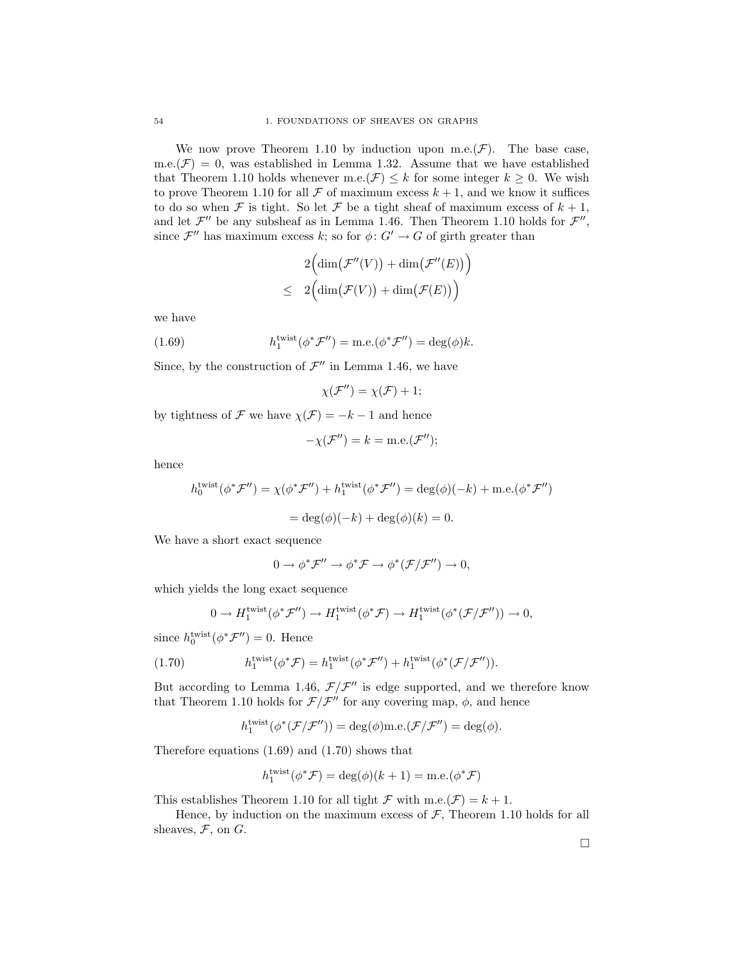We now prove Theorem 1.10 by induction upon m.e. $(F)$ . The base case, m.e.( $\mathcal{F}$ ) = 0, was established in Lemma 1.32. Assume that we have established that Theorem 1.10 holds whenever m.e. $(F) \leq k$  for some integer  $k \geq 0$ . We wish to prove Theorem 1.10 for all  $\mathcal F$  of maximum excess  $k+1$ , and we know it suffices to do so when  $\mathcal F$  is tight. So let  $\mathcal F$  be a tight sheaf of maximum excess of  $k+1$ , and let  $\mathcal{F}''$  be any subsheaf as in Lemma 1.46. Then Theorem 1.10 holds for  $\mathcal{F}''$ , since  $\mathcal{F}''$  has maximum excess k; so for  $\phi: G' \to G$  of girth greater than

$$
2\Big(\dim(\mathcal{F}''(V)) + \dim(\mathcal{F}''(E))\Big) \leq 2\Big(\dim(\mathcal{F}(V)) + \dim(\mathcal{F}(E))\Big)
$$

we have

(1.69) 
$$
h_1^{\text{twist}}(\phi^* \mathcal{F}'') = \text{m.e.}(\phi^* \mathcal{F}'') = \text{deg}(\phi)k.
$$

Since, by the construction of  $\mathcal{F}^{\prime\prime}$  in Lemma 1.46, we have

$$
\chi(\mathcal{F}'') = \chi(\mathcal{F}) + 1;
$$

by tightness of F we have  $\chi(\mathcal{F}) = -k - 1$  and hence

$$
-\chi(\mathcal{F}'') = k = \text{m.e.}(\mathcal{F}'');
$$

hence

$$
h_0^{\text{twist}}(\phi^* \mathcal{F}'') = \chi(\phi^* \mathcal{F}'') + h_1^{\text{twist}}(\phi^* \mathcal{F}'') = \deg(\phi)(-k) + \text{m.e.}(\phi^* \mathcal{F}'')
$$

$$
= \deg(\phi)(-k) + \deg(\phi)(k) = 0.
$$

We have a short exact sequence

$$
0\to \phi^* \mathcal{F}'' \to \phi^* \mathcal{F} \to \phi^* ( \mathcal{F} / \mathcal{F}'') \to 0,
$$

which yields the long exact sequence

$$
0 \to H_1^{\text{twist}}(\phi^* \mathcal{F}'') \to H_1^{\text{twist}}(\phi^* \mathcal{F}) \to H_1^{\text{twist}}(\phi^* (\mathcal{F}/\mathcal{F}'')) \to 0,
$$

since  $h_0^{\text{twist}}(\phi^* \mathcal{F}'') = 0$ . Hence

(1.70) 
$$
h_1^{\text{twist}}(\phi^* \mathcal{F}) = h_1^{\text{twist}}(\phi^* \mathcal{F}'') + h_1^{\text{twist}}(\phi^* (\mathcal{F}/\mathcal{F}'')).
$$

But according to Lemma 1.46,  $\mathcal{F}/\mathcal{F}''$  is edge supported, and we therefore know that Theorem 1.10 holds for  $\mathcal{F}/\mathcal{F}''$  for any covering map,  $\phi$ , and hence

$$
h_1^{\text{twist}}(\phi^*(\mathcal{F}/\mathcal{F}')) = \deg(\phi) \text{m.e.}(\mathcal{F}/\mathcal{F}'') = \deg(\phi).
$$

Therefore equations (1.69) and (1.70) shows that

$$
h_1^{\text{twist}}(\phi^*\mathcal{F})=\deg(\phi)(k+1)=\text{m.e.}(\phi^*\mathcal{F})
$$

This establishes Theorem 1.10 for all tight  $\mathcal F$  with m.e. $(\mathcal F) = k + 1$ .

Hence, by induction on the maximum excess of  $\mathcal{F}$ , Theorem 1.10 holds for all sheaves,  $F$ , on  $G$ .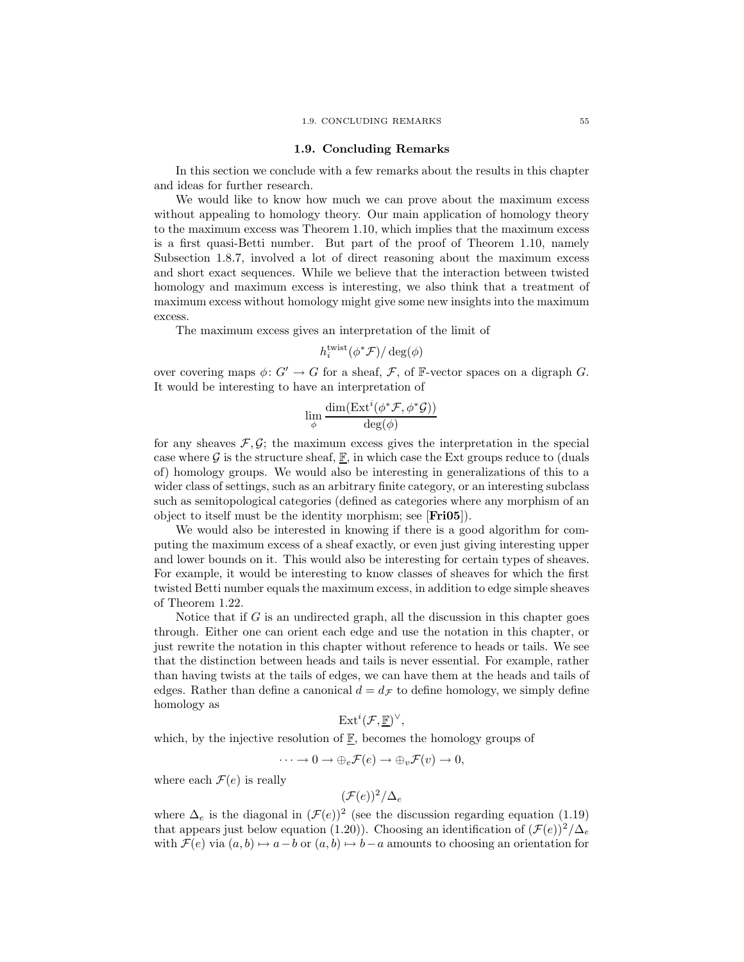#### 1.9. Concluding Remarks

In this section we conclude with a few remarks about the results in this chapter and ideas for further research.

We would like to know how much we can prove about the maximum excess without appealing to homology theory. Our main application of homology theory to the maximum excess was Theorem 1.10, which implies that the maximum excess is a first quasi-Betti number. But part of the proof of Theorem 1.10, namely Subsection 1.8.7, involved a lot of direct reasoning about the maximum excess and short exact sequences. While we believe that the interaction between twisted homology and maximum excess is interesting, we also think that a treatment of maximum excess without homology might give some new insights into the maximum excess.

The maximum excess gives an interpretation of the limit of

$$
h_i^{\rm twist}(\phi^*{\mathcal F})/\deg(\phi)
$$

over covering maps  $\phi: G' \to G$  for a sheaf, F, of F-vector spaces on a digraph G. It would be interesting to have an interpretation of

$$
\lim_{\phi} \frac{\dim(\operatorname{Ext}^i(\phi^* \mathcal{F}, \phi^* \mathcal{G}))}{\deg(\phi)}
$$

for any sheaves  $\mathcal{F}, \mathcal{G}$ ; the maximum excess gives the interpretation in the special case where G is the structure sheaf,  $\mathbb{F}$ , in which case the Ext groups reduce to (duals of) homology groups. We would also be interesting in generalizations of this to a wider class of settings, such as an arbitrary finite category, or an interesting subclass such as semitopological categories (defined as categories where any morphism of an object to itself must be the identity morphism; see [Fri05]).

We would also be interested in knowing if there is a good algorithm for computing the maximum excess of a sheaf exactly, or even just giving interesting upper and lower bounds on it. This would also be interesting for certain types of sheaves. For example, it would be interesting to know classes of sheaves for which the first twisted Betti number equals the maximum excess, in addition to edge simple sheaves of Theorem 1.22.

Notice that if  $G$  is an undirected graph, all the discussion in this chapter goes through. Either one can orient each edge and use the notation in this chapter, or just rewrite the notation in this chapter without reference to heads or tails. We see that the distinction between heads and tails is never essential. For example, rather than having twists at the tails of edges, we can have them at the heads and tails of edges. Rather than define a canonical  $d = d_{\mathcal{F}}$  to define homology, we simply define homology as

$$
\operatorname{Ext}^i(\mathcal{F},\underline{\mathbb{F}})^{\vee},
$$

which, by the injective resolution of  $E$ , becomes the homology groups of

$$
\cdots \to 0 \to \bigoplus_e \mathcal{F}(e) \to \bigoplus_v \mathcal{F}(v) \to 0,
$$

where each  $\mathcal{F}(e)$  is really

$$
(\mathcal{F}(e))^2/\Delta_e
$$

where  $\Delta_e$  is the diagonal in  $(\mathcal{F}(e))^2$  (see the discussion regarding equation (1.19) that appears just below equation (1.20)). Choosing an identification of  $(\mathcal{F}(e))^2/\Delta_e$ with  $\mathcal{F}(e)$  via  $(a, b) \mapsto a-b$  or  $(a, b) \mapsto b-a$  amounts to choosing an orientation for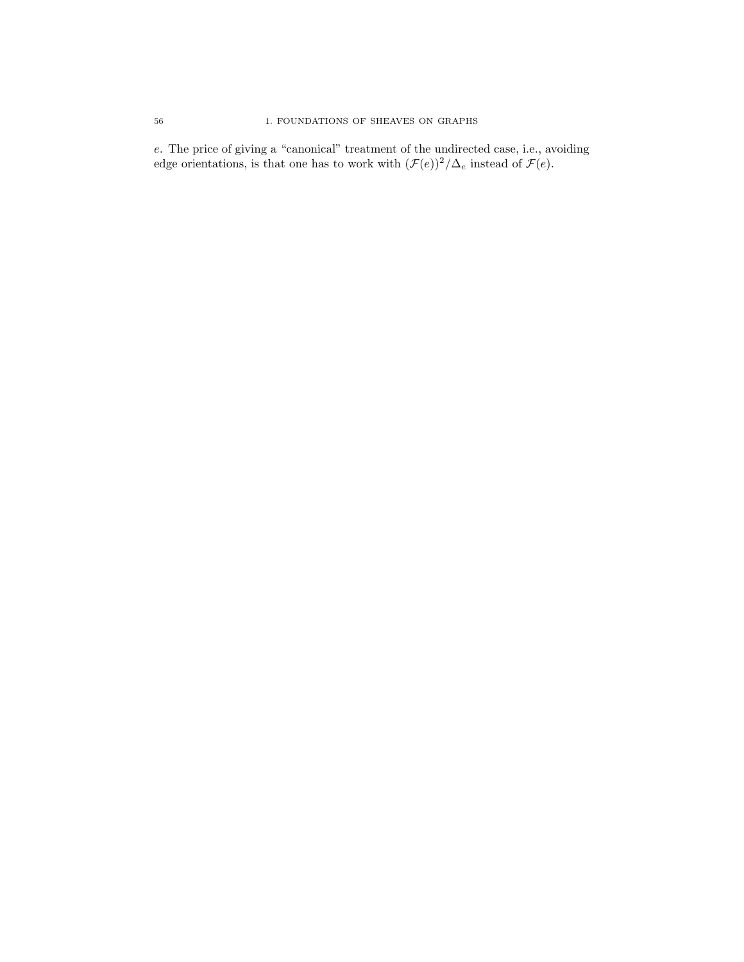e. The price of giving a "canonical" treatment of the undirected case, i.e., avoiding edge orientations, is that one has to work with  $(\mathcal{F}(e))^2/\Delta_e$  instead of  $\mathcal{F}(e)$ .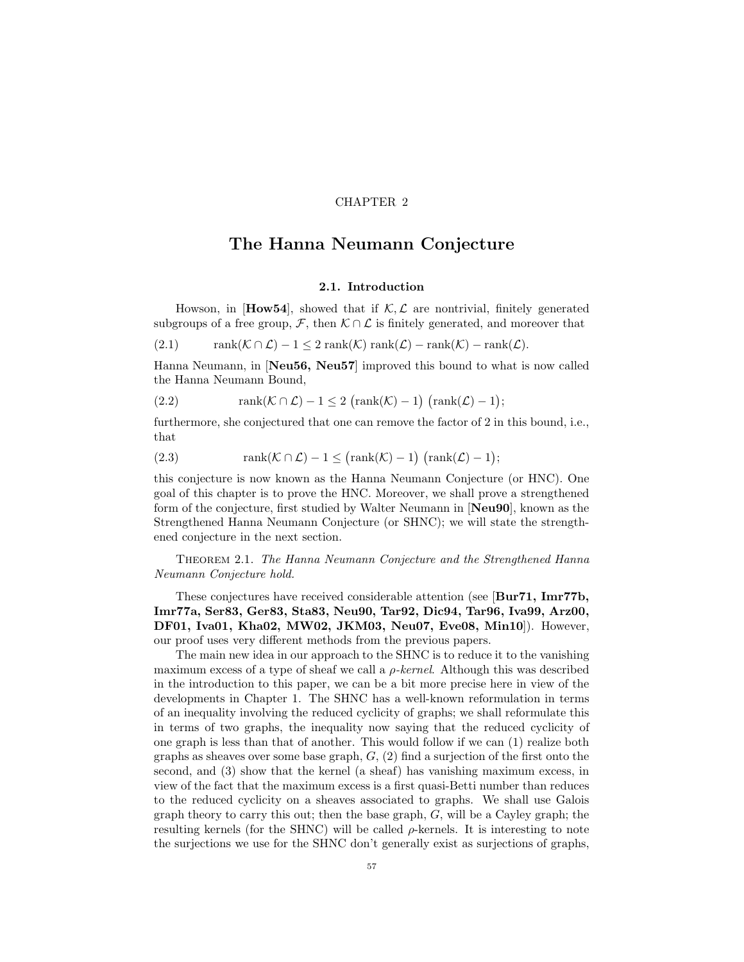## CHAPTER 2

# The Hanna Neumann Conjecture

## 2.1. Introduction

Howson, in [How54], showed that if  $K, \mathcal{L}$  are nontrivial, finitely generated subgroups of a free group,  $\mathcal{F}$ , then  $\mathcal{K} \cap \mathcal{L}$  is finitely generated, and moreover that

(2.1) 
$$
\text{rank}(\mathcal{K} \cap \mathcal{L}) - 1 \leq 2 \text{ rank}(\mathcal{K}) \text{ rank}(\mathcal{L}) - \text{rank}(\mathcal{K}) - \text{rank}(\mathcal{L}).
$$

Hanna Neumann, in [Neu56, Neu57] improved this bound to what is now called the Hanna Neumann Bound,

(2.2) 
$$
rank(\mathcal{K} \cap \mathcal{L}) - 1 \leq 2 \left( rank(\mathcal{K}) - 1 \right) \left( rank(\mathcal{L}) - 1 \right);
$$

furthermore, she conjectured that one can remove the factor of 2 in this bound, i.e., that

(2.3) 
$$
rank(\mathcal{K} \cap \mathcal{L}) - 1 \leq (rank(\mathcal{K}) - 1) (rank(\mathcal{L}) - 1);
$$

this conjecture is now known as the Hanna Neumann Conjecture (or HNC). One goal of this chapter is to prove the HNC. Moreover, we shall prove a strengthened form of the conjecture, first studied by Walter Neumann in [Neu90], known as the Strengthened Hanna Neumann Conjecture (or SHNC); we will state the strengthened conjecture in the next section.

THEOREM 2.1. The Hanna Neumann Conjecture and the Strengthened Hanna Neumann Conjecture hold.

These conjectures have received considerable attention (see [Bur71, Imr77b, Imr77a, Ser83, Ger83, Sta83, Neu90, Tar92, Dic94, Tar96, Iva99, Arz00, DF01, Iva01, Kha02, MW02, JKM03, Neu07, Eve08, Min10]). However, our proof uses very different methods from the previous papers.

The main new idea in our approach to the SHNC is to reduce it to the vanishing maximum excess of a type of sheaf we call a  $\rho$ -kernel. Although this was described in the introduction to this paper, we can be a bit more precise here in view of the developments in Chapter 1. The SHNC has a well-known reformulation in terms of an inequality involving the reduced cyclicity of graphs; we shall reformulate this in terms of two graphs, the inequality now saying that the reduced cyclicity of one graph is less than that of another. This would follow if we can (1) realize both graphs as sheaves over some base graph,  $G<sub>1</sub>(2)$  find a surjection of the first onto the second, and (3) show that the kernel (a sheaf) has vanishing maximum excess, in view of the fact that the maximum excess is a first quasi-Betti number than reduces to the reduced cyclicity on a sheaves associated to graphs. We shall use Galois graph theory to carry this out; then the base graph, G, will be a Cayley graph; the resulting kernels (for the SHNC) will be called  $\rho$ -kernels. It is interesting to note the surjections we use for the SHNC don't generally exist as surjections of graphs,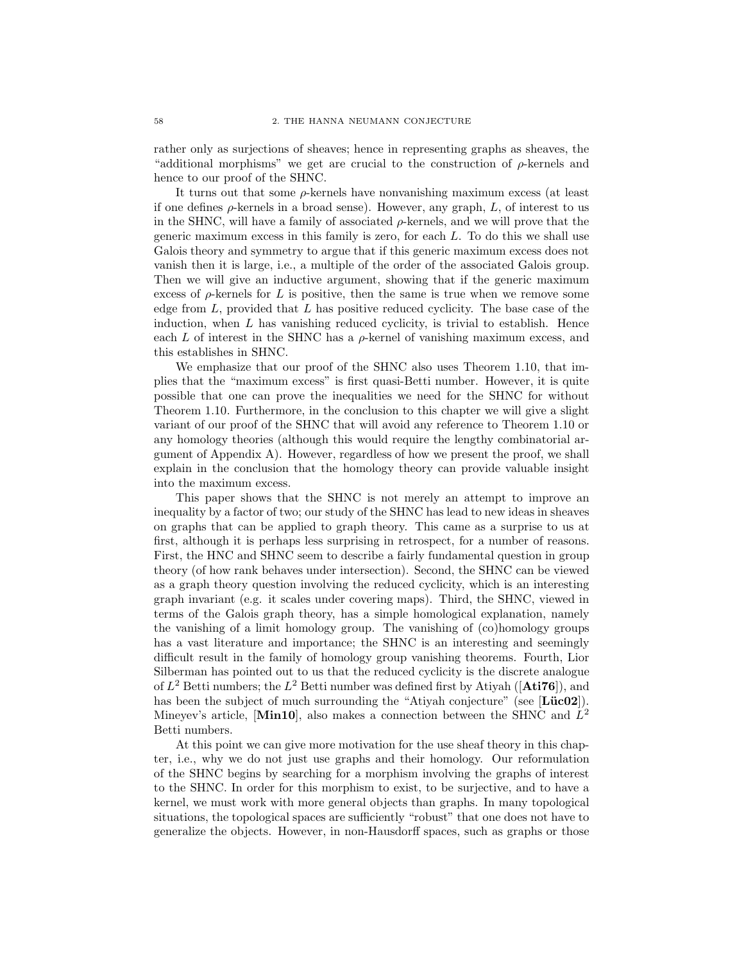rather only as surjections of sheaves; hence in representing graphs as sheaves, the "additional morphisms" we get are crucial to the construction of  $\rho$ -kernels and hence to our proof of the SHNC.

It turns out that some  $\rho$ -kernels have nonvanishing maximum excess (at least if one defines  $\rho$ -kernels in a broad sense). However, any graph, L, of interest to us in the SHNC, will have a family of associated  $\rho$ -kernels, and we will prove that the generic maximum excess in this family is zero, for each  $L$ . To do this we shall use Galois theory and symmetry to argue that if this generic maximum excess does not vanish then it is large, i.e., a multiple of the order of the associated Galois group. Then we will give an inductive argument, showing that if the generic maximum excess of  $\rho$ -kernels for L is positive, then the same is true when we remove some edge from  $L$ , provided that  $L$  has positive reduced cyclicity. The base case of the induction, when  $L$  has vanishing reduced cyclicity, is trivial to establish. Hence each L of interest in the SHNC has a  $\rho$ -kernel of vanishing maximum excess, and this establishes in SHNC.

We emphasize that our proof of the SHNC also uses Theorem 1.10, that implies that the "maximum excess" is first quasi-Betti number. However, it is quite possible that one can prove the inequalities we need for the SHNC for without Theorem 1.10. Furthermore, in the conclusion to this chapter we will give a slight variant of our proof of the SHNC that will avoid any reference to Theorem 1.10 or any homology theories (although this would require the lengthy combinatorial argument of Appendix A). However, regardless of how we present the proof, we shall explain in the conclusion that the homology theory can provide valuable insight into the maximum excess.

This paper shows that the SHNC is not merely an attempt to improve an inequality by a factor of two; our study of the SHNC has lead to new ideas in sheaves on graphs that can be applied to graph theory. This came as a surprise to us at first, although it is perhaps less surprising in retrospect, for a number of reasons. First, the HNC and SHNC seem to describe a fairly fundamental question in group theory (of how rank behaves under intersection). Second, the SHNC can be viewed as a graph theory question involving the reduced cyclicity, which is an interesting graph invariant (e.g. it scales under covering maps). Third, the SHNC, viewed in terms of the Galois graph theory, has a simple homological explanation, namely the vanishing of a limit homology group. The vanishing of (co)homology groups has a vast literature and importance; the SHNC is an interesting and seemingly difficult result in the family of homology group vanishing theorems. Fourth, Lior Silberman has pointed out to us that the reduced cyclicity is the discrete analogue of  $L^2$  Betti numbers; the  $L^2$  Betti number was defined first by Atiyah ([Ati76]), and has been the subject of much surrounding the "Atiyah conjecture" (see  $[L\ddot{u}c02]$ ). Mineyev's article, [Min10], also makes a connection between the SHNC and  $L^2$ Betti numbers.

At this point we can give more motivation for the use sheaf theory in this chapter, i.e., why we do not just use graphs and their homology. Our reformulation of the SHNC begins by searching for a morphism involving the graphs of interest to the SHNC. In order for this morphism to exist, to be surjective, and to have a kernel, we must work with more general objects than graphs. In many topological situations, the topological spaces are sufficiently "robust" that one does not have to generalize the objects. However, in non-Hausdorff spaces, such as graphs or those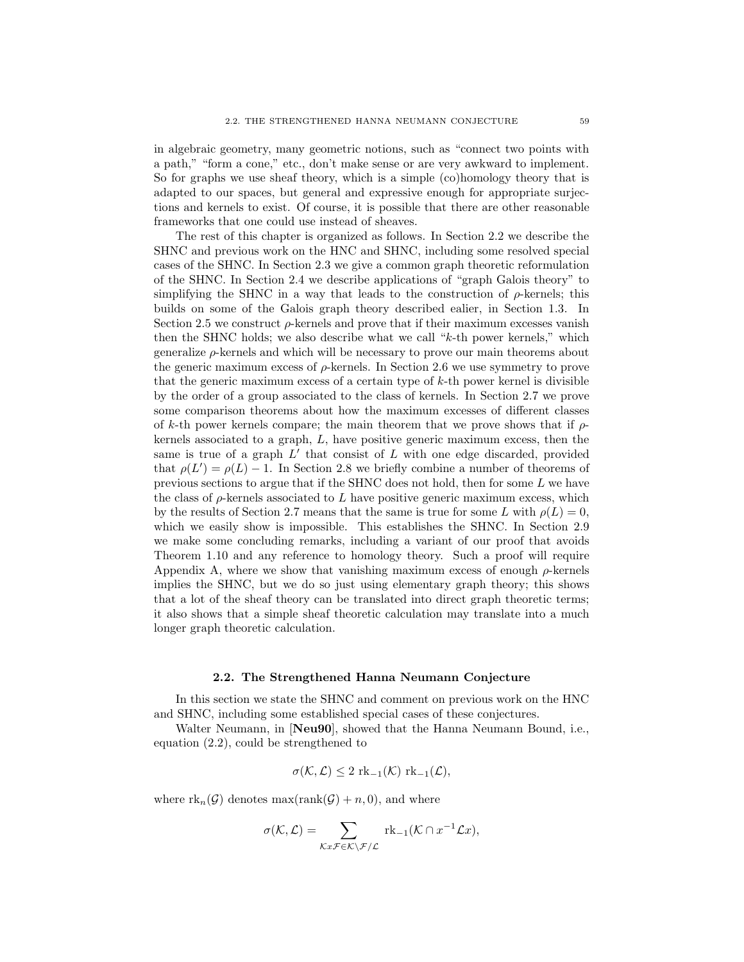in algebraic geometry, many geometric notions, such as "connect two points with a path," "form a cone," etc., don't make sense or are very awkward to implement. So for graphs we use sheaf theory, which is a simple (co)homology theory that is adapted to our spaces, but general and expressive enough for appropriate surjections and kernels to exist. Of course, it is possible that there are other reasonable frameworks that one could use instead of sheaves.

The rest of this chapter is organized as follows. In Section 2.2 we describe the SHNC and previous work on the HNC and SHNC, including some resolved special cases of the SHNC. In Section 2.3 we give a common graph theoretic reformulation of the SHNC. In Section 2.4 we describe applications of "graph Galois theory" to simplifying the SHNC in a way that leads to the construction of  $\rho$ -kernels; this builds on some of the Galois graph theory described ealier, in Section 1.3. In Section 2.5 we construct  $\rho$ -kernels and prove that if their maximum excesses vanish then the SHNC holds; we also describe what we call "k-th power kernels," which generalize  $\rho$ -kernels and which will be necessary to prove our main theorems about the generic maximum excess of  $\rho$ -kernels. In Section 2.6 we use symmetry to prove that the generic maximum excess of a certain type of  $k$ -th power kernel is divisible by the order of a group associated to the class of kernels. In Section 2.7 we prove some comparison theorems about how the maximum excesses of different classes of k-th power kernels compare; the main theorem that we prove shows that if  $\rho$ kernels associated to a graph, L, have positive generic maximum excess, then the same is true of a graph  $L'$  that consist of  $L$  with one edge discarded, provided that  $\rho(L') = \rho(L) - 1$ . In Section 2.8 we briefly combine a number of theorems of previous sections to argue that if the SHNC does not hold, then for some L we have the class of  $\rho$ -kernels associated to L have positive generic maximum excess, which by the results of Section 2.7 means that the same is true for some L with  $\rho(L) = 0$ , which we easily show is impossible. This establishes the SHNC. In Section 2.9 we make some concluding remarks, including a variant of our proof that avoids Theorem 1.10 and any reference to homology theory. Such a proof will require Appendix A, where we show that vanishing maximum excess of enough  $\rho$ -kernels implies the SHNC, but we do so just using elementary graph theory; this shows that a lot of the sheaf theory can be translated into direct graph theoretic terms; it also shows that a simple sheaf theoretic calculation may translate into a much longer graph theoretic calculation.

### 2.2. The Strengthened Hanna Neumann Conjecture

In this section we state the SHNC and comment on previous work on the HNC and SHNC, including some established special cases of these conjectures.

Walter Neumann, in [Neu90], showed that the Hanna Neumann Bound, i.e., equation (2.2), could be strengthened to

$$
\sigma(\mathcal{K}, \mathcal{L}) \leq 2 \operatorname{rk}_{-1}(\mathcal{K}) \operatorname{rk}_{-1}(\mathcal{L}),
$$

where  $\text{rk}_n(\mathcal{G})$  denotes  $\max(\text{rank}(\mathcal{G}) + n, 0)$ , and where

$$
\sigma(\mathcal{K}, \mathcal{L}) = \sum_{\mathcal{K}x\mathcal{F}\in \mathcal{K}\setminus \mathcal{F}/\mathcal{L}} \text{rk}_{-1}(\mathcal{K} \cap x^{-1} \mathcal{L}x),
$$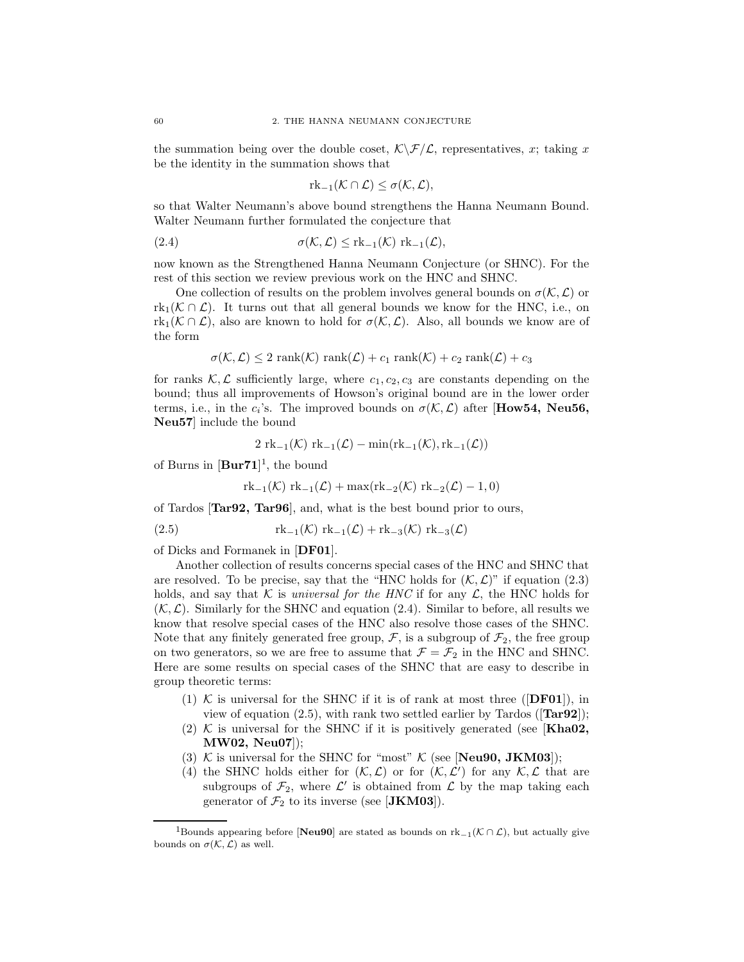the summation being over the double coset,  $\mathcal{K}\backslash\mathcal{F}/\mathcal{L}$ , representatives, x; taking x be the identity in the summation shows that

$$
rk_{-1}(\mathcal{K}\cap\mathcal{L})\leq \sigma(\mathcal{K},\mathcal{L}),
$$

so that Walter Neumann's above bound strengthens the Hanna Neumann Bound. Walter Neumann further formulated the conjecture that

(2.4) 
$$
\sigma(\mathcal{K}, \mathcal{L}) \leq \mathrm{rk}_{-1}(\mathcal{K}) \mathrm{rk}_{-1}(\mathcal{L}),
$$

now known as the Strengthened Hanna Neumann Conjecture (or SHNC). For the rest of this section we review previous work on the HNC and SHNC.

One collection of results on the problem involves general bounds on  $\sigma(\mathcal{K}, \mathcal{L})$  or rk<sub>1</sub>( $K \cap L$ ). It turns out that all general bounds we know for the HNC, i.e., on  $\text{rk}_1(\mathcal{K} \cap \mathcal{L})$ , also are known to hold for  $\sigma(\mathcal{K}, \mathcal{L})$ . Also, all bounds we know are of the form

$$
\sigma(\mathcal{K}, \mathcal{L}) \le 2 \text{ rank}(\mathcal{K}) \text{ rank}(\mathcal{L}) + c_1 \text{ rank}(\mathcal{K}) + c_2 \text{ rank}(\mathcal{L}) + c_3
$$

for ranks  $K, \mathcal{L}$  sufficiently large, where  $c_1, c_2, c_3$  are constants depending on the bound; thus all improvements of Howson's original bound are in the lower order terms, i.e., in the  $c_i$ 's. The improved bounds on  $\sigma(\mathcal{K}, \mathcal{L})$  after [**How54, Neu56,** Neu57] include the bound

$$
2 \operatorname{rk}_{-1}(\mathcal{K}) \operatorname{rk}_{-1}(\mathcal{L}) - \min(\operatorname{rk}_{-1}(\mathcal{K}), \operatorname{rk}_{-1}(\mathcal{L}))
$$

of Burns in  $[\text{Bur71}]^1$ , the bound

$$
\mathrm{rk}_{-1}(\mathcal{K})~\mathrm{rk}_{-1}(\mathcal{L}) + \max(\mathrm{rk}_{-2}(\mathcal{K})~\mathrm{rk}_{-2}(\mathcal{L}) - 1, 0)
$$

of Tardos [Tar92, Tar96], and, what is the best bound prior to ours,

(2.5) 
$$
rk_{-1}(\mathcal{K}) \ rk_{-1}(\mathcal{L}) + rk_{-3}(\mathcal{K}) \ rk_{-3}(\mathcal{L})
$$

of Dicks and Formanek in [DF01].

Another collection of results concerns special cases of the HNC and SHNC that are resolved. To be precise, say that the "HNC holds for  $(K, \mathcal{L})$ " if equation (2.3) holds, and say that K is universal for the HNC if for any  $\mathcal{L}$ , the HNC holds for  $(\mathcal{K}, \mathcal{L})$ . Similarly for the SHNC and equation (2.4). Similar to before, all results we know that resolve special cases of the HNC also resolve those cases of the SHNC. Note that any finitely generated free group,  $\mathcal{F}$ , is a subgroup of  $\mathcal{F}_2$ , the free group on two generators, so we are free to assume that  $\mathcal{F} = \mathcal{F}_2$  in the HNC and SHNC. Here are some results on special cases of the SHNC that are easy to describe in group theoretic terms:

- (1) K is universal for the SHNC if it is of rank at most three ([DF01]), in view of equation  $(2.5)$ , with rank two settled earlier by Tardos ([Tar92]);
- (2) K is universal for the SHNC if it is positively generated (see [Kha02, MW02, Neu07]);
- (3) K is universal for the SHNC for "most"  $\mathcal{K}$  (see [Neu90, JKM03]);
- (4) the SHNC holds either for  $(K, \mathcal{L})$  or for  $(K, \mathcal{L}')$  for any  $K, \mathcal{L}$  that are subgroups of  $\mathcal{F}_2$ , where  $\mathcal{L}'$  is obtained from  $\mathcal{L}$  by the map taking each generator of  $\mathcal{F}_2$  to its inverse (see [JKM03]).

<sup>&</sup>lt;sup>1</sup>Bounds appearing before [Neu90] are stated as bounds on rk<sub>−1</sub>( $K \cap L$ ), but actually give bounds on  $\sigma(\mathcal{K}, \mathcal{L})$  as well.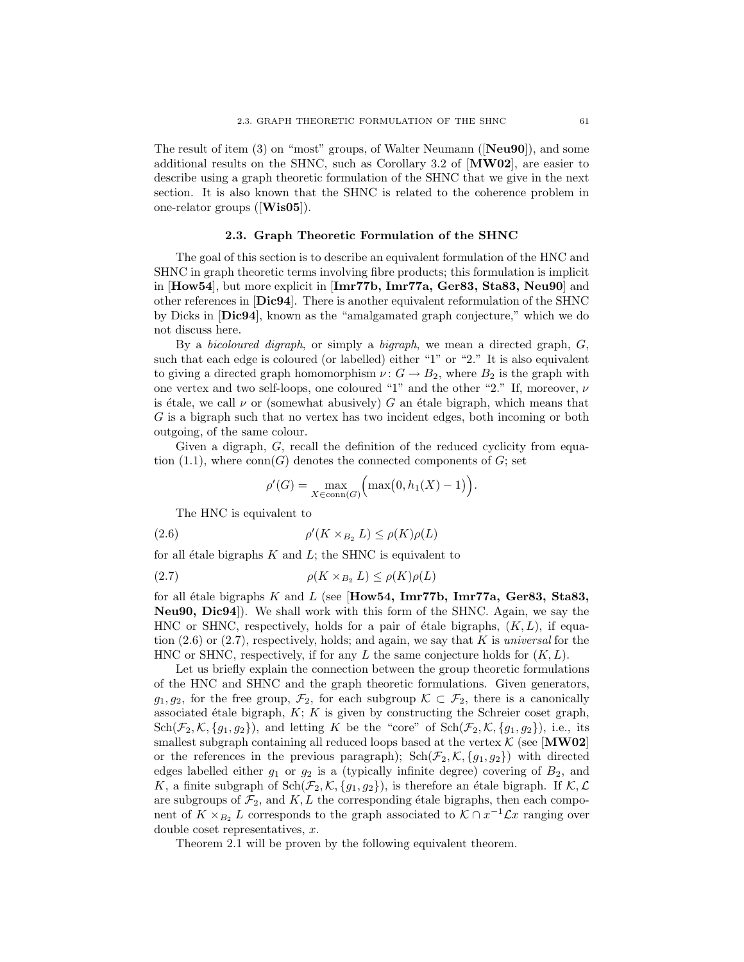The result of item (3) on "most" groups, of Walter Neumann ([Neu90]), and some additional results on the SHNC, such as Corollary 3.2 of  $[MW02]$ , are easier to describe using a graph theoretic formulation of the SHNC that we give in the next section. It is also known that the SHNC is related to the coherence problem in one-relator groups ([Wis05]).

### 2.3. Graph Theoretic Formulation of the SHNC

The goal of this section is to describe an equivalent formulation of the HNC and SHNC in graph theoretic terms involving fibre products; this formulation is implicit in [How54], but more explicit in [Imr77b, Imr77a, Ger83, Sta83, Neu90] and other references in [Dic94]. There is another equivalent reformulation of the SHNC by Dicks in [Dic94], known as the "amalgamated graph conjecture," which we do not discuss here.

By a bicoloured digraph, or simply a bigraph, we mean a directed graph,  $G$ , such that each edge is coloured (or labelled) either "1" or "2." It is also equivalent to giving a directed graph homomorphism  $\nu: G \to B_2$ , where  $B_2$  is the graph with one vertex and two self-loops, one coloured "1" and the other "2." If, moreover,  $\nu$ is étale, we call  $\nu$  or (somewhat abusively) G an étale bigraph, which means that G is a bigraph such that no vertex has two incident edges, both incoming or both outgoing, of the same colour.

Given a digraph, G, recall the definition of the reduced cyclicity from equation  $(1.1)$ , where  $conn(G)$  denotes the connected components of G; set

$$
\rho'(G) = \max_{X \in \text{conn}(G)} \Big( \max(0, h_1(X) - 1) \Big).
$$

The HNC is equivalent to

(2.6) 
$$
\rho'(K \times_{B_2} L) \le \rho(K)\rho(L)
$$

for all étale bigraphs  $K$  and  $L$ ; the SHNC is equivalent to

$$
\rho(K \times_{B_2} L) \le \rho(K)\rho(L)
$$

for all étale bigraphs K and L (see [How54, Imr77b, Imr77a, Ger83, Sta83, Neu90, Dic94]). We shall work with this form of the SHNC. Again, we say the HNC or SHNC, respectively, holds for a pair of étale bigraphs,  $(K, L)$ , if equation  $(2.6)$  or  $(2.7)$ , respectively, holds; and again, we say that K is universal for the HNC or SHNC, respectively, if for any  $L$  the same conjecture holds for  $(K, L)$ .

Let us briefly explain the connection between the group theoretic formulations of the HNC and SHNC and the graph theoretic formulations. Given generators,  $g_1, g_2$ , for the free group,  $\mathcal{F}_2$ , for each subgroup  $\mathcal{K} \subset \mathcal{F}_2$ , there is a canonically associated étale bigraph,  $K$ ;  $K$  is given by constructing the Schreier coset graph,  $Sch(\mathcal{F}_2,\mathcal{K},\{g_1,g_2\})$ , and letting K be the "core" of  $Sch(\mathcal{F}_2,\mathcal{K},\{g_1,g_2\})$ , i.e., its smallest subgraph containing all reduced loops based at the vertex  $K$  (see [MW02] or the references in the previous paragraph);  $\text{Sch}(\mathcal{F}_2,\mathcal{K},\{g_1,g_2\})$  with directed edges labelled either  $g_1$  or  $g_2$  is a (typically infinite degree) covering of  $B_2$ , and K, a finite subgraph of  $Sch(\mathcal{F}_2, K, \{g_1, g_2\})$ , is therefore an étale bigraph. If K, L are subgroups of  $\mathcal{F}_2$ , and  $K, L$  the corresponding étale bigraphs, then each component of  $K \times_{B_2} L$  corresponds to the graph associated to  $K \cap x^{-1} \mathcal{L}x$  ranging over double coset representatives,  $x$ .

Theorem 2.1 will be proven by the following equivalent theorem.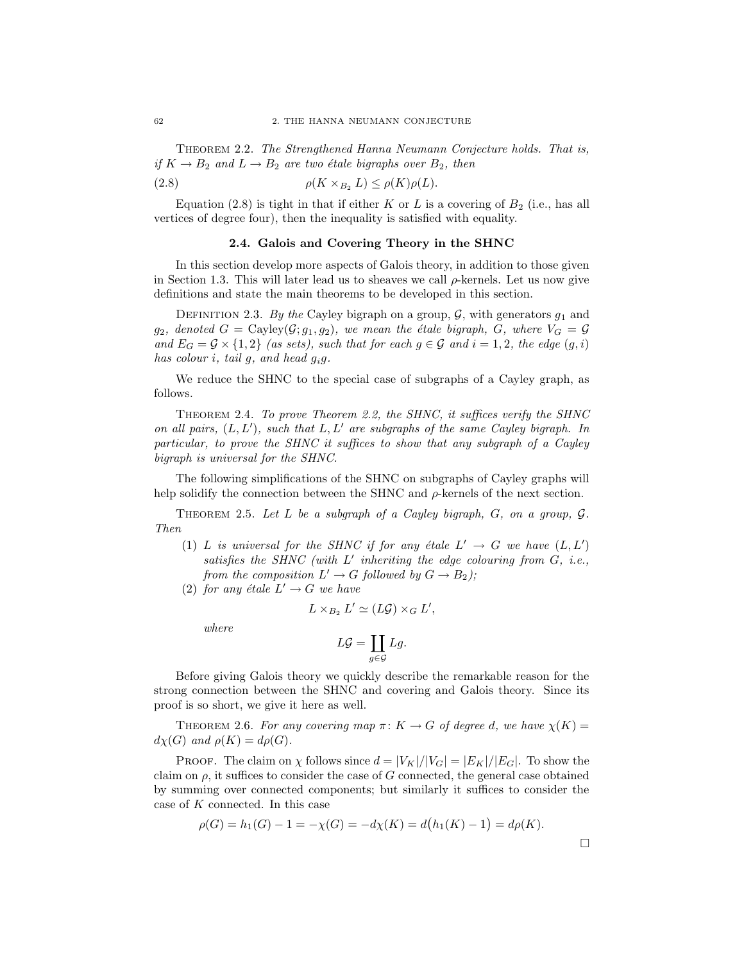Theorem 2.2. The Strengthened Hanna Neumann Conjecture holds. That is, if  $K \to B_2$  and  $L \to B_2$  are two étale bigraphs over  $B_2$ , then

(2.8) 
$$
\rho(K \times_{B_2} L) \leq \rho(K)\rho(L).
$$

Equation (2.8) is tight in that if either K or L is a covering of  $B_2$  (i.e., has all vertices of degree four), then the inequality is satisfied with equality.

### 2.4. Galois and Covering Theory in the SHNC

In this section develop more aspects of Galois theory, in addition to those given in Section 1.3. This will later lead us to sheaves we call  $\rho$ -kernels. Let us now give definitions and state the main theorems to be developed in this section.

DEFINITION 2.3. By the Cayley bigraph on a group,  $\mathcal{G}$ , with generators  $g_1$  and  $g_2$ , denoted  $G = \text{Cayley}(\mathcal{G}; g_1, g_2)$ , we mean the étale bigraph, G, where  $V_G = \mathcal{G}$ and  $E_G = \mathcal{G} \times \{1,2\}$  (as sets), such that for each  $g \in \mathcal{G}$  and  $i = 1,2$ , the edge  $(g, i)$ has colour i, tail  $g$ , and head  $g_i g$ .

We reduce the SHNC to the special case of subgraphs of a Cayley graph, as follows.

Theorem 2.4. To prove Theorem 2.2, the SHNC, it suffices verify the SHNC on all pairs,  $(L, L')$ , such that  $L, L'$  are subgraphs of the same Cayley bigraph. In particular, to prove the SHNC it suffices to show that any subgraph of a Cayley bigraph is universal for the SHNC.

The following simplifications of the SHNC on subgraphs of Cayley graphs will help solidify the connection between the SHNC and  $\rho$ -kernels of the next section.

THEOREM 2.5. Let  $L$  be a subgraph of a Cayley bigraph,  $G$ , on a group,  $G$ . Then

- (1) L is universal for the SHNC if for any étale  $L' \rightarrow G$  we have  $(L, L')$ satisfies the SHNC (with  $L'$  inheriting the edge colouring from  $G$ , i.e., from the composition  $L' \to G$  followed by  $G \to B_2$ );
- (2) for any étale  $L' \to G$  we have

$$
L\times_{B_2} L'\simeq (L\mathcal{G})\times_G L',
$$

where

$$
L\mathcal{G} = \coprod_{g \in \mathcal{G}} Lg.
$$

Before giving Galois theory we quickly describe the remarkable reason for the strong connection between the SHNC and covering and Galois theory. Since its proof is so short, we give it here as well.

THEOREM 2.6. For any covering map  $\pi: K \to G$  of degree d, we have  $\chi(K) =$  $d\chi(G)$  and  $\rho(K) = d\rho(G)$ .

PROOF. The claim on  $\chi$  follows since  $d = |V_K|/|V_G| = |E_K|/|E_G|$ . To show the claim on  $\rho$ , it suffices to consider the case of G connected, the general case obtained by summing over connected components; but similarly it suffices to consider the case of K connected. In this case

$$
\rho(G) = h_1(G) - 1 = -\chi(G) = -d\chi(K) = d(h_1(K) - 1) = d\rho(K).
$$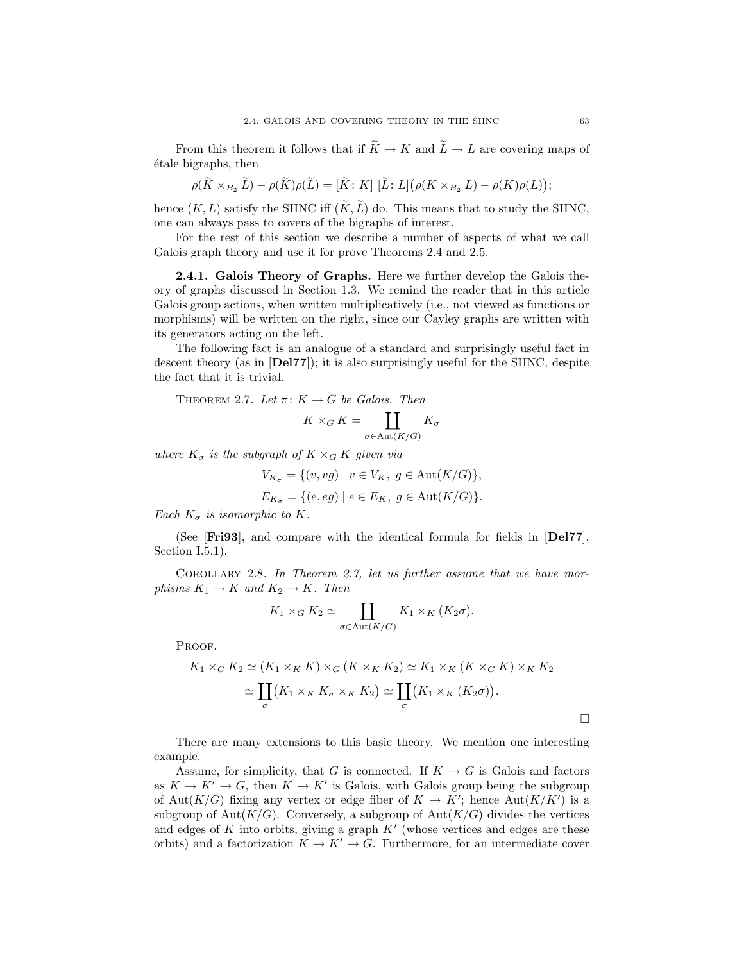From this theorem it follows that if  $\widetilde{K} \to K$  and  $\widetilde{L} \to L$  are covering maps of  $étele$  bigraphs, then

$$
\rho(\widetilde{K} \times_{B_2} \widetilde{L}) - \rho(\widetilde{K})\rho(\widetilde{L}) = [\widetilde{K}:K] [\widetilde{L}:L] (\rho(K \times_{B_2} L) - \rho(K)\rho(L));
$$

hence  $(K, L)$  satisfy the SHNC iff  $(\widetilde{K}, \widetilde{L})$  do. This means that to study the SHNC, one can always pass to covers of the bigraphs of interest.

For the rest of this section we describe a number of aspects of what we call Galois graph theory and use it for prove Theorems 2.4 and 2.5.

2.4.1. Galois Theory of Graphs. Here we further develop the Galois theory of graphs discussed in Section 1.3. We remind the reader that in this article Galois group actions, when written multiplicatively (i.e., not viewed as functions or morphisms) will be written on the right, since our Cayley graphs are written with its generators acting on the left.

The following fact is an analogue of a standard and surprisingly useful fact in descent theory (as in [Del77]); it is also surprisingly useful for the SHNC, despite the fact that it is trivial.

THEOREM 2.7. Let  $\pi: K \to G$  be Galois. Then

$$
K \times_G K = \coprod_{\sigma \in \text{Aut}(K/G)} K_{\sigma}
$$

where  $K_{\sigma}$  is the subgraph of  $K \times_G K$  given via

$$
V_{K_{\sigma}} = \{ (v, vg) \mid v \in V_K, g \in Aut(K/G) \},
$$
  

$$
E_{K_{\sigma}} = \{ (e, eg) \mid e \in E_K, g \in Aut(K/G) \}.
$$

Each  $K_{\sigma}$  is isomorphic to K.

(See [Fri93], and compare with the identical formula for fields in [Del77], Section I.5.1).

COROLLARY 2.8. In Theorem 2.7, let us further assume that we have morphisms  $K_1 \rightarrow K$  and  $K_2 \rightarrow K$ . Then

$$
K_1 \times_G K_2 \simeq \coprod_{\sigma \in \text{Aut}(K/G)} K_1 \times_K (K_2 \sigma).
$$

PROOF.

$$
K_1 \times_G K_2 \simeq (K_1 \times_K K) \times_G (K \times_K K_2) \simeq K_1 \times_K (K \times_G K) \times_K K_2
$$
  
\n
$$
\simeq \coprod_{\sigma} (K_1 \times_K K_{\sigma} \times_K K_2) \simeq \coprod_{\sigma} (K_1 \times_K (K_2 \sigma)).
$$

There are many extensions to this basic theory. We mention one interesting example.

Assume, for simplicity, that G is connected. If  $K \to G$  is Galois and factors as  $K \to K' \to G$ , then  $K \to K'$  is Galois, with Galois group being the subgroup of Aut $(K/G)$  fixing any vertex or edge fiber of  $K \to K'$ ; hence Aut $(K/K')$  is a subgroup of Aut $(K/G)$ . Conversely, a subgroup of Aut $(K/G)$  divides the vertices and edges of  $K$  into orbits, giving a graph  $K'$  (whose vertices and edges are these orbits) and a factorization  $K \to K' \to G$ . Furthermore, for an intermediate cover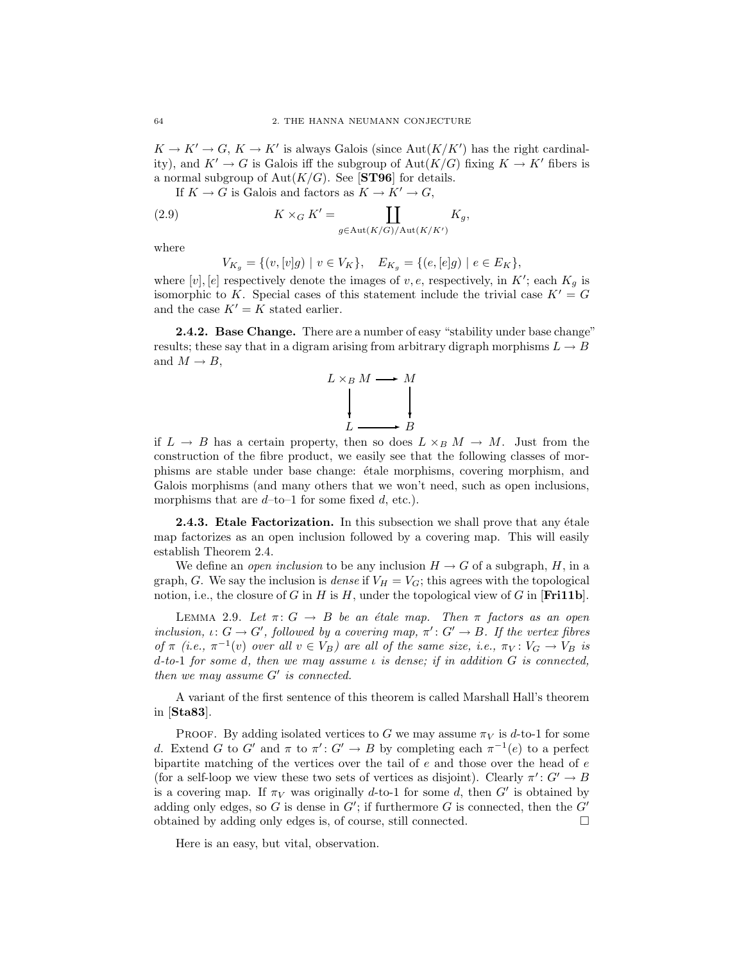$K \to K' \to G$ ,  $K \to K'$  is always Galois (since Aut $(K/K')$ ) has the right cardinality), and  $K' \to G$  is Galois iff the subgroup of Aut $(K/G)$  fixing  $K \to K'$  fibers is a normal subgroup of  $Aut(K/G)$ . See [ST96] for details.

If  $K \to G$  is Galois and factors as  $K \to K' \to G$ ,

(2.9) 
$$
K \times_G K' = \coprod_{g \in \text{Aut}(K/G)/\text{Aut}(K/K')} K_g,
$$

where

$$
V_{K_g} = \{(v, [v]g) \mid v \in V_K\}, \quad E_{K_g} = \{(e, [e]g) \mid e \in E_K\},\
$$

where [v], [e] respectively denote the images of v, e, respectively, in K'; each  $K_g$  is isomorphic to K. Special cases of this statement include the trivial case  $K' = G$ and the case  $K' = K$  stated earlier.

2.4.2. Base Change. There are a number of easy "stability under base change" results; these say that in a digram arising from arbitrary digraph morphisms  $L \to B$ and  $M \to B$ ,

$$
L \times_B M \longrightarrow M
$$
  
\n
$$
\downarrow \qquad \qquad \downarrow
$$
  
\n
$$
L \longrightarrow B
$$

if  $L \to B$  has a certain property, then so does  $L \times_B M \to M$ . Just from the construction of the fibre product, we easily see that the following classes of morphisms are stable under base change:  $\acute{e}$ tale morphisms, covering morphism, and Galois morphisms (and many others that we won't need, such as open inclusions, morphisms that are  $d$ -to-1 for some fixed d, etc.).

**2.4.3. Etale Factorization.** In this subsection we shall prove that any étale map factorizes as an open inclusion followed by a covering map. This will easily establish Theorem 2.4.

We define an open inclusion to be any inclusion  $H \to G$  of a subgraph, H, in a graph, G. We say the inclusion is *dense* if  $V_H = V_G$ ; this agrees with the topological notion, i.e., the closure of G in H is H, under the topological view of G in  $\left| \text{Fril1b} \right|$ .

LEMMA 2.9. Let  $\pi: G \to B$  be an étale map. Then  $\pi$  factors as an open inclusion,  $\iota: G \to G'$ , followed by a covering map,  $\pi': G' \to B$ . If the vertex fibres of  $\pi$  (i.e.,  $\pi^{-1}(v)$  over all  $v \in V_B$ ) are all of the same size, i.e.,  $\pi_V : V_G \to V_B$  is  $d$ -to-1 for some d, then we may assume  $\iota$  is dense; if in addition G is connected, then we may assume  $G'$  is connected.

A variant of the first sentence of this theorem is called Marshall Hall's theorem in [Sta83].

PROOF. By adding isolated vertices to G we may assume  $\pi_V$  is d-to-1 for some d. Extend G to G' and  $\pi$  to  $\pi$ ':  $G' \to B$  by completing each  $\pi^{-1}(e)$  to a perfect bipartite matching of the vertices over the tail of  $e$  and those over the head of  $e$ (for a self-loop we view these two sets of vertices as disjoint). Clearly  $\pi' : G' \to B$ is a covering map. If  $\pi_V$  was originally d-to-1 for some d, then G' is obtained by adding only edges, so  $G$  is dense in  $G'$ ; if furthermore  $G$  is connected, then the  $G'$ obtained by adding only edges is, of course, still connected.

Here is an easy, but vital, observation.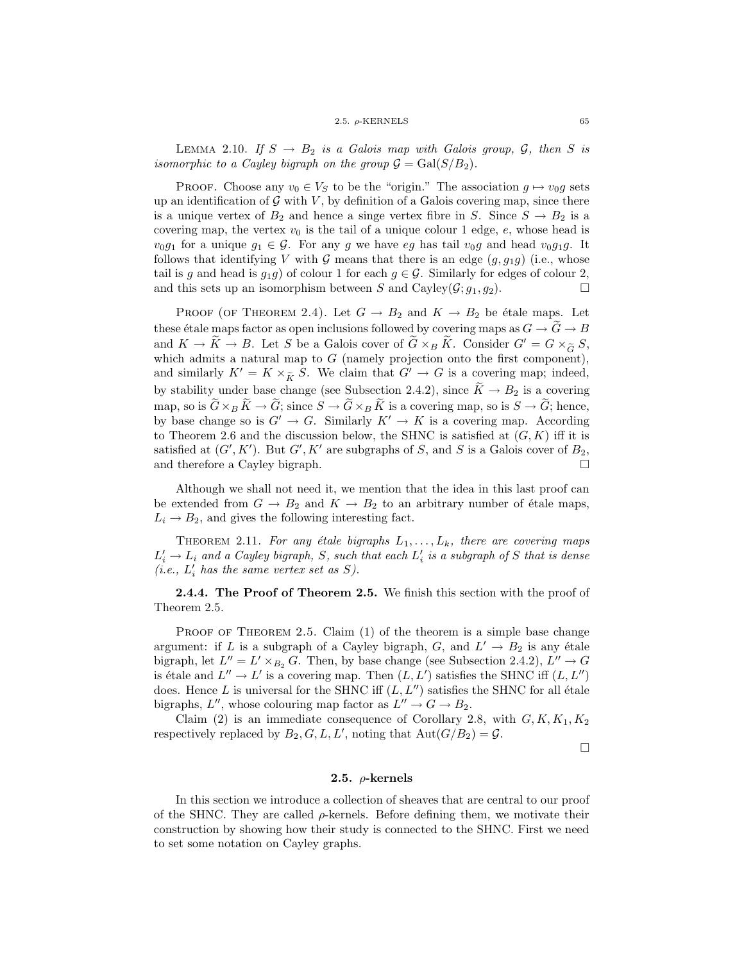#### 2.5.  $ρ$ -KERNELS 65

LEMMA 2.10. If  $S \to B_2$  is a Galois map with Galois group, G, then S is isomorphic to a Cayley bigraph on the group  $G = \text{Gal}(S/B_2)$ .

PROOF. Choose any  $v_0 \in V_S$  to be the "origin." The association  $g \mapsto v_0 g$  sets up an identification of  $G$  with  $V$ , by definition of a Galois covering map, since there is a unique vertex of  $B_2$  and hence a singe vertex fibre in S. Since  $S \to B_2$  is a covering map, the vertex  $v_0$  is the tail of a unique colour 1 edge,  $e$ , whose head is  $v_0g_1$  for a unique  $g_1 \in \mathcal{G}$ . For any g we have eg has tail  $v_0g$  and head  $v_0g_1g$ . It follows that identifying V with G means that there is an edge  $(g, g_1g)$  (i.e., whose tail is g and head is  $g_1g$ ) of colour 1 for each  $g \in \mathcal{G}$ . Similarly for edges of colour 2, and this sets up an isomorphism between S and Cayley $(G; g_1, g_2)$ .

PROOF (OF THEOREM 2.4). Let  $G \to B_2$  and  $K \to B_2$  be étale maps. Let these étale maps factor as open inclusions followed by covering maps as  $G \to \tilde{G} \to B$ and  $K \to \tilde{K} \to B$ . Let S be a Galois cover of  $\tilde{G} \times_B \tilde{K}$ . Consider  $G' = G \times_{\tilde{G}} S$ , which admits a natural map to  $G$  (namely projection onto the first component), and similarly  $K' = K \times_{\widetilde{K}} S$ . We claim that  $G' \to G$  is a covering map; indeed, by stability under base change (see Subsection 2.4.2), since  $\widetilde{K} \to B_2$  is a covering map, so is  $\tilde{G} \times_B \tilde{K} \to \tilde{G}$ ; since  $S \to \tilde{G} \times_B \tilde{K}$  is a covering map, so is  $S \to \tilde{G}$ ; hence, by base change so is  $G' \to G$ . Similarly  $K' \to K$  is a covering map. According to Theorem 2.6 and the discussion below, the SHNC is satisfied at  $(G, K)$  iff it is satisfied at  $(G', K')$ . But  $G', K'$  are subgraphs of S, and S is a Galois cover of  $B_2$ , and therefore a Cayley bigraph.

Although we shall not need it, we mention that the idea in this last proof can be extended from  $G \to B_2$  and  $K \to B_2$  to an arbitrary number of étale maps,  $L_i \rightarrow B_2$ , and gives the following interesting fact.

THEOREM 2.11. For any étale bigraphs  $L_1, \ldots, L_k$ , there are covering maps  $L'_i \rightarrow L_i$  and a Cayley bigraph, S, such that each  $L'_i$  is a subgraph of S that is dense  $(i.e., L'_i$  has the same vertex set as  $S$ ).

2.4.4. The Proof of Theorem 2.5. We finish this section with the proof of Theorem 2.5.

PROOF OF THEOREM 2.5. Claim (1) of the theorem is a simple base change argument: if L is a subgraph of a Cayley bigraph, G, and  $L' \rightarrow B_2$  is any étale bigraph, let  $L'' = L' \times_{B_2} G$ . Then, by base change (see Subsection 2.4.2),  $L'' \to G$ is étale and  $L'' \to L'$  is a covering map. Then  $(L, L')$  satisfies the SHNC iff  $(L, L'')$ does. Hence L is universal for the SHNC iff  $(L, L'')$  satisfies the SHNC for all étale bigraphs,  $L''$ , whose colouring map factor as  $L'' \to G \to B_2$ .

Claim (2) is an immediate consequence of Corollary 2.8, with  $G, K, K_1, K_2$ respectively replaced by  $B_2, G, L, L'$ , noting that  $Aut(G/B_2) = \mathcal{G}$ .

 $\Box$ 

### 2.5.  $\rho$ -kernels

In this section we introduce a collection of sheaves that are central to our proof of the SHNC. They are called  $\rho$ -kernels. Before defining them, we motivate their construction by showing how their study is connected to the SHNC. First we need to set some notation on Cayley graphs.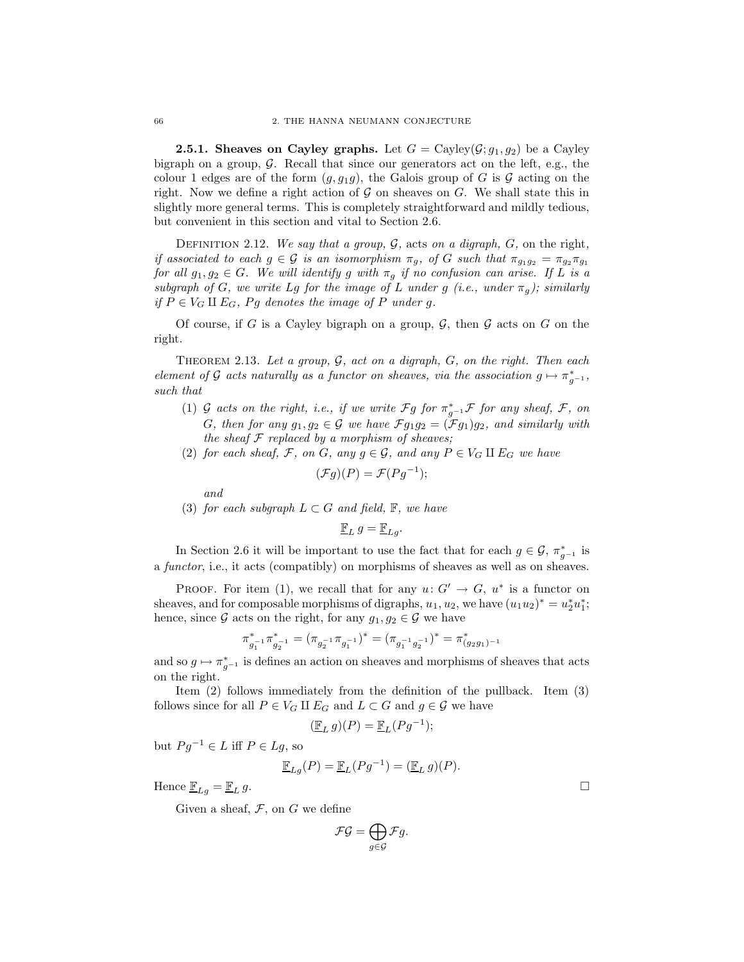**2.5.1. Sheaves on Cayley graphs.** Let  $G = \text{Cayley}(\mathcal{G}; g_1, g_2)$  be a Cayley bigraph on a group, G. Recall that since our generators act on the left, e.g., the colour 1 edges are of the form  $(g, g_1g)$ , the Galois group of G is G acting on the right. Now we define a right action of  $G$  on sheaves on  $G$ . We shall state this in slightly more general terms. This is completely straightforward and mildly tedious, but convenient in this section and vital to Section 2.6.

DEFINITION 2.12. We say that a group,  $G$ , acts on a digraph,  $G$ , on the right, if associated to each  $g \in \mathcal{G}$  is an isomorphism  $\pi_g$ , of G such that  $\pi_{g_1g_2} = \pi_{g_2}\pi_{g_1}$ for all  $g_1, g_2 \in G$ . We will identify g with  $\pi_g$  if no confusion can arise. If L is a subgraph of G, we write Lg for the image of L under g (i.e., under  $\pi_q$ ); similarly if  $P \in V_G \amalg E_G$ ,  $Pg$  denotes the image of P under g.

Of course, if G is a Cayley bigraph on a group,  $\mathcal{G}$ , then  $\mathcal{G}$  acts on G on the right.

THEOREM 2.13. Let a group,  $G$ , act on a digraph,  $G$ , on the right. Then each element of G acts naturally as a functor on sheaves, via the association  $g \mapsto \pi_{g^{-1}}^*$ , such that

- (1) G acts on the right, i.e., if we write  $\mathcal{F}g$  for  $\pi_{g^{-1}}^* \mathcal{F}$  for any sheaf,  $\mathcal{F}$ , on G, then for any  $g_1, g_2 \in \mathcal{G}$  we have  $\mathcal{F}g_1g_2 = (\mathcal{F}g_1)g_2$ , and similarly with the sheaf  $F$  replaced by a morphism of sheaves;
- (2) for each sheaf, F, on G, any  $g \in \mathcal{G}$ , and any  $P \in V_G \amalg E_G$  we have

$$
(\mathcal{F}g)(P) = \mathcal{F}(Pg^{-1});
$$

and

(3) for each subgraph  $L \subset G$  and field,  $\mathbb{F}$ , we have

$$
\mathbb{F}_L g = \mathbb{F}_{Lg}.
$$

In Section 2.6 it will be important to use the fact that for each  $g \in \mathcal{G}$ ,  $\pi_{g^{-1}}^*$  is a functor, i.e., it acts (compatibly) on morphisms of sheaves as well as on sheaves.

PROOF. For item (1), we recall that for any  $u: G' \to G$ ,  $u^*$  is a functor on sheaves, and for composable morphisms of digraphs,  $u_1, u_2$ , we have  $(u_1u_2)^* = u_2^*u_1^*$ ; hence, since G acts on the right, for any  $g_1, g_2 \in \mathcal{G}$  we have

$$
\pi_{g_1}^* \pi_{g_2}^* \pi_{g_2}^* = (\pi_{g_2^{-1}} \pi_{g_1^{-1}})^* = (\pi_{g_1^{-1} g_2^{-1}})^* = \pi_{(g_2 g_1)^{-1}}^*
$$

and so  $g \mapsto \pi_{g^{-1}}^*$  is defines an action on sheaves and morphisms of sheaves that acts on the right.

Item (2) follows immediately from the definition of the pullback. Item (3) follows since for all  $P \in V_G \amalg E_G$  and  $L \subset G$  and  $g \in \mathcal{G}$  we have

$$
(\underline{\mathbb{F}}_L g)(P) = \underline{\mathbb{F}}_L (Pg^{-1});
$$

but  $Pg^{-1} \in L$  iff  $P \in Lg$ , so

$$
\underline{\mathbb{F}}_{Lg}(P) = \underline{\mathbb{F}}_L(Pg^{-1}) = (\underline{\mathbb{F}}_L g)(P).
$$

Hence  $\underline{\mathbb{F}}_{Lg} = \underline{\mathbb{F}}_L g$ .

Given a sheaf,  $F$ , on  $G$  we define

$$
\mathcal{FG}=\bigoplus_{g\in\mathcal{G}}\mathcal{F}g.
$$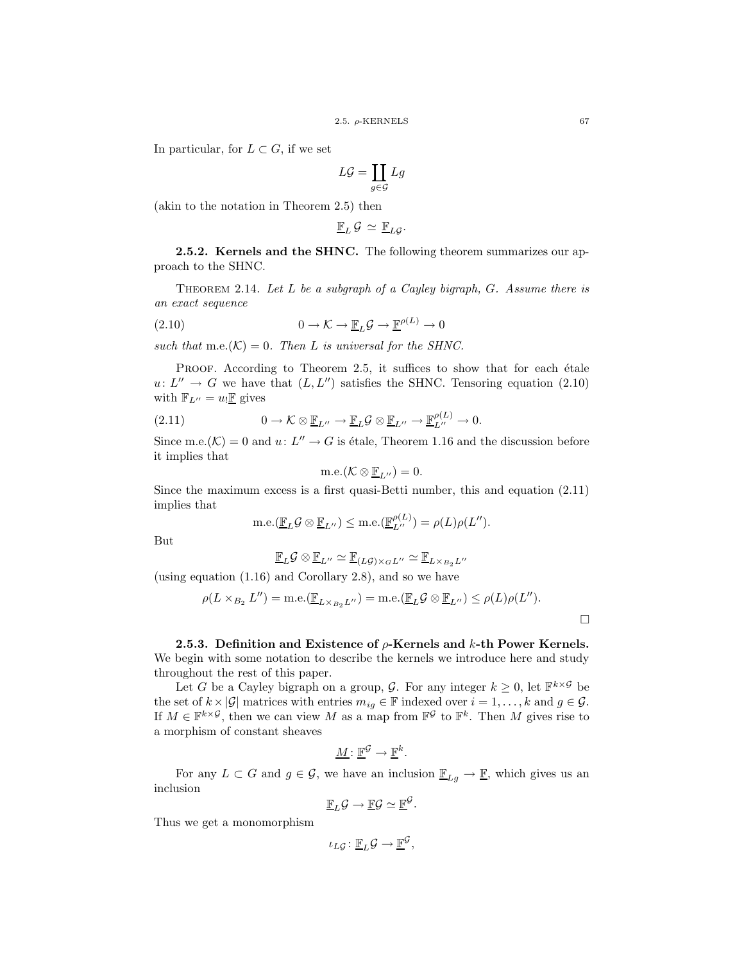In particular, for  $L \subset G$ , if we set

$$
L\mathcal{G} = \coprod_{g \in \mathcal{G}} Lg
$$

(akin to the notation in Theorem 2.5) then

$$
\mathbb{F}_L \mathcal{G} \simeq \mathbb{F}_{L\mathcal{G}}.
$$

2.5.2. Kernels and the SHNC. The following theorem summarizes our approach to the SHNC.

THEOREM 2.14. Let  $L$  be a subgraph of a Cayley bigraph,  $G$ . Assume there is an exact sequence

(2.10) 
$$
0 \to \mathcal{K} \to \underline{\mathbb{F}}_L \mathcal{G} \to \underline{\mathbb{F}}^{\rho(L)} \to 0
$$

such that m.e. $(K) = 0$ . Then L is universal for the SHNC.

PROOF. According to Theorem 2.5, it suffices to show that for each étale  $u: L'' \to G$  we have that  $(L, L'')$  satisfies the SHNC. Tensoring equation (2.10) with  $\mathbb{F}_{L''} = u_! \mathbb{F}$  gives

 $\mathbf{r}$ 

$$
(2.11) \t\t 0 \to \mathcal{K} \otimes \underline{\mathbb{F}}_{L''} \to \underline{\mathbb{F}}_L \mathcal{G} \otimes \underline{\mathbb{F}}_{L''} \to \underline{\mathbb{F}}_{L''}^{\rho(L)} \to 0.
$$

Since m.e. $(K) = 0$  and  $u: L'' \to G$  is étale, Theorem 1.16 and the discussion before it implies that

$$
\mathrm{m.e.}(\mathcal{K}\otimes \underline{\mathbb{F}}_{L^{\prime\prime}})=0.
$$

Since the maximum excess is a first quasi-Betti number, this and equation (2.11) implies that

$$
\mathrm{m.e.}(\underline{\mathbb{F}}_L\mathcal{G}\otimes \underline{\mathbb{F}}_{L''})\leq \mathrm{m.e.}(\underline{\mathbb{F}}_{L''}^{\rho(L)})=\rho(L)\rho(L'').
$$

But

$$
\underline{\mathbb{F}}_L\mathcal{G}\otimes \underline{\mathbb{F}}_{L''}\simeq \underline{\mathbb{F}}_{(L\mathcal{G})\times_G L''}\simeq \underline{\mathbb{F}}_{L\times_{B_2} L''}
$$

(using equation (1.16) and Corollary 2.8), and so we have

$$
\rho(L \times_{B_2} L'') = \text{m.e.}(\underline{\mathbb{F}}_{L \times_{B_2} L''}) = \text{m.e.}(\underline{\mathbb{F}}_{L} \mathcal{G} \otimes \underline{\mathbb{F}}_{L''}) \leq \rho(L)\rho(L'').
$$

#### 2.5.3. Definition and Existence of  $\rho$ -Kernels and k-th Power Kernels.

We begin with some notation to describe the kernels we introduce here and study throughout the rest of this paper.

Let G be a Cayley bigraph on a group, G. For any integer  $k \geq 0$ , let  $\mathbb{F}^{k \times \mathcal{G}}$  be the set of  $k \times |\mathcal{G}|$  matrices with entries  $m_{ig} \in \mathbb{F}$  indexed over  $i = 1, \ldots, k$  and  $g \in \mathcal{G}$ . If  $M \in \mathbb{F}^{k \times G}$ , then we can view M as a map from  $\mathbb{F}^{\mathcal{G}}$  to  $\mathbb{F}^{k}$ . Then M gives rise to a morphism of constant sheaves

$$
\underline{M}\colon \underline{\mathbb{F}}^{\mathcal{G}} \to \underline{\mathbb{F}}^k.
$$

For any  $L \subset G$  and  $g \in \mathcal{G}$ , we have an inclusion  $\underline{\mathbb{F}}_{Lg} \to \underline{\mathbb{F}}$ , which gives us an inclusion

$$
\mathbb{F}_L\mathcal{G}\to \mathbb{F}\mathcal{G}\simeq \mathbb{F}^{\mathcal{G}}.
$$

Thus we get a monomorphism

$$
\iota_{L\mathcal{G}}\colon \underline{\mathbb{F}}_L\mathcal{G}\to \underline{\mathbb{F}}^{\mathcal{G}},
$$

 $\Box$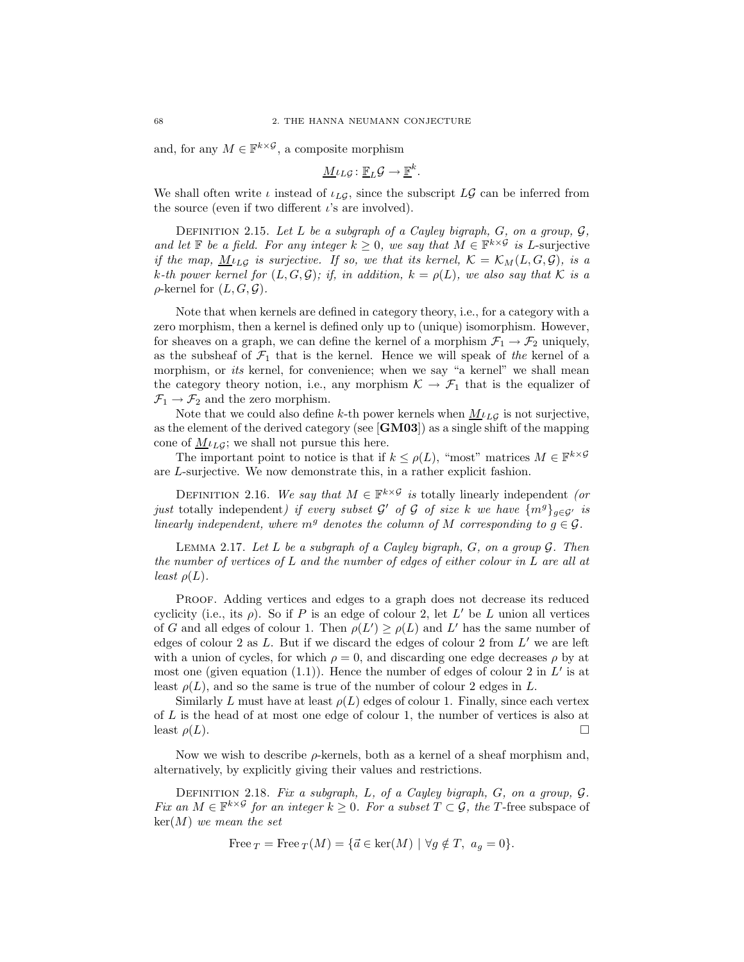and, for any  $M \in \mathbb{F}^{k \times \mathcal{G}}$ , a composite morphism

$$
\underline{M}\iota_{LG}\colon \underline{\mathbb{F}}_L\mathcal{G}\to \underline{\mathbb{F}}^k.
$$

We shall often write  $\iota$  instead of  $\iota_{LG}$ , since the subscript  $LG$  can be inferred from the source (even if two different  $\iota$ 's are involved).

DEFINITION 2.15. Let L be a subgraph of a Cayley bigraph,  $G$ , on a group,  $G$ , and let  $\mathbb F$  be a field. For any integer  $k \geq 0$ , we say that  $M \in \mathbb F^{k \times G}$  is L-surjective if the map,  $\underline{M} \iota_{LG}$  is surjective. If so, we that its kernel,  $K = \mathcal{K}_M(L, G, \mathcal{G})$ , is a k-th power kernel for  $(L, G, \mathcal{G})$ ; if, in addition,  $k = \rho(L)$ , we also say that K is a  $\rho$ -kernel for  $(L, G, \mathcal{G})$ .

Note that when kernels are defined in category theory, i.e., for a category with a zero morphism, then a kernel is defined only up to (unique) isomorphism. However, for sheaves on a graph, we can define the kernel of a morphism  $\mathcal{F}_1 \to \mathcal{F}_2$  uniquely, as the subsheaf of  $\mathcal{F}_1$  that is the kernel. Hence we will speak of the kernel of a morphism, or *its* kernel, for convenience; when we say "a kernel" we shall mean the category theory notion, i.e., any morphism  $\mathcal{K} \to \mathcal{F}_1$  that is the equalizer of  $\mathcal{F}_1 \rightarrow \mathcal{F}_2$  and the zero morphism.

Note that we could also define k-th power kernels when  $M\iota_{LG}$  is not surjective, as the element of the derived category (see [GM03]) as a single shift of the mapping cone of  $M_{LLG}$ ; we shall not pursue this here.

The important point to notice is that if  $k \leq \rho(L)$ , "most" matrices  $M \in \mathbb{F}^{k \times G}$ are L-surjective. We now demonstrate this, in a rather explicit fashion.

DEFINITION 2.16. We say that  $M \in \mathbb{F}^{k \times \mathcal{G}}$  is totally linearly independent (or just totally independent) if every subset G' of G of size k we have  $\{m^g\}_{g \in \mathcal{G}}$  is linearly independent, where  $m<sup>g</sup>$  denotes the column of M corresponding to  $g \in \mathcal{G}$ .

LEMMA 2.17. Let  $L$  be a subgraph of a Cayley bigraph,  $G$ , on a group  $G$ . Then the number of vertices of L and the number of edges of either colour in L are all at least  $\rho(L)$ .

Proof. Adding vertices and edges to a graph does not decrease its reduced cyclicity (i.e., its  $\rho$ ). So if P is an edge of colour 2, let L' be L union all vertices of G and all edges of colour 1. Then  $\rho(L') \geq \rho(L)$  and L' has the same number of edges of colour 2 as  $L$ . But if we discard the edges of colour 2 from  $L'$  we are left with a union of cycles, for which  $\rho = 0$ , and discarding one edge decreases  $\rho$  by at most one (given equation  $(1.1)$ ). Hence the number of edges of colour 2 in  $L'$  is at least  $\rho(L)$ , and so the same is true of the number of colour 2 edges in L.

Similarly L must have at least  $\rho(L)$  edges of colour 1. Finally, since each vertex of L is the head of at most one edge of colour 1, the number of vertices is also at least  $\rho(L)$ .

Now we wish to describe  $\rho$ -kernels, both as a kernel of a sheaf morphism and, alternatively, by explicitly giving their values and restrictions.

DEFINITION 2.18. Fix a subgraph,  $L$ , of a Cayley bigraph,  $G$ , on a group,  $G$ . Fix an  $M \in \mathbb{F}^{k \times G}$  for an integer  $k \geq 0$ . For a subset  $T \subset \mathcal{G}$ , the T-free subspace of  $\ker(M)$  we mean the set

Free 
$$
T = \text{Free } T(M) = \{ \vec{a} \in \text{ker}(M) \mid \forall g \notin T, a_g = 0 \}.
$$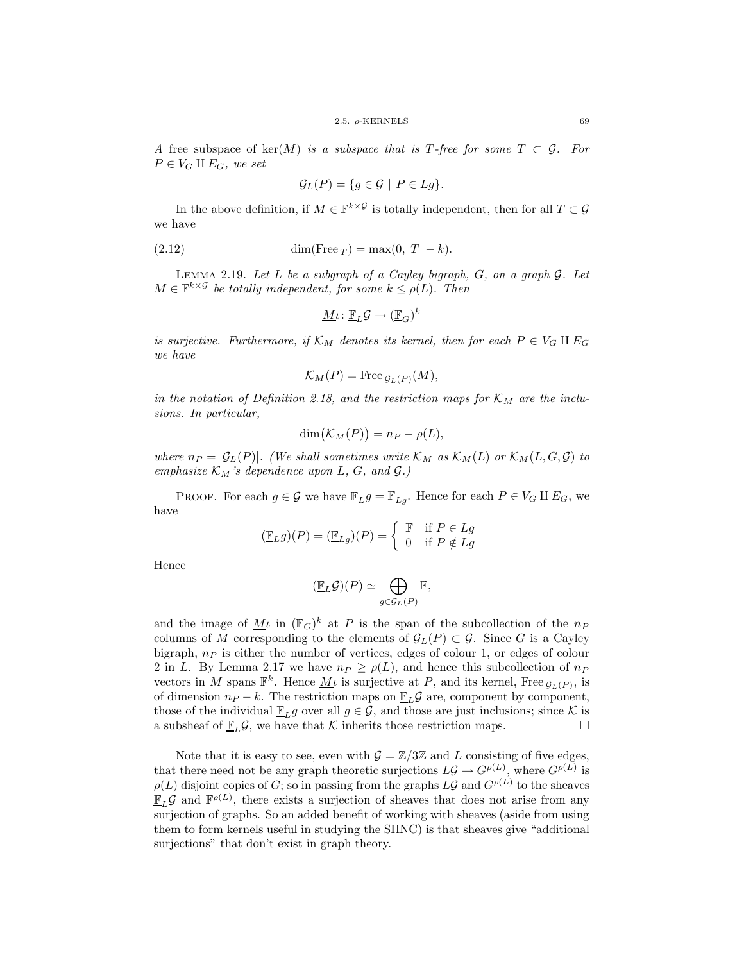A free subspace of ker(M) is a subspace that is T-free for some  $T \subset \mathcal{G}$ . For  $P \in V_G \amalg E_G$ , we set

$$
\mathcal{G}_L(P) = \{ g \in \mathcal{G} \mid P \in Lg \}.
$$

In the above definition, if  $M \in \mathbb{F}^{k \times \mathcal{G}}$  is totally independent, then for all  $T \subset \mathcal{G}$ we have

$$
(2.12) \qquad \qquad \dim(\text{Free}_T) = \max(0, |T| - k).
$$

LEMMA 2.19. Let  $L$  be a subgraph of a Cayley bigraph,  $G$ , on a graph  $G$ . Let  $M \in \mathbb{F}^{k \times \mathcal{G}}$  be totally independent, for some  $k \leq \rho(L)$ . Then

$$
\underline{M}\iota\colon \underline{\mathbb{F}}_L\mathcal{G}\to (\underline{\mathbb{F}}_G)^k
$$

is surjective. Furthermore, if  $K_M$  denotes its kernel, then for each  $P \in V_G \amalg E_G$ we have

$$
\mathcal{K}_M(P) = \operatorname{Free}_{\mathcal{G}_L(P)}(M),
$$

in the notation of Definition 2.18, and the restriction maps for  $\mathcal{K}_M$  are the inclusions. In particular,

$$
\dim(\mathcal{K}_M(P)) = n_P - \rho(L),
$$

where  $n_P = |\mathcal{G}_L(P)|$ . (We shall sometimes write  $\mathcal{K}_M$  as  $\mathcal{K}_M(L)$  or  $\mathcal{K}_M(L, G, \mathcal{G})$  to emphasize  $\mathcal{K}_M$ 's dependence upon L, G, and  $\mathcal{G}.$ )

PROOF. For each  $g \in \mathcal{G}$  we have  $\underline{\mathbb{F}}_L g = \underline{\mathbb{F}}_{Lq}$ . Hence for each  $P \in V_G \amalg E_G$ , we have

$$
(\underline{\mathbb{F}}_L g)(P) = (\underline{\mathbb{F}}_{Lg})(P) = \begin{cases} \mathbb{F} & \text{if } P \in Lg \\ 0 & \text{if } P \notin Lg \end{cases}
$$

Hence

$$
(\underline{\mathbb{F}}_L\mathcal{G})(P)\simeq\bigoplus_{g\in\mathcal{G}_L(P)}\mathbb{F},
$$

and the image of  $\underline{M}\iota$  in  $(\mathbb{F}_G)^k$  at P is the span of the subcollection of the  $n_F$ columns of M corresponding to the elements of  $\mathcal{G}_L(P) \subset \mathcal{G}$ . Since G is a Cayley bigraph,  $n_P$  is either the number of vertices, edges of colour 1, or edges of colour 2 in L. By Lemma 2.17 we have  $n_P \ge \rho(L)$ , and hence this subcollection of  $n_P$ vectors in M spans  $\mathbb{F}^k$ . Hence  $\underline{M}\iota$  is surjective at P, and its kernel, Free  $g_L(p)$ , is of dimension  $n_P - k$ . The restriction maps on  $\underline{\mathbb{F}}_L \mathcal{G}$  are, component by component, those of the individual  $\underline{\mathbb{F}}_L g$  over all  $g \in \mathcal{G}$ , and those are just inclusions; since K is a subsheaf of  $\underline{\mathbb{F}}_L\mathcal{G}$ , we have that K inherits those restriction maps.  $\square$ 

Note that it is easy to see, even with  $\mathcal{G} = \mathbb{Z}/3\mathbb{Z}$  and L consisting of five edges, that there need not be any graph theoretic surjections  $L\mathcal{G} \to G^{\rho(L)}$ , where  $G^{\rho(L)}$  is  $\rho(L)$  disjoint copies of G; so in passing from the graphs  $L\mathcal{G}$  and  $G^{\rho(L)}$  to the sheaves  $\underline{\mathbb{F}}_L\mathcal{G}$  and  $\mathbb{F}^{\rho(L)}$ , there exists a surjection of sheaves that does not arise from any surjection of graphs. So an added benefit of working with sheaves (aside from using them to form kernels useful in studying the SHNC) is that sheaves give "additional surjections" that don't exist in graph theory.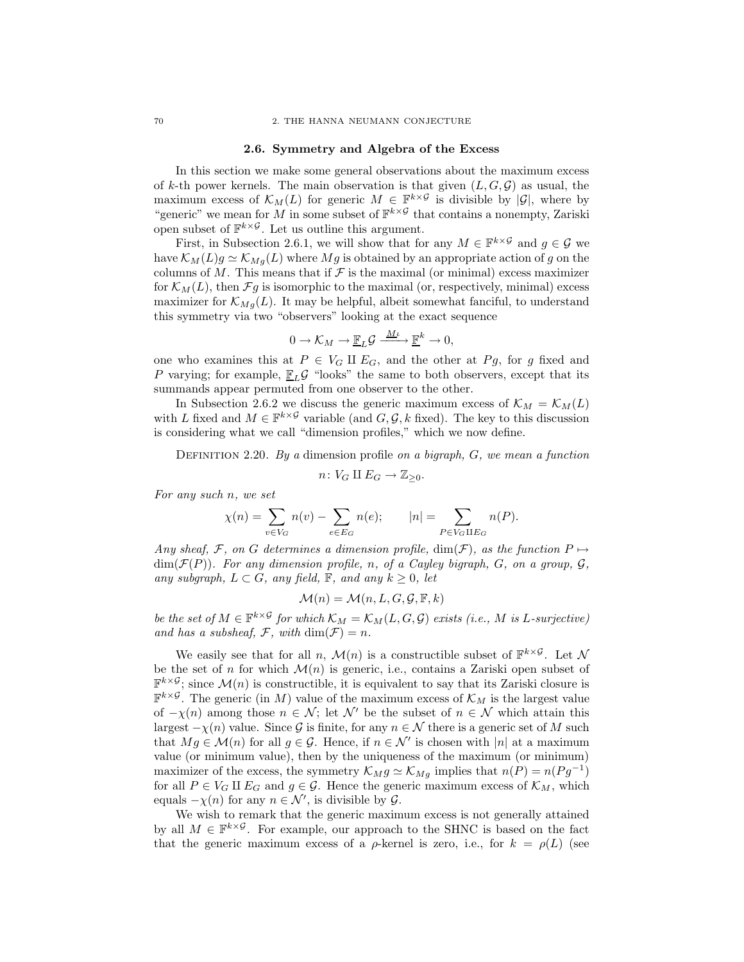#### 2.6. Symmetry and Algebra of the Excess

In this section we make some general observations about the maximum excess of k-th power kernels. The main observation is that given  $(L, G, \mathcal{G})$  as usual, the maximum excess of  $\mathcal{K}_M(L)$  for generic  $M \in \mathbb{F}^{k \times \mathcal{G}}$  is divisible by  $|\mathcal{G}|$ , where by "generic" we mean for M in some subset of  $\mathbb{F}^{k \times G}$  that contains a nonempty, Zariski open subset of  $\mathbb{F}^{k \times \mathcal{G}}$ . Let us outline this argument.

First, in Subsection 2.6.1, we will show that for any  $M \in \mathbb{F}^{k \times G}$  and  $g \in \mathcal{G}$  we have  $\mathcal{K}_M(L)g \simeq \mathcal{K}_{Mg}(L)$  where Mg is obtained by an appropriate action of g on the columns of M. This means that if  $\mathcal F$  is the maximal (or minimal) excess maximizer for  $\mathcal{K}_M(L)$ , then  $\mathcal{F}g$  is isomorphic to the maximal (or, respectively, minimal) excess maximizer for  $\mathcal{K}_{Mg}(L)$ . It may be helpful, albeit somewhat fanciful, to understand this symmetry via two "observers" looking at the exact sequence

$$
0 \to \mathcal{K}_M \to \underline{\mathbb{F}}_L \mathcal{G} \xrightarrow{\underline{M}_L} \underline{\mathbb{F}}^k \to 0,
$$

one who examines this at  $P \in V_G \amalg E_G$ , and the other at Pg, for g fixed and P varying; for example,  $\mathbb{F}_L\mathcal{G}$  "looks" the same to both observers, except that its summands appear permuted from one observer to the other.

In Subsection 2.6.2 we discuss the generic maximum excess of  $\mathcal{K}_M = \mathcal{K}_M(L)$ with L fixed and  $M \in \mathbb{F}^{k \times \mathcal{G}}$  variable (and  $G, \mathcal{G}, k$  fixed). The key to this discussion is considering what we call "dimension profiles," which we now define.

DEFINITION 2.20. By a dimension profile on a bigraph,  $G$ , we mean a function

$$
n\colon V_G \amalg E_G \to \mathbb{Z}_{\geq 0}.
$$

For any such n, we set

$$
\chi(n) = \sum_{v \in V_G} n(v) - \sum_{e \in E_G} n(e); \qquad |n| = \sum_{P \in V_G \amalg E_G} n(P).
$$

Any sheaf, F, on G determines a dimension profile,  $\dim(\mathcal{F})$ , as the function  $P \mapsto$  $\dim(\mathcal{F}(P))$ . For any dimension profile, n, of a Cayley bigraph, G, on a group, G, any subgraph,  $L \subset G$ , any field,  $\mathbb{F}$ , and any  $k \geq 0$ , let

$$
\mathcal{M}(n) = \mathcal{M}(n, L, G, \mathcal{G}, \mathbb{F}, k)
$$

be the set of  $M \in \mathbb{F}^{k \times G}$  for which  $\mathcal{K}_M = \mathcal{K}_M(L, G, \mathcal{G})$  exists (i.e., M is L-surjective) and has a subsheaf, F, with  $\dim(\mathcal{F}) = n$ .

We easily see that for all n,  $\mathcal{M}(n)$  is a constructible subset of  $\mathbb{F}^{k\times\mathcal{G}}$ . Let N be the set of n for which  $\mathcal{M}(n)$  is generic, i.e., contains a Zariski open subset of  $\mathbb{F}^{k\times\mathcal{G}}$ ; since  $\mathcal{M}(n)$  is constructible, it is equivalent to say that its Zariski closure is  $\mathbb{F}^{k \times g}$ . The generic (in M) value of the maximum excess of  $\mathcal{K}_M$  is the largest value of  $-\chi(n)$  among those  $n \in \mathcal{N}$ ; let  $\mathcal{N}'$  be the subset of  $n \in \mathcal{N}$  which attain this largest  $-\chi(n)$  value. Since G is finite, for any  $n \in \mathcal{N}$  there is a generic set of M such that  $Mg \in \mathcal{M}(n)$  for all  $g \in \mathcal{G}$ . Hence, if  $n \in \mathcal{N}'$  is chosen with  $|n|$  at a maximum value (or minimum value), then by the uniqueness of the maximum (or minimum) maximizer of the excess, the symmetry  $\mathcal{K}_M g \simeq \mathcal{K}_{Mg}$  implies that  $n(P) = n(Pg^{-1})$ for all  $P \in V_G \amalg E_G$  and  $g \in \mathcal{G}$ . Hence the generic maximum excess of  $\mathcal{K}_M$ , which equals  $-\chi(n)$  for any  $n \in \mathcal{N}'$ , is divisible by  $\mathcal{G}$ .

We wish to remark that the generic maximum excess is not generally attained by all  $M \in \mathbb{F}^{k \times \mathcal{G}}$ . For example, our approach to the SHNC is based on the fact that the generic maximum excess of a  $\rho$ -kernel is zero, i.e., for  $k = \rho(L)$  (see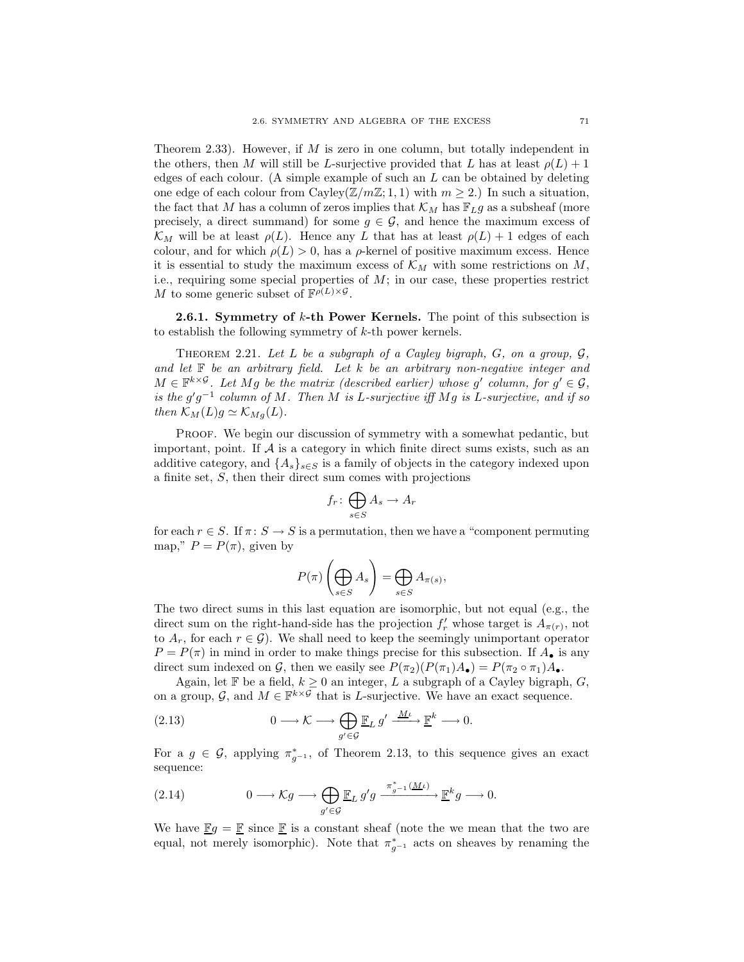Theorem 2.33). However, if M is zero in one column, but totally independent in the others, then M will still be L-surjective provided that L has at least  $\rho(L) + 1$ edges of each colour. (A simple example of such an  $L$  can be obtained by deleting one edge of each colour from Cayley( $\mathbb{Z}/m\mathbb{Z}; 1, 1$ ) with  $m \geq 2$ .) In such a situation, the fact that M has a column of zeros implies that  $\mathcal{K}_M$  has  $\mathbb{F}_L g$  as a subsheaf (more precisely, a direct summand) for some  $g \in \mathcal{G}$ , and hence the maximum excess of  $\mathcal{K}_M$  will be at least  $\rho(L)$ . Hence any L that has at least  $\rho(L) + 1$  edges of each colour, and for which  $\rho(L) > 0$ , has a  $\rho$ -kernel of positive maximum excess. Hence it is essential to study the maximum excess of  $\mathcal{K}_M$  with some restrictions on M, i.e., requiring some special properties of  $M$ ; in our case, these properties restrict M to some generic subset of  $\mathbb{F}^{\rho(L)\times\mathcal{G}}$ .

**2.6.1.** Symmetry of  $k$ -th Power Kernels. The point of this subsection is to establish the following symmetry of k-th power kernels.

THEOREM 2.21. Let L be a subgraph of a Cayley bigraph,  $G$ , on a group,  $G$ , and let  $\mathbb F$  be an arbitrary field. Let k be an arbitrary non-negative integer and  $M \in \mathbb{F}^{k \times \mathcal{G}}$ . Let Mg be the matrix (described earlier) whose g' column, for  $g' \in \mathcal{G}$ , is the  $g'g^{-1}$  column of M. Then M is L-surjective iff Mg is L-surjective, and if so then  $\mathcal{K}_M(L)g \simeq \mathcal{K}_{Mg}(L)$ .

PROOF. We begin our discussion of symmetry with a somewhat pedantic, but important, point. If  $A$  is a category in which finite direct sums exists, such as an additive category, and  $\{A_s\}_{s\in S}$  is a family of objects in the category indexed upon a finite set, S, then their direct sum comes with projections

$$
f_r \colon \bigoplus_{s \in S} A_s \to A_r
$$

for each  $r \in S$ . If  $\pi: S \to S$  is a permutation, then we have a "component permuting" map,"  $P = P(\pi)$ , given by

$$
P(\pi)\left(\bigoplus_{s\in S} A_s\right) = \bigoplus_{s\in S} A_{\pi(s)},
$$

The two direct sums in this last equation are isomorphic, but not equal (e.g., the direct sum on the right-hand-side has the projection  $f'_r$  whose target is  $A_{\pi(r)}$ , not to  $A_r$ , for each  $r \in \mathcal{G}$ ). We shall need to keep the seemingly unimportant operator  $P = P(\pi)$  in mind in order to make things precise for this subsection. If  $A_{\bullet}$  is any direct sum indexed on G, then we easily see  $P(\pi_2)(P(\pi_1)A_{\bullet}) = P(\pi_2 \circ \pi_1)A_{\bullet}$ .

Again, let F be a field,  $k \geq 0$  an integer, L a subgraph of a Cayley bigraph, G, on a group,  $\mathcal{G}$ , and  $M \in \mathbb{F}^{k \times \mathcal{G}}$  that is *L*-surjective. We have an exact sequence.

(2.13) 
$$
0 \longrightarrow \mathcal{K} \longrightarrow \bigoplus_{g' \in \mathcal{G}} \underline{\mathbb{F}}_L g' \xrightarrow{\underline{M}\iota} \underline{\mathbb{F}}^k \longrightarrow 0.
$$

For a  $g \in \mathcal{G}$ , applying  $\pi_{g^{-1}}^*$ , of Theorem 2.13, to this sequence gives an exact sequence:

(2.14) 
$$
0 \longrightarrow \mathcal{K}g \longrightarrow \bigoplus_{g' \in \mathcal{G}} \underline{\mathbb{F}}_L g'g \xrightarrow{\pi_{g^{-1}}^*(\underline{M}\iota)} \underline{\mathbb{F}}^k g \longrightarrow 0.
$$

We have  $\underline{\mathbb{F}} g = \underline{\mathbb{F}}$  since  $\underline{\mathbb{F}}$  is a constant sheaf (note the we mean that the two are equal, not merely isomorphic). Note that  $\pi_{g^{-1}}^*$  acts on sheaves by renaming the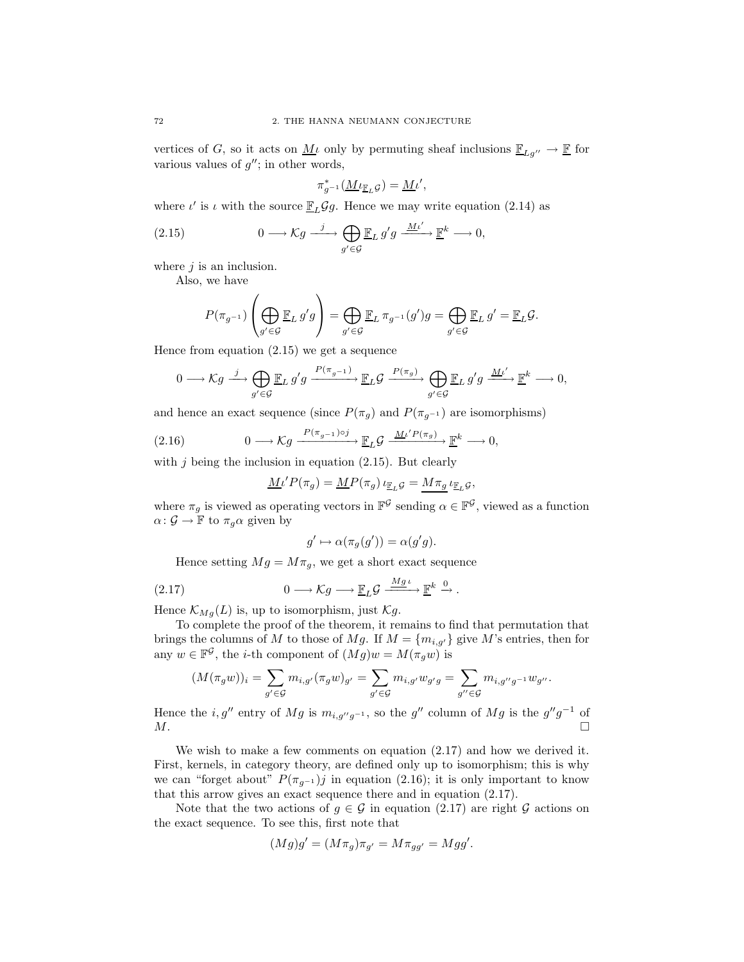vertices of G, so it acts on  $\underline{M}\iota$  only by permuting sheaf inclusions  $\underline{\mathbb{F}}_{L_0\mu'} \to \underline{\mathbb{F}}$  for various values of  $g''$ ; in other words,

$$
\pi_{g^{-1}}^*(\underline{M}\iota_{\mathbb{F}_L}g)=\underline{M}\iota',
$$

where  $\iota'$  is  $\iota$  with the source  $\underline{\mathbb{F}}_L \mathcal{G} \mathcal{G}$ . Hence we may write equation (2.14) as

(2.15) 
$$
0 \longrightarrow \mathcal{K}g \xrightarrow{j} \bigoplus_{g' \in \mathcal{G}} \underline{\mathbb{F}}_L g'g \xrightarrow{\underline{M}\iota'} \underline{\mathbb{F}}^k \longrightarrow 0,
$$

where  $j$  is an inclusion.

Also, we have

$$
P(\pi_{g^{-1}})\left(\bigoplus_{g'\in\mathcal{G}}\mathbb{E}_L g'g\right) = \bigoplus_{g'\in\mathcal{G}}\mathbb{E}_L \pi_{g^{-1}}(g')g = \bigoplus_{g'\in\mathcal{G}}\mathbb{E}_L g' = \mathbb{E}_L \mathcal{G}.
$$

Hence from equation (2.15) we get a sequence

$$
0 \longrightarrow \mathcal{K}g \xrightarrow{j} \bigoplus_{g' \in \mathcal{G}} \underline{\mathbb{F}}_L g'g \xrightarrow{P(\pi_{g-1})} \underline{\mathbb{F}}_L \mathcal{G} \xrightarrow{P(\pi_g)} \bigoplus_{g' \in \mathcal{G}} \underline{\mathbb{F}}_L g'g \xrightarrow{\underline{M}\iota'} \underline{\mathbb{F}}^k \longrightarrow 0,
$$

and hence an exact sequence (since  $P(\pi_g)$  and  $P(\pi_{g^{-1}})$  are isomorphisms)

(2.16) 
$$
0 \longrightarrow \mathcal{K}g \xrightarrow{P(\pi_{g-1}) \circ j} \mathbb{E}_L \mathcal{G} \xrightarrow{\underline{M} \iota' P(\pi_g)} \mathbb{E}^k \longrightarrow 0,
$$

with  $j$  being the inclusion in equation (2.15). But clearly

$$
\underline{M} \iota' P(\pi_g) = \underline{M} P(\pi_g) \iota_{\mathbb{F}_L} \mathcal{G} = \underline{M \pi_g} \iota_{\mathbb{F}_L} \mathcal{G},
$$

where  $\pi_g$  is viewed as operating vectors in  $\mathbb{F}^{\mathcal{G}}$  sending  $\alpha \in \mathbb{F}^{\mathcal{G}}$ , viewed as a function  $\alpha: \mathcal{G} \to \mathbb{F}$  to  $\pi_q \alpha$  given by

$$
g' \mapsto \alpha(\pi_g(g')) = \alpha(g'g).
$$

Hence setting  $Mg = M\pi_q$ , we get a short exact sequence

(2.17) 
$$
0 \longrightarrow \mathcal{K}g \longrightarrow \underline{\mathbb{F}}_L \mathcal{G} \xrightarrow{\underline{M}g \iota} \underline{\mathbb{F}}^k \xrightarrow{0}.
$$

Hence  $\mathcal{K}_{Mg}(L)$  is, up to isomorphism, just  $\mathcal{K}g$ .

To complete the proof of the theorem, it remains to find that permutation that brings the columns of M to those of Mg. If  $M = \{m_{i,g'}\}$  give M's entries, then for any  $w \in \mathbb{F}^{\mathcal{G}}$ , the *i*-th component of  $(Mg)w = M(\pi_g w)$  is

$$
(M(\pi_g w))_i = \sum_{g' \in \mathcal{G}} m_{i,g'}(\pi_g w)_{g'} = \sum_{g' \in \mathcal{G}} m_{i,g'} w_{g'g} = \sum_{g'' \in \mathcal{G}} m_{i,g''g^{-1}} w_{g''}.
$$

Hence the *i*, g'' entry of Mg is  $m_{i,g''g^{-1}}$ , so the g'' column of Mg is the  $g''g^{-1}$  of  $M.$ 

We wish to make a few comments on equation (2.17) and how we derived it. First, kernels, in category theory, are defined only up to isomorphism; this is why we can "forget about"  $P(\pi_{q^{-1}})j$  in equation (2.16); it is only important to know that this arrow gives an exact sequence there and in equation (2.17).

Note that the two actions of  $g \in \mathcal{G}$  in equation (2.17) are right  $\mathcal{G}$  actions on the exact sequence. To see this, first note that

$$
(Mg)g' = (M\pi_g)\pi_{g'} = M\pi_{gg'} = Mgg'.
$$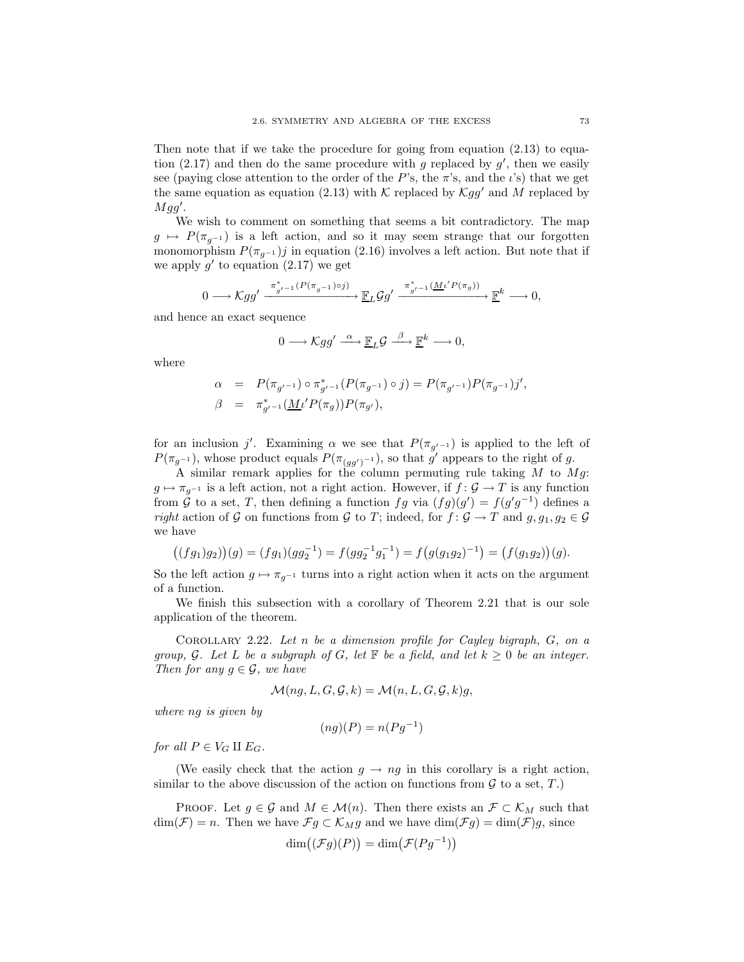Then note that if we take the procedure for going from equation (2.13) to equation  $(2.17)$  and then do the same procedure with g replaced by  $g'$ , then we easily see (paying close attention to the order of the P's, the  $\pi$ 's, and the  $\iota$ 's) that we get the same equation as equation (2.13) with K replaced by  $Kgg'$  and M replaced by  $Mgg'.$ 

We wish to comment on something that seems a bit contradictory. The map  $g \mapsto P(\pi_{g-1})$  is a left action, and so it may seem strange that our forgotten monomorphism  $P(\pi_{q-1})$  in equation (2.16) involves a left action. But note that if we apply  $g'$  to equation  $(2.17)$  we get

$$
0\longrightarrow \mathcal{K}gg'\xrightarrow{\pi_{g'-1}^*(P(\pi_{g-1})\circ j)} \underline{\mathbb{F}}_L\mathcal{G}g'\xrightarrow{\pi_{g'-1}^*(\underline{M}\iota'P(\pi_g))} \underline{\mathbb{F}}^k\longrightarrow 0,
$$

and hence an exact sequence

$$
0 \longrightarrow \mathcal{K}gg' \stackrel{\alpha}{\longrightarrow} \underline{\mathbb{F}}_L\mathcal{G} \stackrel{\beta}{\longrightarrow} \underline{\mathbb{F}}^k \longrightarrow 0,
$$

where

$$
\alpha = P(\pi_{g'-1}) \circ \pi_{g'-1}^* (P(\pi_{g-1}) \circ j) = P(\pi_{g'-1}) P(\pi_{g-1}) j', \n\beta = \pi_{g'-1}^* (\underline{M} \iota' P(\pi_g)) P(\pi_{g'})
$$

for an inclusion j'. Examining  $\alpha$  we see that  $P(\pi_{g^{-1}})$  is applied to the left of  $P(\pi_{g^{-1}})$ , whose product equals  $P(\pi_{(gg')^{-1}})$ , so that g' appears to the right of g.

A similar remark applies for the column permuting rule taking  $M$  to  $Mg$ :  $g \mapsto \pi_{g^{-1}}$  is a left action, not a right action. However, if  $f : \mathcal{G} \to T$  is any function from G to a set, T, then defining a function  $fg$  via  $(fg)(g') = f(g'g^{-1})$  defines a *right* action of G on functions from G to T; indeed, for  $f : \mathcal{G} \to T$  and  $g, g_1, g_2 \in \mathcal{G}$ we have

$$
((fg_1)g_2)(g) = (fg_1)(gg_2^{-1}) = f(gg_2^{-1}g_1^{-1}) = f(g(g_1g_2)^{-1}) = (f(g_1g_2))(g).
$$

So the left action  $g \mapsto \pi_{g^{-1}}$  turns into a right action when it acts on the argument of a function.

We finish this subsection with a corollary of Theorem 2.21 that is our sole application of the theorem.

COROLLARY 2.22. Let  $n$  be a dimension profile for Cayley bigraph,  $G$ , on a group, G. Let L be a subgraph of G, let  $\mathbb F$  be a field, and let  $k \geq 0$  be an integer. Then for any  $q \in \mathcal{G}$ , we have

$$
\mathcal{M}(ng, L, G, \mathcal{G}, k) = \mathcal{M}(n, L, G, \mathcal{G}, k)g,
$$

where ng is given by

$$
(ng)(P) = n(Pg^{-1})
$$

for all  $P \in V_G \amalg E_G$ .

(We easily check that the action  $g \to ng$  in this corollary is a right action, similar to the above discussion of the action on functions from  $G$  to a set,  $T$ .)

PROOF. Let  $g \in \mathcal{G}$  and  $M \in \mathcal{M}(n)$ . Then there exists an  $\mathcal{F} \subset \mathcal{K}_M$  such that  $\dim(\mathcal{F}) = n$ . Then we have  $\mathcal{F}g \subset \mathcal{K}_M g$  and we have  $\dim(\mathcal{F}g) = \dim(\mathcal{F})g$ , since

$$
\dim((\mathcal{F}g)(P)) = \dim(\mathcal{F}(Pg^{-1}))
$$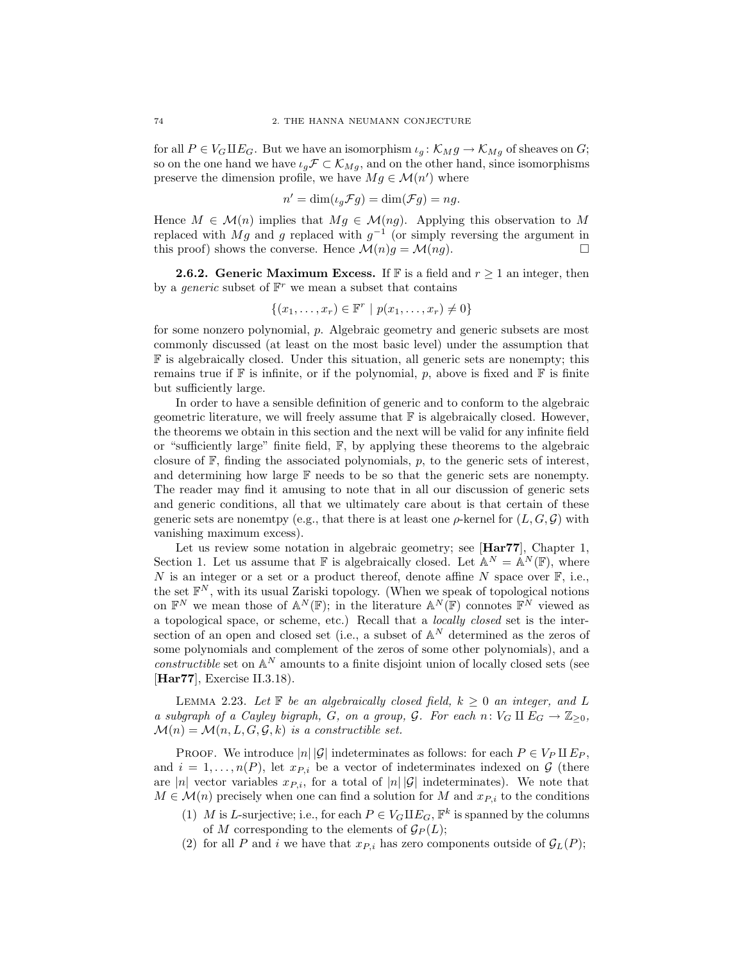for all  $P \in V_G \amalg E_G$ . But we have an isomorphism  $\iota_g: \mathcal{K}_M g \to \mathcal{K}_{Mg}$  of sheaves on G; so on the one hand we have  $\iota_g \mathcal{F} \subset \mathcal{K}_{Mg}$ , and on the other hand, since isomorphisms preserve the dimension profile, we have  $Mg \in \mathcal{M}(n')$  where

$$
n' = \dim(\iota_g \mathcal{F}g) = \dim(\mathcal{F}g) = ng.
$$

Hence  $M \in \mathcal{M}(n)$  implies that  $Mg \in \mathcal{M}(ng)$ . Applying this observation to M replaced with  $Mg$  and g replaced with  $g^{-1}$  (or simply reversing the argument in this proof) shows the converse. Hence  $\mathcal{M}(n)g = \mathcal{M}(nq)$ .

**2.6.2.** Generic Maximum Excess. If  $\mathbb{F}$  is a field and  $r \geq 1$  an integer, then by a *generic* subset of  $\mathbb{F}^r$  we mean a subset that contains

$$
\{(x_1, \ldots, x_r) \in \mathbb{F}^r \mid p(x_1, \ldots, x_r) \neq 0\}
$$

for some nonzero polynomial, p. Algebraic geometry and generic subsets are most commonly discussed (at least on the most basic level) under the assumption that F is algebraically closed. Under this situation, all generic sets are nonempty; this remains true if  $\mathbb F$  is infinite, or if the polynomial, p, above is fixed and  $\mathbb F$  is finite but sufficiently large.

In order to have a sensible definition of generic and to conform to the algebraic geometric literature, we will freely assume that  $\mathbb F$  is algebraically closed. However, the theorems we obtain in this section and the next will be valid for any infinite field or "sufficiently large" finite field, F, by applying these theorems to the algebraic closure of  $\mathbb{F}$ , finding the associated polynomials, p, to the generic sets of interest, and determining how large  $\mathbb F$  needs to be so that the generic sets are nonempty. The reader may find it amusing to note that in all our discussion of generic sets and generic conditions, all that we ultimately care about is that certain of these generic sets are nonemtpy (e.g., that there is at least one  $\rho$ -kernel for  $(L, G, \mathcal{G})$  with vanishing maximum excess).

Let us review some notation in algebraic geometry; see [Har77], Chapter 1, Section 1. Let us assume that  $\mathbb F$  is algebraically closed. Let  $\mathbb A^N = \mathbb A^N(\mathbb F)$ , where N is an integer or a set or a product thereof, denote affine N space over  $\mathbb{F}$ , i.e., the set  $\mathbb{F}^N$ , with its usual Zariski topology. (When we speak of topological notions on  $\mathbb{F}^N$  we mean those of  $\mathbb{A}^N(\mathbb{F})$ ; in the literature  $\mathbb{A}^N(\mathbb{F})$  connotes  $\mathbb{F}^N$  viewed as a topological space, or scheme, etc.) Recall that a locally closed set is the intersection of an open and closed set (i.e., a subset of  $\mathbb{A}^N$  determined as the zeros of some polynomials and complement of the zeros of some other polynomials), and a constructible set on  $\mathbb{A}^N$  amounts to a finite disjoint union of locally closed sets (see [Har77], Exercise II.3.18].

LEMMA 2.23. Let  $\mathbb F$  be an algebraically closed field,  $k \geq 0$  an integer, and L a subgraph of a Cayley bigraph, G, on a group, G. For each n:  $V_G \amalg E_G \to \mathbb{Z}_{\geq 0}$ ,  $\mathcal{M}(n) = \mathcal{M}(n, L, G, \mathcal{G}, k)$  is a constructible set.

**PROOF.** We introduce  $|n| |\mathcal{G}|$  indeterminates as follows: for each  $P \in V_P \amalg E_P$ , and  $i = 1, \ldots, n(P)$ , let  $x_{P,i}$  be a vector of indeterminates indexed on  $\mathcal G$  (there are |n| vector variables  $x_{P,i}$ , for a total of  $|n||\mathcal{G}|$  indeterminates). We note that  $M \in \mathcal{M}(n)$  precisely when one can find a solution for M and  $x_{P,i}$  to the conditions

- (1) M is L-surjective; i.e., for each  $P \in V_G \amalg E_G$ ,  $\mathbb{F}^k$  is spanned by the columns of M corresponding to the elements of  $\mathcal{G}_P(L)$ ;
- (2) for all P and i we have that  $x_{P,i}$  has zero components outside of  $\mathcal{G}_L(P)$ ;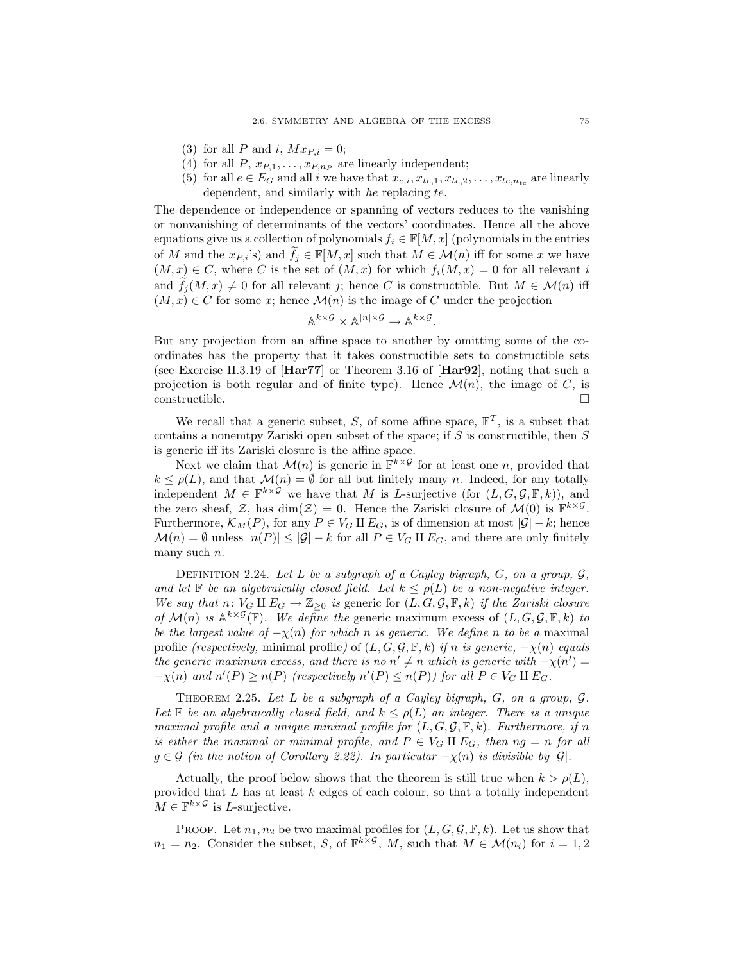- (3) for all P and i,  $Mx_{P,i} = 0$ ;
- (4) for all  $P, x_{P,1}, \ldots, x_{P,n_P}$  are linearly independent;
- (5) for all  $e \in E_G$  and all i we have that  $x_{e,i}, x_{te,1}, x_{te,2}, \ldots, x_{te,n_{te}}$  are linearly dependent, and similarly with he replacing te.

The dependence or independence or spanning of vectors reduces to the vanishing or nonvanishing of determinants of the vectors' coordinates. Hence all the above equations give us a collection of polynomials  $f_i \in \mathbb{F}[M, x]$  (polynomials in the entries of M and the  $x_{P,i}$ 's) and  $\tilde{f}_j \in \mathbb{F}[M, x]$  such that  $M \in \mathcal{M}(n)$  iff for some x we have  $(M, x) \in C$ , where C is the set of  $(M, x)$  for which  $f_i(M, x) = 0$  for all relevant i and  $f_i(M, x) \neq 0$  for all relevant j; hence C is constructible. But  $M \in \mathcal{M}(n)$  iff  $(M, x) \in C$  for some x; hence  $\mathcal{M}(n)$  is the image of C under the projection

$$
\mathbb{A}^{k \times \mathcal{G}} \times \mathbb{A}^{|n| \times \mathcal{G}} \to \mathbb{A}^{k \times \mathcal{G}}.
$$

But any projection from an affine space to another by omitting some of the coordinates has the property that it takes constructible sets to constructible sets (see Exercise II.3.19 of [Har77] or Theorem 3.16 of [Har92], noting that such a projection is both regular and of finite type). Hence  $\mathcal{M}(n)$ , the image of C, is  $\Box$ constructible.

We recall that a generic subset, S, of some affine space,  $\mathbb{F}^T$ , is a subset that contains a nonemtpy Zariski open subset of the space; if  $S$  is constructible, then  $S$ is generic iff its Zariski closure is the affine space.

Next we claim that  $\mathcal{M}(n)$  is generic in  $\mathbb{F}^{k \times G}$  for at least one n, provided that  $k \leq \rho(L)$ , and that  $\mathcal{M}(n) = \emptyset$  for all but finitely many n. Indeed, for any totally independent  $M \in \mathbb{F}^{k \times \mathcal{G}}$  we have that M is L-surjective (for  $(L, G, \mathcal{G}, \mathbb{F}, k)$ ), and the zero sheaf, Z, has  $\dim(\mathcal{Z}) = 0$ . Hence the Zariski closure of  $\mathcal{M}(0)$  is  $\mathbb{F}^{k \times \mathcal{G}}$ . Furthermore,  $\mathcal{K}_M(P)$ , for any  $P \in V_G \amalg E_G$ , is of dimension at most  $|\mathcal{G}| - k$ ; hence  $\mathcal{M}(n) = \emptyset$  unless  $|n(P)| \leq |\mathcal{G}| - k$  for all  $P \in V_G \amalg E_G$ , and there are only finitely many such *n*.

DEFINITION 2.24. Let L be a subgraph of a Cayley bigraph,  $G$ , on a group,  $G$ , and let  $\mathbb F$  be an algebraically closed field. Let  $k \leq \rho(L)$  be a non-negative integer. We say that n:  $V_G \amalg E_G \to \mathbb{Z}_{\geq 0}$  is generic for  $(L, G, \mathcal{G}, \mathbb{F}, k)$  if the Zariski closure of  $\mathcal{M}(n)$  is  $\mathbb{A}^{k\times\mathcal{G}}(\mathbb{F})$ . We define the generic maximum excess of  $(L, G, \mathcal{G}, \mathbb{F}, k)$  to be the largest value of  $-\chi(n)$  for which n is generic. We define n to be a maximal profile (respectively, minimal profile) of  $(L, G, \mathcal{G}, \mathbb{F}, k)$  if n is generic,  $-\chi(n)$  equals the generic maximum excess, and there is no  $n' \neq n$  which is generic with  $-\chi(n') =$  $-\chi(n)$  and  $n'(P) \ge n(P)$  (respectively  $n'(P) \le n(P)$ ) for all  $P \in V_G \amalg E_G$ .

THEOREM 2.25. Let L be a subgraph of a Cayley bigraph,  $G$ , on a group,  $\mathcal{G}$ . Let F be an algebraically closed field, and  $k \leq \rho(L)$  an integer. There is a unique maximal profile and a unique minimal profile for  $(L, G, \mathcal{G}, \mathbb{F}, k)$ . Furthermore, if n is either the maximal or minimal profile, and  $P \in V_G \amalg E_G$ , then  $ng = n$  for all  $g \in \mathcal{G}$  (in the notion of Corollary 2.22). In particular  $-\chi(n)$  is divisible by  $|\mathcal{G}|$ .

Actually, the proof below shows that the theorem is still true when  $k > \rho(L)$ , provided that  $L$  has at least  $k$  edges of each colour, so that a totally independent  $M \in \mathbb{F}^{k \times \mathcal{G}}$  is *L*-surjective.

PROOF. Let  $n_1, n_2$  be two maximal profiles for  $(L, G, \mathcal{G}, \mathbb{F}, k)$ . Let us show that  $n_1 = n_2$ . Consider the subset, S, of  $\mathbb{F}^{k \times G}$ , M, such that  $M \in \mathcal{M}(n_i)$  for  $i = 1, 2$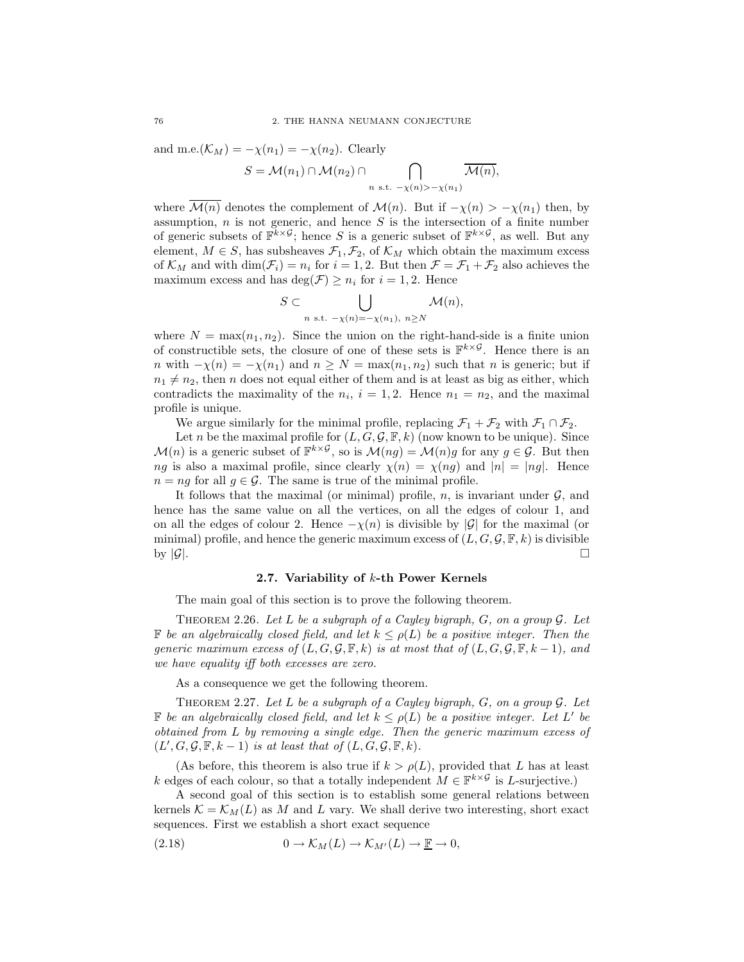and m.e. $(\mathcal{K}_M) = -\chi(n_1) = -\chi(n_2)$ . Clearly

$$
S = \mathcal{M}(n_1) \cap \mathcal{M}(n_2) \cap \bigcap_{n \text{ s.t. } -\chi(n) > -\chi(n_1)} \overline{\mathcal{M}(n)},
$$

where  $\overline{\mathcal{M}(n)}$  denotes the complement of  $\mathcal{M}(n)$ . But if  $-\chi(n) > -\chi(n_1)$  then, by assumption,  $n$  is not generic, and hence  $S$  is the intersection of a finite number of generic subsets of  $\mathbb{F}^{k\times g}$ ; hence S is a generic subset of  $\mathbb{F}^{k\times g}$ , as well. But any element,  $M \in S$ , has subsheaves  $\mathcal{F}_1, \mathcal{F}_2$ , of  $\mathcal{K}_M$  which obtain the maximum excess of  $\mathcal{K}_M$  and with  $\dim(\mathcal{F}_i) = n_i$  for  $i = 1, 2$ . But then  $\mathcal{F} = \mathcal{F}_1 + \mathcal{F}_2$  also achieves the maximum excess and has  $\deg(\mathcal{F}) \geq n_i$  for  $i = 1, 2$ . Hence

$$
S \subset \bigcup_{n \text{ s.t. } -\chi(n) = -\chi(n_1), \ n \geq N} \mathcal{M}(n),
$$

where  $N = \max(n_1, n_2)$ . Since the union on the right-hand-side is a finite union of constructible sets, the closure of one of these sets is  $\mathbb{F}^{k \times G}$ . Hence there is an n with  $-\chi(n) = -\chi(n_1)$  and  $n \geq N = \max(n_1, n_2)$  such that n is generic; but if  $n_1 \neq n_2$ , then n does not equal either of them and is at least as big as either, which contradicts the maximality of the  $n_i$ ,  $i = 1, 2$ . Hence  $n_1 = n_2$ , and the maximal profile is unique.

We argue similarly for the minimal profile, replacing  $\mathcal{F}_1 + \mathcal{F}_2$  with  $\mathcal{F}_1 \cap \mathcal{F}_2$ .

Let n be the maximal profile for  $(L, G, \mathcal{G}, \mathbb{F}, k)$  (now known to be unique). Since  $\mathcal{M}(n)$  is a generic subset of  $\mathbb{F}^{k \times \mathcal{G}}$ , so is  $\mathcal{M}(ng) = \mathcal{M}(n)g$  for any  $g \in \mathcal{G}$ . But then ng is also a maximal profile, since clearly  $\chi(n) = \chi(ng)$  and  $|n| = |ng|$ . Hence  $n = ng$  for all  $g \in \mathcal{G}$ . The same is true of the minimal profile.

It follows that the maximal (or minimal) profile,  $n$ , is invariant under  $\mathcal{G}$ , and hence has the same value on all the vertices, on all the edges of colour 1, and on all the edges of colour 2. Hence  $-\chi(n)$  is divisible by |G| for the maximal (or minimal) profile, and hence the generic maximum excess of  $(L, G, \mathcal{G}, \mathbb{F}, k)$  is divisible by  $|\mathcal{G}|$ .

### 2.7. Variability of k-th Power Kernels

The main goal of this section is to prove the following theorem.

THEOREM 2.26. Let L be a subgraph of a Cayley bigraph,  $G$ , on a group  $\mathcal G$ . Let  $\mathbb F$  be an algebraically closed field, and let  $k \leq \rho(L)$  be a positive integer. Then the generic maximum excess of  $(L, G, \mathcal{G}, \mathbb{F}, k)$  is at most that of  $(L, G, \mathcal{G}, \mathbb{F}, k - 1)$ , and we have equality iff both excesses are zero.

As a consequence we get the following theorem.

THEOREM 2.27. Let  $L$  be a subgraph of a Cayley bigraph,  $G$ , on a group  $G$ . Let  $\mathbb F$  be an algebraically closed field, and let  $k \leq \rho(L)$  be a positive integer. Let L' be obtained from L by removing a single edge. Then the generic maximum excess of  $(L', G, \mathcal{G}, \mathbb{F}, k-1)$  is at least that of  $(L, G, \mathcal{G}, \mathbb{F}, k)$ .

(As before, this theorem is also true if  $k > \rho(L)$ , provided that L has at least k edges of each colour, so that a totally independent  $M \in \mathbb{F}^{k \times G}$  is L-surjective.)

A second goal of this section is to establish some general relations between kernels  $\mathcal{K} = \mathcal{K}_M(L)$  as M and L vary. We shall derive two interesting, short exact sequences. First we establish a short exact sequence

(2.18) 
$$
0 \to \mathcal{K}_M(L) \to \mathcal{K}_{M'}(L) \to \underline{\mathbb{F}} \to 0,
$$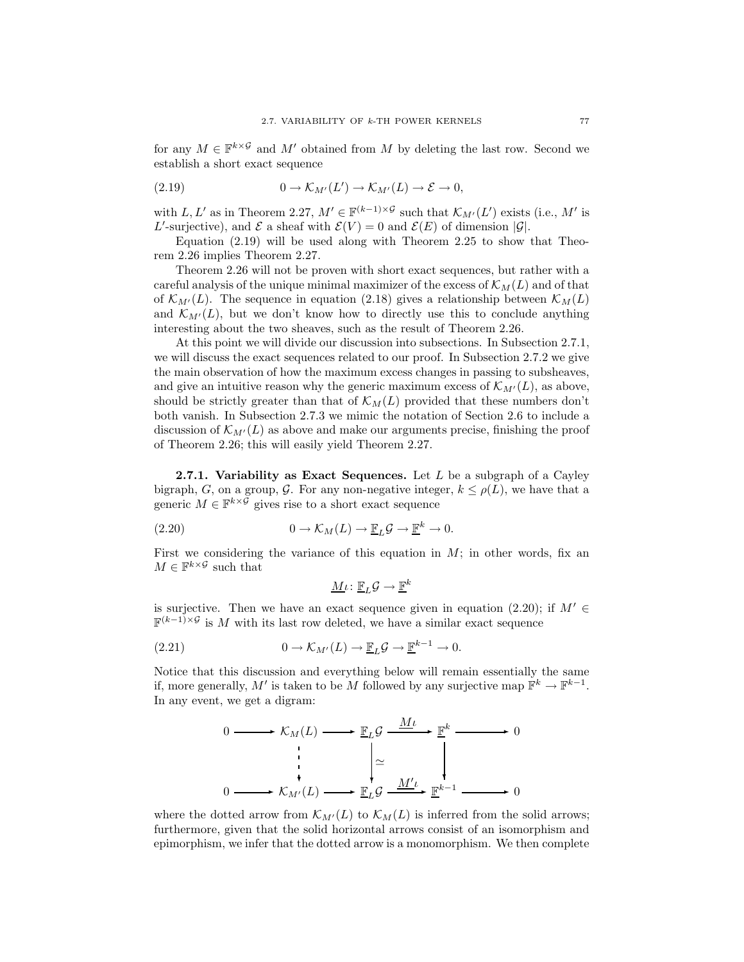for any  $M \in \mathbb{F}^{k \times G}$  and  $M'$  obtained from M by deleting the last row. Second we establish a short exact sequence

(2.19) 
$$
0 \to \mathcal{K}_{M'}(L') \to \mathcal{K}_{M'}(L) \to \mathcal{E} \to 0,
$$

with L, L' as in Theorem 2.27,  $M' \in \mathbb{F}^{(k-1)\times G}$  such that  $\mathcal{K}_{M'}(L')$  exists (i.e., M' is L'-surjective), and  $\mathcal E$  a sheaf with  $\mathcal E(V) = 0$  and  $\mathcal E(E)$  of dimension  $|\mathcal G|$ .

Equation (2.19) will be used along with Theorem 2.25 to show that Theorem 2.26 implies Theorem 2.27.

Theorem 2.26 will not be proven with short exact sequences, but rather with a careful analysis of the unique minimal maximizer of the excess of  $\mathcal{K}_M(L)$  and of that of  $\mathcal{K}_{M'}(L)$ . The sequence in equation (2.18) gives a relationship between  $\mathcal{K}_{M}(L)$ and  $\mathcal{K}_{M'}(L)$ , but we don't know how to directly use this to conclude anything interesting about the two sheaves, such as the result of Theorem 2.26.

At this point we will divide our discussion into subsections. In Subsection 2.7.1, we will discuss the exact sequences related to our proof. In Subsection 2.7.2 we give the main observation of how the maximum excess changes in passing to subsheaves, and give an intuitive reason why the generic maximum excess of  $\mathcal{K}_{M'}(L)$ , as above, should be strictly greater than that of  $\mathcal{K}_M(L)$  provided that these numbers don't both vanish. In Subsection 2.7.3 we mimic the notation of Section 2.6 to include a discussion of  $\mathcal{K}_{M'}(L)$  as above and make our arguments precise, finishing the proof of Theorem 2.26; this will easily yield Theorem 2.27.

**2.7.1.** Variability as Exact Sequences. Let  $L$  be a subgraph of a Cayley bigraph, G, on a group, G. For any non-negative integer,  $k \leq \rho(L)$ , we have that a generic  $M \in \mathbb{F}^{k \times \mathcal{G}}$  gives rise to a short exact sequence

(2.20) 
$$
0 \to \mathcal{K}_M(L) \to \underline{\mathbb{F}}_L \mathcal{G} \to \underline{\mathbb{F}}^k \to 0.
$$

First we considering the variance of this equation in  $M$ ; in other words, fix an  $M \in \mathbb{F}^{k \times \mathcal{G}}$  such that

$$
\underline{M}\iota\colon \underline{\mathbb{F}}_L\mathcal{G}\to \underline{\mathbb{F}}^k
$$

is surjective. Then we have an exact sequence given in equation (2.20); if  $M' \in$  $\mathbb{F}^{(k-1)\times\mathcal{G}}$  is M with its last row deleted, we have a similar exact sequence

(2.21) 
$$
0 \to \mathcal{K}_{M'}(L) \to \underline{\mathbb{F}}_L \mathcal{G} \to \underline{\mathbb{F}}^{k-1} \to 0.
$$

Notice that this discussion and everything below will remain essentially the same if, more generally, M' is taken to be M followed by any surjective map  $\mathbb{F}^k \to \mathbb{F}^{k-1}$ . In any event, we get a digram:



where the dotted arrow from  $\mathcal{K}_{M'}(L)$  to  $\mathcal{K}_{M}(L)$  is inferred from the solid arrows; furthermore, given that the solid horizontal arrows consist of an isomorphism and epimorphism, we infer that the dotted arrow is a monomorphism. We then complete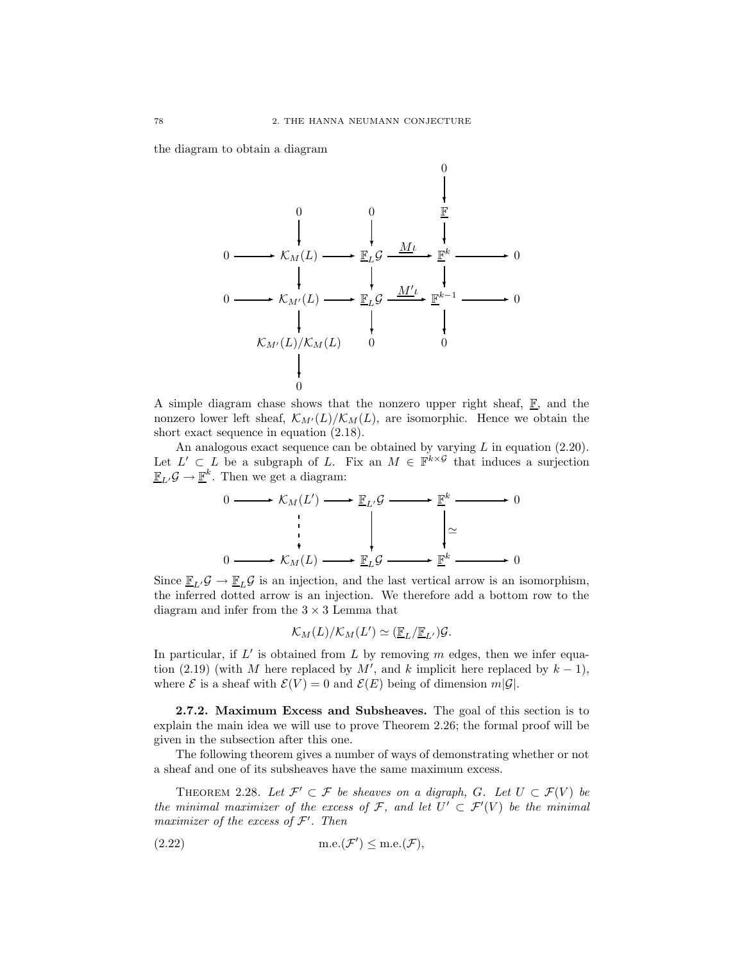the diagram to obtain a diagram



A simple diagram chase shows that the nonzero upper right sheaf, F, and the nonzero lower left sheaf,  $\mathcal{K}_{M'}(L)/\mathcal{K}_{M}(L)$ , are isomorphic. Hence we obtain the short exact sequence in equation (2.18).

An analogous exact sequence can be obtained by varying  $L$  in equation (2.20). Let  $L' \subset L$  be a subgraph of L. Fix an  $M \in \mathbb{F}^{k \times G}$  that induces a surjection  $\underline{\mathbb{F}}_{L'}\mathcal{G} \to \underline{\mathbb{F}}^k$ . Then we get a diagram:



Since  $\underline{\mathbb{F}}_L \mathcal{G} \to \underline{\mathbb{F}}_L \mathcal{G}$  is an injection, and the last vertical arrow is an isomorphism, the inferred dotted arrow is an injection. We therefore add a bottom row to the diagram and infer from the  $3 \times 3$  Lemma that

$$
\mathcal{K}_M(L)/\mathcal{K}_M(L') \simeq (\underline{\mathbb{F}}_L/\underline{\mathbb{F}}_{L'})\mathcal{G}.
$$

In particular, if  $L'$  is obtained from  $L$  by removing  $m$  edges, then we infer equation (2.19) (with M here replaced by  $M'$ , and k implicit here replaced by  $k - 1$ ), where  $\mathcal E$  is a sheaf with  $\mathcal E(V) = 0$  and  $\mathcal E(E)$  being of dimension  $m|\mathcal G|$ .

2.7.2. Maximum Excess and Subsheaves. The goal of this section is to explain the main idea we will use to prove Theorem 2.26; the formal proof will be given in the subsection after this one.

The following theorem gives a number of ways of demonstrating whether or not a sheaf and one of its subsheaves have the same maximum excess.

THEOREM 2.28. Let  $\mathcal{F}' \subset \mathcal{F}$  be sheaves on a digraph, G. Let  $U \subset \mathcal{F}(V)$  be the minimal maximizer of the excess of F, and let  $U' \subset \mathcal{F}'(V)$  be the minimal maximizer of the excess of  $\mathcal{F}'$ . Then

(2.22) m.e.(F 0 ) ≤ m.e.(F),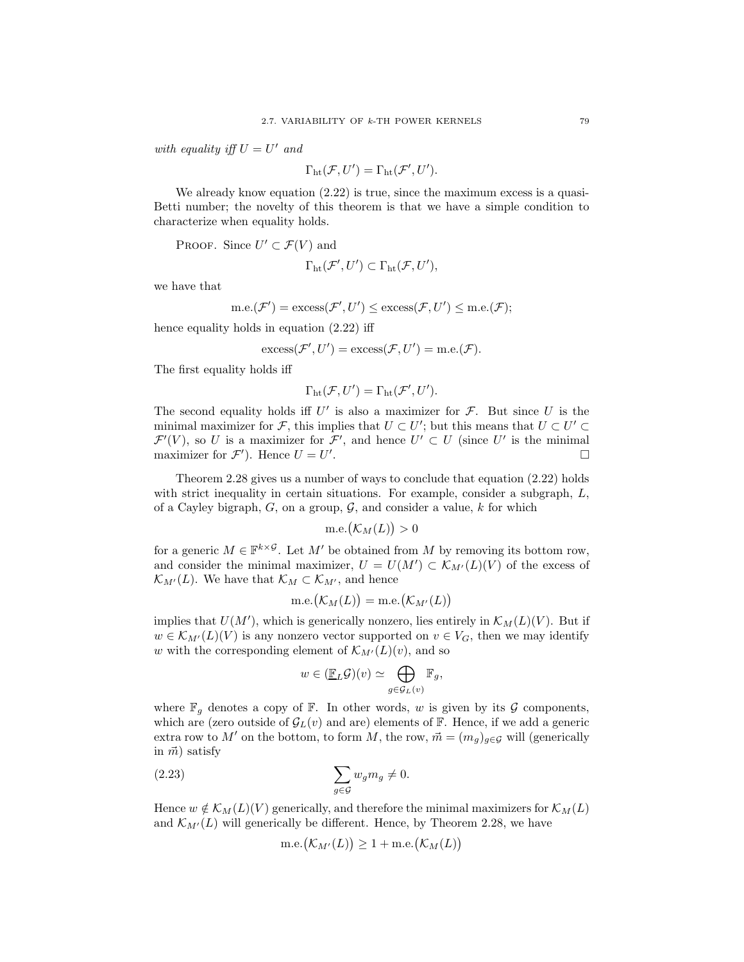with equality iff  $U = U'$  and

$$
\Gamma_{\mathrm{ht}}(\mathcal{F},U')=\Gamma_{\mathrm{ht}}(\mathcal{F}',U').
$$

We already know equation (2.22) is true, since the maximum excess is a quasi-Betti number; the novelty of this theorem is that we have a simple condition to characterize when equality holds.

PROOF. Since  $U' \subset \mathcal{F}(V)$  and

$$
\Gamma_{\text{ht}}(\mathcal{F}',U') \subset \Gamma_{\text{ht}}(\mathcal{F},U'),
$$

we have that

$$
\mathrm{m.e.}(\mathcal{F}') = \mathrm{excess}(\mathcal{F}', U') \leq \mathrm{excess}(\mathcal{F}, U') \leq \mathrm{m.e.}(\mathcal{F});
$$

hence equality holds in equation (2.22) iff

$$
\operatorname{excess}(\mathcal{F}', U') = \operatorname{excess}(\mathcal{F}, U') = \operatorname{m.e.}(\mathcal{F}).
$$

The first equality holds iff

$$
\Gamma_{\text{ht}}(\mathcal{F},U') = \Gamma_{\text{ht}}(\mathcal{F}',U').
$$

The second equality holds iff  $U'$  is also a maximizer for  $\mathcal{F}$ . But since U is the minimal maximizer for F, this implies that  $U \subset U'$ ; but this means that  $U \subset U' \subset$  $\mathcal{F}'(V)$ , so U is a maximizer for  $\mathcal{F}'$ , and hence  $U' \subset U$  (since U' is the minimal maximizer for  $\mathcal{F}'$ ). Hence  $U = U'$ . В последните поставите на селото на селото на селото на селото на селото на селото на селото на селото на се<br>Селото на селото на селото на селото на селото на селото на селото на селото на селото на селото на селото на

Theorem 2.28 gives us a number of ways to conclude that equation (2.22) holds with strict inequality in certain situations. For example, consider a subgraph,  $L$ , of a Cayley bigraph,  $G$ , on a group,  $G$ , and consider a value, k for which

$$
\mathrm{m.e.}\big(\mathcal{K}_M(L)\big) > 0
$$

for a generic  $M \in \mathbb{F}^{k \times G}$ . Let  $M'$  be obtained from M by removing its bottom row, and consider the minimal maximizer,  $U = U(M') \subset \mathcal{K}_{M'}(L)(V)$  of the excess of  $\mathcal{K}_{M'}(L)$ . We have that  $\mathcal{K}_{M} \subset \mathcal{K}_{M'}$ , and hence

$$
\mathrm{m.e.}\big(\mathcal{K}_M(L)\big)=\mathrm{m.e.}\big(\mathcal{K}_{M'}(L)\big)
$$

implies that  $U(M')$ , which is generically nonzero, lies entirely in  $\mathcal{K}_M(L)(V)$ . But if  $w \in \mathcal{K}_{M'}(L)(V)$  is any nonzero vector supported on  $v \in V_G$ , then we may identify w with the corresponding element of  $\mathcal{K}_{M'}(L)(v)$ , and so

$$
w\in (\underline{\mathbb{F}}_L\mathcal{G})(v)\simeq \bigoplus_{g\in \mathcal{G}_L(v)} \mathbb{F}_g,
$$

where  $\mathbb{F}_g$  denotes a copy of  $\mathbb{F}$ . In other words, w is given by its  $\mathcal G$  components, which are (zero outside of  $\mathcal{G}_L(v)$  and are) elements of  $\mathbb{F}$ . Hence, if we add a generic extra row to M' on the bottom, to form M, the row,  $\vec{m} = (m_q)_{q \in \mathcal{G}}$  will (generically in  $\vec{m}$ ) satisfy

(2.23) 
$$
\sum_{g \in \mathcal{G}} w_g m_g \neq 0.
$$

Hence  $w \notin \mathcal{K}_M(L)(V)$  generically, and therefore the minimal maximizers for  $\mathcal{K}_M(L)$ and  $\mathcal{K}_{M'}(L)$  will generically be different. Hence, by Theorem 2.28, we have

m.e. 
$$
(\mathcal{K}_{M'}(L)) \geq 1 + \text{m.e.}(\mathcal{K}_{M}(L))
$$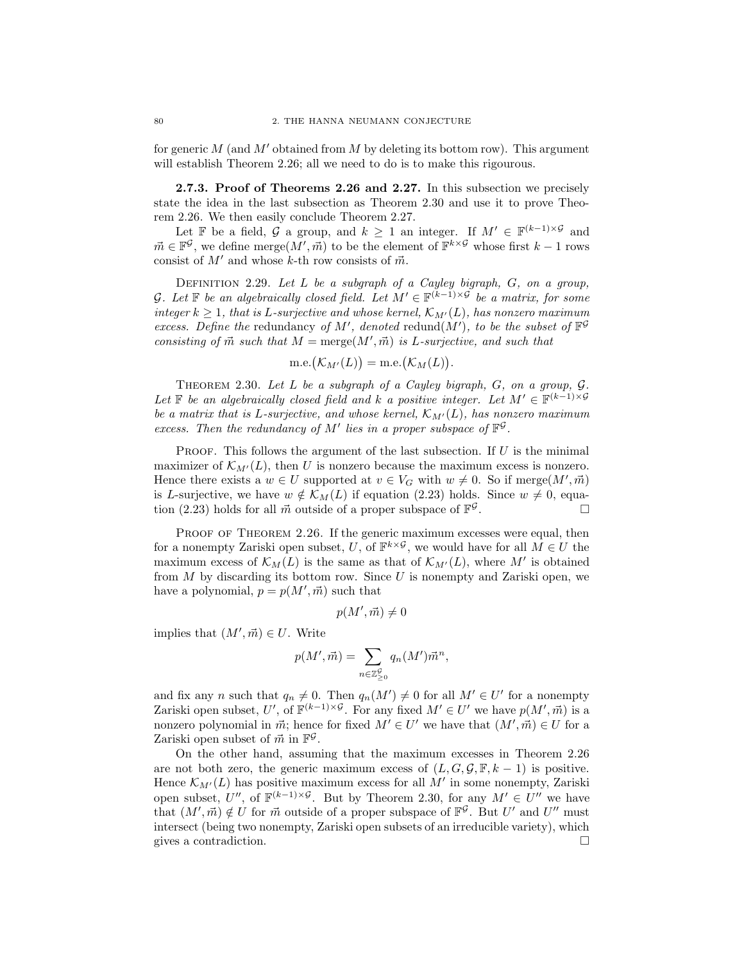for generic M (and M' obtained from M by deleting its bottom row). This argument will establish Theorem 2.26; all we need to do is to make this rigourous.

2.7.3. Proof of Theorems 2.26 and 2.27. In this subsection we precisely state the idea in the last subsection as Theorem 2.30 and use it to prove Theorem 2.26. We then easily conclude Theorem 2.27.

Let F be a field, G a group, and  $k \geq 1$  an integer. If  $M' \in \mathbb{F}^{(k-1)\times G}$  and  $\vec{m} \in \mathbb{F}^{\mathcal{G}}$ , we define merge $(M', \vec{m})$  to be the element of  $\mathbb{F}^{k \times \mathcal{G}}$  whose first  $k-1$  rows consist of  $M'$  and whose k-th row consists of  $\vec{m}$ .

DEFINITION 2.29. Let  $L$  be a subgraph of a Cayley bigraph,  $G$ , on a group, G. Let  $\mathbb F$  be an algebraically closed field. Let  $M' \in \mathbb F^{(k-1)\times G}$  be a matrix, for some integer  $k \geq 1$ , that is L-surjective and whose kernel,  $\mathcal{K}_{M'}(L)$ , has nonzero maximum excess. Define the redundancy of M', denoted redund $(M')$ , to be the subset of  $\mathbb{F}^{\mathcal{G}}$ consisting of  $\vec{m}$  such that  $M = \text{merge}(M', \vec{m})$  is L-surjective, and such that

$$
\mathrm{m.e.}\big(\mathcal{K}_{M'}(L)\big)=\mathrm{m.e.}\big(\mathcal{K}_{M}(L)\big).
$$

THEOREM 2.30. Let  $L$  be a subgraph of a Cayley bigraph,  $G$ , on a group,  $G$ . Let  $\mathbb F$  be an algebraically closed field and k a positive integer. Let  $M' \in \mathbb F^{(k-1)\times \mathcal{G}}$ be a matrix that is L-surjective, and whose kernel,  $\mathcal{K}_{M'}(L)$ , has nonzero maximum excess. Then the redundancy of M' lies in a proper subspace of  $\mathbb{F}^{\mathcal{G}}$ .

**PROOF.** This follows the argument of the last subsection. If  $U$  is the minimal maximizer of  $\mathcal{K}_{M'}(L)$ , then U is nonzero because the maximum excess is nonzero. Hence there exists a  $w \in U$  supported at  $v \in V_G$  with  $w \neq 0$ . So if merge $(M', \vec{m})$ is L-surjective, we have  $w \notin \mathcal{K}_M(L)$  if equation (2.23) holds. Since  $w \neq 0$ , equation (2.23) holds for all  $\vec{m}$  outside of a proper subspace of  $\mathbb{F}^{\mathcal{G}}$ .

PROOF OF THEOREM 2.26. If the generic maximum excesses were equal, then for a nonempty Zariski open subset, U, of  $\mathbb{F}^{k \times G}$ , we would have for all  $M \in U$  the maximum excess of  $\mathcal{K}_M(L)$  is the same as that of  $\mathcal{K}_{M'}(L)$ , where M' is obtained from  $M$  by discarding its bottom row. Since  $U$  is nonempty and Zariski open, we have a polynomial,  $p = p(M', \vec{m})$  such that

$$
p(M',\vec{m}) \neq 0
$$

implies that  $(M', \vec{m}) \in U$ . Write

$$
p(M', \vec{m}) = \sum_{n \in \mathbb{Z}_{\geq 0}^{\mathcal{G}}} q_n(M') \vec{m}^n,
$$

and fix any n such that  $q_n \neq 0$ . Then  $q_n(M') \neq 0$  for all  $M' \in U'$  for a nonempty Zariski open subset, U', of  $\mathbb{F}^{(k-1)\times \mathcal{G}}$ . For any fixed  $M' \in U'$  we have  $p(M', \vec{m})$  is a nonzero polynomial in  $\vec{m}$ ; hence for fixed  $M' \in U'$  we have that  $(M', \vec{m}) \in U$  for a Zariski open subset of  $\vec{m}$  in  $\mathbb{F}^{\mathcal{G}}$ .

On the other hand, assuming that the maximum excesses in Theorem 2.26 are not both zero, the generic maximum excess of  $(L, G, \mathcal{G}, \mathbb{F}, k-1)$  is positive. Hence  $\mathcal{K}_{M'}(L)$  has positive maximum excess for all  $M'$  in some nonempty, Zariski open subset, U'', of  $\mathbb{F}^{(k-1)\times\mathcal{G}}$ . But by Theorem 2.30, for any  $M' \in U''$  we have that  $(M', \vec{m}) \notin U$  for  $\vec{m}$  outside of a proper subspace of  $\mathbb{F}^{\mathcal{G}}$ . But U' and U'' must intersect (being two nonempty, Zariski open subsets of an irreducible variety), which gives a contradiction.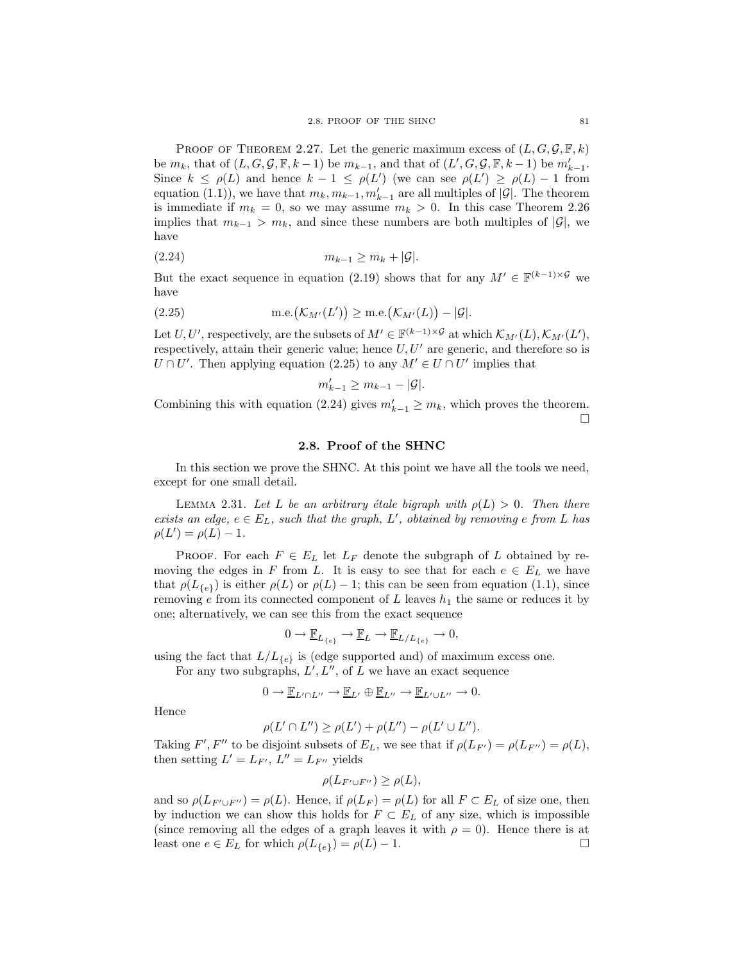PROOF OF THEOREM 2.27. Let the generic maximum excess of  $(L, G, \mathcal{G}, \mathbb{F}, k)$ be  $m_k$ , that of  $(L, G, \mathcal{G}, \mathbb{F}, k-1)$  be  $m_{k-1}$ , and that of  $(L', G, \mathcal{G}, \mathbb{F}, k-1)$  be  $m'_{k-1}$ . Since  $k \leq \rho(L)$  and hence  $k-1 \leq \rho(L')$  (we can see  $\rho(L') \geq \rho(L) - 1$  from equation (1.1)), we have that  $m_k, m_{k-1}, m'_{k-1}$  are all multiples of  $|\mathcal{G}|$ . The theorem is immediate if  $m_k = 0$ , so we may assume  $m_k > 0$ . In this case Theorem 2.26 implies that  $m_{k-1} > m_k$ , and since these numbers are both multiples of  $|\mathcal{G}|$ , we have

$$
(2.24) \t\t\t m_{k-1} \ge m_k + |\mathcal{G}|.
$$

But the exact sequence in equation (2.19) shows that for any  $M' \in \mathbb{F}^{(k-1)\times \mathcal{G}}$  we have

(2.25) 
$$
\text{m.e.}(\mathcal{K}_{M'}(L')) \geq \text{m.e.}(\mathcal{K}_{M'}(L)) - |\mathcal{G}|.
$$

Let U, U', respectively, are the subsets of  $M' \in \mathbb{F}^{(k-1)\times G}$  at which  $\mathcal{K}_{M'}(L), \mathcal{K}_{M'}(L')$ , respectively, attain their generic value; hence  $U, U'$  are generic, and therefore so is  $U \cap U'$ . Then applying equation (2.25) to any  $M' \in U \cap U'$  implies that

$$
m'_{k-1} \ge m_{k-1} - |\mathcal{G}|.
$$

Combining this with equation (2.24) gives  $m'_{k-1} \geq m_k$ , which proves the theorem.  $\Box$ 

### 2.8. Proof of the SHNC

In this section we prove the SHNC. At this point we have all the tools we need, except for one small detail.

LEMMA 2.31. Let L be an arbitrary étale bigraph with  $\rho(L) > 0$ . Then there exists an edge,  $e \in E_L$ , such that the graph, L', obtained by removing e from L has  $\rho(L') = \rho(L) - 1.$ 

PROOF. For each  $F \in E_L$  let  $L_F$  denote the subgraph of L obtained by removing the edges in F from L. It is easy to see that for each  $e \in E_L$  we have that  $\rho(L_{\{e\}})$  is either  $\rho(L)$  or  $\rho(L) - 1$ ; this can be seen from equation (1.1), since removing e from its connected component of  $L$  leaves  $h_1$  the same or reduces it by one; alternatively, we can see this from the exact sequence

$$
0 \to \underline{\mathbb{F}}_{L_{\{e\}}} \to \underline{\mathbb{F}}_{L} \to \underline{\mathbb{F}}_{L/L_{\{e\}}} \to 0,
$$

using the fact that  $L/L_{\{e\}}$  is (edge supported and) of maximum excess one.

For any two subgraphs,  $L', L'',$  of  $L$  we have an exact sequence

$$
0 \to \underline{\mathbb{F}}_{L' \cap L''} \to \underline{\mathbb{F}}_{L'} \oplus \underline{\mathbb{F}}_{L''} \to \underline{\mathbb{F}}_{L' \cup L''} \to 0.
$$

Hence

$$
\rho(L' \cap L'') \ge \rho(L') + \rho(L'') - \rho(L' \cup L'').
$$

Taking  $F', F''$  to be disjoint subsets of  $E_L$ , we see that if  $\rho(L_{F'}) = \rho(L_{F''}) = \rho(L)$ , then setting  $L' = L_{F'}$ ,  $L'' = L_{F''}$  yields

$$
\rho(L_{F' \cup F''}) \ge \rho(L),
$$

and so  $\rho(L_{F' \cup F''}) = \rho(L)$ . Hence, if  $\rho(L_F) = \rho(L)$  for all  $F \subset E_L$  of size one, then by induction we can show this holds for  $F \subset E_L$  of any size, which is impossible (since removing all the edges of a graph leaves it with  $\rho = 0$ ). Hence there is at least one  $e \in E_L$  for which  $\rho(L_{\{e\}}) = \rho(L) - 1$ .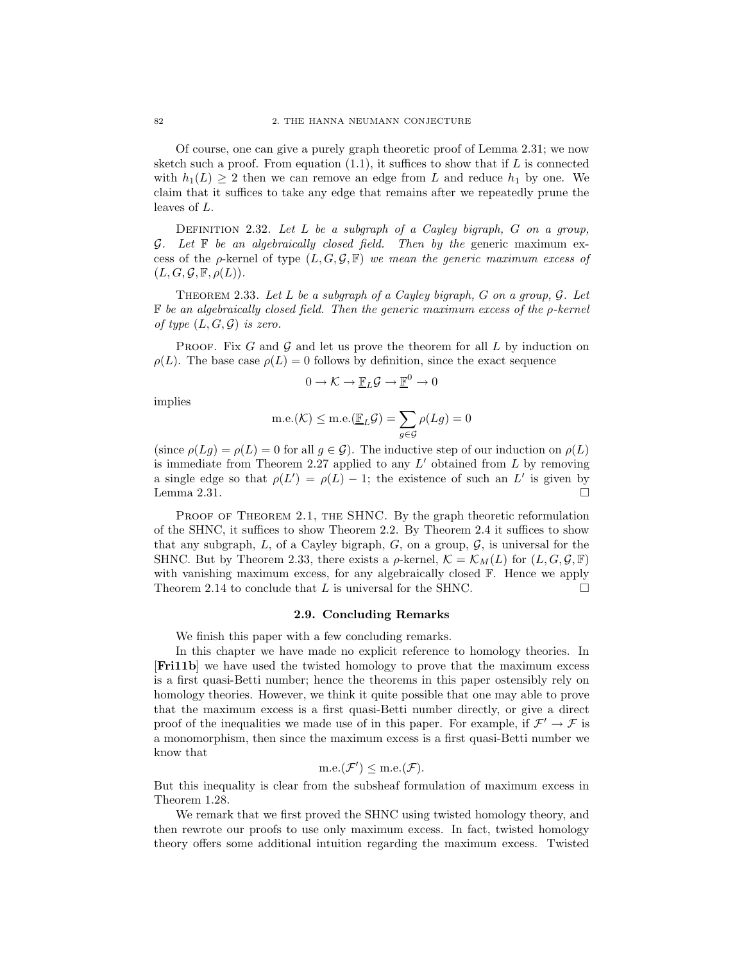Of course, one can give a purely graph theoretic proof of Lemma 2.31; we now sketch such a proof. From equation  $(1.1)$ , it suffices to show that if L is connected with  $h_1(L) \geq 2$  then we can remove an edge from L and reduce  $h_1$  by one. We claim that it suffices to take any edge that remains after we repeatedly prune the leaves of L.

DEFINITION 2.32. Let  $L$  be a subgraph of a Cayley bigraph,  $G$  on a group, G. Let  $\mathbb F$  be an algebraically closed field. Then by the generic maximum excess of the  $\rho$ -kernel of type  $(L, G, \mathcal{G}, \mathbb{F})$  we mean the generic maximum excess of  $(L, G, \mathcal{G}, \mathbb{F}, \rho(L)).$ 

THEOREM 2.33. Let  $L$  be a subgraph of a Cayley bigraph,  $G$  on a group,  $G$ . Let  $\mathbb F$  be an algebraically closed field. Then the generic maximum excess of the  $\rho$ -kernel of type  $(L, G, \mathcal{G})$  is zero.

PROOF. Fix G and G and let us prove the theorem for all L by induction on  $\rho(L)$ . The base case  $\rho(L) = 0$  follows by definition, since the exact sequence

$$
0\to \mathcal{K}\to \underline{\mathbb{F}}_L\mathcal{G}\to \underline{\mathbb{F}}^0\to 0
$$

implies

$$
\mathrm{m.e.}(\mathcal{K}) \leq \mathrm{m.e.}(\underline{\mathbb{F}}_L \mathcal{G}) = \sum_{g \in \mathcal{G}} \rho(Lg) = 0
$$

(since  $\rho(Lg) = \rho(L) = 0$  for all  $g \in \mathcal{G}$ ). The inductive step of our induction on  $\rho(L)$ is immediate from Theorem 2.27 applied to any  $L'$  obtained from  $L$  by removing a single edge so that  $\rho(L') = \rho(L) - 1$ ; the existence of such an L' is given by Lemma 2.31.  $\Box$ 

PROOF OF THEOREM 2.1, THE SHNC. By the graph theoretic reformulation of the SHNC, it suffices to show Theorem 2.2. By Theorem 2.4 it suffices to show that any subgraph, L, of a Cayley bigraph, G, on a group,  $\mathcal{G}$ , is universal for the SHNC. But by Theorem 2.33, there exists a  $\rho$ -kernel,  $\mathcal{K} = \mathcal{K}_M(L)$  for  $(L, G, \mathcal{G}, \mathbb{F})$ with vanishing maximum excess, for any algebraically closed F. Hence we apply Theorem 2.14 to conclude that L is universal for the SHNC.  $\Box$ 

## 2.9. Concluding Remarks

We finish this paper with a few concluding remarks.

In this chapter we have made no explicit reference to homology theories. In [Fri11b] we have used the twisted homology to prove that the maximum excess is a first quasi-Betti number; hence the theorems in this paper ostensibly rely on homology theories. However, we think it quite possible that one may able to prove that the maximum excess is a first quasi-Betti number directly, or give a direct proof of the inequalities we made use of in this paper. For example, if  $\mathcal{F}' \to \mathcal{F}$  is a monomorphism, then since the maximum excess is a first quasi-Betti number we know that

$$
\mathrm{m.e.}(\mathcal{F}') \leq \mathrm{m.e.}(\mathcal{F}).
$$

But this inequality is clear from the subsheaf formulation of maximum excess in Theorem 1.28.

We remark that we first proved the SHNC using twisted homology theory, and then rewrote our proofs to use only maximum excess. In fact, twisted homology theory offers some additional intuition regarding the maximum excess. Twisted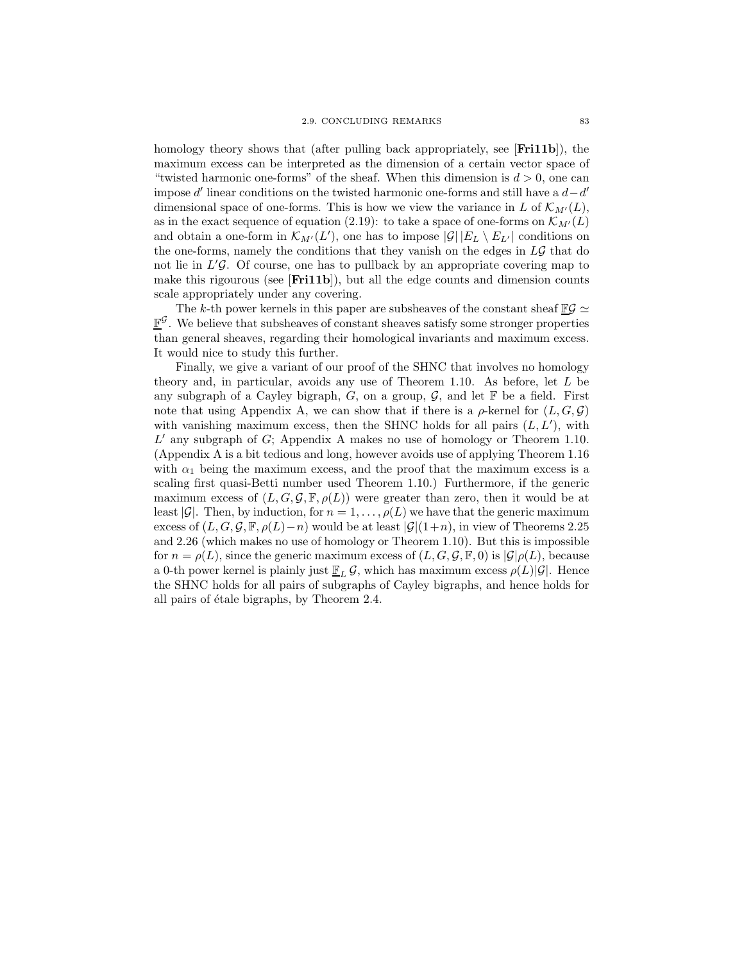homology theory shows that (after pulling back appropriately, see  $[**Fri11b**$ ), the maximum excess can be interpreted as the dimension of a certain vector space of "twisted harmonic one-forms" of the sheaf. When this dimension is  $d > 0$ , one can impose  $d'$  linear conditions on the twisted harmonic one-forms and still have a  $d-d'$ dimensional space of one-forms. This is how we view the variance in L of  $\mathcal{K}_{M'}(L)$ , as in the exact sequence of equation (2.19): to take a space of one-forms on  $\mathcal{K}_{M'}(L)$ and obtain a one-form in  $\mathcal{K}_{M'}(L')$ , one has to impose  $|\mathcal{G}||E_L \setminus E_{L'}|$  conditions on the one-forms, namely the conditions that they vanish on the edges in  $L\mathcal{G}$  that do not lie in  $L' \mathcal{G}$ . Of course, one has to pullback by an appropriate covering map to make this rigourous (see  $[**Fri11b**$ ), but all the edge counts and dimension counts scale appropriately under any covering.

The k-th power kernels in this paper are subsheaves of the constant sheaf  $\mathbb{F}\mathcal{G} \simeq$  $\mathbb{F}^{\mathcal{G}}$ . We believe that subsheaves of constant sheaves satisfy some stronger properties than general sheaves, regarding their homological invariants and maximum excess. It would nice to study this further.

Finally, we give a variant of our proof of the SHNC that involves no homology theory and, in particular, avoids any use of Theorem 1.10. As before, let L be any subgraph of a Cayley bigraph,  $G$ , on a group,  $G$ , and let  $F$  be a field. First note that using Appendix A, we can show that if there is a  $\rho$ -kernel for  $(L, G, \mathcal{G})$ with vanishing maximum excess, then the SHNC holds for all pairs  $(L, L')$ , with  $L'$  any subgraph of  $G$ ; Appendix A makes no use of homology or Theorem 1.10. (Appendix A is a bit tedious and long, however avoids use of applying Theorem 1.16 with  $\alpha_1$  being the maximum excess, and the proof that the maximum excess is a scaling first quasi-Betti number used Theorem 1.10.) Furthermore, if the generic maximum excess of  $(L, G, \mathcal{G}, \mathbb{F}, \rho(L))$  were greater than zero, then it would be at least  $|\mathcal{G}|$ . Then, by induction, for  $n = 1, \ldots, \rho(L)$  we have that the generic maximum excess of  $(L, G, \mathcal{G}, \mathbb{F}, \rho(L)-n)$  would be at least  $|\mathcal{G}|(1+n)$ , in view of Theorems 2.25 and 2.26 (which makes no use of homology or Theorem 1.10). But this is impossible for  $n = \rho(L)$ , since the generic maximum excess of  $(L, G, \mathcal{G}, \mathbb{F}, 0)$  is  $|\mathcal{G}|\rho(L)$ , because a 0-th power kernel is plainly just  $\underline{\mathbb{F}}_L \mathcal{G}$ , which has maximum excess  $\rho(L)|\mathcal{G}|$ . Hence the SHNC holds for all pairs of subgraphs of Cayley bigraphs, and hence holds for all pairs of étale bigraphs, by Theorem 2.4.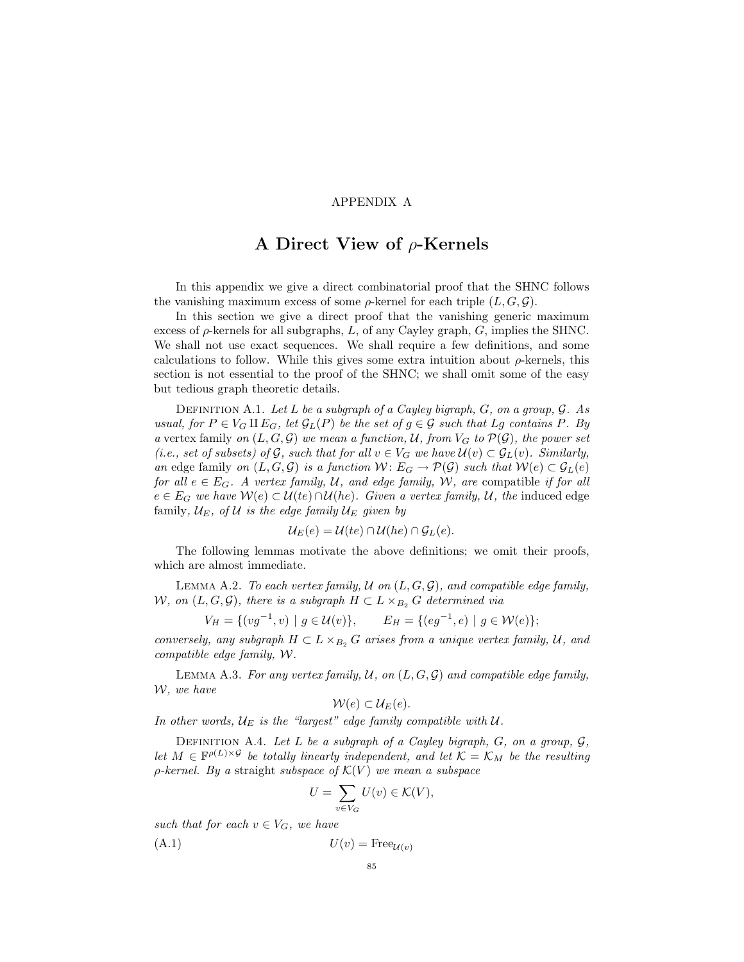# APPENDIX A

# A Direct View of  $\rho$ -Kernels

In this appendix we give a direct combinatorial proof that the SHNC follows the vanishing maximum excess of some  $\rho$ -kernel for each triple  $(L, G, \mathcal{G})$ .

In this section we give a direct proof that the vanishing generic maximum excess of  $\rho$ -kernels for all subgraphs, L, of any Cayley graph, G, implies the SHNC. We shall not use exact sequences. We shall require a few definitions, and some calculations to follow. While this gives some extra intuition about  $\rho$ -kernels, this section is not essential to the proof of the SHNC; we shall omit some of the easy but tedious graph theoretic details.

DEFINITION A.1. Let L be a subgraph of a Cayley bigraph, G, on a group,  $\mathcal{G}$ . As usual, for  $P \in V_G \amalg E_G$ , let  $\mathcal{G}_L(P)$  be the set of  $g \in \mathcal{G}$  such that Lg contains P. By a vertex family on  $(L, G, \mathcal{G})$  we mean a function, U, from  $V_G$  to  $\mathcal{P}(\mathcal{G})$ , the power set (i.e., set of subsets) of G, such that for all  $v \in V_G$  we have  $\mathcal{U}(v) \subset \mathcal{G}_L(v)$ . Similarly, an edge family on  $(L, G, \mathcal{G})$  is a function  $W \colon E_G \to \mathcal{P}(\mathcal{G})$  such that  $W(e) \subset \mathcal{G}_L(e)$ for all  $e \in E_G$ . A vertex family, U, and edge family, W, are compatible if for all  $e \in E_G$  we have  $W(e) \subset U(te) \cap U(he)$ . Given a vertex family, U, the induced edge family,  $\mathcal{U}_E$ , of U is the edge family  $\mathcal{U}_E$  given by

$$
\mathcal{U}_E(e) = \mathcal{U}(te) \cap \mathcal{U}(he) \cap \mathcal{G}_L(e).
$$

The following lemmas motivate the above definitions; we omit their proofs, which are almost immediate.

LEMMA A.2. To each vertex family, U on  $(L, G, \mathcal{G})$ , and compatible edge family, W, on  $(L, G, \mathcal{G})$ , there is a subgraph  $H \subset L \times_{B_2} G$  determined via

$$
V_H = \{ (vg^{-1}, v) \mid g \in \mathcal{U}(v) \}, \qquad E_H = \{ (eg^{-1}, e) \mid g \in \mathcal{W}(e) \};
$$

conversely, any subgraph  $H \subset L \times_{B_2} G$  arises from a unique vertex family, U, and compatible edge family, W.

LEMMA A.3. For any vertex family,  $U$ , on  $(L, G, \mathcal{G})$  and compatible edge family, W, we have

$$
\mathcal{W}(e) \subset \mathcal{U}_E(e).
$$

In other words,  $U_E$  is the "largest" edge family compatible with  $U$ .

DEFINITION A.4. Let L be a subgraph of a Cayley bigraph,  $G$ , on a group,  $G$ , let  $M \in \mathbb{F}^{\rho(L)\times\mathcal{G}}$  be totally linearly independent, and let  $\mathcal{K} = \mathcal{K}_M$  be the resulting  $\rho$ -kernel. By a straight subspace of  $\mathcal{K}(V)$  we mean a subspace

$$
U = \sum_{v \in V_G} U(v) \in \mathcal{K}(V),
$$

such that for each  $v \in V_G$ , we have

$$
(A.1) \t\t\t U(v) = \text{Free}_{\mathcal{U}(v)}
$$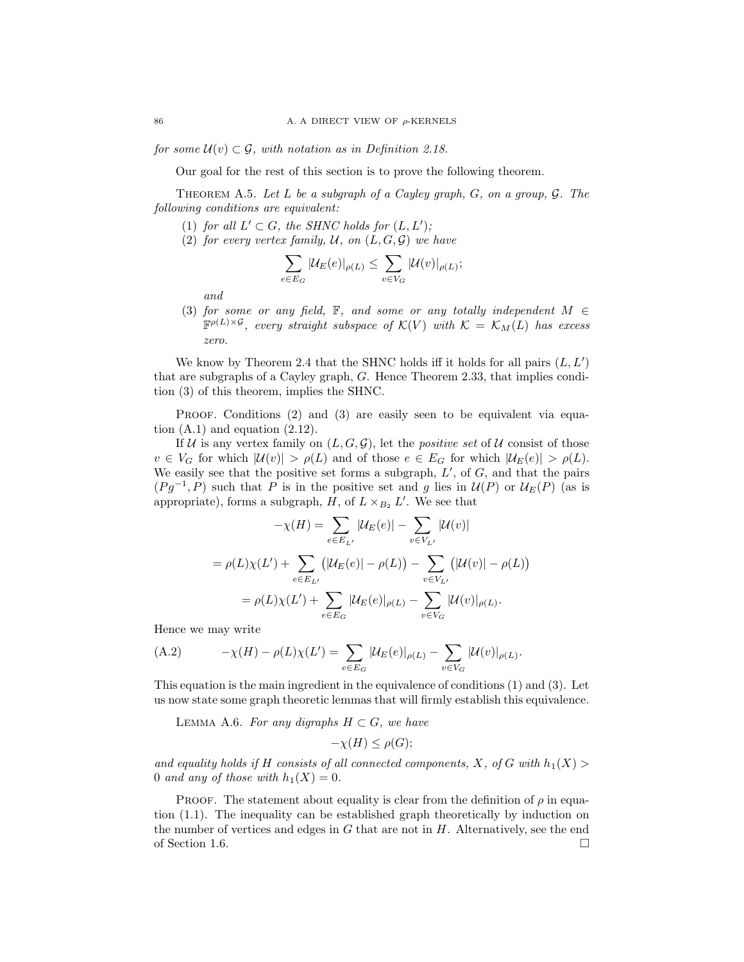for some  $U(v) \subset \mathcal{G}$ , with notation as in Definition 2.18.

Our goal for the rest of this section is to prove the following theorem.

THEOREM A.5. Let  $L$  be a subgraph of a Cayley graph,  $G$ , on a group,  $\mathcal{G}$ . The following conditions are equivalent:

- (1) for all  $L' \subset G$ , the SHNC holds for  $(L, L')$ ;
- (2) for every vertex family,  $U$ , on  $(L, G, \mathcal{G})$  we have

$$
\sum_{e \in E_G} |\mathcal{U}_E(e)|_{\rho(L)} \leq \sum_{v \in V_G} |\mathcal{U}(v)|_{\rho(L)};
$$

and

(3) for some or any field, F, and some or any totally independent  $M \in$  $\mathbb{F}^{\rho(L)\times\mathcal{G}}$ , every straight subspace of  $\mathcal{K}(V)$  with  $\mathcal{K} = \mathcal{K}_M(L)$  has excess zero.

We know by Theorem 2.4 that the SHNC holds iff it holds for all pairs  $(L, L')$ that are subgraphs of a Cayley graph, G. Hence Theorem 2.33, that implies condition (3) of this theorem, implies the SHNC.

PROOF. Conditions (2) and (3) are easily seen to be equivalent via equation  $(A.1)$  and equation  $(2.12)$ .

If U is any vertex family on  $(L, G, \mathcal{G})$ , let the *positive set* of U consist of those  $v \in V_G$  for which  $|\mathcal{U}(v)| > \rho(L)$  and of those  $e \in E_G$  for which  $|\mathcal{U}_E(e)| > \rho(L)$ . We easily see that the positive set forms a subgraph,  $L'$ , of  $G$ , and that the pairs  $(Pg^{-1}, P)$  such that P is in the positive set and g lies in  $\mathcal{U}(P)$  or  $\mathcal{U}_E(P)$  (as is appropriate), forms a subgraph,  $H$ , of  $L \times_{B_2} L'$ . We see that

$$
-\chi(H) = \sum_{e \in E_{L'}} |\mathcal{U}_E(e)| - \sum_{v \in V_{L'}} |\mathcal{U}(v)|
$$
  
=  $\rho(L)\chi(L') + \sum_{e \in E_{L'}} (|\mathcal{U}_E(e)| - \rho(L)) - \sum_{v \in V_{L'}} (|\mathcal{U}(v)| - \rho(L))$   
=  $\rho(L)\chi(L') + \sum_{e \in E_G} |\mathcal{U}_E(e)|_{\rho(L)} - \sum_{v \in V_G} |\mathcal{U}(v)|_{\rho(L)}.$ 

Hence we may write

(A.2) 
$$
-\chi(H) - \rho(L)\chi(L') = \sum_{e \in E_G} |\mathcal{U}_E(e)|_{\rho(L)} - \sum_{v \in V_G} |\mathcal{U}(v)|_{\rho(L)}.
$$

This equation is the main ingredient in the equivalence of conditions (1) and (3). Let us now state some graph theoretic lemmas that will firmly establish this equivalence.

LEMMA A.6. For any digraphs  $H \subset G$ , we have

$$
-\chi(H) \le \rho(G);
$$

and equality holds if H consists of all connected components, X, of G with  $h_1(X)$ 0 and any of those with  $h_1(X) = 0$ .

PROOF. The statement about equality is clear from the definition of  $\rho$  in equation (1.1). The inequality can be established graph theoretically by induction on the number of vertices and edges in  $G$  that are not in  $H$ . Alternatively, see the end of Section 1.6.  $\Box$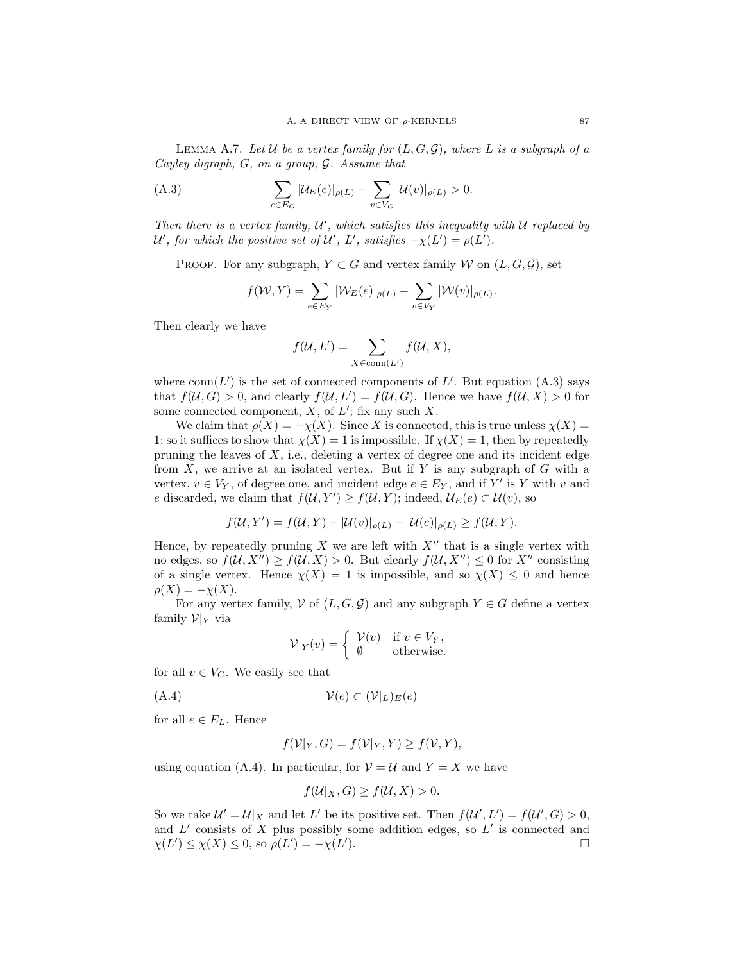LEMMA A.7. Let U be a vertex family for  $(L, G, \mathcal{G})$ , where L is a subgraph of a Cayley digraph, G, on a group, G. Assume that

(A.3) 
$$
\sum_{e \in E_G} |\mathcal{U}_E(e)|_{\rho(L)} - \sum_{v \in V_G} |\mathcal{U}(v)|_{\rho(L)} > 0.
$$

Then there is a vertex family,  $\mathcal{U}'$ , which satisfies this inequality with  $\mathcal{U}$  replaced by U', for which the positive set of U', L', satisfies  $-\chi(L') = \rho(L')$ .

PROOF. For any subgraph,  $Y \subset G$  and vertex family W on  $(L, G, \mathcal{G})$ , set

$$
f(\mathcal{W}, Y) = \sum_{e \in E_Y} |\mathcal{W}_E(e)|_{\rho(L)} - \sum_{v \in V_Y} |\mathcal{W}(v)|_{\rho(L)}.
$$

Then clearly we have

$$
f(\mathcal{U}, L') = \sum_{X \in \text{conn}(L')} f(\mathcal{U}, X),
$$

where  $\text{conn}(L')$  is the set of connected components of  $L'$ . But equation  $(A.3)$  says that  $f(\mathcal{U}, G) > 0$ , and clearly  $f(\mathcal{U}, L') = f(\mathcal{U}, G)$ . Hence we have  $f(\mathcal{U}, X) > 0$  for some connected component,  $X$ , of  $L'$ ; fix any such  $X$ .

We claim that  $\rho(X) = -\chi(X)$ . Since X is connected, this is true unless  $\chi(X) =$ 1; so it suffices to show that  $\chi(X) = 1$  is impossible. If  $\chi(X) = 1$ , then by repeatedly pruning the leaves of  $X$ , i.e., deleting a vertex of degree one and its incident edge from  $X$ , we arrive at an isolated vertex. But if Y is any subgraph of  $G$  with a vertex,  $v \in V_Y$ , of degree one, and incident edge  $e \in E_Y$ , and if Y' is Y with v and e discarded, we claim that  $f(U, Y') \ge f(U, Y)$ ; indeed,  $\mathcal{U}_E(e) \subset \mathcal{U}(v)$ , so

$$
f(\mathcal{U}, Y') = f(\mathcal{U}, Y) + |\mathcal{U}(v)|_{\rho(L)} - |\mathcal{U}(e)|_{\rho(L)} \ge f(\mathcal{U}, Y).
$$

Hence, by repeatedly pruning X we are left with  $X''$  that is a single vertex with no edges, so  $f(\mathcal{U}, X'') \geq f(\mathcal{U}, X) > 0$ . But clearly  $f(\mathcal{U}, X'') \leq 0$  for X'' consisting of a single vertex. Hence  $\chi(X) = 1$  is impossible, and so  $\chi(X) \leq 0$  and hence  $\rho(X) = -\chi(X).$ 

For any vertex family, V of  $(L, G, \mathcal{G})$  and any subgraph  $Y \in G$  define a vertex family  $\mathcal{V}|_Y$  via

$$
\mathcal{V}|_Y(v) = \begin{cases} \mathcal{V}(v) & \text{if } v \in V_Y, \\ \emptyset & \text{otherwise.} \end{cases}
$$

for all  $v \in V_G$ . We easily see that

(A.4)  $\mathcal{V}(e) \subset (\mathcal{V}|_L)_{E}(e)$ 

for all  $e \in E_L$ . Hence

$$
f(\mathcal{V}|_Y, G) = f(\mathcal{V}|_Y, Y) \ge f(\mathcal{V}, Y),
$$

using equation (A.4). In particular, for  $V = U$  and  $Y = X$  we have

 $f(\mathcal{U}|_X, G) > f(\mathcal{U}, X) > 0.$ 

So we take  $\mathcal{U}' = \mathcal{U}|_X$  and let L' be its positive set. Then  $f(\mathcal{U}', L') = f(\mathcal{U}', G) > 0$ , and  $L'$  consists of X plus possibly some addition edges, so  $L'$  is connected and  $\chi(L') \leq \chi(X) \leq 0$ , so  $\rho(L') = -\chi(L')$  $\Box$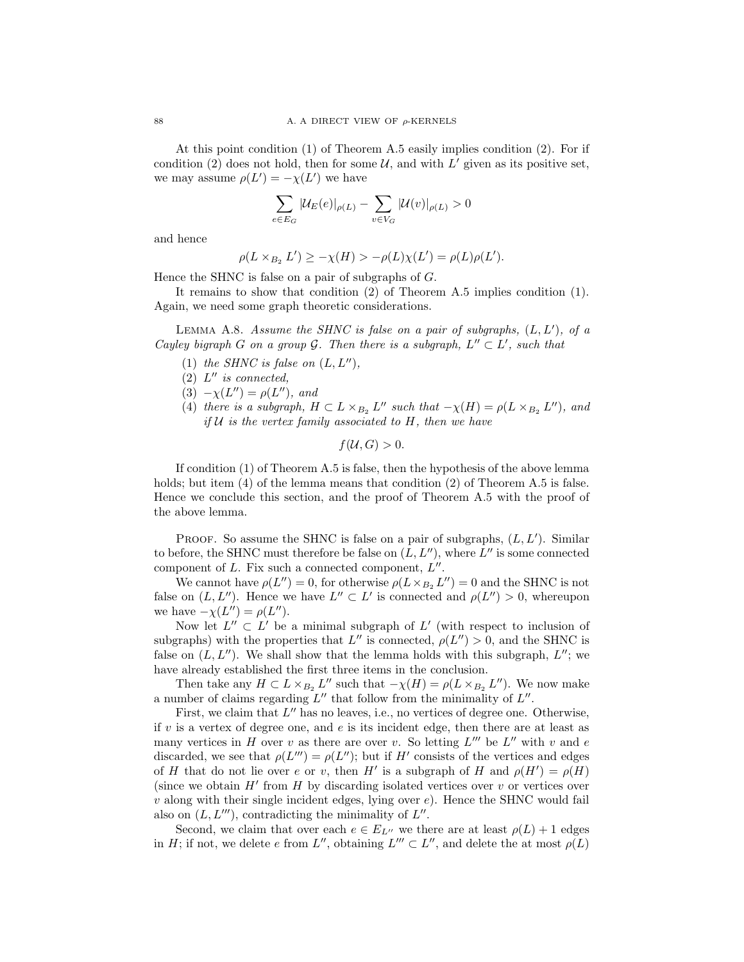At this point condition (1) of Theorem A.5 easily implies condition (2). For if condition (2) does not hold, then for some  $\mathcal{U}$ , and with  $L'$  given as its positive set, we may assume  $\rho(L') = -\chi(L')$  we have

$$
\sum_{e \in E_G} |\mathcal{U}_E(e)|_{\rho(L)} - \sum_{v \in V_G} |\mathcal{U}(v)|_{\rho(L)} > 0
$$

and hence

$$
\rho(L \times_{B_2} L') \ge -\chi(H) > -\rho(L)\chi(L') = \rho(L)\rho(L').
$$

Hence the SHNC is false on a pair of subgraphs of G.

It remains to show that condition (2) of Theorem A.5 implies condition (1). Again, we need some graph theoretic considerations.

LEMMA A.8. Assume the SHNC is false on a pair of subgraphs,  $(L, L')$ , of a Cayley bigraph G on a group  $\mathcal{G}$ . Then there is a subgraph,  $L'' \subset L'$ , such that

- (1) the SHNC is false on  $(L, L'')$ ,
- $(2)$   $L''$  is connected,
- (3)  $-\chi(L'') = \rho(L'')$ , and
- (4) there is a subgraph,  $H \subset L \times_{B_2} L''$  such that  $-\chi(H) = \rho(L \times_{B_2} L'')$ , and if  $U$  is the vertex family associated to  $H$ , then we have

$$
f(\mathcal{U}, G) > 0.
$$

If condition (1) of Theorem A.5 is false, then the hypothesis of the above lemma holds; but item (4) of the lemma means that condition (2) of Theorem A.5 is false. Hence we conclude this section, and the proof of Theorem A.5 with the proof of the above lemma.

PROOF. So assume the SHNC is false on a pair of subgraphs,  $(L, L')$ . Similar to before, the SHNC must therefore be false on  $(L, L'')$ , where  $L''$  is some connected component of  $L$ . Fix such a connected component,  $L''$ .

We cannot have  $\rho(L'') = 0$ , for otherwise  $\rho(L \times_{B_2} L'') = 0$  and the SHNC is not false on  $(L, L'')$ . Hence we have  $L'' \subset L'$  is connected and  $\rho(L'') > 0$ , whereupon we have  $-\chi(L'') = \rho(L'')$ .

Now let  $L'' \subset L'$  be a minimal subgraph of  $L'$  (with respect to inclusion of subgraphs) with the properties that  $L''$  is connected,  $\rho(L'') > 0$ , and the SHNC is false on  $(L, L'')$ . We shall show that the lemma holds with this subgraph,  $L''$ ; we have already established the first three items in the conclusion.

Then take any  $H \subset L \times_{B_2} L''$  such that  $-\chi(H) = \rho(L \times_{B_2} L'')$ . We now make a number of claims regarding  $L''$  that follow from the minimality of  $L''$ .

First, we claim that  $L''$  has no leaves, i.e., no vertices of degree one. Otherwise, if  $v$  is a vertex of degree one, and  $e$  is its incident edge, then there are at least as many vertices in H over v as there are over v. So letting  $L'''$  be  $L''$  with v and e discarded, we see that  $\rho(L^{\prime\prime\prime}) = \rho(L^{\prime\prime})$ ; but if H' consists of the vertices and edges of H that do not lie over e or v, then H' is a subgraph of H and  $\rho(H') = \rho(H)$ (since we obtain  $H'$  from  $H$  by discarding isolated vertices over  $v$  or vertices over  $v$  along with their single incident edges, lying over  $e$ ). Hence the SHNC would fail also on  $(L, L<sup>m</sup>)$ , contradicting the minimality of  $L<sup>n</sup>$ .

Second, we claim that over each  $e \in E_{L''}$  we there are at least  $\rho(L) + 1$  edges in H; if not, we delete e from  $L''$ , obtaining  $L''' \subset L''$ , and delete the at most  $\rho(L)$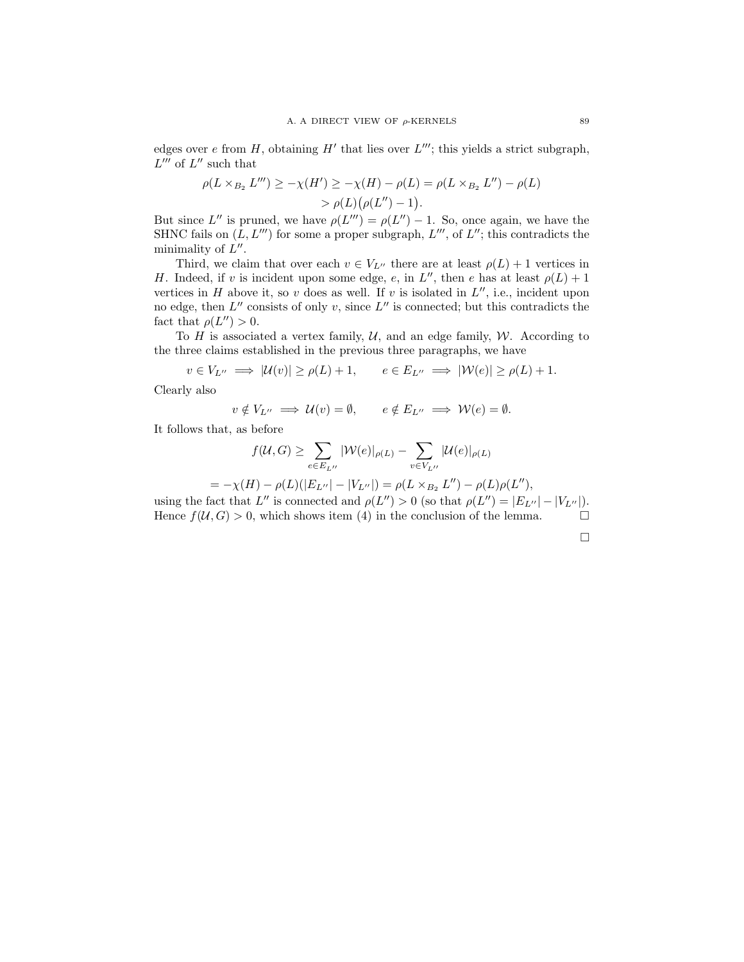edges over e from H, obtaining H' that lies over  $L'''$ ; this yields a strict subgraph,  $L'''$  of  $L''$  such that

$$
\rho(L \times_{B_2} L''') \ge -\chi(H') \ge -\chi(H) - \rho(L) = \rho(L \times_{B_2} L'') - \rho(L) > \rho(L)(\rho(L'') - 1).
$$

But since L'' is pruned, we have  $\rho(L^{\prime\prime\prime}) = \rho(L^{\prime\prime}) - 1$ . So, once again, we have the SHNC fails on  $(L, L''')$  for some a proper subgraph,  $L'''$ , of  $L''$ ; this contradicts the minimality of  $L''$ .

Third, we claim that over each  $v \in V_{L''}$  there are at least  $\rho(L) + 1$  vertices in H. Indeed, if v is incident upon some edge, e, in  $L''$ , then e has at least  $\rho(L) + 1$ vertices in  $H$  above it, so  $v$  does as well. If  $v$  is isolated in  $L''$ , i.e., incident upon no edge, then  $L''$  consists of only v, since  $L''$  is connected; but this contradicts the fact that  $\rho(L'') > 0$ .

To H is associated a vertex family,  $\mathcal{U}$ , and an edge family,  $\mathcal{W}$ . According to the three claims established in the previous three paragraphs, we have

$$
v \in V_{L''}
$$
  $\Longrightarrow$   $|\mathcal{U}(v)| \ge \rho(L) + 1$ ,  $e \in E_{L''}$   $\Longrightarrow$   $|\mathcal{W}(e)| \ge \rho(L) + 1$ .

Clearly also

$$
v \notin V_{L''} \implies \mathcal{U}(v) = \emptyset, \qquad e \notin E_{L''} \implies \mathcal{W}(e) = \emptyset.
$$

It follows that, as before

$$
f(\mathcal{U}, G) \ge \sum_{e \in E_{L''}} |\mathcal{W}(e)|_{\rho(L)} - \sum_{v \in V_{L''}} |\mathcal{U}(e)|_{\rho(L)}
$$

$$
= -\chi(H) - \rho(L)(|E_{L''}| - |V_{L''}|) = \rho(L \times_{B_2} L'') - \rho(L)\rho(L''),
$$

using the fact that L'' is connected and  $\rho(L'') > 0$  (so that  $\rho(L'') = |E_{L''}| - |V_{L''}|$ ). Hence  $f(\mathcal{U}, G) > 0$ , which shows item (4) in the conclusion of the lemma.

 $\Box$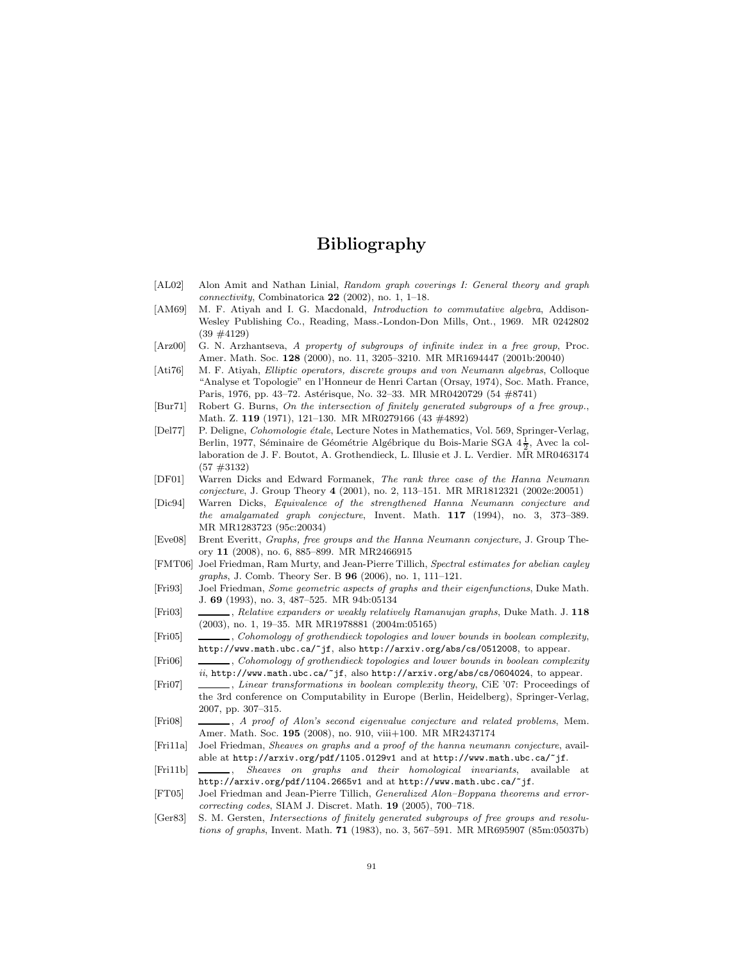# Bibliography

- [AL02] Alon Amit and Nathan Linial, Random graph coverings I: General theory and graph connectivity, Combinatorica  $22$  (2002), no. 1, 1–18.
- [AM69] M. F. Atiyah and I. G. Macdonald, Introduction to commutative algebra, Addison-Wesley Publishing Co., Reading, Mass.-London-Don Mills, Ont., 1969. MR 0242802 (39 #4129)
- [Arz00] G. N. Arzhantseva, A property of subgroups of infinite index in a free group, Proc. Amer. Math. Soc. 128 (2000), no. 11, 3205–3210. MR MR1694447 (2001b:20040)
- [Ati76] M. F. Atiyah, Elliptic operators, discrete groups and von Neumann algebras, Colloque "Analyse et Topologie" en l'Honneur de Henri Cartan (Orsay, 1974), Soc. Math. France, Paris, 1976, pp. 43–72. Astérisque, No. 32–33. MR MR0420729 (54 #8741)
- [Bur71] Robert G. Burns, On the intersection of finitely generated subgroups of a free group., Math. Z. 119 (1971), 121–130. MR MR0279166 (43 #4892)
- [Del77] P. Deligne, Cohomologie étale, Lecture Notes in Mathematics, Vol. 569, Springer-Verlag, Berlin, 1977, Séminaire de Géométrie Algébrique du Bois-Marie SGA  $4\frac{1}{2}$ , Avec la collaboration de J. F. Boutot, A. Grothendieck, L. Illusie et J. L. Verdier. MR MR0463174 (57 #3132)
- [DF01] Warren Dicks and Edward Formanek, The rank three case of the Hanna Neumann conjecture, J. Group Theory 4 (2001), no. 2, 113–151. MR MR1812321 (2002e:20051)
- [Dic94] Warren Dicks, Equivalence of the strengthened Hanna Neumann conjecture and the amalgamated graph conjecture, Invent. Math. 117 (1994), no. 3, 373–389. MR MR1283723 (95c:20034)
- [Eve08] Brent Everitt, Graphs, free groups and the Hanna Neumann conjecture, J. Group Theory 11 (2008), no. 6, 885–899. MR MR2466915
- [FMT06] Joel Friedman, Ram Murty, and Jean-Pierre Tillich, Spectral estimates for abelian cayley graphs, J. Comb. Theory Ser. B 96 (2006), no. 1, 111–121.
- [Fri93] Joel Friedman, Some geometric aspects of graphs and their eigenfunctions, Duke Math. J. 69 (1993), no. 3, 487–525. MR 94b:05134
- [Fri03] , Relative expanders or weakly relatively Ramanujan graphs, Duke Math. J. 118 (2003), no. 1, 19–35. MR MR1978881 (2004m:05165)
- [Fri05] , Cohomology of grothendieck topologies and lower bounds in boolean complexity, http://www.math.ubc.ca/~jf, also http://arxiv.org/abs/cs/0512008, to appear.
- [Fri06]  $\qquad \qquad \qquad$ , Cohomology of grothendieck topologies and lower bounds in boolean complexity ii, http://www.math.ubc.ca/~jf, also http://arxiv.org/abs/cs/0604024, to appear.
- [Fri07] , Linear transformations in boolean complexity theory, CiE '07: Proceedings of the 3rd conference on Computability in Europe (Berlin, Heidelberg), Springer-Verlag, 2007, pp. 307–315.
- [Fri08]  $\qquad \qquad$ , A proof of Alon's second eigenvalue conjecture and related problems, Mem. Amer. Math. Soc. 195 (2008), no. 910, viii+100. MR MR2437174
- [Fri11a] Joel Friedman, Sheaves on graphs and a proof of the hanna neumann conjecture, available at http://arxiv.org/pdf/1105.0129v1 and at http://www.math.ubc.ca/~jf.
- [Fri11b]  $\qquad \qquad$ , Sheaves on graphs and their homological invariants, available at http://arxiv.org/pdf/1104.2665v1 and at http://www.math.ubc.ca/~jf.
- [FT05] Joel Friedman and Jean-Pierre Tillich, Generalized Alon–Boppana theorems and errorcorrecting codes, SIAM J. Discret. Math. 19 (2005), 700–718.
- [Ger83] S. M. Gersten, *Intersections of finitely generated subgroups of free groups and resolu*tions of graphs, Invent. Math. 71 (1983), no. 3, 567–591. MR MR695907 (85m:05037b)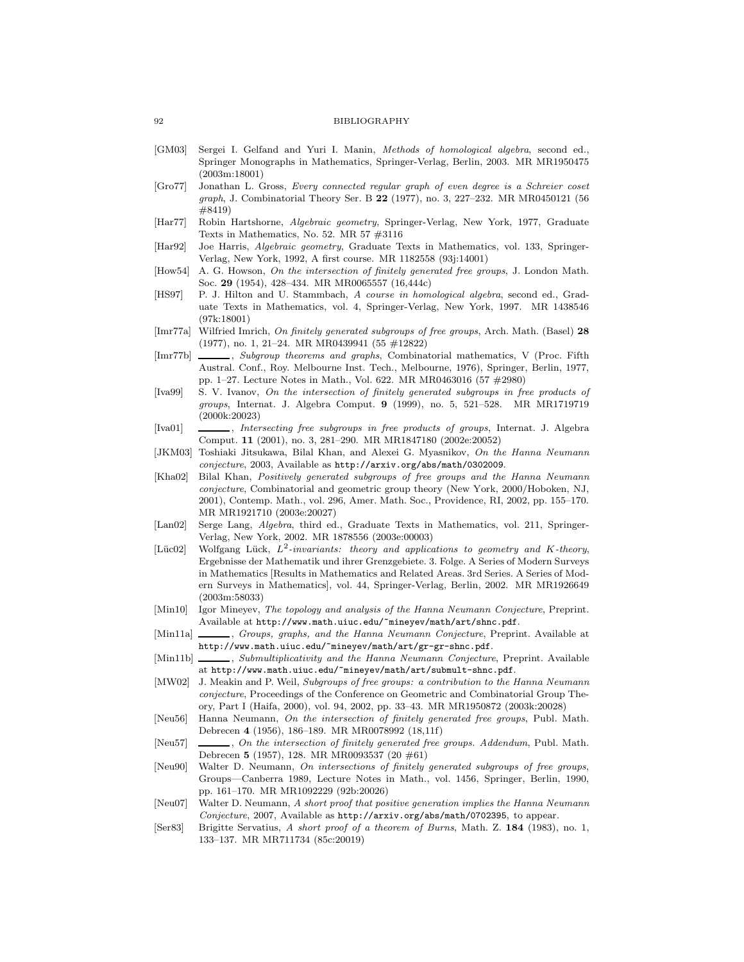#### 92 BIBLIOGRAPHY

- [GM03] Sergei I. Gelfand and Yuri I. Manin, Methods of homological algebra, second ed., Springer Monographs in Mathematics, Springer-Verlag, Berlin, 2003. MR MR1950475 (2003m:18001)
- [Gro77] Jonathan L. Gross, Every connected regular graph of even degree is a Schreier coset graph, J. Combinatorial Theory Ser. B 22 (1977), no. 3, 227–232. MR MR0450121 (56 #8419)
- [Har77] Robin Hartshorne, Algebraic geometry, Springer-Verlag, New York, 1977, Graduate Texts in Mathematics, No. 52. MR 57 #3116
- [Har92] Joe Harris, Algebraic geometry, Graduate Texts in Mathematics, vol. 133, Springer-Verlag, New York, 1992, A first course. MR 1182558 (93j:14001)
- [How54] A. G. Howson, On the intersection of finitely generated free groups, J. London Math. Soc. 29 (1954), 428–434. MR MR0065557 (16,444c)
- [HS97] P. J. Hilton and U. Stammbach, A course in homological algebra, second ed., Graduate Texts in Mathematics, vol. 4, Springer-Verlag, New York, 1997. MR 1438546 (97k:18001)
- [Imr77a] Wilfried Imrich, On finitely generated subgroups of free groups, Arch. Math. (Basel) 28 (1977), no. 1, 21–24. MR MR0439941 (55 #12822)
- [Imr77b]  $\qquad \qquad$ , Subgroup theorems and graphs, Combinatorial mathematics, V (Proc. Fifth Austral. Conf., Roy. Melbourne Inst. Tech., Melbourne, 1976), Springer, Berlin, 1977, pp. 1–27. Lecture Notes in Math., Vol. 622. MR MR0463016 (57 #2980)
- [Iva99] S. V. Ivanov, On the intersection of finitely generated subgroups in free products of groups, Internat. J. Algebra Comput. 9 (1999), no. 5, 521–528. MR MR1719719 (2000k:20023)
- [Iva01]  $\qquad \qquad \qquad$ , Intersecting free subgroups in free products of groups, Internat. J. Algebra Comput. 11 (2001), no. 3, 281–290. MR MR1847180 (2002e:20052)
- [JKM03] Toshiaki Jitsukawa, Bilal Khan, and Alexei G. Myasnikov, On the Hanna Neumann conjecture, 2003, Available as http://arxiv.org/abs/math/0302009.
- [Kha02] Bilal Khan, Positively generated subgroups of free groups and the Hanna Neumann conjecture, Combinatorial and geometric group theory (New York, 2000/Hoboken, NJ, 2001), Contemp. Math., vol. 296, Amer. Math. Soc., Providence, RI, 2002, pp. 155–170. MR MR1921710 (2003e:20027)
- [Lan02] Serge Lang, Algebra, third ed., Graduate Texts in Mathematics, vol. 211, Springer-Verlag, New York, 2002. MR 1878556 (2003e:00003)
- [Lüc02] Wolfgang Lück,  $L^2$ -invariants: theory and applications to geometry and K-theory, Ergebnisse der Mathematik und ihrer Grenzgebiete. 3. Folge. A Series of Modern Surveys in Mathematics [Results in Mathematics and Related Areas. 3rd Series. A Series of Modern Surveys in Mathematics], vol. 44, Springer-Verlag, Berlin, 2002. MR MR1926649 (2003m:58033)
- [Min10] Igor Mineyev, The topology and analysis of the Hanna Neumann Conjecture, Preprint. Available at http://www.math.uiuc.edu/~mineyev/math/art/shnc.pdf.
- [Min11a]  $\_\_\_\_\$ graphs, and the Hanna Neumann Conjecture, Preprint. Available at http://www.math.uiuc.edu/~mineyev/math/art/gr-gr-shnc.pdf.
- [Min11b]  $\_\_\_\_\$ ghtharpoontativity and the Hanna Neumann Conjecture, Preprint. Available at http://www.math.uiuc.edu/~mineyev/math/art/submult-shnc.pdf.
- [MW02] J. Meakin and P. Weil, Subgroups of free groups: a contribution to the Hanna Neumann conjecture, Proceedings of the Conference on Geometric and Combinatorial Group Theory, Part I (Haifa, 2000), vol. 94, 2002, pp. 33–43. MR MR1950872 (2003k:20028)
- [Neu56] Hanna Neumann, On the intersection of finitely generated free groups, Publ. Math. Debrecen 4 (1956), 186–189. MR MR0078992 (18,11f)
- [Neu57] , On the intersection of finitely generated free groups. Addendum, Publ. Math. Debrecen 5 (1957), 128. MR MR0093537 (20 #61)
- [Neu90] Walter D. Neumann, On intersections of finitely generated subgroups of free groups, Groups—Canberra 1989, Lecture Notes in Math., vol. 1456, Springer, Berlin, 1990, pp. 161–170. MR MR1092229 (92b:20026)
- [Neu07] Walter D. Neumann, A short proof that positive generation implies the Hanna Neumann Conjecture, 2007, Available as http://arxiv.org/abs/math/0702395, to appear.
- [Ser83] Brigitte Servatius, A short proof of a theorem of Burns, Math. Z. 184 (1983), no. 1, 133–137. MR MR711734 (85c:20019)